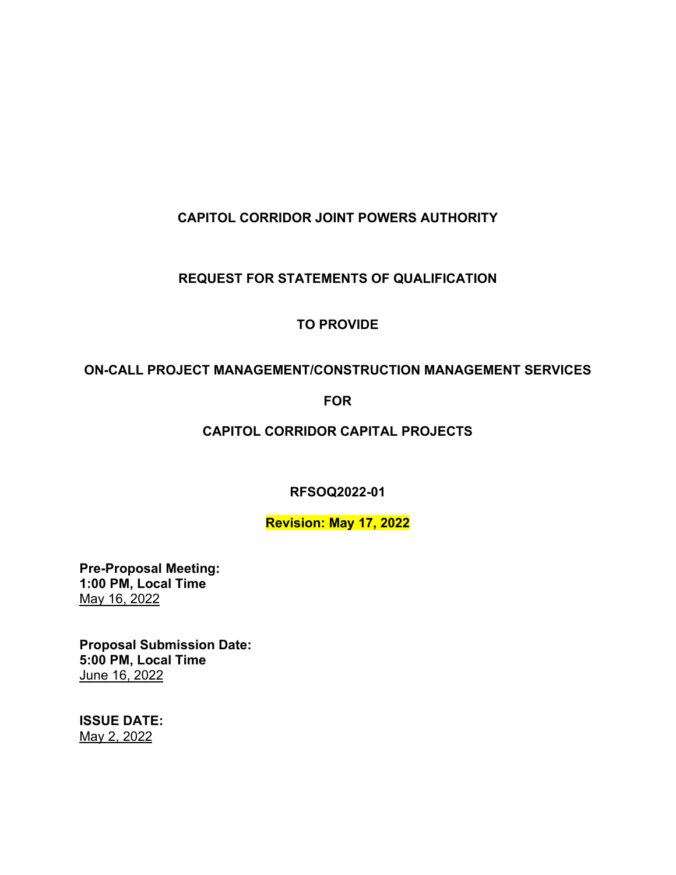# **CAPITOL CORRIDOR JOINT POWERS AUTHORITY**

# **REQUEST FOR STATEMENTS OF QUALIFICATION**

# **TO PROVIDE**

# **ON-CALL PROJECT MANAGEMENT/CONSTRUCTION MANAGEMENT SERVICES**

# **FOR**

# **CAPITOL CORRIDOR CAPITAL PROJECTS**

**RFSOQ2022-01**

# **Revision: May 17, 2022**

**Pre-Proposal Meeting: 1:00 PM, Local Time** May 16, 2022

**Proposal Submission Date: 5:00 PM, Local Time** June 16, 2022

**ISSUE DATE:** May 2, 2022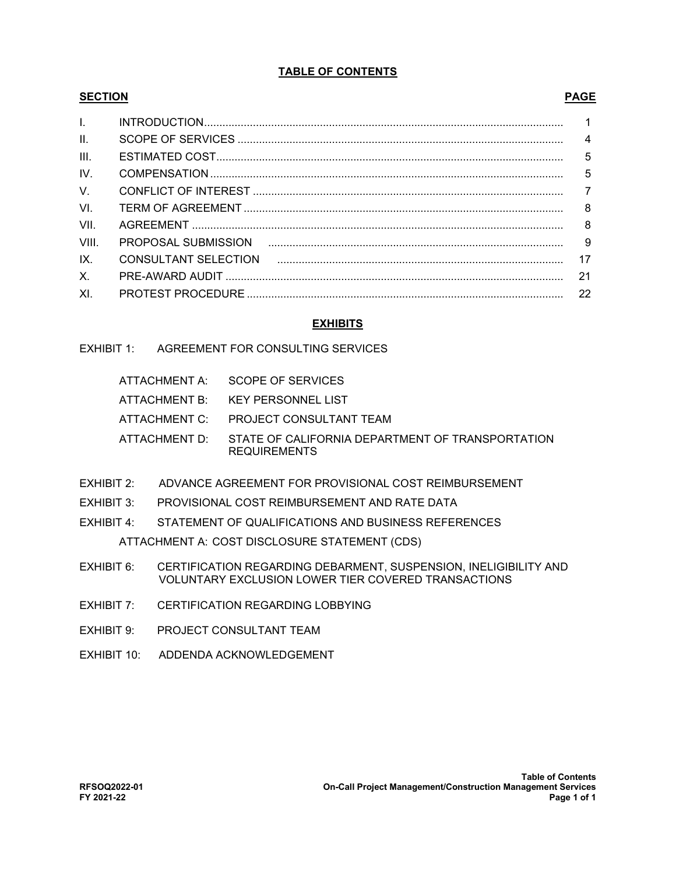### **TABLE OF CONTENTS**

### **SECTION PAGE**

| $\mathbf{L}$    |    |
|-----------------|----|
| $\mathbf{II}$ . |    |
| III.            |    |
| IV.             |    |
| $\vee$          |    |
| VI.             |    |
| VII.            |    |
| VIII.           |    |
| IX.             |    |
| X.              | 21 |
| XI.             |    |

### **EXHIBITS**

# EXHIBIT 1: AGREEMENT FOR CONSULTING SERVICES

| ATTACHMENT A: SCOPE OF SERVICES                                                       |
|---------------------------------------------------------------------------------------|
| ATTACHMENT B: KEY PERSONNEL LIST                                                      |
| ATTACHMENT C: PROJECT CONSULTANT TEAM                                                 |
| ATTACHMENT D: STATE OF CALIFORNIA DEPARTMENT OF TRANSPORTATION<br><b>REQUIREMENTS</b> |

- EXHIBIT 2: ADVANCE AGREEMENT FOR PROVISIONAL COST REIMBURSEMENT
- EXHIBIT 3: PROVISIONAL COST REIMBURSEMENT AND RATE DATA
- EXHIBIT 4: STATEMENT OF QUALIFICATIONS AND BUSINESS REFERENCES ATTACHMENT A: COST DISCLOSURE STATEMENT (CDS)
- EXHIBIT 6: CERTIFICATION REGARDING DEBARMENT, SUSPENSION, INELIGIBILITY AND VOLUNTARY EXCLUSION LOWER TIER COVERED TRANSACTIONS
- EXHIBIT 7: CERTIFICATION REGARDING LOBBYING
- EXHIBIT 9: PROJECT CONSULTANT TEAM
- EXHIBIT 10: ADDENDA ACKNOWLEDGEMENT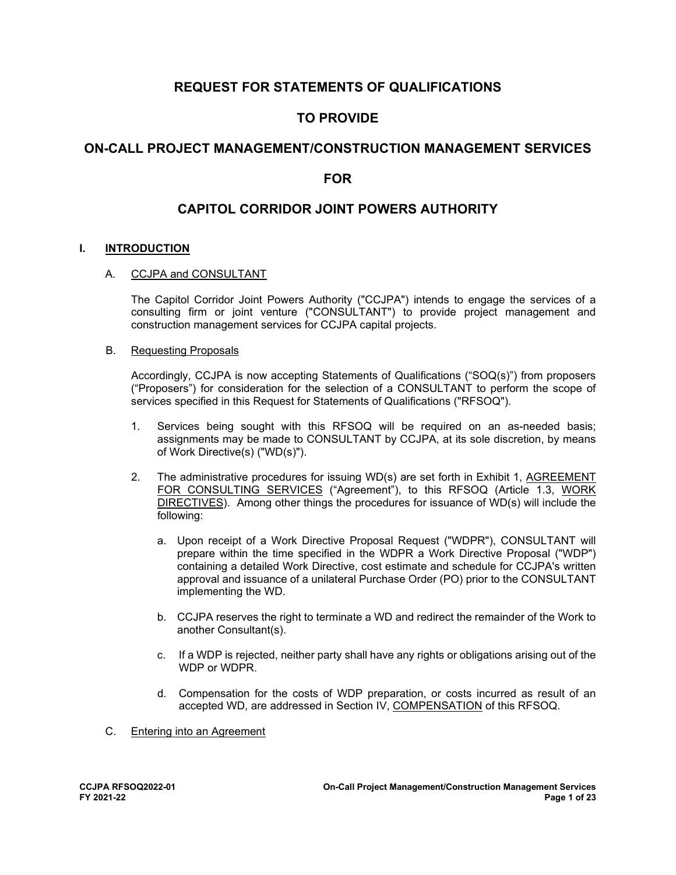# **REQUEST FOR STATEMENTS OF QUALIFICATIONS**

# **TO PROVIDE**

# **ON-CALL PROJECT MANAGEMENT/CONSTRUCTION MANAGEMENT SERVICES**

# **FOR**

# **CAPITOL CORRIDOR JOINT POWERS AUTHORITY**

### **I. INTRODUCTION**

### A. CCJPA and CONSULTANT

The Capitol Corridor Joint Powers Authority ("CCJPA") intends to engage the services of a consulting firm or joint venture ("CONSULTANT") to provide project management and construction management services for CCJPA capital projects.

### B. Requesting Proposals

Accordingly, CCJPA is now accepting Statements of Qualifications ("SOQ(s)") from proposers ("Proposers") for consideration for the selection of a CONSULTANT to perform the scope of services specified in this Request for Statements of Qualifications ("RFSOQ").

- 1. Services being sought with this RFSOQ will be required on an as-needed basis; assignments may be made to CONSULTANT by CCJPA, at its sole discretion, by means of Work Directive(s) ("WD(s)").
- 2. The administrative procedures for issuing WD(s) are set forth in Exhibit 1, AGREEMENT FOR CONSULTING SERVICES ("Agreement"), to this RFSOQ (Article 1.3, WORK DIRECTIVES). Among other things the procedures for issuance of WD(s) will include the following:
	- a. Upon receipt of a Work Directive Proposal Request ("WDPR"), CONSULTANT will prepare within the time specified in the WDPR a Work Directive Proposal ("WDP") containing a detailed Work Directive, cost estimate and schedule for CCJPA's written approval and issuance of a unilateral Purchase Order (PO) prior to the CONSULTANT implementing the WD.
	- b. CCJPA reserves the right to terminate a WD and redirect the remainder of the Work to another Consultant(s).
	- c. If a WDP is rejected, neither party shall have any rights or obligations arising out of the WDP or WDPR.
	- d. Compensation for the costs of WDP preparation, or costs incurred as result of an accepted WD, are addressed in Section IV, COMPENSATION of this RFSOQ.
- C. Entering into an Agreement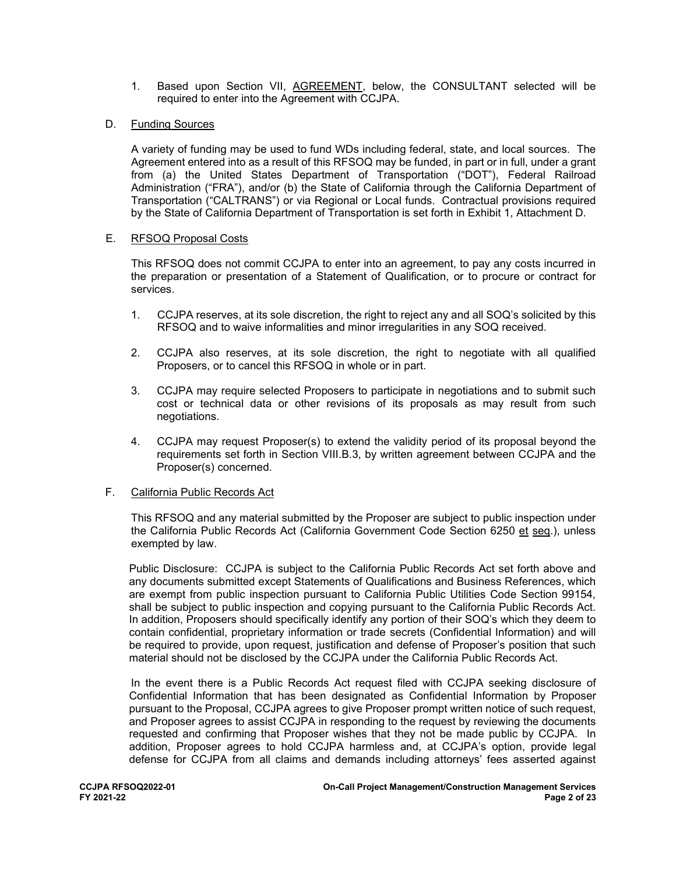1. Based upon Section VII, AGREEMENT, below, the CONSULTANT selected will be required to enter into the Agreement with CCJPA.

### D. Funding Sources

A variety of funding may be used to fund WDs including federal, state, and local sources. The Agreement entered into as a result of this RFSOQ may be funded, in part or in full, under a grant from (a) the United States Department of Transportation ("DOT"), Federal Railroad Administration ("FRA"), and/or (b) the State of California through the California Department of Transportation ("CALTRANS") or via Regional or Local funds. Contractual provisions required by the State of California Department of Transportation is set forth in Exhibit 1, Attachment D.

### E. RFSOQ Proposal Costs

This RFSOQ does not commit CCJPA to enter into an agreement, to pay any costs incurred in the preparation or presentation of a Statement of Qualification, or to procure or contract for services.

- 1. CCJPA reserves, at its sole discretion, the right to reject any and all SOQ's solicited by this RFSOQ and to waive informalities and minor irregularities in any SOQ received.
- 2. CCJPA also reserves, at its sole discretion, the right to negotiate with all qualified Proposers, or to cancel this RFSOQ in whole or in part.
- 3. CCJPA may require selected Proposers to participate in negotiations and to submit such cost or technical data or other revisions of its proposals as may result from such negotiations.
- 4. CCJPA may request Proposer(s) to extend the validity period of its proposal beyond the requirements set forth in Section VIII.B.3, by written agreement between CCJPA and the Proposer(s) concerned.

### F. California Public Records Act

This RFSOQ and any material submitted by the Proposer are subject to public inspection under the California Public Records Act (California Government Code Section 6250 et seq.), unless exempted by law.

Public Disclosure: CCJPA is subject to the California Public Records Act set forth above and any documents submitted except Statements of Qualifications and Business References, which are exempt from public inspection pursuant to California Public Utilities Code Section 99154, shall be subject to public inspection and copying pursuant to the California Public Records Act. In addition, Proposers should specifically identify any portion of their SOQ's which they deem to contain confidential, proprietary information or trade secrets (Confidential Information) and will be required to provide, upon request, justification and defense of Proposer's position that such material should not be disclosed by the CCJPA under the California Public Records Act.

In the event there is a Public Records Act request filed with CCJPA seeking disclosure of Confidential Information that has been designated as Confidential Information by Proposer pursuant to the Proposal, CCJPA agrees to give Proposer prompt written notice of such request, and Proposer agrees to assist CCJPA in responding to the request by reviewing the documents requested and confirming that Proposer wishes that they not be made public by CCJPA. In addition, Proposer agrees to hold CCJPA harmless and, at CCJPA's option, provide legal defense for CCJPA from all claims and demands including attorneys' fees asserted against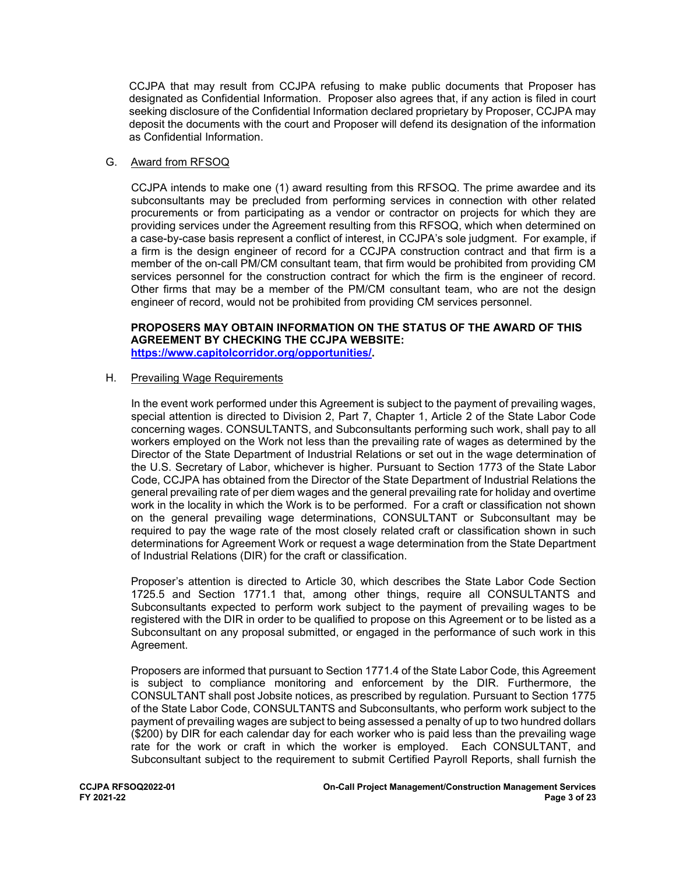CCJPA that may result from CCJPA refusing to make public documents that Proposer has designated as Confidential Information. Proposer also agrees that, if any action is filed in court seeking disclosure of the Confidential Information declared proprietary by Proposer, CCJPA may deposit the documents with the court and Proposer will defend its designation of the information as Confidential Information.

### G. Award from RFSOQ

CCJPA intends to make one (1) award resulting from this RFSOQ. The prime awardee and its subconsultants may be precluded from performing services in connection with other related procurements or from participating as a vendor or contractor on projects for which they are providing services under the Agreement resulting from this RFSOQ, which when determined on a case-by-case basis represent a conflict of interest, in CCJPA's sole judgment. For example, if a firm is the design engineer of record for a CCJPA construction contract and that firm is a member of the on-call PM/CM consultant team, that firm would be prohibited from providing CM services personnel for the construction contract for which the firm is the engineer of record. Other firms that may be a member of the PM/CM consultant team, who are not the design engineer of record, would not be prohibited from providing CM services personnel.

### **PROPOSERS MAY OBTAIN INFORMATION ON THE STATUS OF THE AWARD OF THIS AGREEMENT BY CHECKING THE CCJPA WEBSITE: [https://www.capitolcorridor.org/opportunities/.](https://www.capitolcorridor.org/opportunities/)**

### H. Prevailing Wage Requirements

In the event work performed under this Agreement is subject to the payment of prevailing wages, special attention is directed to Division 2, Part 7, Chapter 1, Article 2 of the State Labor Code concerning wages. CONSULTANTS, and Subconsultants performing such work, shall pay to all workers employed on the Work not less than the prevailing rate of wages as determined by the Director of the State Department of Industrial Relations or set out in the wage determination of the U.S. Secretary of Labor, whichever is higher. Pursuant to Section 1773 of the State Labor Code, CCJPA has obtained from the Director of the State Department of Industrial Relations the general prevailing rate of per diem wages and the general prevailing rate for holiday and overtime work in the locality in which the Work is to be performed. For a craft or classification not shown on the general prevailing wage determinations, CONSULTANT or Subconsultant may be required to pay the wage rate of the most closely related craft or classification shown in such determinations for Agreement Work or request a wage determination from the State Department of Industrial Relations (DIR) for the craft or classification.

Proposer's attention is directed to Article 30, which describes the State Labor Code Section 1725.5 and Section 1771.1 that, among other things, require all CONSULTANTS and Subconsultants expected to perform work subject to the payment of prevailing wages to be registered with the DIR in order to be qualified to propose on this Agreement or to be listed as a Subconsultant on any proposal submitted, or engaged in the performance of such work in this Agreement.

Proposers are informed that pursuant to Section 1771.4 of the State Labor Code, this Agreement is subject to compliance monitoring and enforcement by the DIR. Furthermore, the CONSULTANT shall post Jobsite notices, as prescribed by regulation. Pursuant to Section 1775 of the State Labor Code, CONSULTANTS and Subconsultants, who perform work subject to the payment of prevailing wages are subject to being assessed a penalty of up to two hundred dollars (\$200) by DIR for each calendar day for each worker who is paid less than the prevailing wage rate for the work or craft in which the worker is employed. Each CONSULTANT, and Subconsultant subject to the requirement to submit Certified Payroll Reports, shall furnish the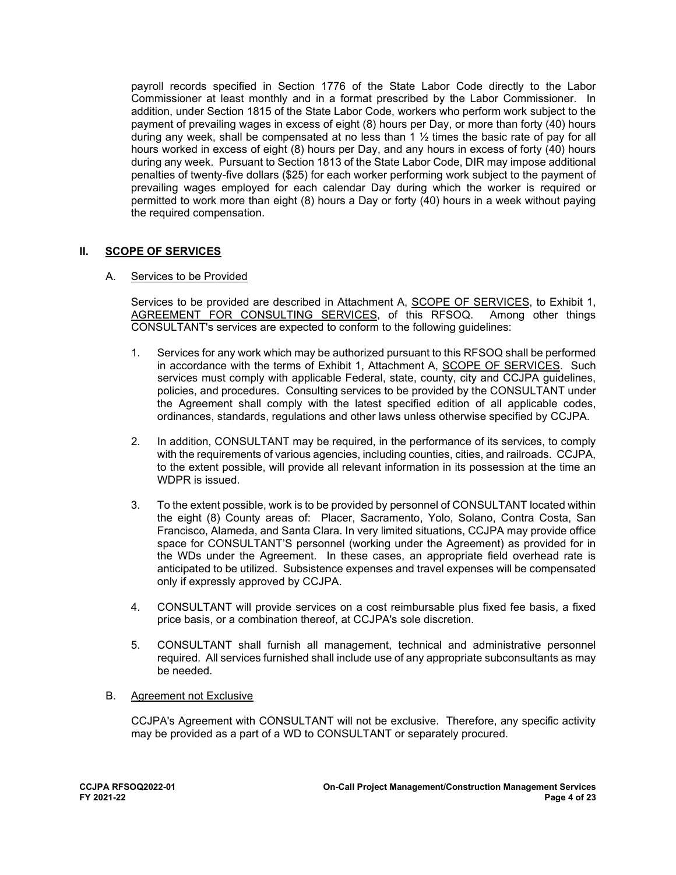payroll records specified in Section 1776 of the State Labor Code directly to the Labor Commissioner at least monthly and in a format prescribed by the Labor Commissioner. In addition, under Section 1815 of the State Labor Code, workers who perform work subject to the payment of prevailing wages in excess of eight (8) hours per Day, or more than forty (40) hours during any week, shall be compensated at no less than 1  $\frac{1}{2}$  times the basic rate of pay for all hours worked in excess of eight (8) hours per Day, and any hours in excess of forty (40) hours during any week. Pursuant to Section 1813 of the State Labor Code, DIR may impose additional penalties of twenty-five dollars (\$25) for each worker performing work subject to the payment of prevailing wages employed for each calendar Day during which the worker is required or permitted to work more than eight (8) hours a Day or forty (40) hours in a week without paying the required compensation.

### **II. SCOPE OF SERVICES**

### A. Services to be Provided

Services to be provided are described in Attachment A, **SCOPE OF SERVICES**, to Exhibit 1, AGREEMENT FOR CONSULTING SERVICES, of this RFSOQ. Among other things CONSULTANT's services are expected to conform to the following guidelines:

- 1. Services for any work which may be authorized pursuant to this RFSOQ shall be performed in accordance with the terms of Exhibit 1, Attachment A, SCOPE OF SERVICES. Such services must comply with applicable Federal, state, county, city and CCJPA guidelines, policies, and procedures. Consulting services to be provided by the CONSULTANT under the Agreement shall comply with the latest specified edition of all applicable codes, ordinances, standards, regulations and other laws unless otherwise specified by CCJPA.
- 2. In addition, CONSULTANT may be required, in the performance of its services, to comply with the requirements of various agencies, including counties, cities, and railroads. CCJPA, to the extent possible, will provide all relevant information in its possession at the time an WDPR is issued.
- 3. To the extent possible, work is to be provided by personnel of CONSULTANT located within the eight (8) County areas of: Placer, Sacramento, Yolo, Solano, Contra Costa, San Francisco, Alameda, and Santa Clara. In very limited situations, CCJPA may provide office space for CONSULTANT'S personnel (working under the Agreement) as provided for in the WDs under the Agreement. In these cases, an appropriate field overhead rate is anticipated to be utilized. Subsistence expenses and travel expenses will be compensated only if expressly approved by CCJPA.
- 4. CONSULTANT will provide services on a cost reimbursable plus fixed fee basis, a fixed price basis, or a combination thereof, at CCJPA's sole discretion.
- 5. CONSULTANT shall furnish all management, technical and administrative personnel required. All services furnished shall include use of any appropriate subconsultants as may be needed.
- B. Agreement not Exclusive

CCJPA's Agreement with CONSULTANT will not be exclusive. Therefore, any specific activity may be provided as a part of a WD to CONSULTANT or separately procured.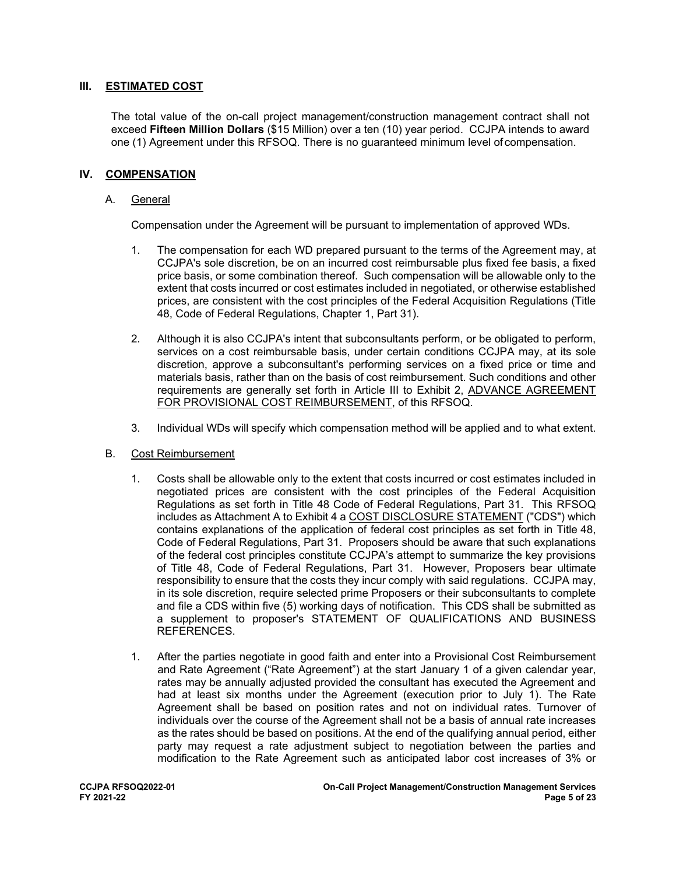### **III. ESTIMATED COST**

The total value of the on-call project management/construction management contract shall not exceed **Fifteen Million Dollars** (\$15 Million) over a ten (10) year period. CCJPA intends to award one (1) Agreement under this RFSOQ. There is no guaranteed minimum level of compensation.

### **IV. COMPENSATION**

### A. General

Compensation under the Agreement will be pursuant to implementation of approved WDs.

- 1. The compensation for each WD prepared pursuant to the terms of the Agreement may, at CCJPA's sole discretion, be on an incurred cost reimbursable plus fixed fee basis, a fixed price basis, or some combination thereof. Such compensation will be allowable only to the extent that costs incurred or cost estimates included in negotiated, or otherwise established prices, are consistent with the cost principles of the Federal Acquisition Regulations (Title 48, Code of Federal Regulations, Chapter 1, Part 31).
- 2. Although it is also CCJPA's intent that subconsultants perform, or be obligated to perform, services on a cost reimbursable basis, under certain conditions CCJPA may, at its sole discretion, approve a subconsultant's performing services on a fixed price or time and materials basis, rather than on the basis of cost reimbursement. Such conditions and other requirements are generally set forth in Article III to Exhibit 2, ADVANCE AGREEMENT FOR PROVISIONAL COST REIMBURSEMENT, of this RFSOQ.
- 3. Individual WDs will specify which compensation method will be applied and to what extent.
- B. Cost Reimbursement
	- 1. Costs shall be allowable only to the extent that costs incurred or cost estimates included in negotiated prices are consistent with the cost principles of the Federal Acquisition Regulations as set forth in Title 48 Code of Federal Regulations, Part 31. This RFSOQ includes as Attachment A to Exhibit 4 a COST DISCLOSURE STATEMENT ("CDS") which contains explanations of the application of federal cost principles as set forth in Title 48, Code of Federal Regulations, Part 31. Proposers should be aware that such explanations of the federal cost principles constitute CCJPA's attempt to summarize the key provisions of Title 48, Code of Federal Regulations, Part 31. However, Proposers bear ultimate responsibility to ensure that the costs they incur comply with said regulations. CCJPA may, in its sole discretion, require selected prime Proposers or their subconsultants to complete and file a CDS within five (5) working days of notification. This CDS shall be submitted as a supplement to proposer's STATEMENT OF QUALIFICATIONS AND BUSINESS REFERENCES.
	- 1. After the parties negotiate in good faith and enter into a Provisional Cost Reimbursement and Rate Agreement ("Rate Agreement") at the start January 1 of a given calendar year, rates may be annually adjusted provided the consultant has executed the Agreement and had at least six months under the Agreement (execution prior to July 1). The Rate Agreement shall be based on position rates and not on individual rates. Turnover of individuals over the course of the Agreement shall not be a basis of annual rate increases as the rates should be based on positions. At the end of the qualifying annual period, either party may request a rate adjustment subject to negotiation between the parties and modification to the Rate Agreement such as anticipated labor cost increases of 3% or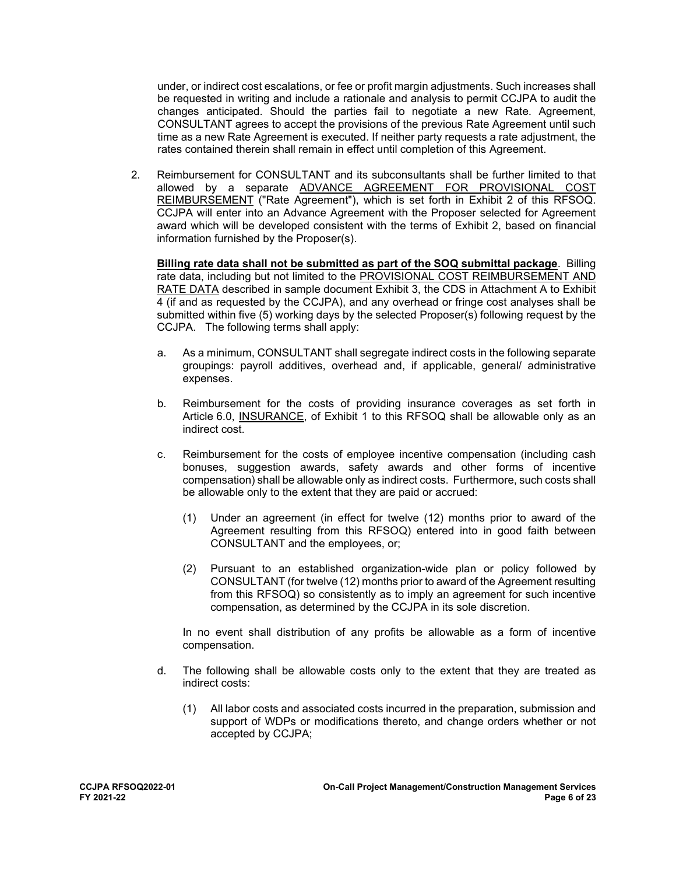under, or indirect cost escalations, or fee or profit margin adjustments. Such increases shall be requested in writing and include a rationale and analysis to permit CCJPA to audit the changes anticipated. Should the parties fail to negotiate a new Rate. Agreement, CONSULTANT agrees to accept the provisions of the previous Rate Agreement until such time as a new Rate Agreement is executed. If neither party requests a rate adjustment, the rates contained therein shall remain in effect until completion of this Agreement.

2. Reimbursement for CONSULTANT and its subconsultants shall be further limited to that allowed by a separate ADVANCE AGREEMENT FOR PROVISIONAL COST REIMBURSEMENT ("Rate Agreement"), which is set forth in Exhibit 2 of this RFSOQ. CCJPA will enter into an Advance Agreement with the Proposer selected for Agreement award which will be developed consistent with the terms of Exhibit 2, based on financial information furnished by the Proposer(s).

**Billing rate data shall not be submitted as part of the SOQ submittal package**. Billing rate data, including but not limited to the PROVISIONAL COST REIMBURSEMENT AND RATE DATA described in sample document Exhibit 3, the CDS in Attachment A to Exhibit 4 (if and as requested by the CCJPA), and any overhead or fringe cost analyses shall be submitted within five (5) working days by the selected Proposer(s) following request by the CCJPA. The following terms shall apply:

- a. As a minimum, CONSULTANT shall segregate indirect costs in the following separate groupings: payroll additives, overhead and, if applicable, general/ administrative expenses.
- b. Reimbursement for the costs of providing insurance coverages as set forth in Article 6.0, INSURANCE, of Exhibit 1 to this RFSOQ shall be allowable only as an indirect cost.
- c. Reimbursement for the costs of employee incentive compensation (including cash bonuses, suggestion awards, safety awards and other forms of incentive compensation) shall be allowable only as indirect costs. Furthermore, such costs shall be allowable only to the extent that they are paid or accrued:
	- (1) Under an agreement (in effect for twelve (12) months prior to award of the Agreement resulting from this RFSOQ) entered into in good faith between CONSULTANT and the employees, or;
	- (2) Pursuant to an established organization-wide plan or policy followed by CONSULTANT (for twelve (12) months prior to award of the Agreement resulting from this RFSOQ) so consistently as to imply an agreement for such incentive compensation, as determined by the CCJPA in its sole discretion.

In no event shall distribution of any profits be allowable as a form of incentive compensation.

- d. The following shall be allowable costs only to the extent that they are treated as indirect costs:
	- (1) All labor costs and associated costs incurred in the preparation, submission and support of WDPs or modifications thereto, and change orders whether or not accepted by CCJPA;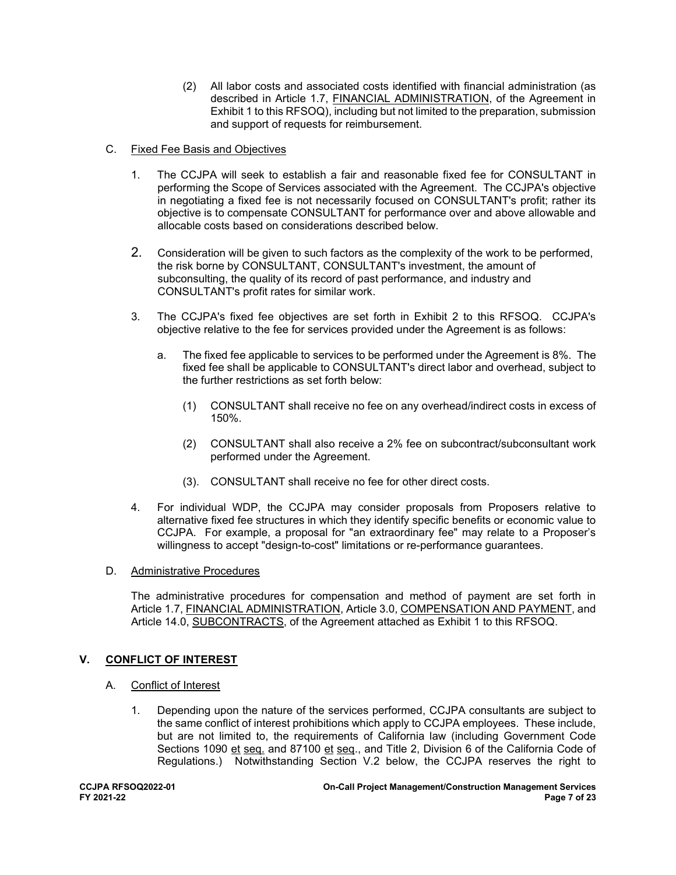- (2) All labor costs and associated costs identified with financial administration (as described in Article 1.7, FINANCIAL ADMINISTRATION, of the Agreement in Exhibit 1 to this RFSOQ), including but not limited to the preparation, submission and support of requests for reimbursement.
- C. Fixed Fee Basis and Objectives
	- 1. The CCJPA will seek to establish a fair and reasonable fixed fee for CONSULTANT in performing the Scope of Services associated with the Agreement. The CCJPA's objective in negotiating a fixed fee is not necessarily focused on CONSULTANT's profit; rather its objective is to compensate CONSULTANT for performance over and above allowable and allocable costs based on considerations described below.
	- 2. Consideration will be given to such factors as the complexity of the work to be performed, the risk borne by CONSULTANT, CONSULTANT's investment, the amount of subconsulting, the quality of its record of past performance, and industry and CONSULTANT's profit rates for similar work.
	- 3. The CCJPA's fixed fee objectives are set forth in Exhibit 2 to this RFSOQ. CCJPA's objective relative to the fee for services provided under the Agreement is as follows:
		- a. The fixed fee applicable to services to be performed under the Agreement is 8%. The fixed fee shall be applicable to CONSULTANT's direct labor and overhead, subject to the further restrictions as set forth below:
			- (1) CONSULTANT shall receive no fee on any overhead/indirect costs in excess of 150%.
			- (2) CONSULTANT shall also receive a 2% fee on subcontract/subconsultant work performed under the Agreement.
			- (3). CONSULTANT shall receive no fee for other direct costs.
	- 4. For individual WDP, the CCJPA may consider proposals from Proposers relative to alternative fixed fee structures in which they identify specific benefits or economic value to CCJPA. For example, a proposal for "an extraordinary fee" may relate to a Proposer's willingness to accept "design-to-cost" limitations or re-performance guarantees.

### D. Administrative Procedures

The administrative procedures for compensation and method of payment are set forth in Article 1.7, FINANCIAL ADMINISTRATION, Article 3.0, COMPENSATION AND PAYMENT, and Article 14.0, SUBCONTRACTS, of the Agreement attached as Exhibit 1 to this RFSOQ.

### **V. CONFLICT OF INTEREST**

- A. Conflict of Interest
	- 1. Depending upon the nature of the services performed, CCJPA consultants are subject to the same conflict of interest prohibitions which apply to CCJPA employees. These include, but are not limited to, the requirements of California law (including Government Code Sections 1090 et seq. and 87100 et seq., and Title 2, Division 6 of the California Code of Regulations.) Notwithstanding Section V.2 below, the CCJPA reserves the right to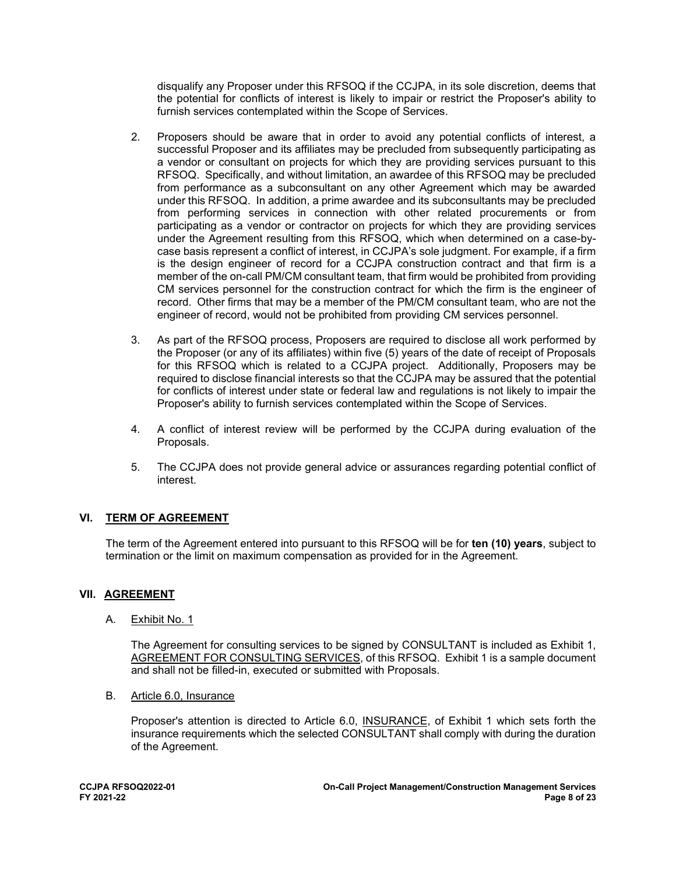disqualify any Proposer under this RFSOQ if the CCJPA, in its sole discretion, deems that the potential for conflicts of interest is likely to impair or restrict the Proposer's ability to furnish services contemplated within the Scope of Services.

- 2. Proposers should be aware that in order to avoid any potential conflicts of interest, a successful Proposer and its affiliates may be precluded from subsequently participating as a vendor or consultant on projects for which they are providing services pursuant to this RFSOQ. Specifically, and without limitation, an awardee of this RFSOQ may be precluded from performance as a subconsultant on any other Agreement which may be awarded under this RFSOQ. In addition, a prime awardee and its subconsultants may be precluded from performing services in connection with other related procurements or from participating as a vendor or contractor on projects for which they are providing services under the Agreement resulting from this RFSOQ, which when determined on a case-bycase basis represent a conflict of interest, in CCJPA's sole judgment. For example, if a firm is the design engineer of record for a CCJPA construction contract and that firm is a member of the on-call PM/CM consultant team, that firm would be prohibited from providing CM services personnel for the construction contract for which the firm is the engineer of record. Other firms that may be a member of the PM/CM consultant team, who are not the engineer of record, would not be prohibited from providing CM services personnel.
- 3. As part of the RFSOQ process, Proposers are required to disclose all work performed by the Proposer (or any of its affiliates) within five (5) years of the date of receipt of Proposals for this RFSOQ which is related to a CCJPA project. Additionally, Proposers may be required to disclose financial interests so that the CCJPA may be assured that the potential for conflicts of interest under state or federal law and regulations is not likely to impair the Proposer's ability to furnish services contemplated within the Scope of Services.
- 4. A conflict of interest review will be performed by the CCJPA during evaluation of the Proposals.
- 5. The CCJPA does not provide general advice or assurances regarding potential conflict of interest.

### **VI. TERM OF AGREEMENT**

The term of the Agreement entered into pursuant to this RFSOQ will be for **ten (10) years**, subject to termination or the limit on maximum compensation as provided for in the Agreement.

### **VII. AGREEMENT**

A. Exhibit No. 1

The Agreement for consulting services to be signed by CONSULTANT is included as Exhibit 1, AGREEMENT FOR CONSULTING SERVICES, of this RFSOQ. Exhibit 1 is a sample document and shall not be filled-in, executed or submitted with Proposals.

B. Article 6.0, Insurance

Proposer's attention is directed to Article 6.0, INSURANCE, of Exhibit 1 which sets forth the insurance requirements which the selected CONSULTANT shall comply with during the duration of the Agreement.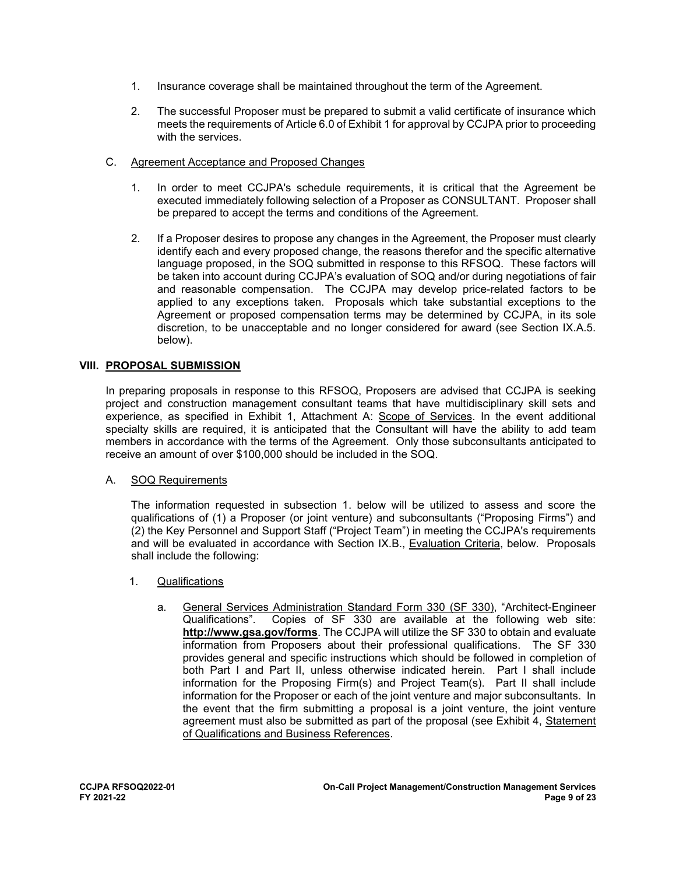- 1. Insurance coverage shall be maintained throughout the term of the Agreement.
- 2. The successful Proposer must be prepared to submit a valid certificate of insurance which meets the requirements of Article 6.0 of Exhibit 1 for approval by CCJPA prior to proceeding with the services.
- C. Agreement Acceptance and Proposed Changes
	- 1. In order to meet CCJPA's schedule requirements, it is critical that the Agreement be executed immediately following selection of a Proposer as CONSULTANT. Proposer shall be prepared to accept the terms and conditions of the Agreement.
	- 2. If a Proposer desires to propose any changes in the Agreement, the Proposer must clearly identify each and every proposed change, the reasons therefor and the specific alternative language proposed, in the SOQ submitted in response to this RFSOQ. These factors will be taken into account during CCJPA's evaluation of SOQ and/or during negotiations of fair and reasonable compensation. The CCJPA may develop price-related factors to be applied to any exceptions taken. Proposals which take substantial exceptions to the Agreement or proposed compensation terms may be determined by CCJPA, in its sole discretion, to be unacceptable and no longer considered for award (see Section IX.A.5. below).

### **VIII. PROPOSAL SUBMISSION**

In preparing proposals in response to this RFSOQ, Proposers are advised that CCJPA is seeking project and construction management consultant teams that have multidisciplinary skill sets and experience, as specified in Exhibit 1, Attachment A: Scope of Services. In the event additional specialty skills are required, it is anticipated that the Consultant will have the ability to add team members in accordance with the terms of the Agreement. Only those subconsultants anticipated to receive an amount of over \$100,000 should be included in the SOQ.

### A. SOQ Requirements

The information requested in subsection 1. below will be utilized to assess and score the qualifications of (1) a Proposer (or joint venture) and subconsultants ("Proposing Firms") and (2) the Key Personnel and Support Staff ("Project Team") in meeting the CCJPA's requirements and will be evaluated in accordance with Section IX.B., Evaluation Criteria, below. Proposals shall include the following:

- 1. Qualifications
	- a. General Services Administration Standard Form 330 (SF 330), "Architect-Engineer Qualifications". Copies of SF 330 are available at the following web site: **http://www.gsa.gov/forms**. The CCJPA will utilize the SF 330 to obtain and evaluate information from Proposers about their professional qualifications. The SF 330 provides general and specific instructions which should be followed in completion of both Part I and Part II, unless otherwise indicated herein. Part I shall include information for the Proposing Firm(s) and Project Team(s). Part II shall include information for the Proposer or each of the joint venture and major subconsultants. In the event that the firm submitting a proposal is a joint venture, the joint venture agreement must also be submitted as part of the proposal (see Exhibit 4, Statement of Qualifications and Business References.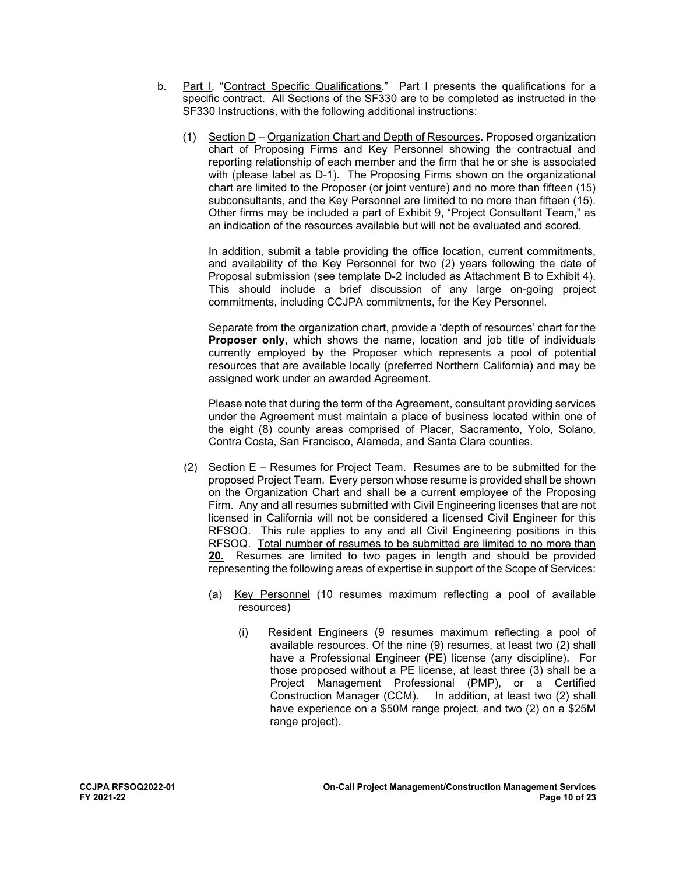- b. Part I, "Contract Specific Qualifications." Part I presents the qualifications for a specific contract. All Sections of the SF330 are to be completed as instructed in the SF330 Instructions, with the following additional instructions:
	- (1) Section D Organization Chart and Depth of Resources. Proposed organization chart of Proposing Firms and Key Personnel showing the contractual and reporting relationship of each member and the firm that he or she is associated with (please label as D-1). The Proposing Firms shown on the organizational chart are limited to the Proposer (or joint venture) and no more than fifteen (15) subconsultants, and the Key Personnel are limited to no more than fifteen (15). Other firms may be included a part of Exhibit 9, "Project Consultant Team," as an indication of the resources available but will not be evaluated and scored.

 In addition, submit a table providing the office location, current commitments, and availability of the Key Personnel for two (2) years following the date of Proposal submission (see template D-2 included as Attachment B to Exhibit 4). This should include a brief discussion of any large on-going project commitments, including CCJPA commitments, for the Key Personnel.

Separate from the organization chart, provide a 'depth of resources' chart for the **Proposer only**, which shows the name, location and job title of individuals currently employed by the Proposer which represents a pool of potential resources that are available locally (preferred Northern California) and may be assigned work under an awarded Agreement.

Please note that during the term of the Agreement, consultant providing services under the Agreement must maintain a place of business located within one of the eight (8) county areas comprised of Placer, Sacramento, Yolo, Solano, Contra Costa, San Francisco, Alameda, and Santa Clara counties.

- (2) Section E Resumes for Project Team. Resumes are to be submitted for the proposed Project Team. Every person whose resume is provided shall be shown on the Organization Chart and shall be a current employee of the Proposing Firm. Any and all resumes submitted with Civil Engineering licenses that are not licensed in California will not be considered a licensed Civil Engineer for this RFSOQ. This rule applies to any and all Civil Engineering positions in this RFSOQ. Total number of resumes to be submitted are limited to no more than **20.** Resumes are limited to two pages in length and should be provided representing the following areas of expertise in support of the Scope of Services:
	- (a) Key Personnel (10 resumes maximum reflecting a pool of available resources)
		- (i) Resident Engineers (9 resumes maximum reflecting a pool of available resources. Of the nine (9) resumes, at least two (2) shall have a Professional Engineer (PE) license (any discipline). For those proposed without a PE license, at least three (3) shall be a Project Management Professional (PMP), or a Certified In addition, at least two (2) shall have experience on a \$50M range project, and two (2) on a \$25M range project).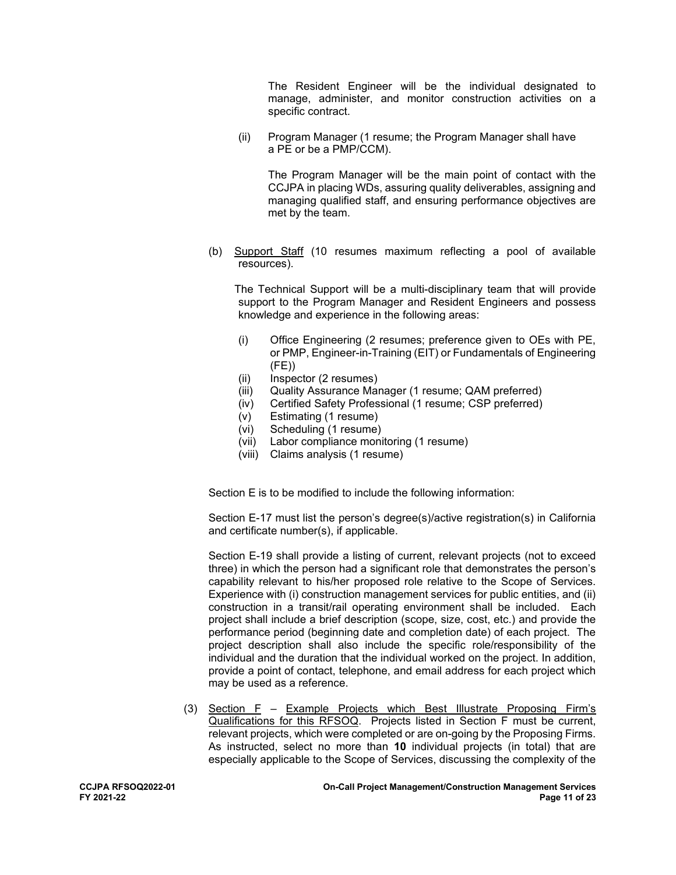The Resident Engineer will be the individual designated to manage, administer, and monitor construction activities on a specific contract.

 (ii) Program Manager (1 resume; the Program Manager shall have a PE or be a PMP/CCM).

The Program Manager will be the main point of contact with the CCJPA in placing WDs, assuring quality deliverables, assigning and managing qualified staff, and ensuring performance objectives are met by the team.

(b) Support Staff (10 resumes maximum reflecting a pool of available resources).

 The Technical Support will be a multi-disciplinary team that will provide support to the Program Manager and Resident Engineers and possess knowledge and experience in the following areas:

- (i) Office Engineering (2 resumes; preference given to OEs with PE, or PMP, Engineer-in-Training (EIT) or Fundamentals of Engineering (FE))
- (ii) Inspector (2 resumes)
- (iii) Quality Assurance Manager (1 resume; QAM preferred)
- (iv) Certified Safety Professional (1 resume; CSP preferred)
- (v) Estimating (1 resume)
- (vi) Scheduling (1 resume)
- (vii) Labor compliance monitoring (1 resume)
- (viii) Claims analysis (1 resume)

Section E is to be modified to include the following information:

Section E-17 must list the person's degree(s)/active registration(s) in California and certificate number(s), if applicable.

Section E-19 shall provide a listing of current, relevant projects (not to exceed three) in which the person had a significant role that demonstrates the person's capability relevant to his/her proposed role relative to the Scope of Services. Experience with (i) construction management services for public entities, and (ii) construction in a transit/rail operating environment shall be included. Each project shall include a brief description (scope, size, cost, etc.) and provide the performance period (beginning date and completion date) of each project. The project description shall also include the specific role/responsibility of the individual and the duration that the individual worked on the project. In addition, provide a point of contact, telephone, and email address for each project which may be used as a reference.

(3) Section F – Example Projects which Best Illustrate Proposing Firm's Qualifications for this RFSOQ. Projects listed in Section F must be current, relevant projects, which were completed or are on-going by the Proposing Firms. As instructed, select no more than **10** individual projects (in total) that are especially applicable to the Scope of Services, discussing the complexity of the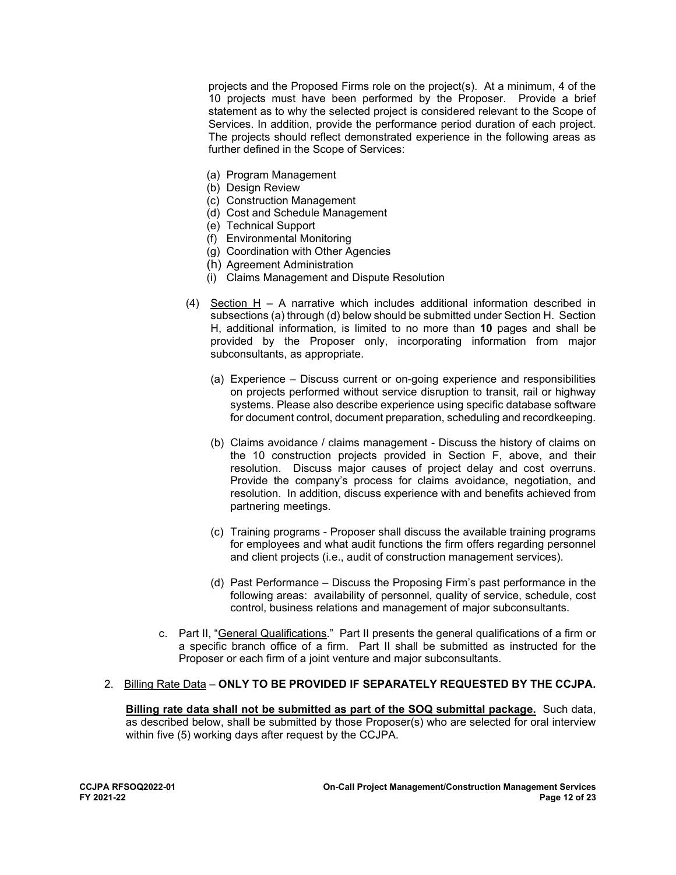projects and the Proposed Firms role on the project(s). At a minimum, 4 of the 10 projects must have been performed by the Proposer. Provide a brief statement as to why the selected project is considered relevant to the Scope of Services. In addition, provide the performance period duration of each project. The projects should reflect demonstrated experience in the following areas as further defined in the Scope of Services:

- (a) Program Management
- (b) Design Review
- (c) Construction Management
- (d) Cost and Schedule Management
- (e) Technical Support
- (f) Environmental Monitoring
- (g) Coordination with Other Agencies
- (h) Agreement Administration
- (i) Claims Management and Dispute Resolution
- (4) Section H A narrative which includes additional information described in subsections (a) through (d) below should be submitted under Section H. Section H, additional information, is limited to no more than **10** pages and shall be provided by the Proposer only, incorporating information from major subconsultants, as appropriate.
	- (a) Experience Discuss current or on-going experience and responsibilities on projects performed without service disruption to transit, rail or highway systems. Please also describe experience using specific database software for document control, document preparation, scheduling and recordkeeping.
	- (b) Claims avoidance / claims management Discuss the history of claims on the 10 construction projects provided in Section F, above, and their resolution. Discuss major causes of project delay and cost overruns. Provide the company's process for claims avoidance, negotiation, and resolution. In addition, discuss experience with and benefits achieved from partnering meetings.
	- (c) Training programs Proposer shall discuss the available training programs for employees and what audit functions the firm offers regarding personnel and client projects (i.e., audit of construction management services).
	- (d) Past Performance Discuss the Proposing Firm's past performance in the following areas: availability of personnel, quality of service, schedule, cost control, business relations and management of major subconsultants.
- c. Part II, "General Qualifications." Part II presents the general qualifications of a firm or a specific branch office of a firm. Part II shall be submitted as instructed for the Proposer or each firm of a joint venture and major subconsultants.

### 2. Billing Rate Data – **ONLY TO BE PROVIDED IF SEPARATELY REQUESTED BY THE CCJPA.**

**Billing rate data shall not be submitted as part of the SOQ submittal package.** Such data, as described below, shall be submitted by those Proposer(s) who are selected for oral interview within five (5) working days after request by the CCJPA.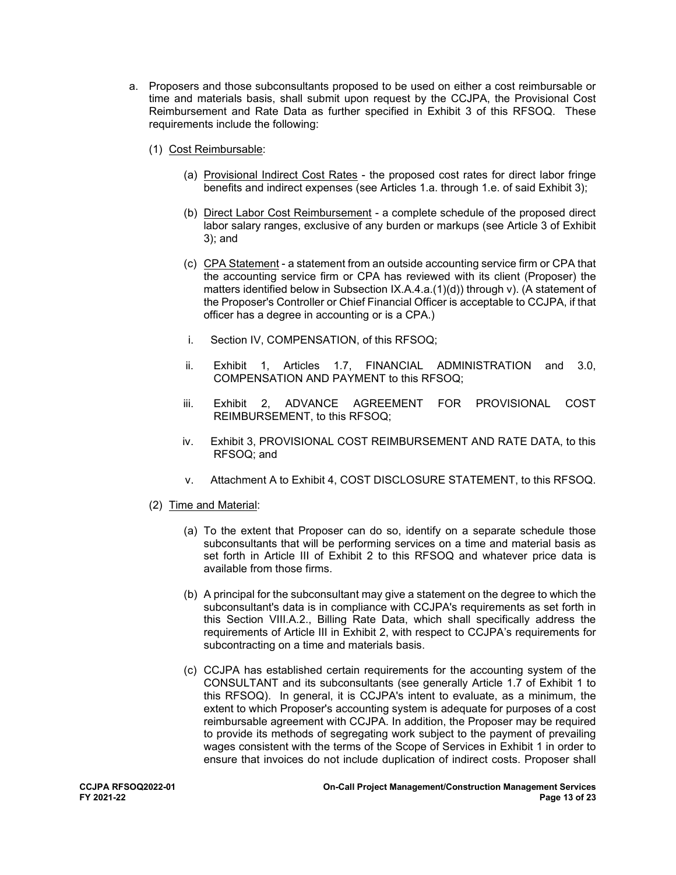- a. Proposers and those subconsultants proposed to be used on either a cost reimbursable or time and materials basis, shall submit upon request by the CCJPA, the Provisional Cost Reimbursement and Rate Data as further specified in Exhibit 3 of this RFSOQ. These requirements include the following:
	- (1) Cost Reimbursable:
		- (a) Provisional Indirect Cost Rates the proposed cost rates for direct labor fringe benefits and indirect expenses (see Articles 1.a. through 1.e. of said Exhibit 3);
		- (b) Direct Labor Cost Reimbursement a complete schedule of the proposed direct labor salary ranges, exclusive of any burden or markups (see Article 3 of Exhibit 3); and
		- (c) CPA Statement a statement from an outside accounting service firm or CPA that the accounting service firm or CPA has reviewed with its client (Proposer) the matters identified below in Subsection IX.A.4.a.(1)(d)) through v). (A statement of the Proposer's Controller or Chief Financial Officer is acceptable to CCJPA, if that officer has a degree in accounting or is a CPA.)
		- i. Section IV, COMPENSATION, of this RFSOQ;
		- ii. Exhibit 1, Articles 1.7, FINANCIAL ADMINISTRATION and 3.0, COMPENSATION AND PAYMENT to this RFSOQ;
		- iii. Exhibit 2, ADVANCE AGREEMENT FOR PROVISIONAL COST REIMBURSEMENT, to this RFSOQ;
		- iv. Exhibit 3, PROVISIONAL COST REIMBURSEMENT AND RATE DATA, to this RFSOQ; and
		- v. Attachment A to Exhibit 4, COST DISCLOSURE STATEMENT, to this RFSOQ.
	- (2) Time and Material:
		- (a) To the extent that Proposer can do so, identify on a separate schedule those subconsultants that will be performing services on a time and material basis as set forth in Article III of Exhibit 2 to this RFSOQ and whatever price data is available from those firms.
		- (b) A principal for the subconsultant may give a statement on the degree to which the subconsultant's data is in compliance with CCJPA's requirements as set forth in this Section VIII.A.2., Billing Rate Data, which shall specifically address the requirements of Article III in Exhibit 2, with respect to CCJPA's requirements for subcontracting on a time and materials basis.
		- (c) CCJPA has established certain requirements for the accounting system of the CONSULTANT and its subconsultants (see generally Article 1.7 of Exhibit 1 to this RFSOQ). In general, it is CCJPA's intent to evaluate, as a minimum, the extent to which Proposer's accounting system is adequate for purposes of a cost reimbursable agreement with CCJPA. In addition, the Proposer may be required to provide its methods of segregating work subject to the payment of prevailing wages consistent with the terms of the Scope of Services in Exhibit 1 in order to ensure that invoices do not include duplication of indirect costs. Proposer shall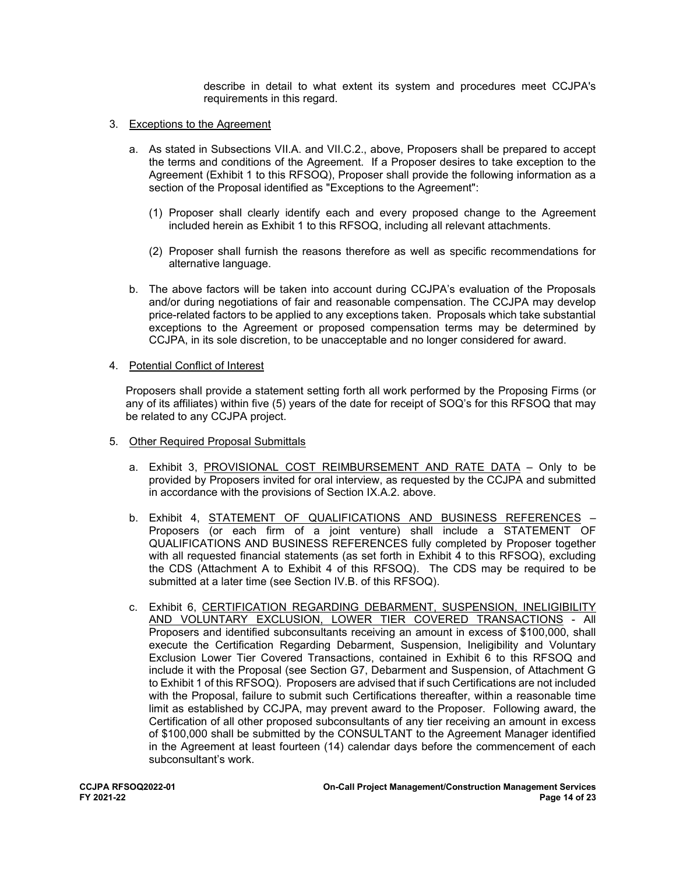describe in detail to what extent its system and procedures meet CCJPA's requirements in this regard.

- 3. Exceptions to the Agreement
	- a. As stated in Subsections VII.A. and VII.C.2., above, Proposers shall be prepared to accept the terms and conditions of the Agreement. If a Proposer desires to take exception to the Agreement (Exhibit 1 to this RFSOQ), Proposer shall provide the following information as a section of the Proposal identified as "Exceptions to the Agreement":
		- (1) Proposer shall clearly identify each and every proposed change to the Agreement included herein as Exhibit 1 to this RFSOQ, including all relevant attachments.
		- (2) Proposer shall furnish the reasons therefore as well as specific recommendations for alternative language.
	- b. The above factors will be taken into account during CCJPA's evaluation of the Proposals and/or during negotiations of fair and reasonable compensation. The CCJPA may develop price-related factors to be applied to any exceptions taken. Proposals which take substantial exceptions to the Agreement or proposed compensation terms may be determined by CCJPA, in its sole discretion, to be unacceptable and no longer considered for award.
- 4. Potential Conflict of Interest

Proposers shall provide a statement setting forth all work performed by the Proposing Firms (or any of its affiliates) within five (5) years of the date for receipt of SOQ's for this RFSOQ that may be related to any CCJPA project.

- 5. Other Required Proposal Submittals
	- a. Exhibit 3, PROVISIONAL COST REIMBURSEMENT AND RATE DATA Only to be provided by Proposers invited for oral interview, as requested by the CCJPA and submitted in accordance with the provisions of Section IX.A.2. above.
	- b. Exhibit 4, STATEMENT OF QUALIFICATIONS AND BUSINESS REFERENCES Proposers (or each firm of a joint venture) shall include a STATEMENT OF QUALIFICATIONS AND BUSINESS REFERENCES fully completed by Proposer together with all requested financial statements (as set forth in Exhibit 4 to this RFSOQ), excluding the CDS (Attachment A to Exhibit 4 of this RFSOQ). The CDS may be required to be submitted at a later time (see Section IV.B. of this RFSOQ).
	- c. Exhibit 6, CERTIFICATION REGARDING DEBARMENT, SUSPENSION, INELIGIBILITY AND VOLUNTARY EXCLUSION, LOWER TIER COVERED TRANSACTIONS - All Proposers and identified subconsultants receiving an amount in excess of \$100,000, shall execute the Certification Regarding Debarment, Suspension, Ineligibility and Voluntary Exclusion Lower Tier Covered Transactions, contained in Exhibit 6 to this RFSOQ and include it with the Proposal (see Section G7, Debarment and Suspension, of Attachment G to Exhibit 1 of this RFSOQ). Proposers are advised that if such Certifications are not included with the Proposal, failure to submit such Certifications thereafter, within a reasonable time limit as established by CCJPA, may prevent award to the Proposer. Following award, the Certification of all other proposed subconsultants of any tier receiving an amount in excess of \$100,000 shall be submitted by the CONSULTANT to the Agreement Manager identified in the Agreement at least fourteen (14) calendar days before the commencement of each subconsultant's work.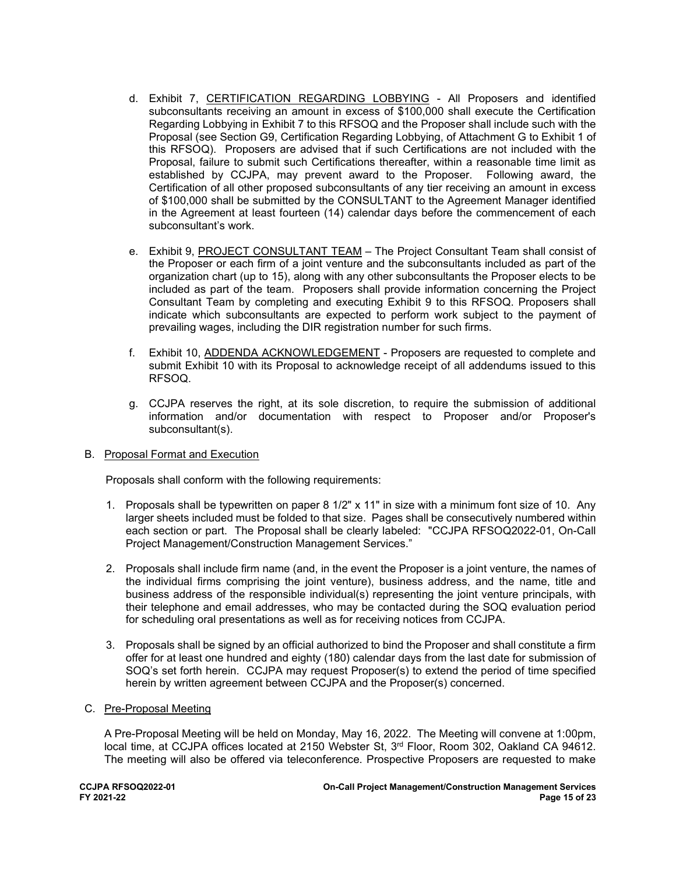- d. Exhibit 7, CERTIFICATION REGARDING LOBBYING All Proposers and identified subconsultants receiving an amount in excess of \$100,000 shall execute the Certification Regarding Lobbying in Exhibit 7 to this RFSOQ and the Proposer shall include such with the Proposal (see Section G9, Certification Regarding Lobbying, of Attachment G to Exhibit 1 of this RFSOQ). Proposers are advised that if such Certifications are not included with the Proposal, failure to submit such Certifications thereafter, within a reasonable time limit as established by CCJPA, may prevent award to the Proposer. Following award, the Certification of all other proposed subconsultants of any tier receiving an amount in excess of \$100,000 shall be submitted by the CONSULTANT to the Agreement Manager identified in the Agreement at least fourteen (14) calendar days before the commencement of each subconsultant's work.
- e. Exhibit 9, PROJECT CONSULTANT TEAM The Project Consultant Team shall consist of the Proposer or each firm of a joint venture and the subconsultants included as part of the organization chart (up to 15), along with any other subconsultants the Proposer elects to be included as part of the team. Proposers shall provide information concerning the Project Consultant Team by completing and executing Exhibit 9 to this RFSOQ. Proposers shall indicate which subconsultants are expected to perform work subject to the payment of prevailing wages, including the DIR registration number for such firms.
- f. Exhibit 10, ADDENDA ACKNOWLEDGEMENT Proposers are requested to complete and submit Exhibit 10 with its Proposal to acknowledge receipt of all addendums issued to this RFSOQ.
- g. CCJPA reserves the right, at its sole discretion, to require the submission of additional information and/or documentation with respect to Proposer and/or Proposer's subconsultant(s).
- B. Proposal Format and Execution

Proposals shall conform with the following requirements:

- 1. Proposals shall be typewritten on paper 8 1/2" x 11" in size with a minimum font size of 10. Any larger sheets included must be folded to that size. Pages shall be consecutively numbered within each section or part. The Proposal shall be clearly labeled: "CCJPA RFSOQ2022-01, On-Call Project Management/Construction Management Services."
- 2. Proposals shall include firm name (and, in the event the Proposer is a joint venture, the names of the individual firms comprising the joint venture), business address, and the name, title and business address of the responsible individual(s) representing the joint venture principals, with their telephone and email addresses, who may be contacted during the SOQ evaluation period for scheduling oral presentations as well as for receiving notices from CCJPA.
- 3. Proposals shall be signed by an official authorized to bind the Proposer and shall constitute a firm offer for at least one hundred and eighty (180) calendar days from the last date for submission of SOQ's set forth herein. CCJPA may request Proposer(s) to extend the period of time specified herein by written agreement between CCJPA and the Proposer(s) concerned.
- C. Pre-Proposal Meeting

A Pre-Proposal Meeting will be held on Monday, May 16, 2022. The Meeting will convene at 1:00pm, local time, at CCJPA offices located at 2150 Webster St, 3<sup>rd</sup> Floor, Room 302, Oakland CA 94612. The meeting will also be offered via teleconference. Prospective Proposers are requested to make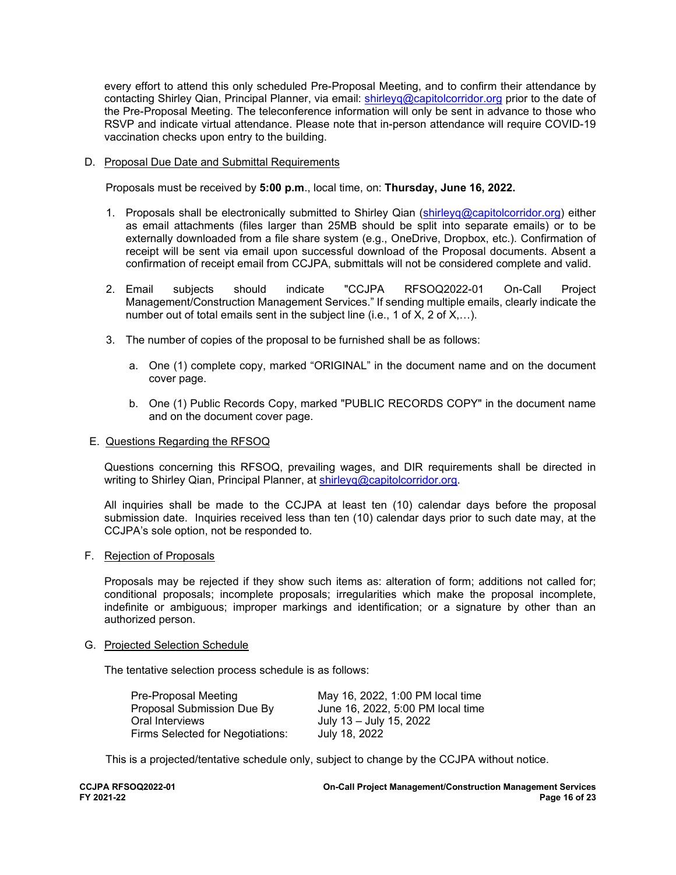every effort to attend this only scheduled Pre-Proposal Meeting, and to confirm their attendance by contacting Shirley Qian, Principal Planner, via email: [shirleyq@capitolcorridor.org](mailto:shirleyq@capitolcorridor.org) prior to the date of the Pre-Proposal Meeting. The teleconference information will only be sent in advance to those who RSVP and indicate virtual attendance. Please note that in-person attendance will require COVID-19 vaccination checks upon entry to the building.

### D. Proposal Due Date and Submittal Requirements

Proposals must be received by **5:00 p.m**., local time, on: **Thursday, June 16, 2022.**

- 1. Proposals shall be electronically submitted to Shirley Qian [\(shirleyq@capitolcorridor.org\)](mailto:shirleyq@capitolcorridor.org) either as email attachments (files larger than 25MB should be split into separate emails) or to be externally downloaded from a file share system (e.g., OneDrive, Dropbox, etc.). Confirmation of receipt will be sent via email upon successful download of the Proposal documents. Absent a confirmation of receipt email from CCJPA, submittals will not be considered complete and valid.
- 2. Email subjects should indicate "CCJPA RFSOQ2022-01 On-Call Project Management/Construction Management Services." If sending multiple emails, clearly indicate the number out of total emails sent in the subject line (i.e., 1 of X, 2 of X,...).
- 3. The number of copies of the proposal to be furnished shall be as follows:
	- a. One (1) complete copy, marked "ORIGINAL" in the document name and on the document cover page.
	- b. One (1) Public Records Copy, marked "PUBLIC RECORDS COPY" in the document name and on the document cover page.

### E. Questions Regarding the RFSOQ

Questions concerning this RFSOQ, prevailing wages, and DIR requirements shall be directed in writing to Shirley Qian, Principal Planner, at [shirleyq@capitolcorridor.org.](mailto:shirleyq@capitolcorridor.org)

All inquiries shall be made to the CCJPA at least ten (10) calendar days before the proposal submission date. Inquiries received less than ten (10) calendar days prior to such date may, at the CCJPA's sole option, not be responded to.

### F. Rejection of Proposals

Proposals may be rejected if they show such items as: alteration of form; additions not called for; conditional proposals; incomplete proposals; irregularities which make the proposal incomplete, indefinite or ambiguous; improper markings and identification; or a signature by other than an authorized person.

### G. Projected Selection Schedule

The tentative selection process schedule is as follows:

| <b>Pre-Proposal Meeting</b>      | May 16, 2022, 1:00 PM local time  |
|----------------------------------|-----------------------------------|
| Proposal Submission Due By       | June 16, 2022, 5:00 PM local time |
| Oral Interviews                  | July 13 - July 15, 2022           |
| Firms Selected for Negotiations: | July 18, 2022                     |

This is a projected/tentative schedule only, subject to change by the CCJPA without notice.

| <b>CCJPA RFSOQ2022-01</b> |  |
|---------------------------|--|
| FY 2021-22                |  |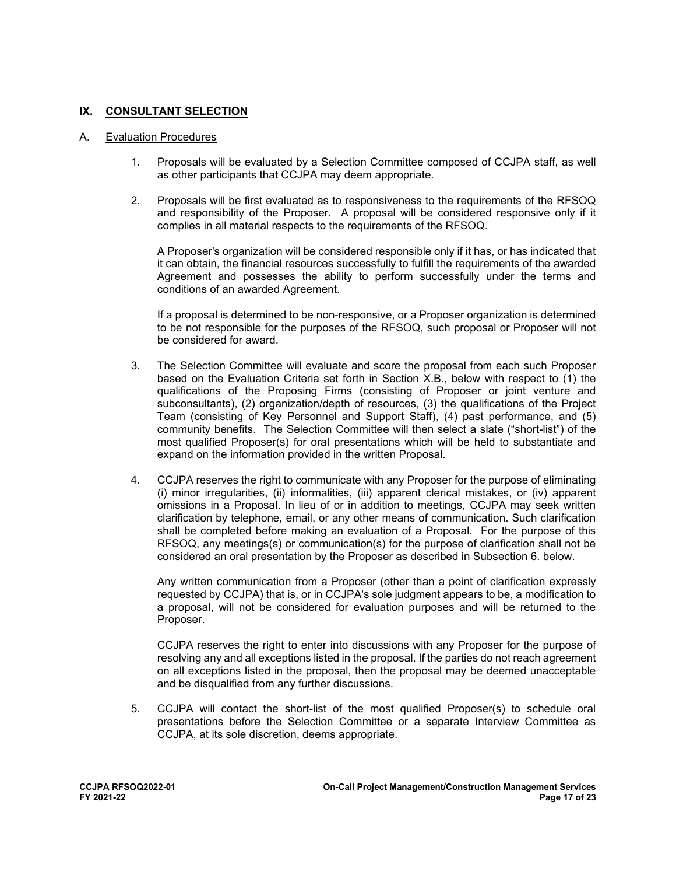### **IX. CONSULTANT SELECTION**

### A. Evaluation Procedures

- 1. Proposals will be evaluated by a Selection Committee composed of CCJPA staff, as well as other participants that CCJPA may deem appropriate.
- 2. Proposals will be first evaluated as to responsiveness to the requirements of the RFSOQ and responsibility of the Proposer. A proposal will be considered responsive only if it complies in all material respects to the requirements of the RFSOQ.

A Proposer's organization will be considered responsible only if it has, or has indicated that it can obtain, the financial resources successfully to fulfill the requirements of the awarded Agreement and possesses the ability to perform successfully under the terms and conditions of an awarded Agreement.

If a proposal is determined to be non-responsive, or a Proposer organization is determined to be not responsible for the purposes of the RFSOQ, such proposal or Proposer will not be considered for award.

- 3. The Selection Committee will evaluate and score the proposal from each such Proposer based on the Evaluation Criteria set forth in Section X.B., below with respect to (1) the qualifications of the Proposing Firms (consisting of Proposer or joint venture and subconsultants), (2) organization/depth of resources, (3) the qualifications of the Project Team (consisting of Key Personnel and Support Staff), (4) past performance, and (5) community benefits. The Selection Committee will then select a slate ("short-list") of the most qualified Proposer(s) for oral presentations which will be held to substantiate and expand on the information provided in the written Proposal.
- 4. CCJPA reserves the right to communicate with any Proposer for the purpose of eliminating (i) minor irregularities, (ii) informalities, (iii) apparent clerical mistakes, or (iv) apparent omissions in a Proposal. In lieu of or in addition to meetings, CCJPA may seek written clarification by telephone, email, or any other means of communication. Such clarification shall be completed before making an evaluation of a Proposal. For the purpose of this RFSOQ, any meetings(s) or communication(s) for the purpose of clarification shall not be considered an oral presentation by the Proposer as described in Subsection 6. below.

Any written communication from a Proposer (other than a point of clarification expressly requested by CCJPA) that is, or in CCJPA's sole judgment appears to be, a modification to a proposal, will not be considered for evaluation purposes and will be returned to the Proposer.

CCJPA reserves the right to enter into discussions with any Proposer for the purpose of resolving any and all exceptions listed in the proposal. If the parties do not reach agreement on all exceptions listed in the proposal, then the proposal may be deemed unacceptable and be disqualified from any further discussions.

5. CCJPA will contact the short-list of the most qualified Proposer(s) to schedule oral presentations before the Selection Committee or a separate Interview Committee as CCJPA, at its sole discretion, deems appropriate.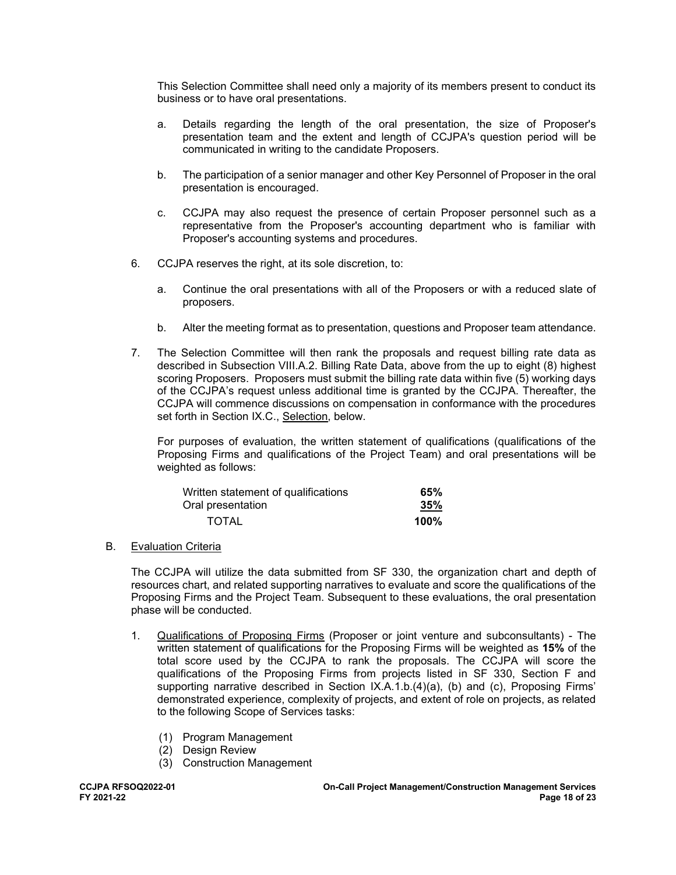This Selection Committee shall need only a majority of its members present to conduct its business or to have oral presentations.

- a. Details regarding the length of the oral presentation, the size of Proposer's presentation team and the extent and length of CCJPA's question period will be communicated in writing to the candidate Proposers.
- b. The participation of a senior manager and other Key Personnel of Proposer in the oral presentation is encouraged.
- c. CCJPA may also request the presence of certain Proposer personnel such as a representative from the Proposer's accounting department who is familiar with Proposer's accounting systems and procedures.
- 6. CCJPA reserves the right, at its sole discretion, to:
	- a. Continue the oral presentations with all of the Proposers or with a reduced slate of proposers.
	- b. Alter the meeting format as to presentation, questions and Proposer team attendance.
- 7. The Selection Committee will then rank the proposals and request billing rate data as described in Subsection VIII.A.2. Billing Rate Data, above from the up to eight (8) highest scoring Proposers. Proposers must submit the billing rate data within five (5) working days of the CCJPA's request unless additional time is granted by the CCJPA. Thereafter, the CCJPA will commence discussions on compensation in conformance with the procedures set forth in Section IX.C., Selection, below.

For purposes of evaluation, the written statement of qualifications (qualifications of the Proposing Firms and qualifications of the Project Team) and oral presentations will be weighted as follows:

| Written statement of qualifications | 65%     |
|-------------------------------------|---------|
| Oral presentation                   | 35%     |
| <b>TOTAL</b>                        | $100\%$ |

B. Evaluation Criteria

The CCJPA will utilize the data submitted from SF 330, the organization chart and depth of resources chart, and related supporting narratives to evaluate and score the qualifications of the Proposing Firms and the Project Team. Subsequent to these evaluations, the oral presentation phase will be conducted.

- 1. Qualifications of Proposing Firms (Proposer or joint venture and subconsultants) The written statement of qualifications for the Proposing Firms will be weighted as **15%** of the total score used by the CCJPA to rank the proposals. The CCJPA will score the qualifications of the Proposing Firms from projects listed in SF 330, Section F and supporting narrative described in Section IX.A.1.b.(4)(a), (b) and (c), Proposing Firms' demonstrated experience, complexity of projects, and extent of role on projects, as related to the following Scope of Services tasks:
	- (1) Program Management
	- (2) Design Review
	- (3) Construction Management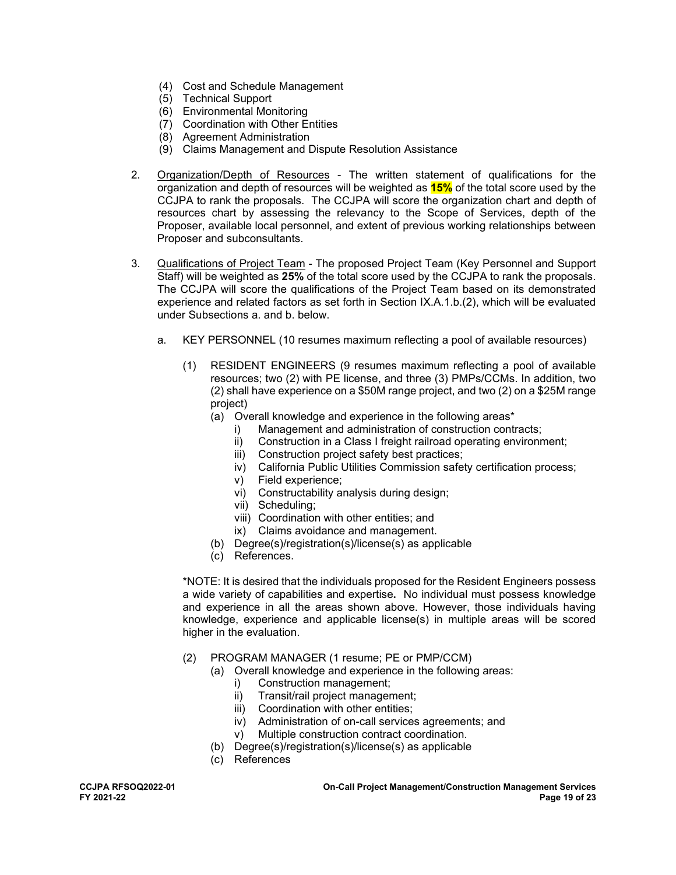- (4) Cost and Schedule Management
- (5) Technical Support
- (6) Environmental Monitoring
- (7) Coordination with Other Entities
- (8) Agreement Administration
- (9) Claims Management and Dispute Resolution Assistance
- 2. Organization/Depth of Resources The written statement of qualifications for the organization and depth of resources will be weighted as **15%** of the total score used by the CCJPA to rank the proposals. The CCJPA will score the organization chart and depth of resources chart by assessing the relevancy to the Scope of Services, depth of the Proposer, available local personnel, and extent of previous working relationships between Proposer and subconsultants.
- 3. Qualifications of Project Team The proposed Project Team (Key Personnel and Support Staff) will be weighted as **25%** of the total score used by the CCJPA to rank the proposals. The CCJPA will score the qualifications of the Project Team based on its demonstrated experience and related factors as set forth in Section IX.A.1.b.(2), which will be evaluated under Subsections a. and b. below.
	- a. KEY PERSONNEL (10 resumes maximum reflecting a pool of available resources)
		- (1) RESIDENT ENGINEERS (9 resumes maximum reflecting a pool of available resources; two (2) with PE license, and three (3) PMPs/CCMs. In addition, two (2) shall have experience on a \$50M range project, and two (2) on a \$25M range project)
			- (a) Overall knowledge and experience in the following areas\*
				- i) Management and administration of construction contracts;
				- ii) Construction in a Class I freight railroad operating environment;
				- iii) Construction project safety best practices;
				- iv) California Public Utilities Commission safety certification process;
				- v) Field experience;
				- vi) Constructability analysis during design;
				- vii) Scheduling;
				- viii) Coordination with other entities; and
				- ix) Claims avoidance and management.
			- (b) Degree(s)/registration(s)/license(s) as applicable
			- (c) References.

\*NOTE: It is desired that the individuals proposed for the Resident Engineers possess a wide variety of capabilities and expertise**.** No individual must possess knowledge and experience in all the areas shown above. However, those individuals having knowledge, experience and applicable license(s) in multiple areas will be scored higher in the evaluation.

- (2) PROGRAM MANAGER (1 resume; PE or PMP/CCM)
	- (a) Overall knowledge and experience in the following areas:
		- i) Construction management;
		- ii) Transit/rail project management;
		- iii) Coordination with other entities;
		- iv) Administration of on-call services agreements; and
		- v) Multiple construction contract coordination.
		- (b) Degree(s)/registration(s)/license(s) as applicable
		- (c) References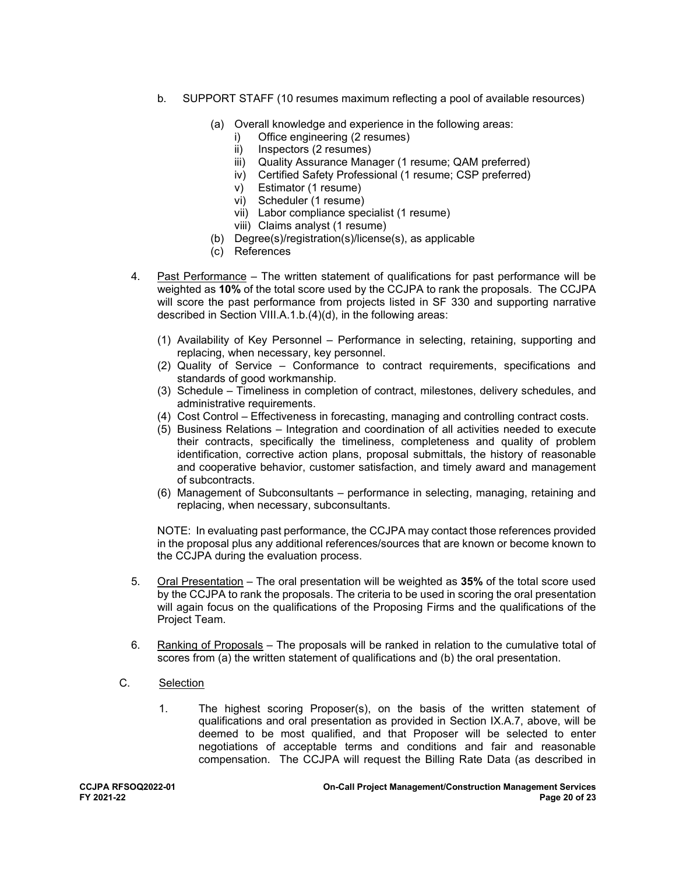- b. SUPPORT STAFF (10 resumes maximum reflecting a pool of available resources)
	- (a) Overall knowledge and experience in the following areas:
		- i) Office engineering (2 resumes)
		- ii) Inspectors (2 resumes)
		- iii) Quality Assurance Manager (1 resume; QAM preferred)
		- iv) Certified Safety Professional (1 resume; CSP preferred)
		- v) Estimator (1 resume)
		- vi) Scheduler (1 resume)
		- vii) Labor compliance specialist (1 resume)
		- viii) Claims analyst (1 resume)
	- (b) Degree(s)/registration(s)/license(s), as applicable
	- (c) References
- 4. Past Performance The written statement of qualifications for past performance will be weighted as **10%** of the total score used by the CCJPA to rank the proposals. The CCJPA will score the past performance from projects listed in SF 330 and supporting narrative described in Section VIII.A.1.b.(4)(d), in the following areas:
	- (1) Availability of Key Personnel Performance in selecting, retaining, supporting and replacing, when necessary, key personnel.
	- (2) Quality of Service Conformance to contract requirements, specifications and standards of good workmanship.
	- (3) Schedule Timeliness in completion of contract, milestones, delivery schedules, and administrative requirements.
	- (4) Cost Control Effectiveness in forecasting, managing and controlling contract costs.
	- (5) Business Relations Integration and coordination of all activities needed to execute their contracts, specifically the timeliness, completeness and quality of problem identification, corrective action plans, proposal submittals, the history of reasonable and cooperative behavior, customer satisfaction, and timely award and management of subcontracts.
	- (6) Management of Subconsultants performance in selecting, managing, retaining and replacing, when necessary, subconsultants.

NOTE: In evaluating past performance, the CCJPA may contact those references provided in the proposal plus any additional references/sources that are known or become known to the CCJPA during the evaluation process.

- 5. Oral Presentation The oral presentation will be weighted as **35%** of the total score used by the CCJPA to rank the proposals. The criteria to be used in scoring the oral presentation will again focus on the qualifications of the Proposing Firms and the qualifications of the Project Team.
- 6. Ranking of Proposals The proposals will be ranked in relation to the cumulative total of scores from (a) the written statement of qualifications and (b) the oral presentation.
- C. Selection
	- 1. The highest scoring Proposer(s), on the basis of the written statement of qualifications and oral presentation as provided in Section IX.A.7, above, will be deemed to be most qualified, and that Proposer will be selected to enter negotiations of acceptable terms and conditions and fair and reasonable compensation. The CCJPA will request the Billing Rate Data (as described in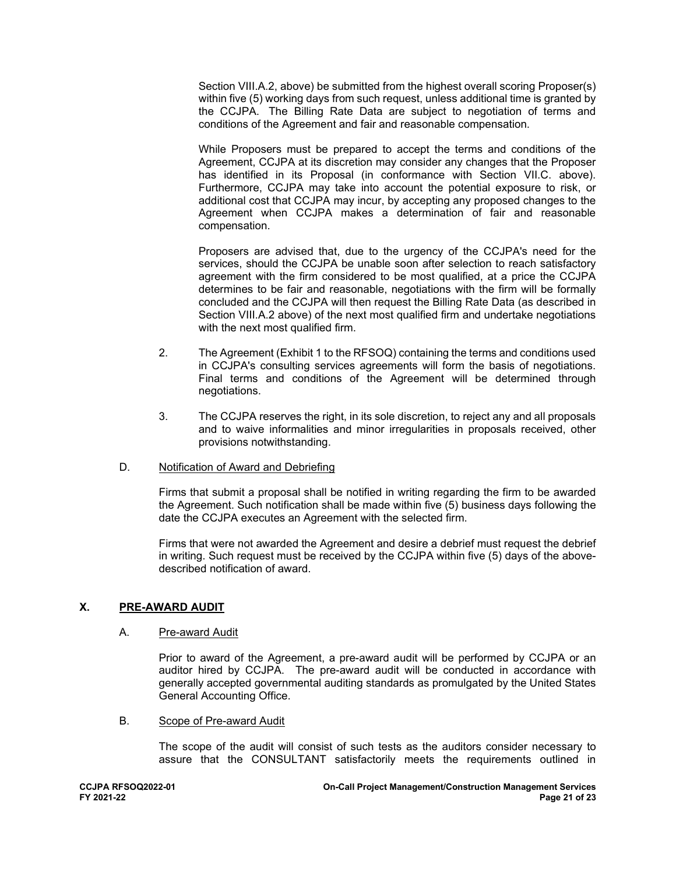Section VIII.A.2, above) be submitted from the highest overall scoring Proposer(s) within five (5) working days from such request, unless additional time is granted by the CCJPA. The Billing Rate Data are subject to negotiation of terms and conditions of the Agreement and fair and reasonable compensation.

While Proposers must be prepared to accept the terms and conditions of the Agreement, CCJPA at its discretion may consider any changes that the Proposer has identified in its Proposal (in conformance with Section VII.C. above). Furthermore, CCJPA may take into account the potential exposure to risk, or additional cost that CCJPA may incur, by accepting any proposed changes to the Agreement when CCJPA makes a determination of fair and reasonable compensation.

Proposers are advised that, due to the urgency of the CCJPA's need for the services, should the CCJPA be unable soon after selection to reach satisfactory agreement with the firm considered to be most qualified, at a price the CCJPA determines to be fair and reasonable, negotiations with the firm will be formally concluded and the CCJPA will then request the Billing Rate Data (as described in Section VIII.A.2 above) of the next most qualified firm and undertake negotiations with the next most qualified firm.

- 2. The Agreement (Exhibit 1 to the RFSOQ) containing the terms and conditions used in CCJPA's consulting services agreements will form the basis of negotiations. Final terms and conditions of the Agreement will be determined through negotiations.
- 3. The CCJPA reserves the right, in its sole discretion, to reject any and all proposals and to waive informalities and minor irregularities in proposals received, other provisions notwithstanding.
- D. Notification of Award and Debriefing

Firms that submit a proposal shall be notified in writing regarding the firm to be awarded the Agreement. Such notification shall be made within five (5) business days following the date the CCJPA executes an Agreement with the selected firm.

Firms that were not awarded the Agreement and desire a debrief must request the debrief in writing. Such request must be received by the CCJPA within five (5) days of the abovedescribed notification of award.

### **X. PRE-AWARD AUDIT**

### A. Pre-award Audit

Prior to award of the Agreement, a pre-award audit will be performed by CCJPA or an auditor hired by CCJPA. The pre-award audit will be conducted in accordance with generally accepted governmental auditing standards as promulgated by the United States General Accounting Office.

B. Scope of Pre-award Audit

The scope of the audit will consist of such tests as the auditors consider necessary to assure that the CONSULTANT satisfactorily meets the requirements outlined in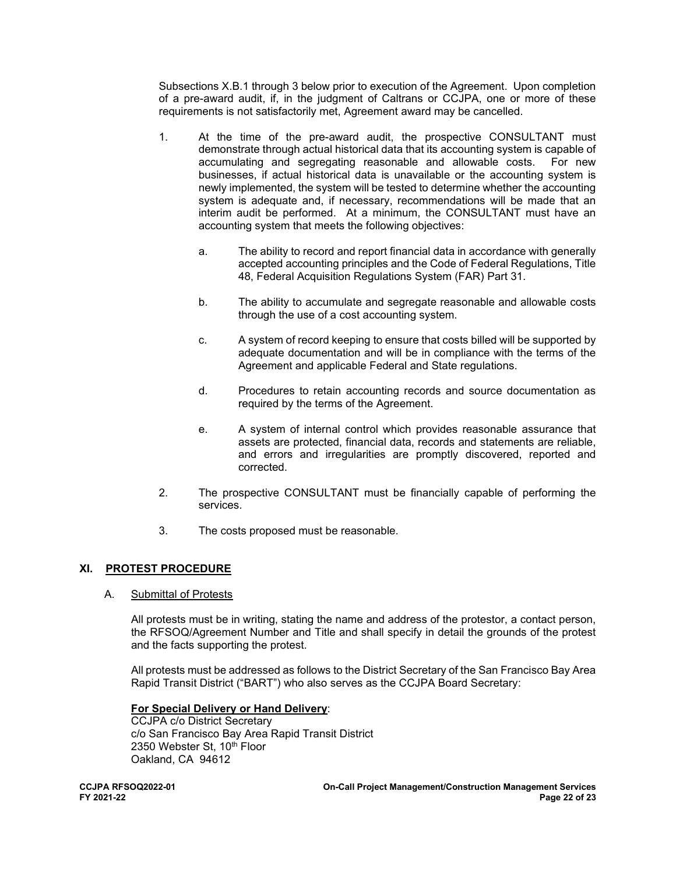Subsections X.B.1 through 3 below prior to execution of the Agreement. Upon completion of a pre-award audit, if, in the judgment of Caltrans or CCJPA, one or more of these requirements is not satisfactorily met, Agreement award may be cancelled.

- 1. At the time of the pre-award audit, the prospective CONSULTANT must demonstrate through actual historical data that its accounting system is capable of accumulating and segregating reasonable and allowable costs. For new businesses, if actual historical data is unavailable or the accounting system is newly implemented, the system will be tested to determine whether the accounting system is adequate and, if necessary, recommendations will be made that an interim audit be performed. At a minimum, the CONSULTANT must have an accounting system that meets the following objectives:
	- a. The ability to record and report financial data in accordance with generally accepted accounting principles and the Code of Federal Regulations, Title 48, Federal Acquisition Regulations System (FAR) Part 31.
	- b. The ability to accumulate and segregate reasonable and allowable costs through the use of a cost accounting system.
	- c. A system of record keeping to ensure that costs billed will be supported by adequate documentation and will be in compliance with the terms of the Agreement and applicable Federal and State regulations.
	- d. Procedures to retain accounting records and source documentation as required by the terms of the Agreement.
	- e. A system of internal control which provides reasonable assurance that assets are protected, financial data, records and statements are reliable, and errors and irregularities are promptly discovered, reported and corrected.
- 2. The prospective CONSULTANT must be financially capable of performing the services.
- 3. The costs proposed must be reasonable.

### **XI. PROTEST PROCEDURE**

### A. Submittal of Protests

All protests must be in writing, stating the name and address of the protestor, a contact person, the RFSOQ/Agreement Number and Title and shall specify in detail the grounds of the protest and the facts supporting the protest.

All protests must be addressed as follows to the District Secretary of the San Francisco Bay Area Rapid Transit District ("BART") who also serves as the CCJPA Board Secretary:

### **For Special Delivery or Hand Delivery**:

 CCJPA c/o District Secretary c/o San Francisco Bay Area Rapid Transit District 2350 Webster St, 10th Floor Oakland, CA 94612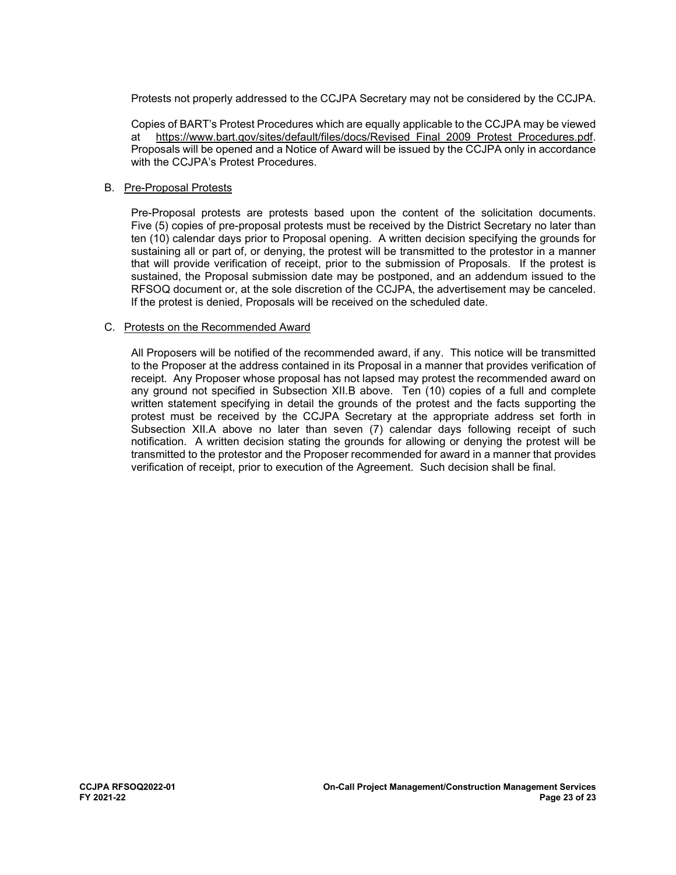Protests not properly addressed to the CCJPA Secretary may not be considered by the CCJPA.

Copies of BART's Protest Procedures which are equally applicable to the CCJPA may be viewed at https://www.bart.gov/sites/default/files/docs/Revised\_Final\_2009\_Protest\_Procedures.pdf. Proposals will be opened and a Notice of Award will be issued by the CCJPA only in accordance with the CCJPA's Protest Procedures.

### B. Pre-Proposal Protests

Pre-Proposal protests are protests based upon the content of the solicitation documents. Five (5) copies of pre-proposal protests must be received by the District Secretary no later than ten (10) calendar days prior to Proposal opening. A written decision specifying the grounds for sustaining all or part of, or denying, the protest will be transmitted to the protestor in a manner that will provide verification of receipt, prior to the submission of Proposals. If the protest is sustained, the Proposal submission date may be postponed, and an addendum issued to the RFSOQ document or, at the sole discretion of the CCJPA, the advertisement may be canceled. If the protest is denied, Proposals will be received on the scheduled date.

### C. Protests on the Recommended Award

All Proposers will be notified of the recommended award, if any. This notice will be transmitted to the Proposer at the address contained in its Proposal in a manner that provides verification of receipt. Any Proposer whose proposal has not lapsed may protest the recommended award on any ground not specified in Subsection XII.B above. Ten (10) copies of a full and complete written statement specifying in detail the grounds of the protest and the facts supporting the protest must be received by the CCJPA Secretary at the appropriate address set forth in Subsection XII.A above no later than seven (7) calendar days following receipt of such notification. A written decision stating the grounds for allowing or denying the protest will be transmitted to the protestor and the Proposer recommended for award in a manner that provides verification of receipt, prior to execution of the Agreement. Such decision shall be final.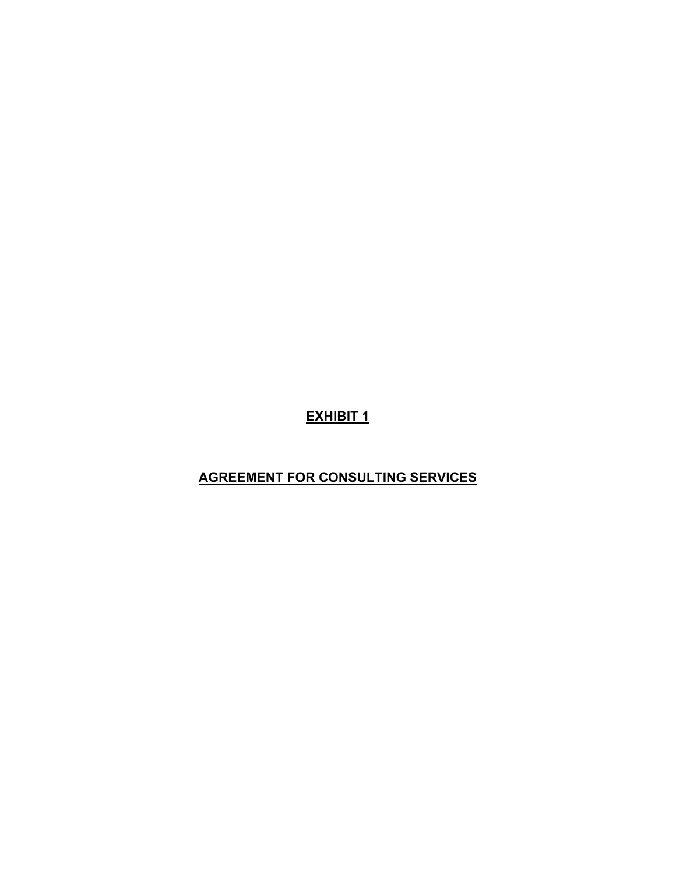**EXHIBIT 1**

# **AGREEMENT FOR CONSULTING SERVICES**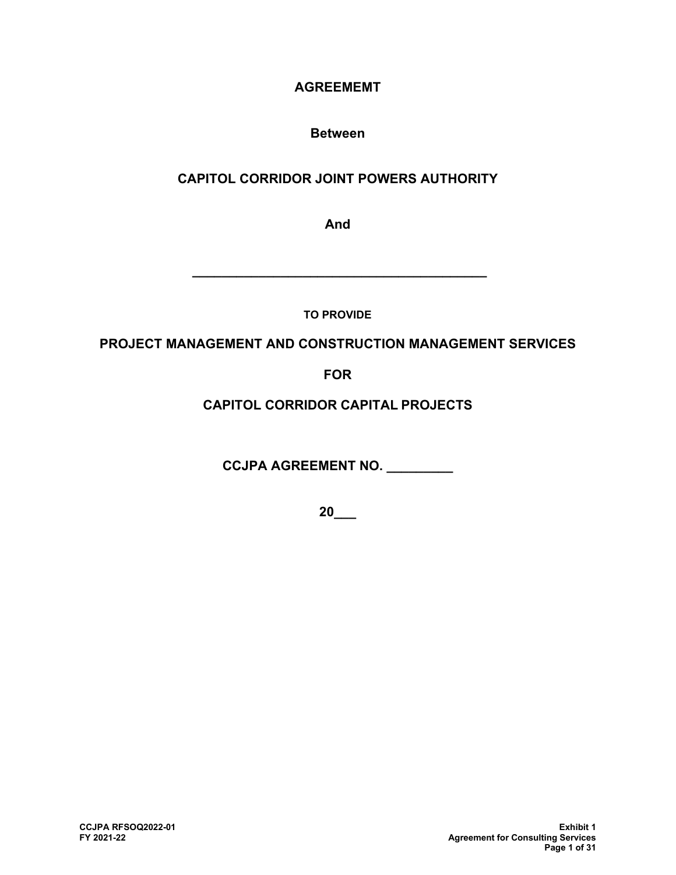# **AGREEMEMT**

# **Between**

# **CAPITOL CORRIDOR JOINT POWERS AUTHORITY**

**And**

**TO PROVIDE**

**\_\_\_\_\_\_\_\_\_\_\_\_\_\_\_\_\_\_\_\_\_\_\_\_\_\_\_\_\_\_\_\_\_\_\_\_\_\_\_\_**

# **PROJECT MANAGEMENT AND CONSTRUCTION MANAGEMENT SERVICES**

**FOR**

**CAPITOL CORRIDOR CAPITAL PROJECTS**

**CCJPA AGREEMENT NO. \_\_\_\_\_\_\_\_\_**

**20\_\_\_**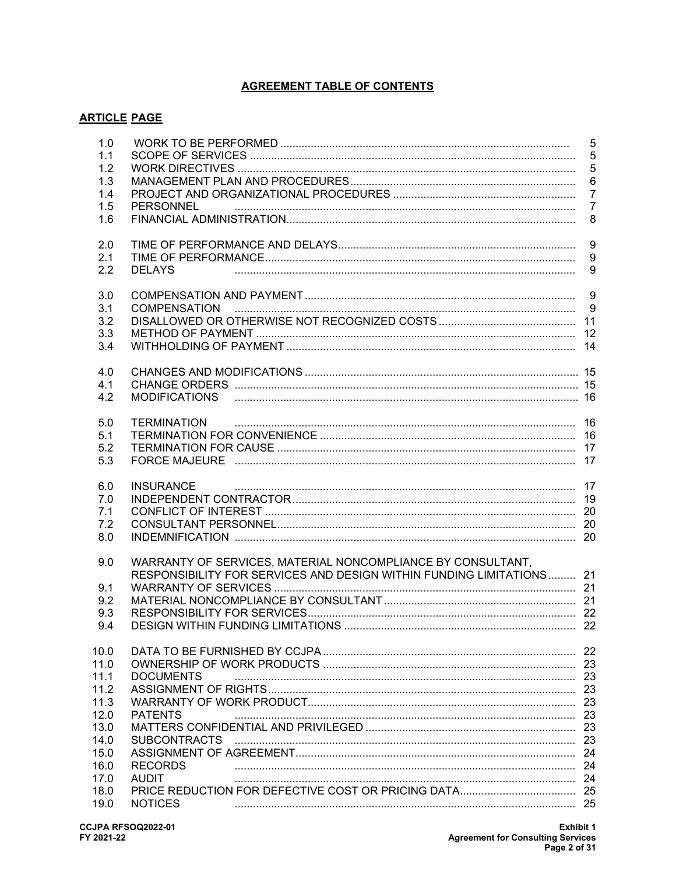# **AGREEMENT TABLE OF CONTENTS**

# **ARTICLE PAGE**

| 1.0<br>1.1<br>1.2<br>1.3<br>1.4<br>1.5<br>1.6                                                | <b>PERSONNEL</b>                                                                                                                                                         | 5<br>5<br>5<br>6<br>$\overline{7}$<br>$\overline{7}$<br>8 |
|----------------------------------------------------------------------------------------------|--------------------------------------------------------------------------------------------------------------------------------------------------------------------------|-----------------------------------------------------------|
| 2.0<br>2.1<br>2.2                                                                            | <b>DELAYS</b>                                                                                                                                                            | $\boldsymbol{9}$<br>$9\,$<br>9                            |
| 3.0<br>3.1<br>3.2<br>3.3<br>3.4                                                              | <b>COMPENSATION</b>                                                                                                                                                      | 9<br>9                                                    |
| 4.0<br>4.1<br>4.2                                                                            | MODIFICATIONS                                                                                                                                                            |                                                           |
| 5.0<br>5.1<br>5.2<br>5.3                                                                     | <b>TERMINATION</b>                                                                                                                                                       |                                                           |
| 6.0<br>7.0<br>7.1<br>7.2<br>8.0                                                              | <b>INSURANCE</b>                                                                                                                                                         |                                                           |
| 9.0<br>9.1<br>9.2<br>9.3<br>94                                                               | WARRANTY OF SERVICES, MATERIAL NONCOMPLIANCE BY CONSULTANT,<br>RESPONSIBILITY FOR SERVICES AND DESIGN WITHIN FUNDING LIMITATIONS 21<br>DESIGN WITHIN FUNDING LIMITATIONS | 22                                                        |
| 10.0<br>11.0<br>11.1<br>11.2<br>11.3<br>12.0<br>13.0<br>14.0<br>15.0<br>16.0<br>17.0<br>18.0 | <b>DOCUMENTS</b><br><b>PATENTS</b><br><b>RECORDS</b><br><b>AUDIT</b>                                                                                                     | -22<br>23<br>23<br>23                                     |
| 19.0                                                                                         | <b>NOTICES</b>                                                                                                                                                           |                                                           |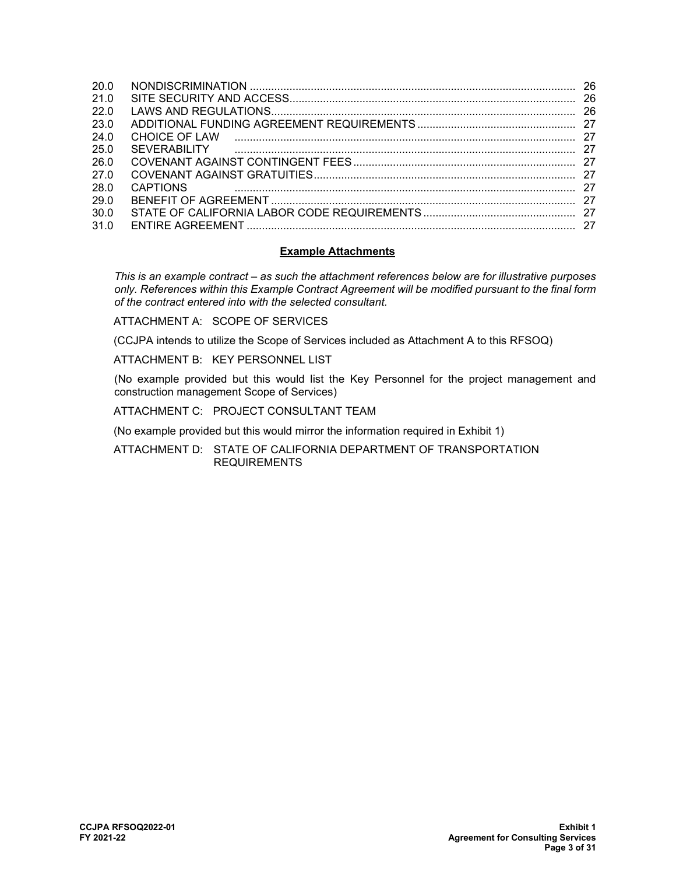| 20 O |                     | -26 |
|------|---------------------|-----|
| 210  |                     | -26 |
| 22 O |                     | -26 |
| 23.0 |                     |     |
| 24 O | CHOICE OF LAW       | -27 |
| 250  | <b>SEVERABILITY</b> |     |
| 26 O |                     |     |
| 27 O |                     | -27 |
| 28.0 | <b>CAPTIONS</b>     | 27  |
| 29 O |                     | -27 |
| 30 O |                     | -27 |
| 310  |                     | 27  |
|      |                     |     |

### **Example Attachments**

*This is an example contract – as such the attachment references below are for illustrative purposes only. References within this Example Contract Agreement will be modified pursuant to the final form of the contract entered into with the selected consultant.*

ATTACHMENT A: SCOPE OF SERVICES

(CCJPA intends to utilize the Scope of Services included as Attachment A to this RFSOQ)

ATTACHMENT B: KEY PERSONNEL LIST

(No example provided but this would list the Key Personnel for the project management and construction management Scope of Services)

ATTACHMENT C: PROJECT CONSULTANT TEAM

(No example provided but this would mirror the information required in Exhibit 1)

ATTACHMENT D: STATE OF CALIFORNIA DEPARTMENT OF TRANSPORTATION REQUIREMENTS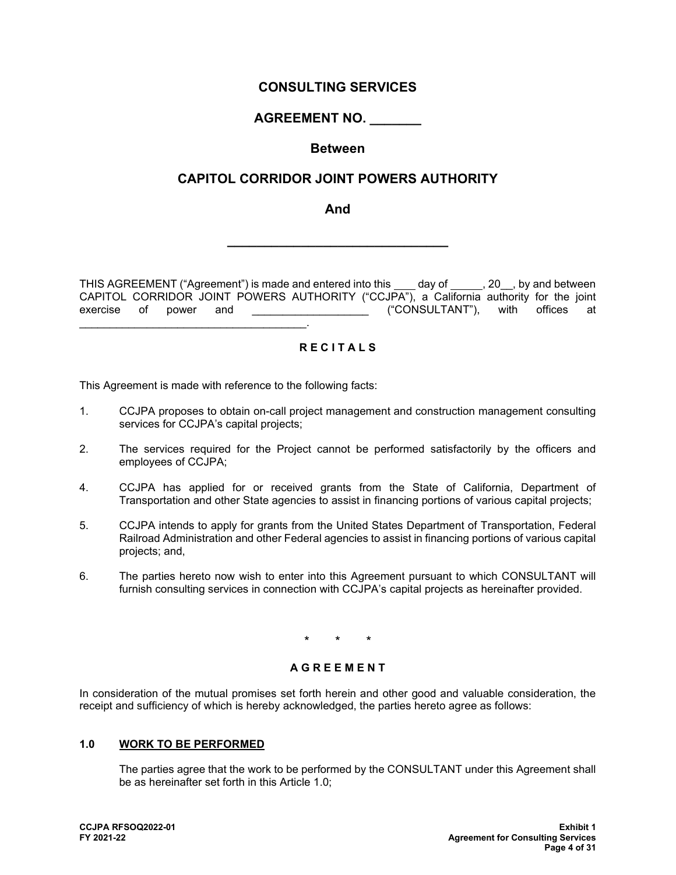# **CONSULTING SERVICES**

# **AGREEMENT NO. \_\_\_\_\_\_\_**

# **Between**

# **CAPITOL CORRIDOR JOINT POWERS AUTHORITY**

**And**

**\_\_\_\_\_\_\_\_\_\_\_\_\_\_\_\_\_\_\_\_\_\_\_\_\_\_\_\_\_\_**

THIS AGREEMENT ("Agreement") is made and entered into this \_\_\_\_ day of \_\_\_\_\_\_, 20\_\_, by and between CAPITOL CORRIDOR JOINT POWERS AUTHORITY ("CCJPA"), a California authority for the joint exercise of power and **Exercise** of power and the service of power at the exercise at the exercise at the exercise \_\_\_\_\_\_\_\_\_\_\_\_\_\_\_\_\_\_\_\_\_\_\_\_\_\_\_\_\_\_\_\_\_\_\_\_\_.

### **R E C I T A L S**

This Agreement is made with reference to the following facts:

- 1. CCJPA proposes to obtain on-call project management and construction management consulting services for CCJPA's capital projects;
- 2. The services required for the Project cannot be performed satisfactorily by the officers and employees of CCJPA;
- 4. CCJPA has applied for or received grants from the State of California, Department of Transportation and other State agencies to assist in financing portions of various capital projects;
- 5. CCJPA intends to apply for grants from the United States Department of Transportation, Federal Railroad Administration and other Federal agencies to assist in financing portions of various capital projects; and,
- 6. The parties hereto now wish to enter into this Agreement pursuant to which CONSULTANT will furnish consulting services in connection with CCJPA's capital projects as hereinafter provided.

\* \* \*

### **A G R E E M E N T**

In consideration of the mutual promises set forth herein and other good and valuable consideration, the receipt and sufficiency of which is hereby acknowledged, the parties hereto agree as follows:

### **1.0 WORK TO BE PERFORMED**

The parties agree that the work to be performed by the CONSULTANT under this Agreement shall be as hereinafter set forth in this Article 1.0;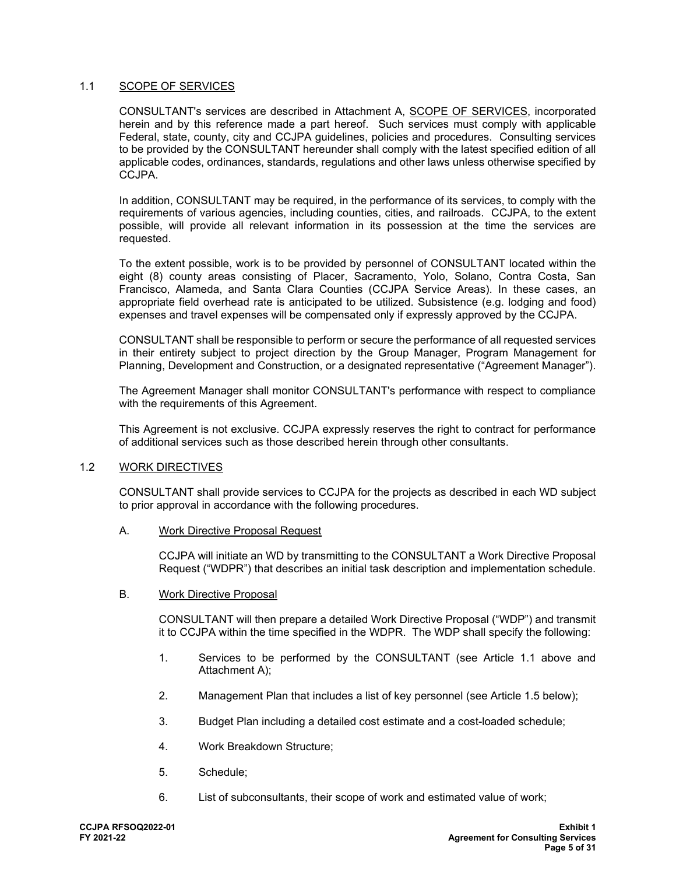### 1.1 SCOPE OF SERVICES

CONSULTANT's services are described in Attachment A, SCOPE OF SERVICES, incorporated herein and by this reference made a part hereof. Such services must comply with applicable Federal, state, county, city and CCJPA guidelines, policies and procedures. Consulting services to be provided by the CONSULTANT hereunder shall comply with the latest specified edition of all applicable codes, ordinances, standards, regulations and other laws unless otherwise specified by CCJPA.

In addition, CONSULTANT may be required, in the performance of its services, to comply with the requirements of various agencies, including counties, cities, and railroads. CCJPA, to the extent possible, will provide all relevant information in its possession at the time the services are requested.

To the extent possible, work is to be provided by personnel of CONSULTANT located within the eight (8) county areas consisting of Placer, Sacramento, Yolo, Solano, Contra Costa, San Francisco, Alameda, and Santa Clara Counties (CCJPA Service Areas). In these cases, an appropriate field overhead rate is anticipated to be utilized. Subsistence (e.g. lodging and food) expenses and travel expenses will be compensated only if expressly approved by the CCJPA.

CONSULTANT shall be responsible to perform or secure the performance of all requested services in their entirety subject to project direction by the Group Manager, Program Management for Planning, Development and Construction, or a designated representative ("Agreement Manager").

The Agreement Manager shall monitor CONSULTANT's performance with respect to compliance with the requirements of this Agreement.

This Agreement is not exclusive. CCJPA expressly reserves the right to contract for performance of additional services such as those described herein through other consultants.

### 1.2 WORK DIRECTIVES

CONSULTANT shall provide services to CCJPA for the projects as described in each WD subject to prior approval in accordance with the following procedures.

### A. Work Directive Proposal Request

CCJPA will initiate an WD by transmitting to the CONSULTANT a Work Directive Proposal Request ("WDPR") that describes an initial task description and implementation schedule.

### B. Work Directive Proposal

CONSULTANT will then prepare a detailed Work Directive Proposal ("WDP") and transmit it to CCJPA within the time specified in the WDPR. The WDP shall specify the following:

- 1. Services to be performed by the CONSULTANT (see Article 1.1 above and Attachment A);
- 2. Management Plan that includes a list of key personnel (see Article 1.5 below);
- 3. Budget Plan including a detailed cost estimate and a cost-loaded schedule;
- 4. Work Breakdown Structure;
- 5. Schedule;
- 6. List of subconsultants, their scope of work and estimated value of work;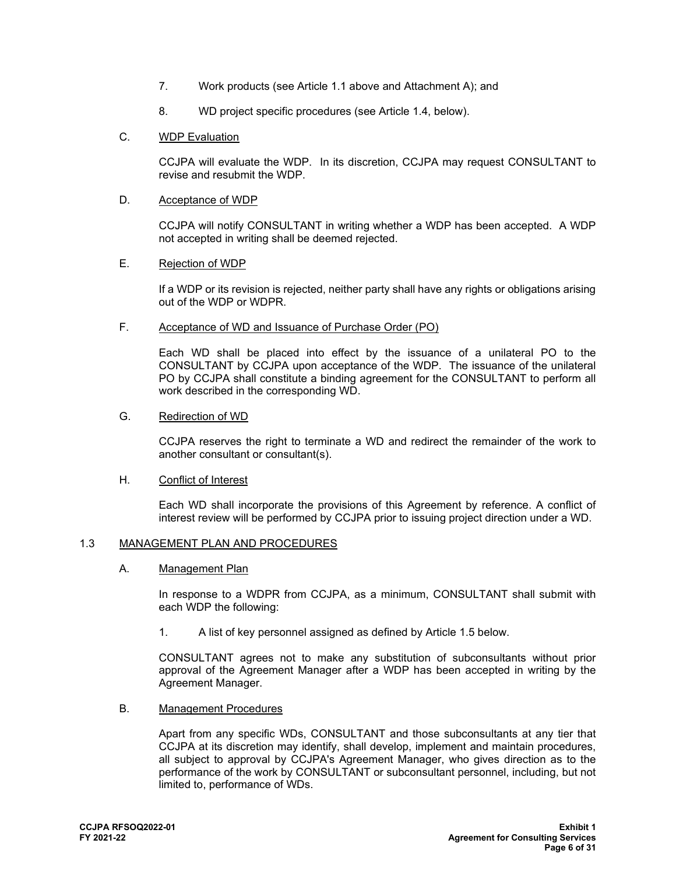- 7. Work products (see Article 1.1 above and Attachment A); and
- 8. WD project specific procedures (see Article 1.4, below).
- C. WDP Evaluation

CCJPA will evaluate the WDP. In its discretion, CCJPA may request CONSULTANT to revise and resubmit the WDP.

D. Acceptance of WDP

CCJPA will notify CONSULTANT in writing whether a WDP has been accepted. A WDP not accepted in writing shall be deemed rejected.

E. Rejection of WDP

If a WDP or its revision is rejected, neither party shall have any rights or obligations arising out of the WDP or WDPR.

F. Acceptance of WD and Issuance of Purchase Order (PO)

Each WD shall be placed into effect by the issuance of a unilateral PO to the CONSULTANT by CCJPA upon acceptance of the WDP. The issuance of the unilateral PO by CCJPA shall constitute a binding agreement for the CONSULTANT to perform all work described in the corresponding WD.

G. Redirection of WD

CCJPA reserves the right to terminate a WD and redirect the remainder of the work to another consultant or consultant(s).

H. Conflict of Interest

Each WD shall incorporate the provisions of this Agreement by reference. A conflict of interest review will be performed by CCJPA prior to issuing project direction under a WD.

### 1.3 MANAGEMENT PLAN AND PROCEDURES

A. Management Plan

In response to a WDPR from CCJPA, as a minimum, CONSULTANT shall submit with each WDP the following:

1. A list of key personnel assigned as defined by Article 1.5 below.

CONSULTANT agrees not to make any substitution of subconsultants without prior approval of the Agreement Manager after a WDP has been accepted in writing by the Agreement Manager.

B. Management Procedures

Apart from any specific WDs, CONSULTANT and those subconsultants at any tier that CCJPA at its discretion may identify, shall develop, implement and maintain procedures, all subject to approval by CCJPA's Agreement Manager, who gives direction as to the performance of the work by CONSULTANT or subconsultant personnel, including, but not limited to, performance of WDs.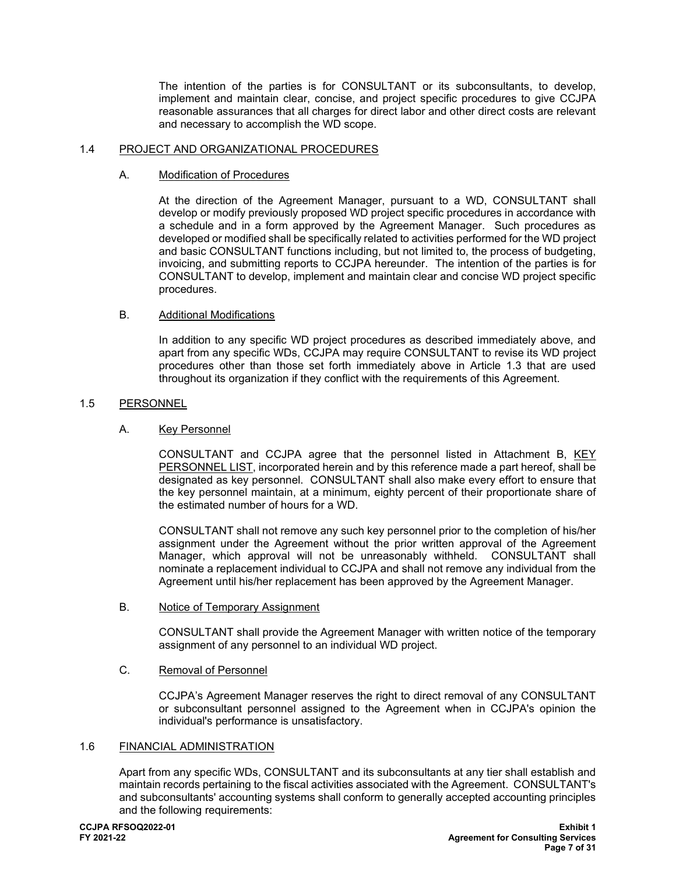The intention of the parties is for CONSULTANT or its subconsultants, to develop, implement and maintain clear, concise, and project specific procedures to give CCJPA reasonable assurances that all charges for direct labor and other direct costs are relevant and necessary to accomplish the WD scope.

### 1.4 PROJECT AND ORGANIZATIONAL PROCEDURES

### A. Modification of Procedures

At the direction of the Agreement Manager, pursuant to a WD, CONSULTANT shall develop or modify previously proposed WD project specific procedures in accordance with a schedule and in a form approved by the Agreement Manager. Such procedures as developed or modified shall be specifically related to activities performed for the WD project and basic CONSULTANT functions including, but not limited to, the process of budgeting, invoicing, and submitting reports to CCJPA hereunder. The intention of the parties is for CONSULTANT to develop, implement and maintain clear and concise WD project specific procedures.

### B. Additional Modifications

In addition to any specific WD project procedures as described immediately above, and apart from any specific WDs, CCJPA may require CONSULTANT to revise its WD project procedures other than those set forth immediately above in Article 1.3 that are used throughout its organization if they conflict with the requirements of this Agreement.

### 1.5 PERSONNEL

### A. Key Personnel

CONSULTANT and CCJPA agree that the personnel listed in Attachment B, KEY PERSONNEL LIST, incorporated herein and by this reference made a part hereof, shall be designated as key personnel. CONSULTANT shall also make every effort to ensure that the key personnel maintain, at a minimum, eighty percent of their proportionate share of the estimated number of hours for a WD.

CONSULTANT shall not remove any such key personnel prior to the completion of his/her assignment under the Agreement without the prior written approval of the Agreement Manager, which approval will not be unreasonably withheld. CONSULTANT shall nominate a replacement individual to CCJPA and shall not remove any individual from the Agreement until his/her replacement has been approved by the Agreement Manager.

### B. Notice of Temporary Assignment

CONSULTANT shall provide the Agreement Manager with written notice of the temporary assignment of any personnel to an individual WD project.

### C. Removal of Personnel

CCJPA's Agreement Manager reserves the right to direct removal of any CONSULTANT or subconsultant personnel assigned to the Agreement when in CCJPA's opinion the individual's performance is unsatisfactory.

### 1.6 FINANCIAL ADMINISTRATION

Apart from any specific WDs, CONSULTANT and its subconsultants at any tier shall establish and maintain records pertaining to the fiscal activities associated with the Agreement. CONSULTANT's and subconsultants' accounting systems shall conform to generally accepted accounting principles and the following requirements: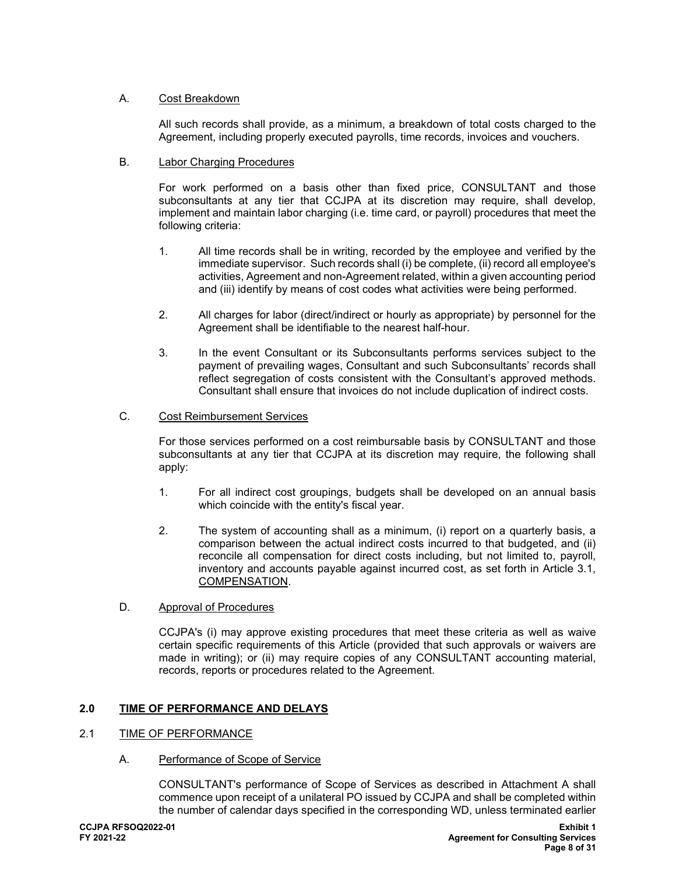### A. Cost Breakdown

All such records shall provide, as a minimum, a breakdown of total costs charged to the Agreement, including properly executed payrolls, time records, invoices and vouchers.

### B. Labor Charging Procedures

For work performed on a basis other than fixed price, CONSULTANT and those subconsultants at any tier that CCJPA at its discretion may require, shall develop, implement and maintain labor charging (i.e. time card, or payroll) procedures that meet the following criteria:

- 1. All time records shall be in writing, recorded by the employee and verified by the immediate supervisor. Such records shall (i) be complete, (ii) record all employee's activities, Agreement and non-Agreement related, within a given accounting period and (iii) identify by means of cost codes what activities were being performed.
- 2. All charges for labor (direct/indirect or hourly as appropriate) by personnel for the Agreement shall be identifiable to the nearest half-hour.
- 3. In the event Consultant or its Subconsultants performs services subject to the payment of prevailing wages, Consultant and such Subconsultants' records shall reflect segregation of costs consistent with the Consultant's approved methods. Consultant shall ensure that invoices do not include duplication of indirect costs.

### C. Cost Reimbursement Services

For those services performed on a cost reimbursable basis by CONSULTANT and those subconsultants at any tier that CCJPA at its discretion may require, the following shall apply:

- 1. For all indirect cost groupings, budgets shall be developed on an annual basis which coincide with the entity's fiscal year.
- 2. The system of accounting shall as a minimum, (i) report on a quarterly basis, a comparison between the actual indirect costs incurred to that budgeted, and (ii) reconcile all compensation for direct costs including, but not limited to, payroll, inventory and accounts payable against incurred cost, as set forth in Article 3.1, COMPENSATION.
- D. Approval of Procedures

CCJPA's (i) may approve existing procedures that meet these criteria as well as waive certain specific requirements of this Article (provided that such approvals or waivers are made in writing); or (ii) may require copies of any CONSULTANT accounting material, records, reports or procedures related to the Agreement.

# **2.0 TIME OF PERFORMANCE AND DELAYS**

### 2.1 TIME OF PERFORMANCE

### A. Performance of Scope of Service

CONSULTANT's performance of Scope of Services as described in Attachment A shall commence upon receipt of a unilateral PO issued by CCJPA and shall be completed within the number of calendar days specified in the corresponding WD, unless terminated earlier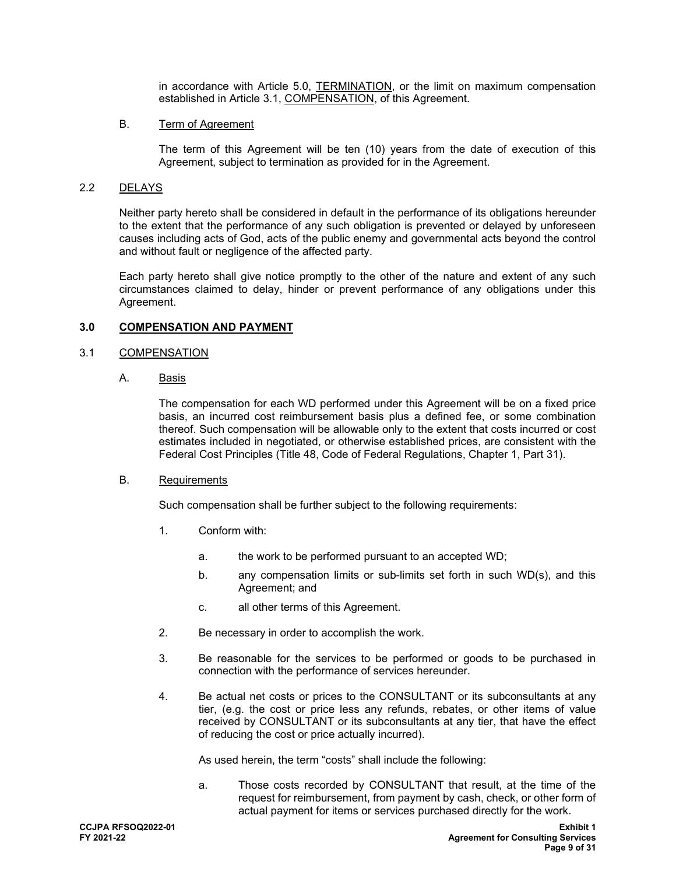in accordance with Article 5.0, TERMINATION, or the limit on maximum compensation established in Article 3.1, COMPENSATION, of this Agreement.

### B. Term of Agreement

The term of this Agreement will be ten (10) years from the date of execution of this Agreement, subject to termination as provided for in the Agreement.

### 2.2 DELAYS

Neither party hereto shall be considered in default in the performance of its obligations hereunder to the extent that the performance of any such obligation is prevented or delayed by unforeseen causes including acts of God, acts of the public enemy and governmental acts beyond the control and without fault or negligence of the affected party.

Each party hereto shall give notice promptly to the other of the nature and extent of any such circumstances claimed to delay, hinder or prevent performance of any obligations under this Agreement.

### **3.0 COMPENSATION AND PAYMENT**

### 3.1 COMPENSATION

A. Basis

The compensation for each WD performed under this Agreement will be on a fixed price basis, an incurred cost reimbursement basis plus a defined fee, or some combination thereof. Such compensation will be allowable only to the extent that costs incurred or cost estimates included in negotiated, or otherwise established prices, are consistent with the Federal Cost Principles (Title 48, Code of Federal Regulations, Chapter 1, Part 31).

### B. Requirements

Such compensation shall be further subject to the following requirements:

- 1. Conform with:
	- a. the work to be performed pursuant to an accepted WD;
	- b. any compensation limits or sub-limits set forth in such WD(s), and this Agreement; and
	- c. all other terms of this Agreement.
- 2. Be necessary in order to accomplish the work.
- 3. Be reasonable for the services to be performed or goods to be purchased in connection with the performance of services hereunder.
- 4. Be actual net costs or prices to the CONSULTANT or its subconsultants at any tier, (e.g. the cost or price less any refunds, rebates, or other items of value received by CONSULTANT or its subconsultants at any tier, that have the effect of reducing the cost or price actually incurred).

As used herein, the term "costs" shall include the following:

a. Those costs recorded by CONSULTANT that result, at the time of the request for reimbursement, from payment by cash, check, or other form of actual payment for items or services purchased directly for the work.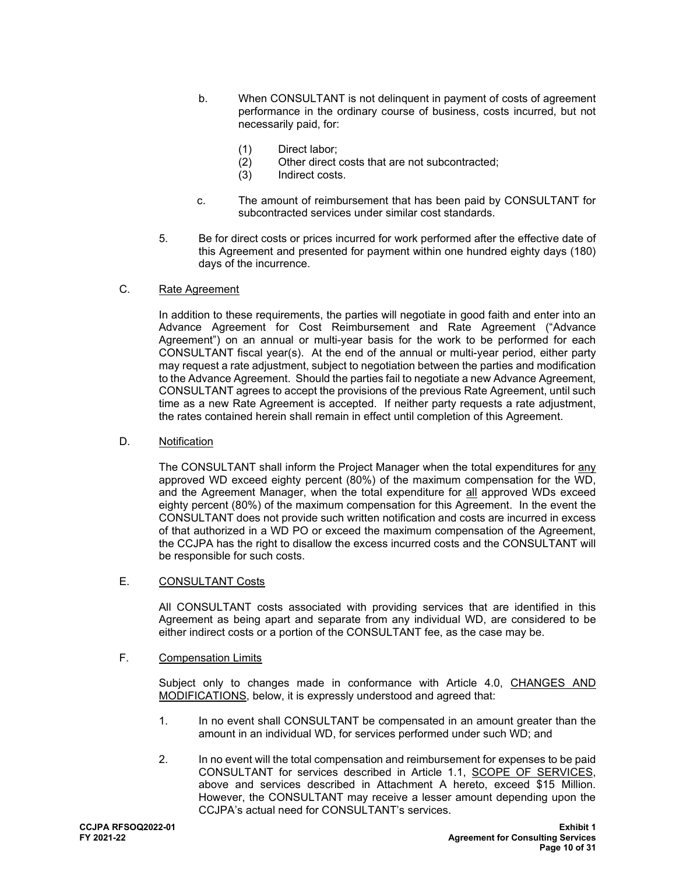- b. When CONSULTANT is not delinquent in payment of costs of agreement performance in the ordinary course of business, costs incurred, but not necessarily paid, for:
	- (1) Direct labor;
	- (2) Other direct costs that are not subcontracted;
	- (3) Indirect costs.
- c. The amount of reimbursement that has been paid by CONSULTANT for subcontracted services under similar cost standards.
- 5. Be for direct costs or prices incurred for work performed after the effective date of this Agreement and presented for payment within one hundred eighty days (180) days of the incurrence.

### C. Rate Agreement

In addition to these requirements, the parties will negotiate in good faith and enter into an Advance Agreement for Cost Reimbursement and Rate Agreement ("Advance Agreement") on an annual or multi-year basis for the work to be performed for each CONSULTANT fiscal year(s). At the end of the annual or multi-year period, either party may request a rate adjustment, subject to negotiation between the parties and modification to the Advance Agreement. Should the parties fail to negotiate a new Advance Agreement, CONSULTANT agrees to accept the provisions of the previous Rate Agreement, until such time as a new Rate Agreement is accepted. If neither party requests a rate adjustment, the rates contained herein shall remain in effect until completion of this Agreement.

### D. Notification

The CONSULTANT shall inform the Project Manager when the total expenditures for any approved WD exceed eighty percent (80%) of the maximum compensation for the WD, and the Agreement Manager, when the total expenditure for all approved WDs exceed eighty percent (80%) of the maximum compensation for this Agreement. In the event the CONSULTANT does not provide such written notification and costs are incurred in excess of that authorized in a WD PO or exceed the maximum compensation of the Agreement, the CCJPA has the right to disallow the excess incurred costs and the CONSULTANT will be responsible for such costs.

### E. CONSULTANT Costs

All CONSULTANT costs associated with providing services that are identified in this Agreement as being apart and separate from any individual WD, are considered to be either indirect costs or a portion of the CONSULTANT fee, as the case may be.

### F. Compensation Limits

Subject only to changes made in conformance with Article 4.0, CHANGES AND MODIFICATIONS, below, it is expressly understood and agreed that:

- 1. In no event shall CONSULTANT be compensated in an amount greater than the amount in an individual WD, for services performed under such WD; and
- 2. In no event will the total compensation and reimbursement for expenses to be paid CONSULTANT for services described in Article 1.1, SCOPE OF SERVICES, above and services described in Attachment A hereto, exceed \$15 Million. However, the CONSULTANT may receive a lesser amount depending upon the CCJPA's actual need for CONSULTANT's services.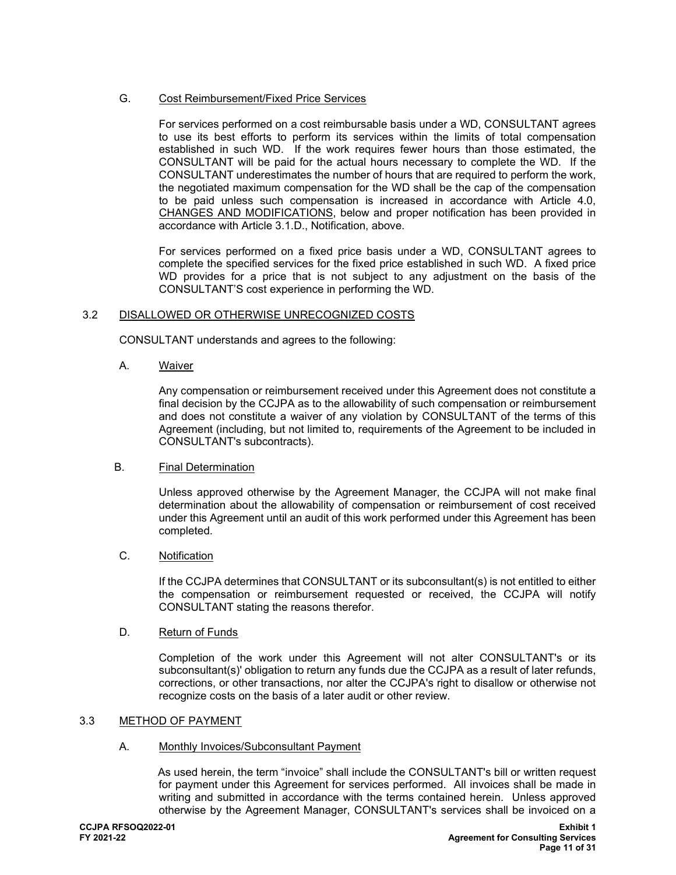## G. Cost Reimbursement/Fixed Price Services

For services performed on a cost reimbursable basis under a WD, CONSULTANT agrees to use its best efforts to perform its services within the limits of total compensation established in such WD. If the work requires fewer hours than those estimated, the CONSULTANT will be paid for the actual hours necessary to complete the WD. If the CONSULTANT underestimates the number of hours that are required to perform the work, the negotiated maximum compensation for the WD shall be the cap of the compensation to be paid unless such compensation is increased in accordance with Article 4.0, CHANGES AND MODIFICATIONS, below and proper notification has been provided in accordance with Article 3.1.D., Notification, above.

For services performed on a fixed price basis under a WD, CONSULTANT agrees to complete the specified services for the fixed price established in such WD. A fixed price WD provides for a price that is not subject to any adjustment on the basis of the CONSULTANT'S cost experience in performing the WD.

### 3.2 DISALLOWED OR OTHERWISE UNRECOGNIZED COSTS

CONSULTANT understands and agrees to the following:

A. Waiver

Any compensation or reimbursement received under this Agreement does not constitute a final decision by the CCJPA as to the allowability of such compensation or reimbursement and does not constitute a waiver of any violation by CONSULTANT of the terms of this Agreement (including, but not limited to, requirements of the Agreement to be included in CONSULTANT's subcontracts).

#### B. Final Determination

Unless approved otherwise by the Agreement Manager, the CCJPA will not make final determination about the allowability of compensation or reimbursement of cost received under this Agreement until an audit of this work performed under this Agreement has been completed.

## C. Notification

If the CCJPA determines that CONSULTANT or its subconsultant(s) is not entitled to either the compensation or reimbursement requested or received, the CCJPA will notify CONSULTANT stating the reasons therefor.

#### D. Return of Funds

Completion of the work under this Agreement will not alter CONSULTANT's or its subconsultant(s)' obligation to return any funds due the CCJPA as a result of later refunds, corrections, or other transactions, nor alter the CCJPA's right to disallow or otherwise not recognize costs on the basis of a later audit or other review.

#### 3.3 METHOD OF PAYMENT

#### A. Monthly Invoices/Subconsultant Payment

As used herein, the term "invoice" shall include the CONSULTANT's bill or written request for payment under this Agreement for services performed. All invoices shall be made in writing and submitted in accordance with the terms contained herein. Unless approved otherwise by the Agreement Manager, CONSULTANT's services shall be invoiced on a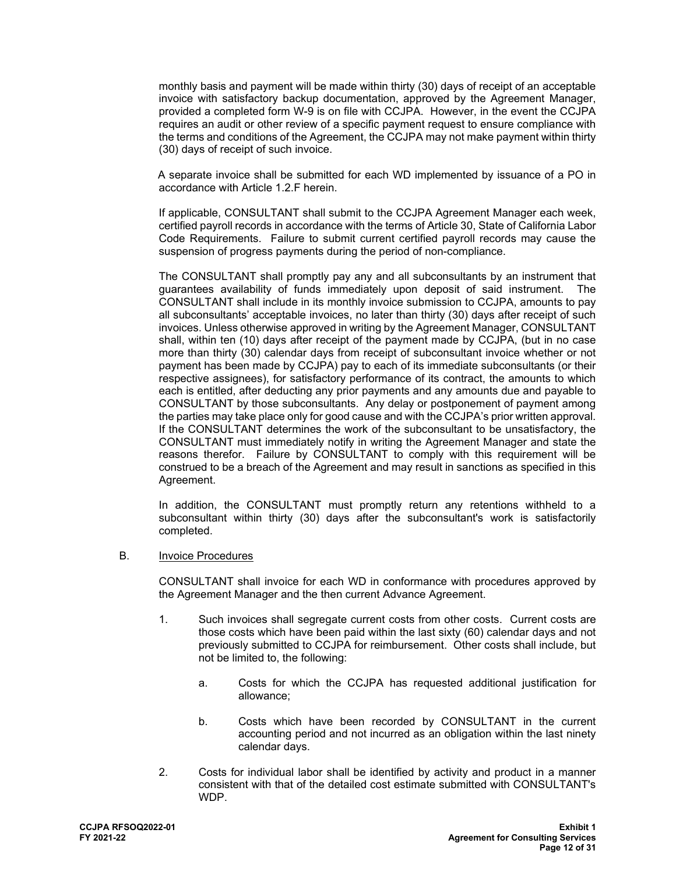monthly basis and payment will be made within thirty (30) days of receipt of an acceptable invoice with satisfactory backup documentation, approved by the Agreement Manager, provided a completed form W-9 is on file with CCJPA. However, in the event the CCJPA requires an audit or other review of a specific payment request to ensure compliance with the terms and conditions of the Agreement, the CCJPA may not make payment within thirty (30) days of receipt of such invoice.

A separate invoice shall be submitted for each WD implemented by issuance of a PO in accordance with Article 1.2.F herein.

If applicable, CONSULTANT shall submit to the CCJPA Agreement Manager each week, certified payroll records in accordance with the terms of Article 30, State of California Labor Code Requirements. Failure to submit current certified payroll records may cause the suspension of progress payments during the period of non-compliance.

The CONSULTANT shall promptly pay any and all subconsultants by an instrument that guarantees availability of funds immediately upon deposit of said instrument. The CONSULTANT shall include in its monthly invoice submission to CCJPA, amounts to pay all subconsultants' acceptable invoices, no later than thirty (30) days after receipt of such invoices. Unless otherwise approved in writing by the Agreement Manager, CONSULTANT shall, within ten (10) days after receipt of the payment made by CCJPA, (but in no case more than thirty (30) calendar days from receipt of subconsultant invoice whether or not payment has been made by CCJPA) pay to each of its immediate subconsultants (or their respective assignees), for satisfactory performance of its contract, the amounts to which each is entitled, after deducting any prior payments and any amounts due and payable to CONSULTANT by those subconsultants. Any delay or postponement of payment among the parties may take place only for good cause and with the CCJPA's prior written approval. If the CONSULTANT determines the work of the subconsultant to be unsatisfactory, the CONSULTANT must immediately notify in writing the Agreement Manager and state the reasons therefor. Failure by CONSULTANT to comply with this requirement will be construed to be a breach of the Agreement and may result in sanctions as specified in this Agreement.

In addition, the CONSULTANT must promptly return any retentions withheld to a subconsultant within thirty (30) days after the subconsultant's work is satisfactorily completed.

B. Invoice Procedures

CONSULTANT shall invoice for each WD in conformance with procedures approved by the Agreement Manager and the then current Advance Agreement.

- 1. Such invoices shall segregate current costs from other costs. Current costs are those costs which have been paid within the last sixty (60) calendar days and not previously submitted to CCJPA for reimbursement. Other costs shall include, but not be limited to, the following:
	- a. Costs for which the CCJPA has requested additional justification for allowance;
	- b. Costs which have been recorded by CONSULTANT in the current accounting period and not incurred as an obligation within the last ninety calendar days.
- 2. Costs for individual labor shall be identified by activity and product in a manner consistent with that of the detailed cost estimate submitted with CONSULTANT's WDP.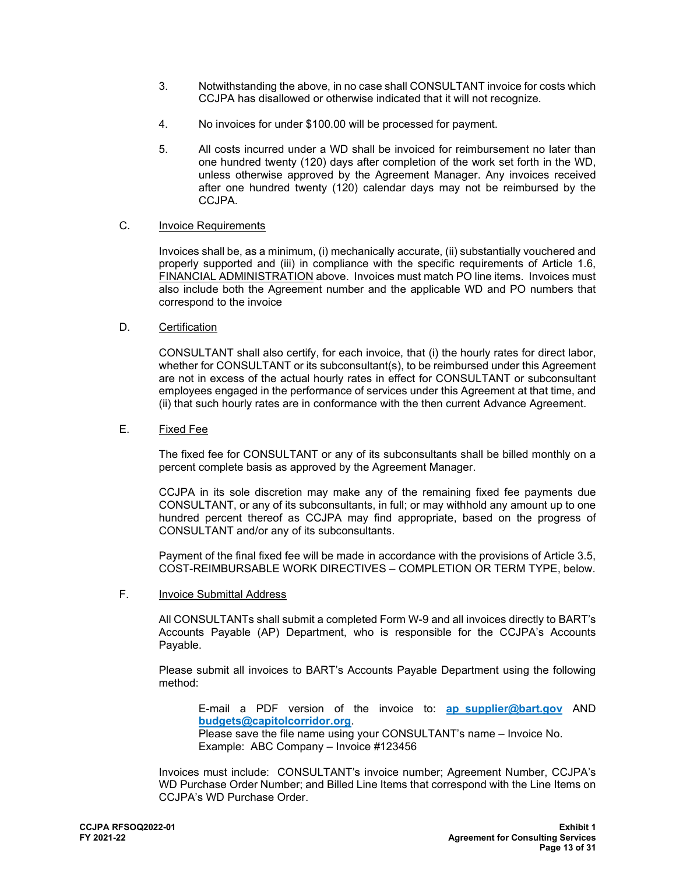- 3. Notwithstanding the above, in no case shall CONSULTANT invoice for costs which CCJPA has disallowed or otherwise indicated that it will not recognize.
- 4. No invoices for under \$100.00 will be processed for payment.
- 5. All costs incurred under a WD shall be invoiced for reimbursement no later than one hundred twenty (120) days after completion of the work set forth in the WD, unless otherwise approved by the Agreement Manager. Any invoices received after one hundred twenty (120) calendar days may not be reimbursed by the CCJPA.

## C. Invoice Requirements

 Invoices shall be, as a minimum, (i) mechanically accurate, (ii) substantially vouchered and properly supported and (iii) in compliance with the specific requirements of Article 1.6, FINANCIAL ADMINISTRATION above. Invoices must match PO line items. Invoices must also include both the Agreement number and the applicable WD and PO numbers that correspond to the invoice

### D. Certification

CONSULTANT shall also certify, for each invoice, that (i) the hourly rates for direct labor, whether for CONSULTANT or its subconsultant(s), to be reimbursed under this Agreement are not in excess of the actual hourly rates in effect for CONSULTANT or subconsultant employees engaged in the performance of services under this Agreement at that time, and (ii) that such hourly rates are in conformance with the then current Advance Agreement.

## E. Fixed Fee

The fixed fee for CONSULTANT or any of its subconsultants shall be billed monthly on a percent complete basis as approved by the Agreement Manager.

CCJPA in its sole discretion may make any of the remaining fixed fee payments due CONSULTANT, or any of its subconsultants, in full; or may withhold any amount up to one hundred percent thereof as CCJPA may find appropriate, based on the progress of CONSULTANT and/or any of its subconsultants.

Payment of the final fixed fee will be made in accordance with the provisions of Article 3.5, COST-REIMBURSABLE WORK DIRECTIVES – COMPLETION OR TERM TYPE, below.

### F. Invoice Submittal Address

All CONSULTANTs shall submit a completed Form W-9 and all invoices directly to BART's Accounts Payable (AP) Department, who is responsible for the CCJPA's Accounts Payable.

Please submit all invoices to BART's Accounts Payable Department using the following method:

E-mail a PDF version of the invoice to: **[ap\\_supplier@bart.gov](mailto:ap_supplier@bart.gov)** AND **[budgets@capitolcorridor.org](mailto:budgets@capitolcorridor.org)**.

Please save the file name using your CONSULTANT's name – Invoice No. Example: ABC Company – Invoice #123456

Invoices must include: CONSULTANT's invoice number; Agreement Number, CCJPA's WD Purchase Order Number; and Billed Line Items that correspond with the Line Items on CCJPA's WD Purchase Order.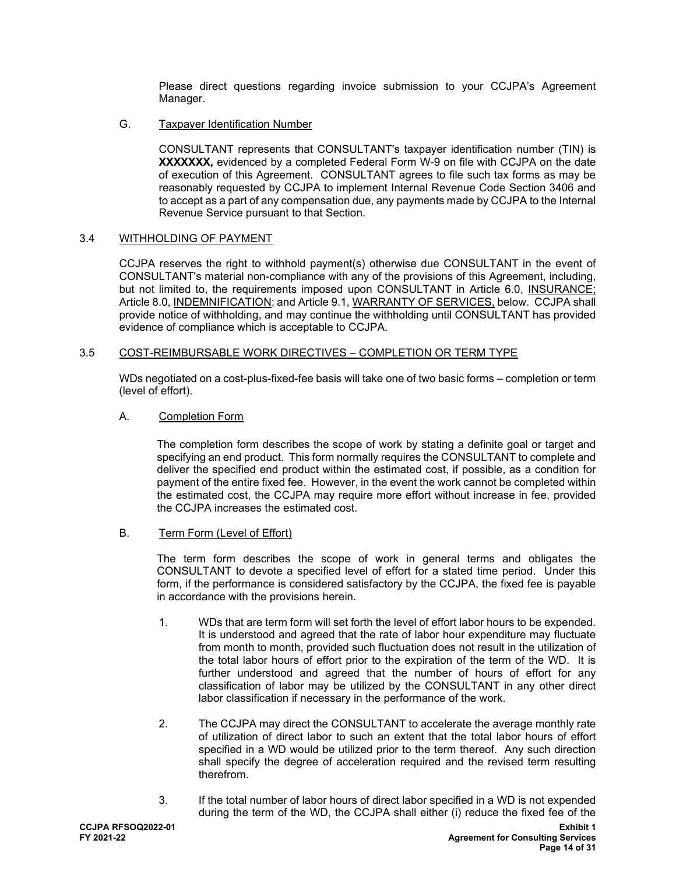Please direct questions regarding invoice submission to your CCJPA's Agreement Manager.

G. Taxpayer Identification Number

CONSULTANT represents that CONSULTANT's taxpayer identification number (TIN) is **XXXXXXX,** evidenced by a completed Federal Form W-9 on file with CCJPA on the date of execution of this Agreement. CONSULTANT agrees to file such tax forms as may be reasonably requested by CCJPA to implement Internal Revenue Code Section 3406 and to accept as a part of any compensation due, any payments made by CCJPA to the Internal Revenue Service pursuant to that Section.

### 3.4 WITHHOLDING OF PAYMENT

CCJPA reserves the right to withhold payment(s) otherwise due CONSULTANT in the event of CONSULTANT's material non-compliance with any of the provisions of this Agreement, including, but not limited to, the requirements imposed upon CONSULTANT in Article 6.0, INSURANCE; Article 8.0, INDEMNIFICATION; and Article 9.1, WARRANTY OF SERVICES, below. CCJPA shall provide notice of withholding, and may continue the withholding until CONSULTANT has provided evidence of compliance which is acceptable to CCJPA.

### 3.5 COST-REIMBURSABLE WORK DIRECTIVES – COMPLETION OR TERM TYPE

WDs negotiated on a cost-plus-fixed-fee basis will take one of two basic forms – completion or term (level of effort).

### A. Completion Form

The completion form describes the scope of work by stating a definite goal or target and specifying an end product. This form normally requires the CONSULTANT to complete and deliver the specified end product within the estimated cost, if possible, as a condition for payment of the entire fixed fee. However, in the event the work cannot be completed within the estimated cost, the CCJPA may require more effort without increase in fee, provided the CCJPA increases the estimated cost.

B. Term Form (Level of Effort)

The term form describes the scope of work in general terms and obligates the CONSULTANT to devote a specified level of effort for a stated time period. Under this form, if the performance is considered satisfactory by the CCJPA, the fixed fee is payable in accordance with the provisions herein.

- 1. WDs that are term form will set forth the level of effort labor hours to be expended. It is understood and agreed that the rate of labor hour expenditure may fluctuate from month to month, provided such fluctuation does not result in the utilization of the total labor hours of effort prior to the expiration of the term of the WD. It is further understood and agreed that the number of hours of effort for any classification of labor may be utilized by the CONSULTANT in any other direct labor classification if necessary in the performance of the work.
- 2. The CCJPA may direct the CONSULTANT to accelerate the average monthly rate of utilization of direct labor to such an extent that the total labor hours of effort specified in a WD would be utilized prior to the term thereof. Any such direction shall specify the degree of acceleration required and the revised term resulting therefrom.
- 3. If the total number of labor hours of direct labor specified in a WD is not expended during the term of the WD, the CCJPA shall either (i) reduce the fixed fee of the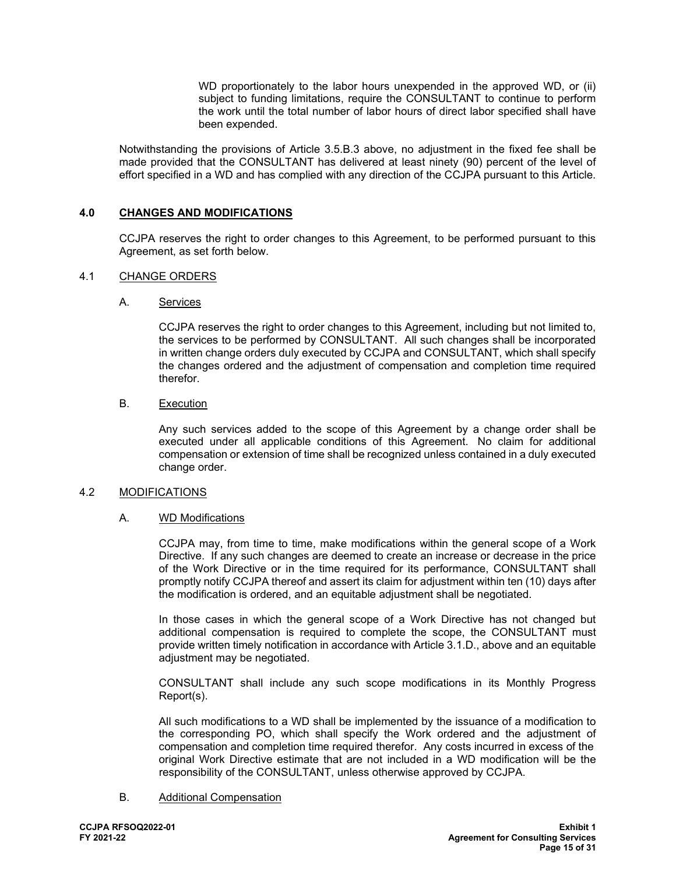WD proportionately to the labor hours unexpended in the approved WD, or (ii) subject to funding limitations, require the CONSULTANT to continue to perform the work until the total number of labor hours of direct labor specified shall have been expended.

Notwithstanding the provisions of Article 3.5.B.3 above, no adjustment in the fixed fee shall be made provided that the CONSULTANT has delivered at least ninety (90) percent of the level of effort specified in a WD and has complied with any direction of the CCJPA pursuant to this Article.

## **4.0 CHANGES AND MODIFICATIONS**

CCJPA reserves the right to order changes to this Agreement, to be performed pursuant to this Agreement, as set forth below.

### 4.1 CHANGE ORDERS

### A. Services

CCJPA reserves the right to order changes to this Agreement, including but not limited to, the services to be performed by CONSULTANT. All such changes shall be incorporated in written change orders duly executed by CCJPA and CONSULTANT, which shall specify the changes ordered and the adjustment of compensation and completion time required therefor.

### B. Execution

Any such services added to the scope of this Agreement by a change order shall be executed under all applicable conditions of this Agreement. No claim for additional compensation or extension of time shall be recognized unless contained in a duly executed change order.

#### 4.2 MODIFICATIONS

#### A. WD Modifications

CCJPA may, from time to time, make modifications within the general scope of a Work Directive. If any such changes are deemed to create an increase or decrease in the price of the Work Directive or in the time required for its performance, CONSULTANT shall promptly notify CCJPA thereof and assert its claim for adjustment within ten (10) days after the modification is ordered, and an equitable adjustment shall be negotiated.

In those cases in which the general scope of a Work Directive has not changed but additional compensation is required to complete the scope, the CONSULTANT must provide written timely notification in accordance with Article 3.1.D., above and an equitable adjustment may be negotiated.

CONSULTANT shall include any such scope modifications in its Monthly Progress Report(s).

All such modifications to a WD shall be implemented by the issuance of a modification to the corresponding PO, which shall specify the Work ordered and the adjustment of compensation and completion time required therefor. Any costs incurred in excess of the original Work Directive estimate that are not included in a WD modification will be the responsibility of the CONSULTANT, unless otherwise approved by CCJPA.

#### B. Additional Compensation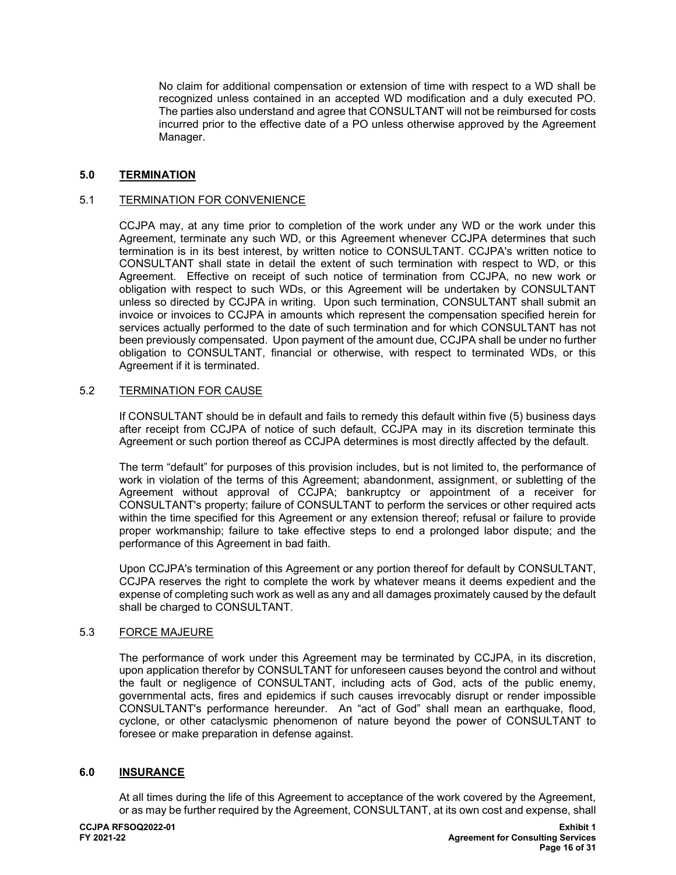No claim for additional compensation or extension of time with respect to a WD shall be recognized unless contained in an accepted WD modification and a duly executed PO. The parties also understand and agree that CONSULTANT will not be reimbursed for costs incurred prior to the effective date of a PO unless otherwise approved by the Agreement Manager.

#### **5.0 TERMINATION**

## 5.1 TERMINATION FOR CONVENIENCE

CCJPA may, at any time prior to completion of the work under any WD or the work under this Agreement, terminate any such WD, or this Agreement whenever CCJPA determines that such termination is in its best interest, by written notice to CONSULTANT. CCJPA's written notice to CONSULTANT shall state in detail the extent of such termination with respect to WD, or this Agreement. Effective on receipt of such notice of termination from CCJPA, no new work or obligation with respect to such WDs, or this Agreement will be undertaken by CONSULTANT unless so directed by CCJPA in writing. Upon such termination, CONSULTANT shall submit an invoice or invoices to CCJPA in amounts which represent the compensation specified herein for services actually performed to the date of such termination and for which CONSULTANT has not been previously compensated. Upon payment of the amount due, CCJPA shall be under no further obligation to CONSULTANT, financial or otherwise, with respect to terminated WDs, or this Agreement if it is terminated.

### 5.2 TERMINATION FOR CAUSE

If CONSULTANT should be in default and fails to remedy this default within five (5) business days after receipt from CCJPA of notice of such default, CCJPA may in its discretion terminate this Agreement or such portion thereof as CCJPA determines is most directly affected by the default.

The term "default" for purposes of this provision includes, but is not limited to, the performance of work in violation of the terms of this Agreement; abandonment, assignment, or subletting of the Agreement without approval of CCJPA; bankruptcy or appointment of a receiver for CONSULTANT's property; failure of CONSULTANT to perform the services or other required acts within the time specified for this Agreement or any extension thereof; refusal or failure to provide proper workmanship; failure to take effective steps to end a prolonged labor dispute; and the performance of this Agreement in bad faith.

Upon CCJPA's termination of this Agreement or any portion thereof for default by CONSULTANT, CCJPA reserves the right to complete the work by whatever means it deems expedient and the expense of completing such work as well as any and all damages proximately caused by the default shall be charged to CONSULTANT.

#### 5.3 FORCE MAJEURE

The performance of work under this Agreement may be terminated by CCJPA, in its discretion, upon application therefor by CONSULTANT for unforeseen causes beyond the control and without the fault or negligence of CONSULTANT, including acts of God, acts of the public enemy, governmental acts, fires and epidemics if such causes irrevocably disrupt or render impossible CONSULTANT's performance hereunder. An "act of God" shall mean an earthquake, flood, cyclone, or other cataclysmic phenomenon of nature beyond the power of CONSULTANT to foresee or make preparation in defense against.

### **6.0 INSURANCE**

At all times during the life of this Agreement to acceptance of the work covered by the Agreement, or as may be further required by the Agreement, CONSULTANT, at its own cost and expense, shall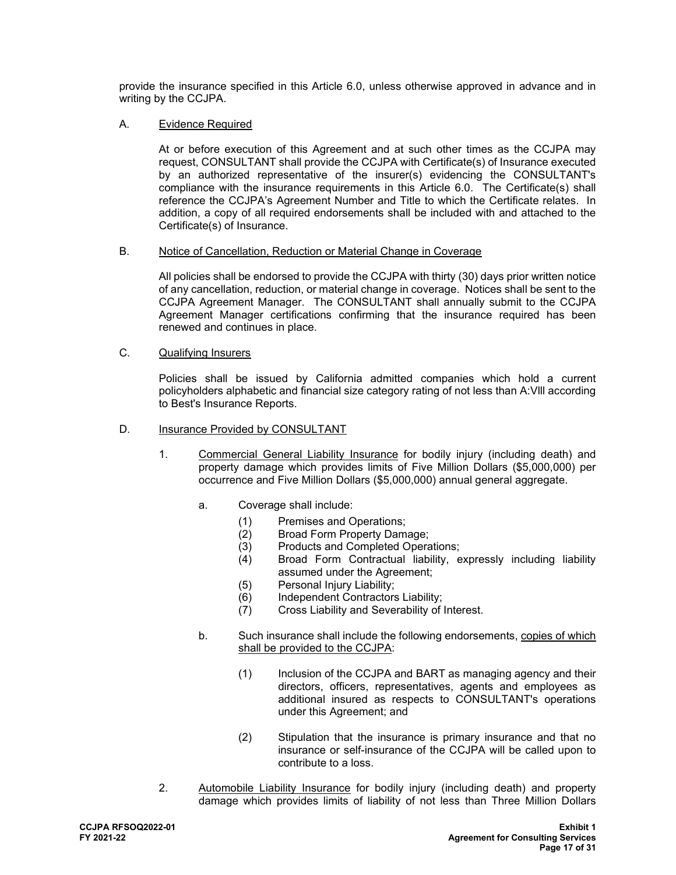provide the insurance specified in this Article 6.0, unless otherwise approved in advance and in writing by the CCJPA.

### A. Evidence Required

At or before execution of this Agreement and at such other times as the CCJPA may request, CONSULTANT shall provide the CCJPA with Certificate(s) of Insurance executed by an authorized representative of the insurer(s) evidencing the CONSULTANT's compliance with the insurance requirements in this Article 6.0. The Certificate(s) shall reference the CCJPA's Agreement Number and Title to which the Certificate relates. In addition, a copy of all required endorsements shall be included with and attached to the Certificate(s) of Insurance.

#### B. Notice of Cancellation, Reduction or Material Change in Coverage

All policies shall be endorsed to provide the CCJPA with thirty (30) days prior written notice of any cancellation, reduction, or material change in coverage. Notices shall be sent to the CCJPA Agreement Manager. The CONSULTANT shall annually submit to the CCJPA Agreement Manager certifications confirming that the insurance required has been renewed and continues in place.

## C. Qualifying Insurers

Policies shall be issued by California admitted companies which hold a current policyholders alphabetic and financial size category rating of not less than A:Vlll according to Best's Insurance Reports.

## D. Insurance Provided by CONSULTANT

- 1. Commercial General Liability Insurance for bodily injury (including death) and property damage which provides limits of Five Million Dollars (\$5,000,000) per occurrence and Five Million Dollars (\$5,000,000) annual general aggregate.
	- a. Coverage shall include:
		- (1) Premises and Operations;
		-
		- (2) Broad Form Property Damage;<br>(3) Products and Completed Opera Products and Completed Operations;
		- (4) Broad Form Contractual liability, expressly including liability assumed under the Agreement;
		- (5) Personal Injury Liability;
		- (6) Independent Contractors Liability;
		- (7) Cross Liability and Severability of Interest.
	- b. Such insurance shall include the following endorsements, copies of which shall be provided to the CCJPA:
		- (1) Inclusion of the CCJPA and BART as managing agency and their directors, officers, representatives, agents and employees as additional insured as respects to CONSULTANT's operations under this Agreement; and
		- (2) Stipulation that the insurance is primary insurance and that no insurance or self-insurance of the CCJPA will be called upon to contribute to a loss.
- 2. Automobile Liability Insurance for bodily injury (including death) and property damage which provides limits of liability of not less than Three Million Dollars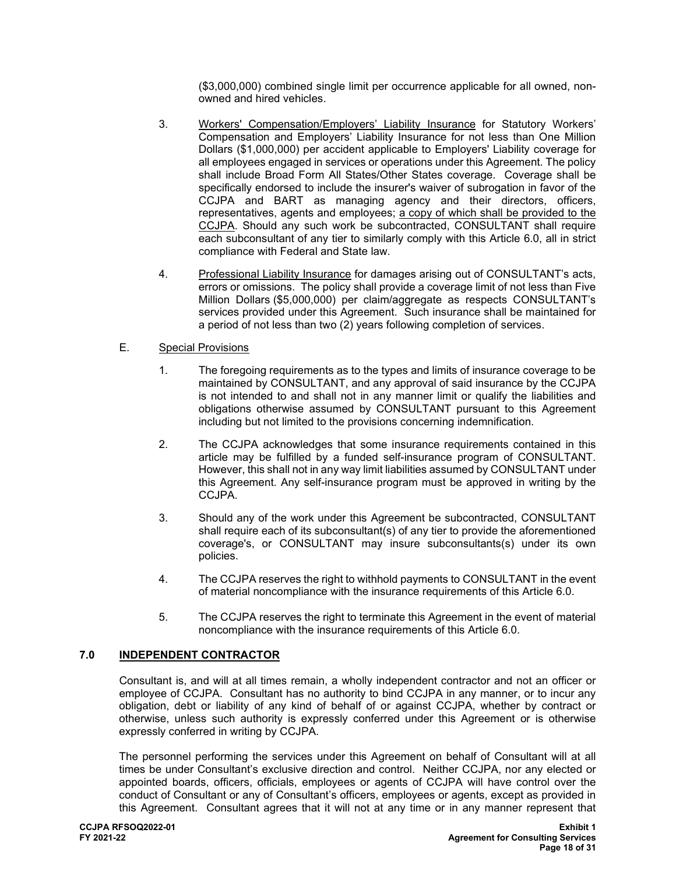(\$3,000,000) combined single limit per occurrence applicable for all owned, nonowned and hired vehicles.

- 3. Workers' Compensation/Employers' Liability Insurance for Statutory Workers' Compensation and Employers' Liability Insurance for not less than One Million Dollars (\$1,000,000) per accident applicable to Employers' Liability coverage for all employees engaged in services or operations under this Agreement. The policy shall include Broad Form All States/Other States coverage. Coverage shall be specifically endorsed to include the insurer's waiver of subrogation in favor of the CCJPA and BART as managing agency and their directors, officers, representatives, agents and employees; a copy of which shall be provided to the CCJPA. Should any such work be subcontracted, CONSULTANT shall require each subconsultant of any tier to similarly comply with this Article 6.0, all in strict compliance with Federal and State law.
- 4. Professional Liability Insurance for damages arising out of CONSULTANT's acts, errors or omissions. The policy shall provide a coverage limit of not less than Five Million Dollars (\$5,000,000) per claim/aggregate as respects CONSULTANT's services provided under this Agreement. Such insurance shall be maintained for a period of not less than two (2) years following completion of services.

## E. Special Provisions

- 1. The foregoing requirements as to the types and limits of insurance coverage to be maintained by CONSULTANT, and any approval of said insurance by the CCJPA is not intended to and shall not in any manner limit or qualify the liabilities and obligations otherwise assumed by CONSULTANT pursuant to this Agreement including but not limited to the provisions concerning indemnification.
- 2. The CCJPA acknowledges that some insurance requirements contained in this article may be fulfilled by a funded self-insurance program of CONSULTANT. However, this shall not in any way limit liabilities assumed by CONSULTANT under this Agreement. Any self-insurance program must be approved in writing by the CCJPA.
- 3. Should any of the work under this Agreement be subcontracted, CONSULTANT shall require each of its subconsultant(s) of any tier to provide the aforementioned coverage's, or CONSULTANT may insure subconsultants(s) under its own policies.
- 4. The CCJPA reserves the right to withhold payments to CONSULTANT in the event of material noncompliance with the insurance requirements of this Article 6.0.
- 5. The CCJPA reserves the right to terminate this Agreement in the event of material noncompliance with the insurance requirements of this Article 6.0.

## **7.0 INDEPENDENT CONTRACTOR**

Consultant is, and will at all times remain, a wholly independent contractor and not an officer or employee of CCJPA. Consultant has no authority to bind CCJPA in any manner, or to incur any obligation, debt or liability of any kind of behalf of or against CCJPA, whether by contract or otherwise, unless such authority is expressly conferred under this Agreement or is otherwise expressly conferred in writing by CCJPA.

The personnel performing the services under this Agreement on behalf of Consultant will at all times be under Consultant's exclusive direction and control. Neither CCJPA, nor any elected or appointed boards, officers, officials, employees or agents of CCJPA will have control over the conduct of Consultant or any of Consultant's officers, employees or agents, except as provided in this Agreement. Consultant agrees that it will not at any time or in any manner represent that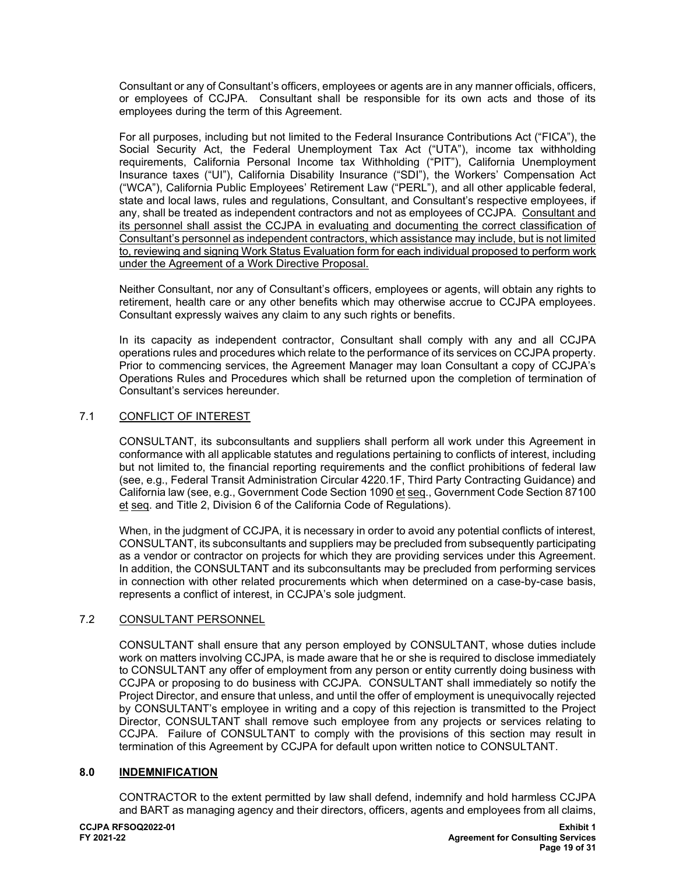Consultant or any of Consultant's officers, employees or agents are in any manner officials, officers, or employees of CCJPA. Consultant shall be responsible for its own acts and those of its employees during the term of this Agreement.

For all purposes, including but not limited to the Federal Insurance Contributions Act ("FICA"), the Social Security Act, the Federal Unemployment Tax Act ("UTA"), income tax withholding requirements, California Personal Income tax Withholding ("PIT"), California Unemployment Insurance taxes ("UI"), California Disability Insurance ("SDI"), the Workers' Compensation Act ("WCA"), California Public Employees' Retirement Law ("PERL"), and all other applicable federal, state and local laws, rules and regulations, Consultant, and Consultant's respective employees, if any, shall be treated as independent contractors and not as employees of CCJPA. Consultant and its personnel shall assist the CCJPA in evaluating and documenting the correct classification of Consultant's personnel as independent contractors, which assistance may include, but is not limited to, reviewing and signing Work Status Evaluation form for each individual proposed to perform work under the Agreement of a Work Directive Proposal.

Neither Consultant, nor any of Consultant's officers, employees or agents, will obtain any rights to retirement, health care or any other benefits which may otherwise accrue to CCJPA employees. Consultant expressly waives any claim to any such rights or benefits.

In its capacity as independent contractor, Consultant shall comply with any and all CCJPA operations rules and procedures which relate to the performance of its services on CCJPA property. Prior to commencing services, the Agreement Manager may loan Consultant a copy of CCJPA's Operations Rules and Procedures which shall be returned upon the completion of termination of Consultant's services hereunder.

## 7.1 CONFLICT OF INTEREST

CONSULTANT, its subconsultants and suppliers shall perform all work under this Agreement in conformance with all applicable statutes and regulations pertaining to conflicts of interest, including but not limited to, the financial reporting requirements and the conflict prohibitions of federal law (see, e.g., Federal Transit Administration Circular 4220.1F, Third Party Contracting Guidance) and California law (see, e.g., Government Code Section 1090 et seq., Government Code Section 87100 et seq. and Title 2, Division 6 of the California Code of Regulations).

When, in the judgment of CCJPA, it is necessary in order to avoid any potential conflicts of interest, CONSULTANT, its subconsultants and suppliers may be precluded from subsequently participating as a vendor or contractor on projects for which they are providing services under this Agreement. In addition, the CONSULTANT and its subconsultants may be precluded from performing services in connection with other related procurements which when determined on a case-by-case basis, represents a conflict of interest, in CCJPA's sole judgment.

## 7.2 CONSULTANT PERSONNEL

CONSULTANT shall ensure that any person employed by CONSULTANT, whose duties include work on matters involving CCJPA, is made aware that he or she is required to disclose immediately to CONSULTANT any offer of employment from any person or entity currently doing business with CCJPA or proposing to do business with CCJPA. CONSULTANT shall immediately so notify the Project Director, and ensure that unless, and until the offer of employment is unequivocally rejected by CONSULTANT's employee in writing and a copy of this rejection is transmitted to the Project Director, CONSULTANT shall remove such employee from any projects or services relating to CCJPA. Failure of CONSULTANT to comply with the provisions of this section may result in termination of this Agreement by CCJPA for default upon written notice to CONSULTANT.

#### $8.0$ **8.0 INDEMNIFICATION**

 CONTRACTOR to the extent permitted by law shall defend, indemnify and hold harmless CCJPA and BART as managing agency and their directors, officers, agents and employees from all claims,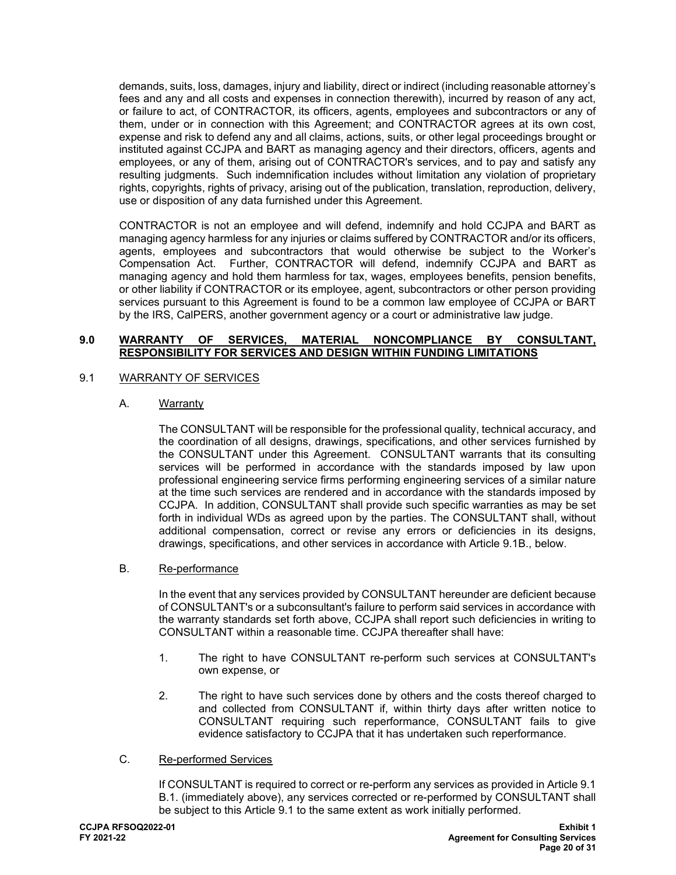demands, suits, loss, damages, injury and liability, direct or indirect (including reasonable attorney's fees and any and all costs and expenses in connection therewith), incurred by reason of any act, or failure to act, of CONTRACTOR, its officers, agents, employees and subcontractors or any of them, under or in connection with this Agreement; and CONTRACTOR agrees at its own cost, expense and risk to defend any and all claims, actions, suits, or other legal proceedings brought or instituted against CCJPA and BART as managing agency and their directors, officers, agents and employees, or any of them, arising out of CONTRACTOR's services, and to pay and satisfy any resulting judgments. Such indemnification includes without limitation any violation of proprietary rights, copyrights, rights of privacy, arising out of the publication, translation, reproduction, delivery, use or disposition of any data furnished under this Agreement.

CONTRACTOR is not an employee and will defend, indemnify and hold CCJPA and BART as managing agency harmless for any injuries or claims suffered by CONTRACTOR and/or its officers, agents, employees and subcontractors that would otherwise be subject to the Worker's Compensation Act. Further, CONTRACTOR will defend, indemnify CCJPA and BART as managing agency and hold them harmless for tax, wages, employees benefits, pension benefits, or other liability if CONTRACTOR or its employee, agent, subcontractors or other person providing services pursuant to this Agreement is found to be a common law employee of CCJPA or BART by the IRS, CalPERS, another government agency or a court or administrative law judge.

## **9.0 WARRANTY OF SERVICES, MATERIAL NONCOMPLIANCE BY CONSULTANT, RESPONSIBILITY FOR SERVICES AND DESIGN WITHIN FUNDING LIMITATIONS**

## 9.1 WARRANTY OF SERVICES

## A. Warranty

The CONSULTANT will be responsible for the professional quality, technical accuracy, and the coordination of all designs, drawings, specifications, and other services furnished by the CONSULTANT under this Agreement. CONSULTANT warrants that its consulting services will be performed in accordance with the standards imposed by law upon professional engineering service firms performing engineering services of a similar nature at the time such services are rendered and in accordance with the standards imposed by CCJPA. In addition, CONSULTANT shall provide such specific warranties as may be set forth in individual WDs as agreed upon by the parties. The CONSULTANT shall, without additional compensation, correct or revise any errors or deficiencies in its designs, drawings, specifications, and other services in accordance with Article 9.1B., below.

#### B. Re-performance

In the event that any services provided by CONSULTANT hereunder are deficient because of CONSULTANT's or a subconsultant's failure to perform said services in accordance with the warranty standards set forth above, CCJPA shall report such deficiencies in writing to CONSULTANT within a reasonable time. CCJPA thereafter shall have:

- 1. The right to have CONSULTANT re-perform such services at CONSULTANT's own expense, or
- 2. The right to have such services done by others and the costs thereof charged to and collected from CONSULTANT if, within thirty days after written notice to CONSULTANT requiring such reperformance, CONSULTANT fails to give evidence satisfactory to CCJPA that it has undertaken such reperformance.

## C. Re-performed Services

If CONSULTANT is required to correct or re-perform any services as provided in Article 9.1 B.1. (immediately above), any services corrected or re-performed by CONSULTANT shall be subject to this Article 9.1 to the same extent as work initially performed.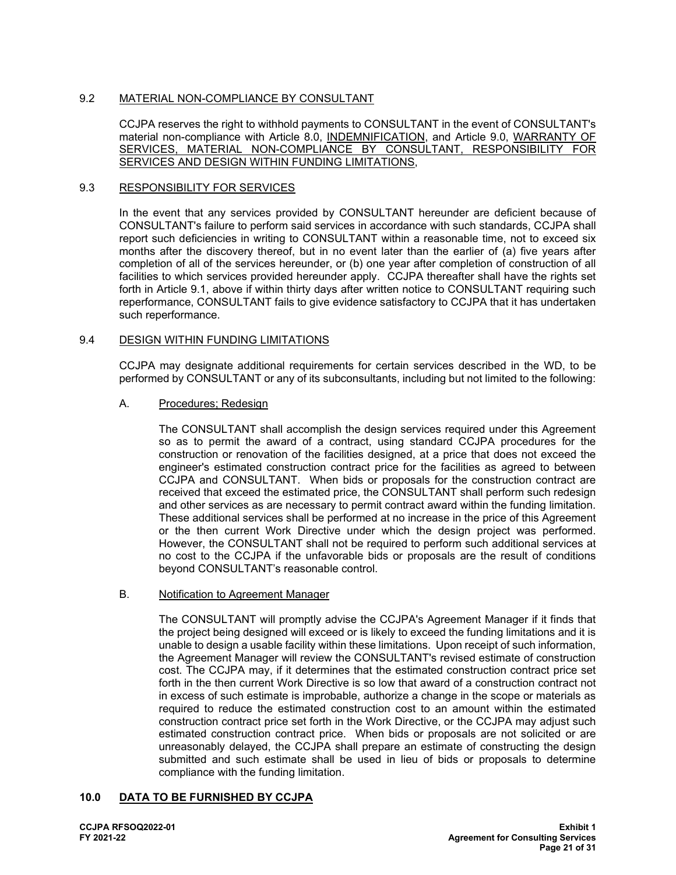### 9.2 MATERIAL NON-COMPLIANCE BY CONSULTANT

CCJPA reserves the right to withhold payments to CONSULTANT in the event of CONSULTANT's material non-compliance with Article 8.0, INDEMNIFICATION, and Article 9.0, WARRANTY OF SERVICES, MATERIAL NON-COMPLIANCE BY CONSULTANT, RESPONSIBILITY FOR SERVICES AND DESIGN WITHIN FUNDING LIMITATIONS,

#### 9.3 RESPONSIBILITY FOR SERVICES

In the event that any services provided by CONSULTANT hereunder are deficient because of CONSULTANT's failure to perform said services in accordance with such standards, CCJPA shall report such deficiencies in writing to CONSULTANT within a reasonable time, not to exceed six months after the discovery thereof, but in no event later than the earlier of (a) five years after completion of all of the services hereunder, or (b) one year after completion of construction of all facilities to which services provided hereunder apply. CCJPA thereafter shall have the rights set forth in Article 9.1, above if within thirty days after written notice to CONSULTANT requiring such reperformance, CONSULTANT fails to give evidence satisfactory to CCJPA that it has undertaken such reperformance.

#### 9.4 DESIGN WITHIN FUNDING LIMITATIONS

CCJPA may designate additional requirements for certain services described in the WD, to be performed by CONSULTANT or any of its subconsultants, including but not limited to the following:

#### A. Procedures; Redesign

The CONSULTANT shall accomplish the design services required under this Agreement so as to permit the award of a contract, using standard CCJPA procedures for the construction or renovation of the facilities designed, at a price that does not exceed the engineer's estimated construction contract price for the facilities as agreed to between CCJPA and CONSULTANT. When bids or proposals for the construction contract are received that exceed the estimated price, the CONSULTANT shall perform such redesign and other services as are necessary to permit contract award within the funding limitation. These additional services shall be performed at no increase in the price of this Agreement or the then current Work Directive under which the design project was performed. However, the CONSULTANT shall not be required to perform such additional services at no cost to the CCJPA if the unfavorable bids or proposals are the result of conditions beyond CONSULTANT's reasonable control.

#### B. Notification to Agreement Manager

The CONSULTANT will promptly advise the CCJPA's Agreement Manager if it finds that the project being designed will exceed or is likely to exceed the funding limitations and it is unable to design a usable facility within these limitations. Upon receipt of such information, the Agreement Manager will review the CONSULTANT's revised estimate of construction cost. The CCJPA may, if it determines that the estimated construction contract price set forth in the then current Work Directive is so low that award of a construction contract not in excess of such estimate is improbable, authorize a change in the scope or materials as required to reduce the estimated construction cost to an amount within the estimated construction contract price set forth in the Work Directive, or the CCJPA may adjust such estimated construction contract price. When bids or proposals are not solicited or are unreasonably delayed, the CCJPA shall prepare an estimate of constructing the design submitted and such estimate shall be used in lieu of bids or proposals to determine compliance with the funding limitation.

#### **10.0 DATA TO BE FURNISHED BY CCJPA**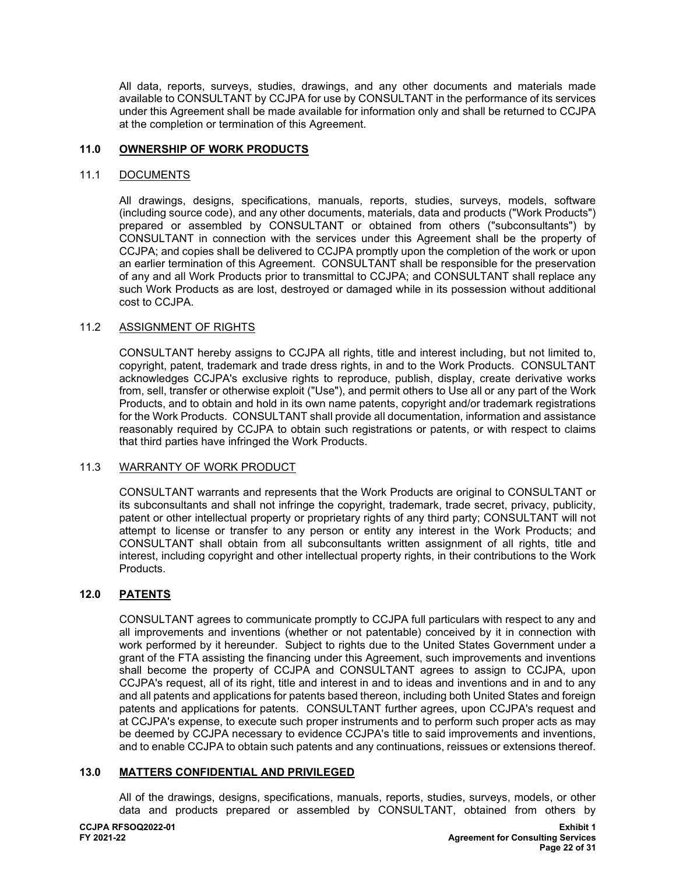All data, reports, surveys, studies, drawings, and any other documents and materials made available to CONSULTANT by CCJPA for use by CONSULTANT in the performance of its services under this Agreement shall be made available for information only and shall be returned to CCJPA at the completion or termination of this Agreement.

## **11.0 OWNERSHIP OF WORK PRODUCTS**

#### 11.1 DOCUMENTS

All drawings, designs, specifications, manuals, reports, studies, surveys, models, software (including source code), and any other documents, materials, data and products ("Work Products") prepared or assembled by CONSULTANT or obtained from others ("subconsultants") by CONSULTANT in connection with the services under this Agreement shall be the property of CCJPA; and copies shall be delivered to CCJPA promptly upon the completion of the work or upon an earlier termination of this Agreement. CONSULTANT shall be responsible for the preservation of any and all Work Products prior to transmittal to CCJPA; and CONSULTANT shall replace any such Work Products as are lost, destroyed or damaged while in its possession without additional cost to CCJPA.

## 11.2 ASSIGNMENT OF RIGHTS

CONSULTANT hereby assigns to CCJPA all rights, title and interest including, but not limited to, copyright, patent, trademark and trade dress rights, in and to the Work Products. CONSULTANT acknowledges CCJPA's exclusive rights to reproduce, publish, display, create derivative works from, sell, transfer or otherwise exploit ("Use"), and permit others to Use all or any part of the Work Products, and to obtain and hold in its own name patents, copyright and/or trademark registrations for the Work Products. CONSULTANT shall provide all documentation, information and assistance reasonably required by CCJPA to obtain such registrations or patents, or with respect to claims that third parties have infringed the Work Products.

#### 11.3 WARRANTY OF WORK PRODUCT

CONSULTANT warrants and represents that the Work Products are original to CONSULTANT or its subconsultants and shall not infringe the copyright, trademark, trade secret, privacy, publicity, patent or other intellectual property or proprietary rights of any third party; CONSULTANT will not attempt to license or transfer to any person or entity any interest in the Work Products; and CONSULTANT shall obtain from all subconsultants written assignment of all rights, title and interest, including copyright and other intellectual property rights, in their contributions to the Work Products.

## **12.0 PATENTS**

CONSULTANT agrees to communicate promptly to CCJPA full particulars with respect to any and all improvements and inventions (whether or not patentable) conceived by it in connection with work performed by it hereunder. Subject to rights due to the United States Government under a grant of the FTA assisting the financing under this Agreement, such improvements and inventions shall become the property of CCJPA and CONSULTANT agrees to assign to CCJPA, upon CCJPA's request, all of its right, title and interest in and to ideas and inventions and in and to any and all patents and applications for patents based thereon, including both United States and foreign patents and applications for patents. CONSULTANT further agrees, upon CCJPA's request and at CCJPA's expense, to execute such proper instruments and to perform such proper acts as may be deemed by CCJPA necessary to evidence CCJPA's title to said improvements and inventions, and to enable CCJPA to obtain such patents and any continuations, reissues or extensions thereof.

### **13.0 MATTERS CONFIDENTIAL AND PRIVILEGED**

All of the drawings, designs, specifications, manuals, reports, studies, surveys, models, or other data and products prepared or assembled by CONSULTANT, obtained from others by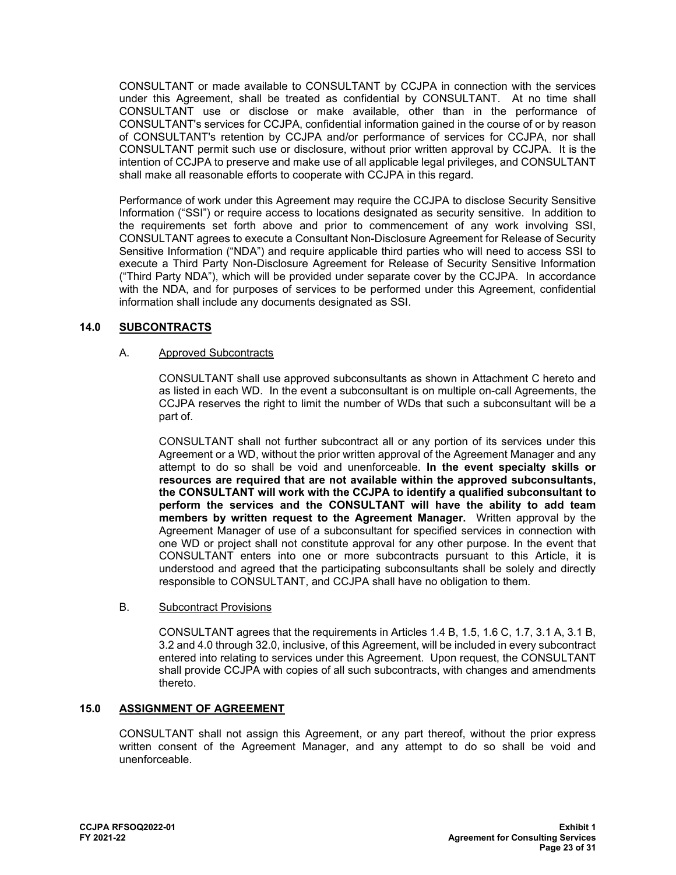CONSULTANT or made available to CONSULTANT by CCJPA in connection with the services under this Agreement, shall be treated as confidential by CONSULTANT. At no time shall CONSULTANT use or disclose or make available, other than in the performance of CONSULTANT's services for CCJPA, confidential information gained in the course of or by reason of CONSULTANT's retention by CCJPA and/or performance of services for CCJPA, nor shall CONSULTANT permit such use or disclosure, without prior written approval by CCJPA. It is the intention of CCJPA to preserve and make use of all applicable legal privileges, and CONSULTANT shall make all reasonable efforts to cooperate with CCJPA in this regard.

Performance of work under this Agreement may require the CCJPA to disclose Security Sensitive Information ("SSI") or require access to locations designated as security sensitive. In addition to the requirements set forth above and prior to commencement of any work involving SSI, CONSULTANT agrees to execute a Consultant Non-Disclosure Agreement for Release of Security Sensitive Information ("NDA") and require applicable third parties who will need to access SSI to execute a Third Party Non-Disclosure Agreement for Release of Security Sensitive Information ("Third Party NDA"), which will be provided under separate cover by the CCJPA. In accordance with the NDA, and for purposes of services to be performed under this Agreement, confidential information shall include any documents designated as SSI.

## **14.0 SUBCONTRACTS**

### A. Approved Subcontracts

CONSULTANT shall use approved subconsultants as shown in Attachment C hereto and as listed in each WD. In the event a subconsultant is on multiple on-call Agreements, the CCJPA reserves the right to limit the number of WDs that such a subconsultant will be a part of.

CONSULTANT shall not further subcontract all or any portion of its services under this Agreement or a WD, without the prior written approval of the Agreement Manager and any attempt to do so shall be void and unenforceable. **In the event specialty skills or resources are required that are not available within the approved subconsultants, the CONSULTANT will work with the CCJPA to identify a qualified subconsultant to perform the services and the CONSULTANT will have the ability to add team members by written request to the Agreement Manager.** Written approval by the Agreement Manager of use of a subconsultant for specified services in connection with one WD or project shall not constitute approval for any other purpose. In the event that CONSULTANT enters into one or more subcontracts pursuant to this Article, it is understood and agreed that the participating subconsultants shall be solely and directly responsible to CONSULTANT, and CCJPA shall have no obligation to them.

#### B. Subcontract Provisions

CONSULTANT agrees that the requirements in Articles 1.4 B, 1.5, 1.6 C, 1.7, 3.1 A, 3.1 B, 3.2 and 4.0 through 32.0, inclusive, of this Agreement, will be included in every subcontract entered into relating to services under this Agreement. Upon request, the CONSULTANT shall provide CCJPA with copies of all such subcontracts, with changes and amendments thereto.

## **15.0 ASSIGNMENT OF AGREEMENT**

CONSULTANT shall not assign this Agreement, or any part thereof, without the prior express written consent of the Agreement Manager, and any attempt to do so shall be void and unenforceable.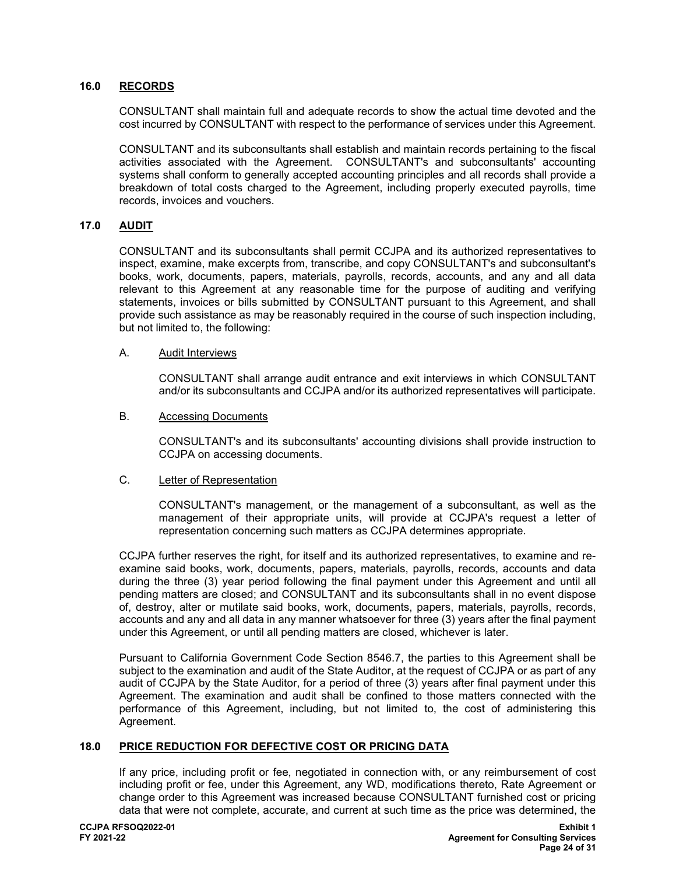## **16.0 RECORDS**

CONSULTANT shall maintain full and adequate records to show the actual time devoted and the cost incurred by CONSULTANT with respect to the performance of services under this Agreement.

CONSULTANT and its subconsultants shall establish and maintain records pertaining to the fiscal activities associated with the Agreement. CONSULTANT's and subconsultants' accounting systems shall conform to generally accepted accounting principles and all records shall provide a breakdown of total costs charged to the Agreement, including properly executed payrolls, time records, invoices and vouchers.

### **17.0 AUDIT**

CONSULTANT and its subconsultants shall permit CCJPA and its authorized representatives to inspect, examine, make excerpts from, transcribe, and copy CONSULTANT's and subconsultant's books, work, documents, papers, materials, payrolls, records, accounts, and any and all data relevant to this Agreement at any reasonable time for the purpose of auditing and verifying statements, invoices or bills submitted by CONSULTANT pursuant to this Agreement, and shall provide such assistance as may be reasonably required in the course of such inspection including, but not limited to, the following:

#### A. Audit Interviews

CONSULTANT shall arrange audit entrance and exit interviews in which CONSULTANT and/or its subconsultants and CCJPA and/or its authorized representatives will participate.

#### B. Accessing Documents

CONSULTANT's and its subconsultants' accounting divisions shall provide instruction to CCJPA on accessing documents.

#### C. Letter of Representation

CONSULTANT's management, or the management of a subconsultant, as well as the management of their appropriate units, will provide at CCJPA's request a letter of representation concerning such matters as CCJPA determines appropriate.

CCJPA further reserves the right, for itself and its authorized representatives, to examine and reexamine said books, work, documents, papers, materials, payrolls, records, accounts and data during the three (3) year period following the final payment under this Agreement and until all pending matters are closed; and CONSULTANT and its subconsultants shall in no event dispose of, destroy, alter or mutilate said books, work, documents, papers, materials, payrolls, records, accounts and any and all data in any manner whatsoever for three (3) years after the final payment under this Agreement, or until all pending matters are closed, whichever is later.

Pursuant to California Government Code Section 8546.7, the parties to this Agreement shall be subject to the examination and audit of the State Auditor, at the request of CCJPA or as part of any audit of CCJPA by the State Auditor, for a period of three (3) years after final payment under this Agreement. The examination and audit shall be confined to those matters connected with the performance of this Agreement, including, but not limited to, the cost of administering this Agreement.

### **18.0 PRICE REDUCTION FOR DEFECTIVE COST OR PRICING DATA**

If any price, including profit or fee, negotiated in connection with, or any reimbursement of cost including profit or fee, under this Agreement, any WD, modifications thereto, Rate Agreement or change order to this Agreement was increased because CONSULTANT furnished cost or pricing data that were not complete, accurate, and current at such time as the price was determined, the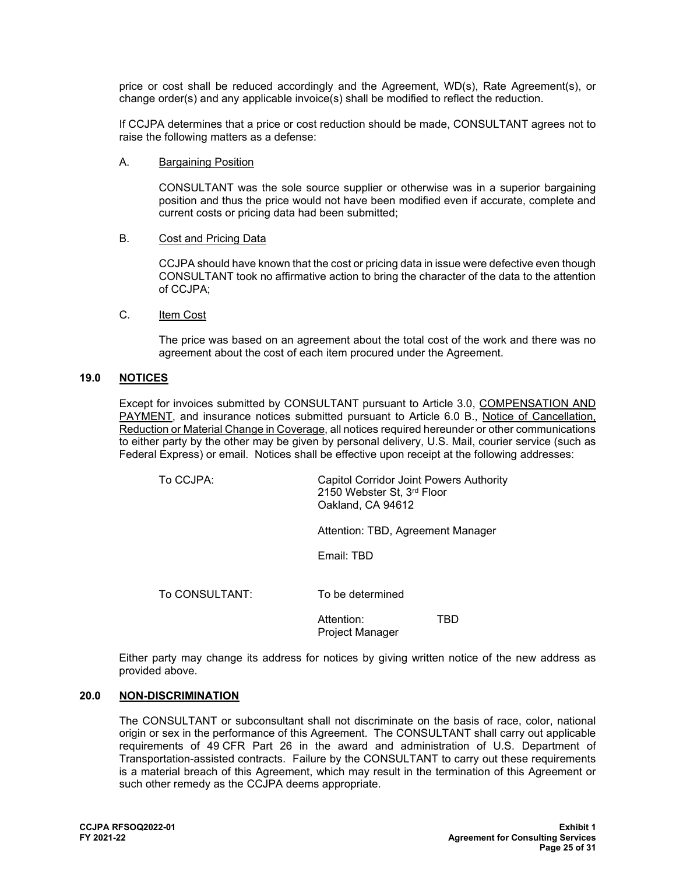price or cost shall be reduced accordingly and the Agreement, WD(s), Rate Agreement(s), or change order(s) and any applicable invoice(s) shall be modified to reflect the reduction.

If CCJPA determines that a price or cost reduction should be made, CONSULTANT agrees not to raise the following matters as a defense:

A. Bargaining Position

CONSULTANT was the sole source supplier or otherwise was in a superior bargaining position and thus the price would not have been modified even if accurate, complete and current costs or pricing data had been submitted;

B. Cost and Pricing Data

CCJPA should have known that the cost or pricing data in issue were defective even though CONSULTANT took no affirmative action to bring the character of the data to the attention of CCJPA;

C. Item Cost

The price was based on an agreement about the total cost of the work and there was no agreement about the cost of each item procured under the Agreement.

#### **19.0 NOTICES**

Except for invoices submitted by CONSULTANT pursuant to Article 3.0, COMPENSATION AND PAYMENT, and insurance notices submitted pursuant to Article 6.0 B., Notice of Cancellation, Reduction or Material Change in Coverage, all notices required hereunder or other communications to either party by the other may be given by personal delivery, U.S. Mail, courier service (such as Federal Express) or email. Notices shall be effective upon receipt at the following addresses:

To CCJPA: Capitol Corridor Joint Powers Authority 2150 Webster St, 3rd Floor Oakland, CA 94612

Attention: TBD, Agreement Manager

Email: TBD

To CONSULTANT: To be determined

Attention: TBD Project Manager

Either party may change its address for notices by giving written notice of the new address as provided above.

#### **20.0 NON-DISCRIMINATION**

The CONSULTANT or subconsultant shall not discriminate on the basis of race, color, national origin or sex in the performance of this Agreement. The CONSULTANT shall carry out applicable requirements of 49 CFR Part 26 in the award and administration of U.S. Department of Transportation-assisted contracts. Failure by the CONSULTANT to carry out these requirements is a material breach of this Agreement, which may result in the termination of this Agreement or such other remedy as the CCJPA deems appropriate.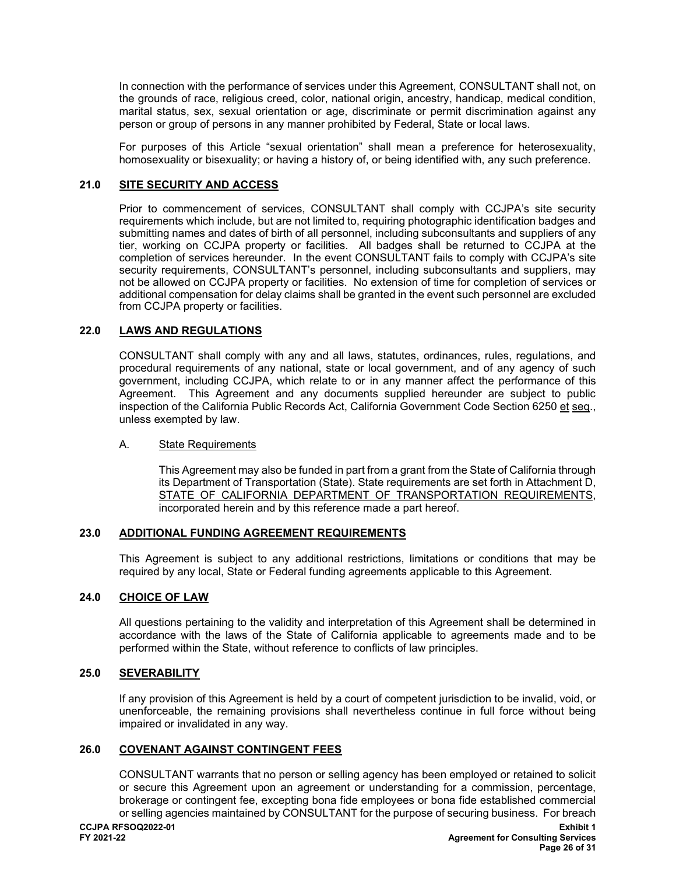In connection with the performance of services under this Agreement, CONSULTANT shall not, on the grounds of race, religious creed, color, national origin, ancestry, handicap, medical condition, marital status, sex, sexual orientation or age, discriminate or permit discrimination against any person or group of persons in any manner prohibited by Federal, State or local laws.

For purposes of this Article "sexual orientation" shall mean a preference for heterosexuality, homosexuality or bisexuality; or having a history of, or being identified with, any such preference.

## **21.0 SITE SECURITY AND ACCESS**

Prior to commencement of services, CONSULTANT shall comply with CCJPA's site security requirements which include, but are not limited to, requiring photographic identification badges and submitting names and dates of birth of all personnel, including subconsultants and suppliers of any tier, working on CCJPA property or facilities. All badges shall be returned to CCJPA at the completion of services hereunder. In the event CONSULTANT fails to comply with CCJPA's site security requirements, CONSULTANT's personnel, including subconsultants and suppliers, may not be allowed on CCJPA property or facilities. No extension of time for completion of services or additional compensation for delay claims shall be granted in the event such personnel are excluded from CCJPA property or facilities.

## **22.0 LAWS AND REGULATIONS**

CONSULTANT shall comply with any and all laws, statutes, ordinances, rules, regulations, and procedural requirements of any national, state or local government, and of any agency of such government, including CCJPA, which relate to or in any manner affect the performance of this Agreement. This Agreement and any documents supplied hereunder are subject to public inspection of the California Public Records Act, California Government Code Section 6250 et seq., unless exempted by law.

## A. State Requirements

This Agreement may also be funded in part from a grant from the State of California through its Department of Transportation (State). State requirements are set forth in Attachment D, STATE OF CALIFORNIA DEPARTMENT OF TRANSPORTATION REQUIREMENTS, incorporated herein and by this reference made a part hereof.

## **23.0 ADDITIONAL FUNDING AGREEMENT REQUIREMENTS**

This Agreement is subject to any additional restrictions, limitations or conditions that may be required by any local, State or Federal funding agreements applicable to this Agreement.

## **24.0 CHOICE OF LAW**

All questions pertaining to the validity and interpretation of this Agreement shall be determined in accordance with the laws of the State of California applicable to agreements made and to be performed within the State, without reference to conflicts of law principles.

## **25.0 SEVERABILITY**

If any provision of this Agreement is held by a court of competent jurisdiction to be invalid, void, or unenforceable, the remaining provisions shall nevertheless continue in full force without being impaired or invalidated in any way.

### **26.0 COVENANT AGAINST CONTINGENT FEES**

CONSULTANT warrants that no person or selling agency has been employed or retained to solicit or secure this Agreement upon an agreement or understanding for a commission, percentage, brokerage or contingent fee, excepting bona fide employees or bona fide established commercial or selling agencies maintained by CONSULTANT for the purpose of securing business. For breach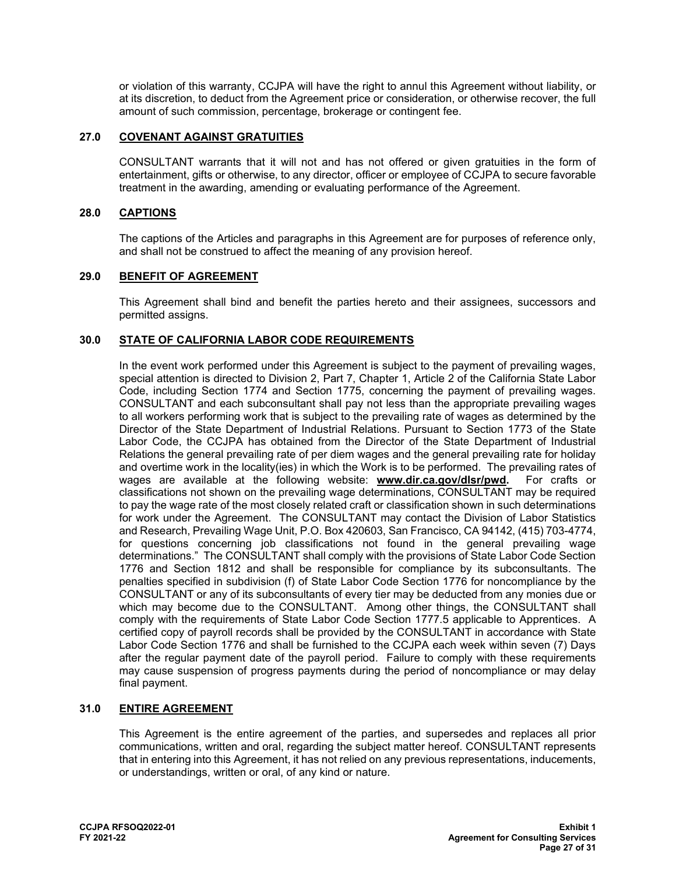or violation of this warranty, CCJPA will have the right to annul this Agreement without liability, or at its discretion, to deduct from the Agreement price or consideration, or otherwise recover, the full amount of such commission, percentage, brokerage or contingent fee.

## **27.0 COVENANT AGAINST GRATUITIES**

CONSULTANT warrants that it will not and has not offered or given gratuities in the form of entertainment, gifts or otherwise, to any director, officer or employee of CCJPA to secure favorable treatment in the awarding, amending or evaluating performance of the Agreement.

### **28.0 CAPTIONS**

The captions of the Articles and paragraphs in this Agreement are for purposes of reference only, and shall not be construed to affect the meaning of any provision hereof.

## **29.0 BENEFIT OF AGREEMENT**

This Agreement shall bind and benefit the parties hereto and their assignees, successors and permitted assigns.

### **30.0 STATE OF CALIFORNIA LABOR CODE REQUIREMENTS**

In the event work performed under this Agreement is subject to the payment of prevailing wages, special attention is directed to Division 2, Part 7, Chapter 1, Article 2 of the California State Labor Code, including Section 1774 and Section 1775, concerning the payment of prevailing wages. CONSULTANT and each subconsultant shall pay not less than the appropriate prevailing wages to all workers performing work that is subject to the prevailing rate of wages as determined by the Director of the State Department of Industrial Relations. Pursuant to Section 1773 of the State Labor Code, the CCJPA has obtained from the Director of the State Department of Industrial Relations the general prevailing rate of per diem wages and the general prevailing rate for holiday and overtime work in the locality(ies) in which the Work is to be performed. The prevailing rates of wages are available at the following website: **[www.dir.ca.gov/dlsr/pwd.](http://www.dir.ca.gov/dlsr/pwd)** For crafts or classifications not shown on the prevailing wage determinations, CONSULTANT may be required to pay the wage rate of the most closely related craft or classification shown in such determinations for work under the Agreement. The CONSULTANT may contact the Division of Labor Statistics and Research, Prevailing Wage Unit, P.O. Box 420603, San Francisco, CA 94142, (415) 703-4774, for questions concerning job classifications not found in the general prevailing wage determinations." The CONSULTANT shall comply with the provisions of State Labor Code Section 1776 and Section 1812 and shall be responsible for compliance by its subconsultants. The penalties specified in subdivision (f) of State Labor Code Section 1776 for noncompliance by the CONSULTANT or any of its subconsultants of every tier may be deducted from any monies due or which may become due to the CONSULTANT. Among other things, the CONSULTANT shall comply with the requirements of State Labor Code Section 1777.5 applicable to Apprentices. A certified copy of payroll records shall be provided by the CONSULTANT in accordance with State Labor Code Section 1776 and shall be furnished to the CCJPA each week within seven (7) Days after the regular payment date of the payroll period. Failure to comply with these requirements may cause suspension of progress payments during the period of noncompliance or may delay final payment.

#### **31.0 ENTIRE AGREEMENT**

This Agreement is the entire agreement of the parties, and supersedes and replaces all prior communications, written and oral, regarding the subject matter hereof. CONSULTANT represents that in entering into this Agreement, it has not relied on any previous representations, inducements, or understandings, written or oral, of any kind or nature.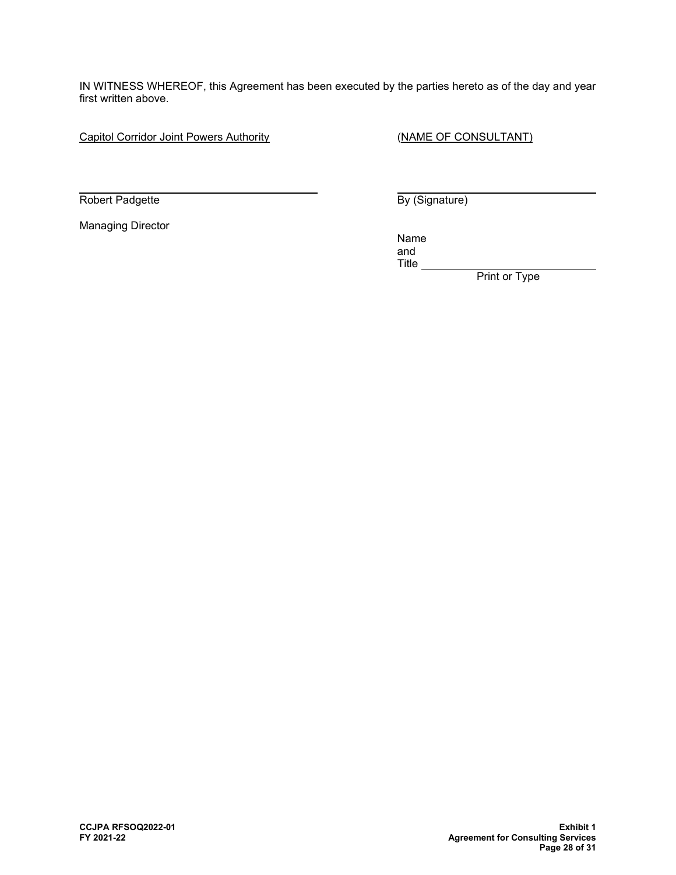IN WITNESS WHEREOF, this Agreement has been executed by the parties hereto as of the day and year first written above.

Capitol Corridor Joint Powers Authority **CALC 1988** (NAME OF CONSULTANT)

 $\ddot{\phantom{a}}$ Robert Padgette **By (Signature) By (Signature)** 

Managing Director

name in the contract of the contract of the contract of the contract of the contract of the contract of the con and Title

**Print or Type**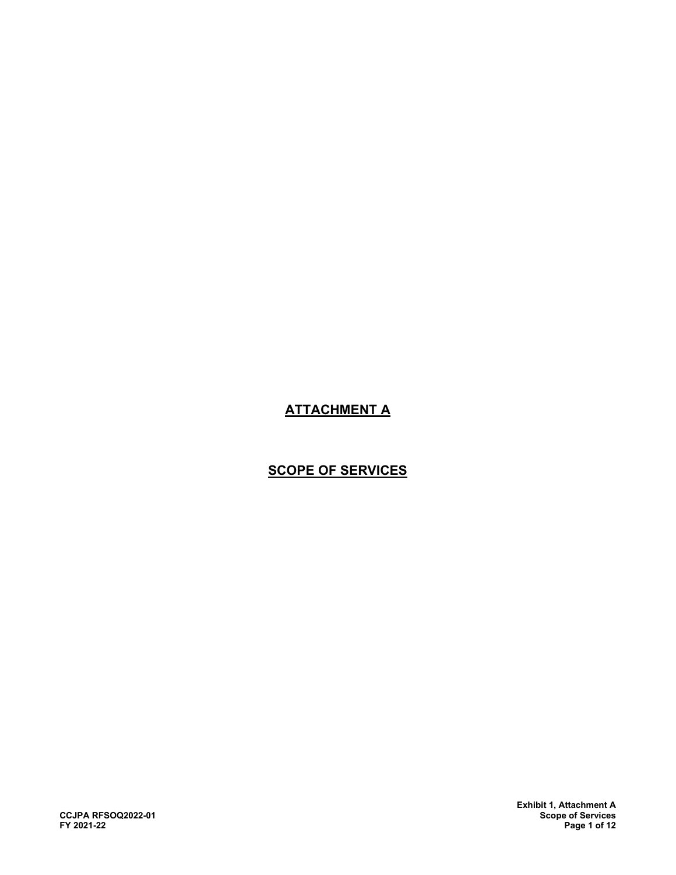# **ATTACHMENT A**

## **SCOPE OF SERVICES**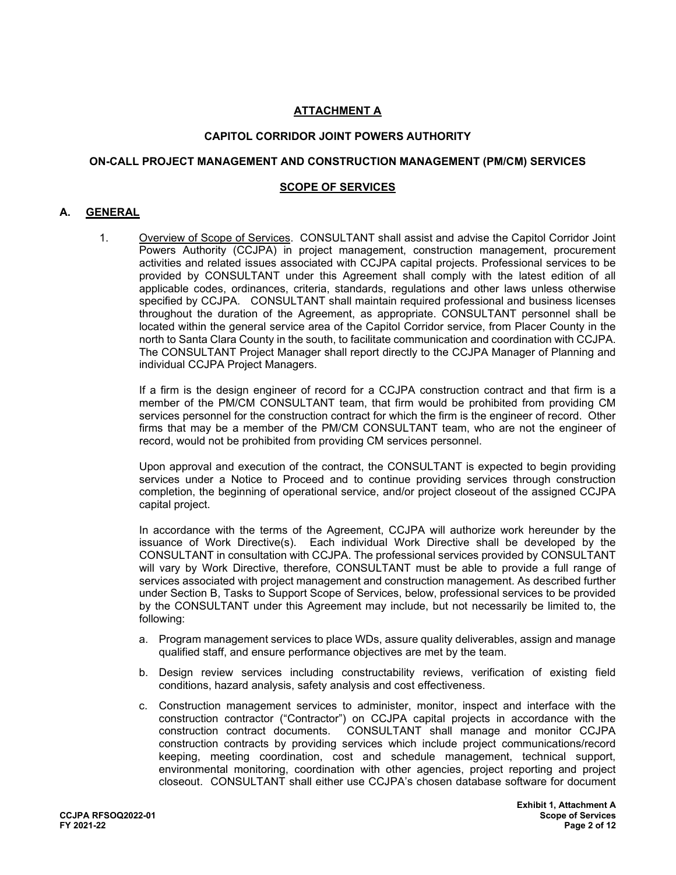## **ATTACHMENT A**

## **CAPITOL CORRIDOR JOINT POWERS AUTHORITY**

#### **ON-CALL PROJECT MANAGEMENT AND CONSTRUCTION MANAGEMENT (PM/CM) SERVICES**

#### **SCOPE OF SERVICES**

### **A. GENERAL**

1. Overview of Scope of Services. CONSULTANT shall assist and advise the Capitol Corridor Joint Powers Authority (CCJPA) in project management, construction management, procurement activities and related issues associated with CCJPA capital projects. Professional services to be provided by CONSULTANT under this Agreement shall comply with the latest edition of all applicable codes, ordinances, criteria, standards, regulations and other laws unless otherwise specified by CCJPA. CONSULTANT shall maintain required professional and business licenses throughout the duration of the Agreement, as appropriate. CONSULTANT personnel shall be located within the general service area of the Capitol Corridor service, from Placer County in the north to Santa Clara County in the south, to facilitate communication and coordination with CCJPA. The CONSULTANT Project Manager shall report directly to the CCJPA Manager of Planning and individual CCJPA Project Managers.

If a firm is the design engineer of record for a CCJPA construction contract and that firm is a member of the PM/CM CONSULTANT team, that firm would be prohibited from providing CM services personnel for the construction contract for which the firm is the engineer of record. Other firms that may be a member of the PM/CM CONSULTANT team, who are not the engineer of record, would not be prohibited from providing CM services personnel.

Upon approval and execution of the contract, the CONSULTANT is expected to begin providing services under a Notice to Proceed and to continue providing services through construction completion, the beginning of operational service, and/or project closeout of the assigned CCJPA capital project.

In accordance with the terms of the Agreement, CCJPA will authorize work hereunder by the issuance of Work Directive(s). Each individual Work Directive shall be developed by the CONSULTANT in consultation with CCJPA. The professional services provided by CONSULTANT will vary by Work Directive, therefore, CONSULTANT must be able to provide a full range of services associated with project management and construction management. As described further under Section B, Tasks to Support Scope of Services, below, professional services to be provided by the CONSULTANT under this Agreement may include, but not necessarily be limited to, the following:

- a. Program management services to place WDs, assure quality deliverables, assign and manage qualified staff, and ensure performance objectives are met by the team.
- b. Design review services including constructability reviews, verification of existing field conditions, hazard analysis, safety analysis and cost effectiveness.
- c. Construction management services to administer, monitor, inspect and interface with the construction contractor ("Contractor") on CCJPA capital projects in accordance with the construction contract documents. CONSULTANT shall manage and monitor CCJPA construction contracts by providing services which include project communications/record keeping, meeting coordination, cost and schedule management, technical support, environmental monitoring, coordination with other agencies, project reporting and project closeout. CONSULTANT shall either use CCJPA's chosen database software for document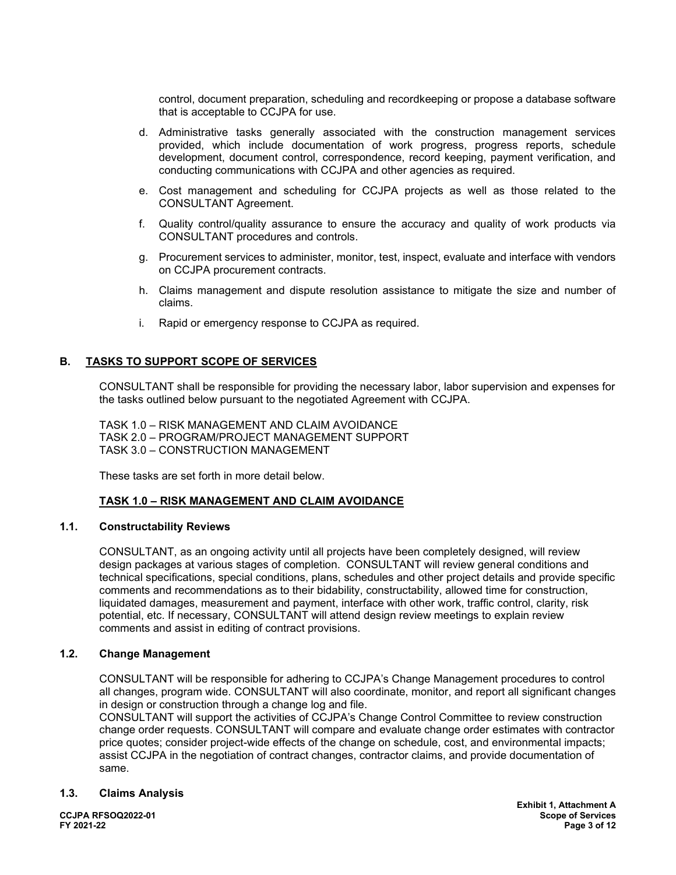control, document preparation, scheduling and recordkeeping or propose a database software that is acceptable to CCJPA for use.

- d. Administrative tasks generally associated with the construction management services provided, which include documentation of work progress, progress reports, schedule development, document control, correspondence, record keeping, payment verification, and conducting communications with CCJPA and other agencies as required.
- e. Cost management and scheduling for CCJPA projects as well as those related to the CONSULTANT Agreement.
- f. Quality control/quality assurance to ensure the accuracy and quality of work products via CONSULTANT procedures and controls.
- g. Procurement services to administer, monitor, test, inspect, evaluate and interface with vendors on CCJPA procurement contracts.
- h. Claims management and dispute resolution assistance to mitigate the size and number of claims.
- i. Rapid or emergency response to CCJPA as required.

## **B. TASKS TO SUPPORT SCOPE OF SERVICES**

CONSULTANT shall be responsible for providing the necessary labor, labor supervision and expenses for the tasks outlined below pursuant to the negotiated Agreement with CCJPA.

TASK 1.0 – RISK MANAGEMENT AND CLAIM AVOIDANCE TASK 2.0 – PROGRAM/PROJECT MANAGEMENT SUPPORT TASK 3.0 – CONSTRUCTION MANAGEMENT

These tasks are set forth in more detail below.

## **TASK 1.0 – RISK MANAGEMENT AND CLAIM AVOIDANCE**

#### **1.1. Constructability Reviews**

CONSULTANT, as an ongoing activity until all projects have been completely designed, will review design packages at various stages of completion. CONSULTANT will review general conditions and technical specifications, special conditions, plans, schedules and other project details and provide specific comments and recommendations as to their bidability, constructability, allowed time for construction, liquidated damages, measurement and payment, interface with other work, traffic control, clarity, risk potential, etc. If necessary, CONSULTANT will attend design review meetings to explain review comments and assist in editing of contract provisions.

#### **1.2. Change Management**

CONSULTANT will be responsible for adhering to CCJPA's Change Management procedures to control all changes, program wide. CONSULTANT will also coordinate, monitor, and report all significant changes in design or construction through a change log and file.

CONSULTANT will support the activities of CCJPA's Change Control Committee to review construction change order requests. CONSULTANT will compare and evaluate change order estimates with contractor price quotes; consider project-wide effects of the change on schedule, cost, and environmental impacts; assist CCJPA in the negotiation of contract changes, contractor claims, and provide documentation of same.

#### **1.3. Claims Analysis**

**Exhibit 1, Attachment A CCJPA RFSOQ2022-01 Scope of Services FY 2021-22 Page 3 of 12**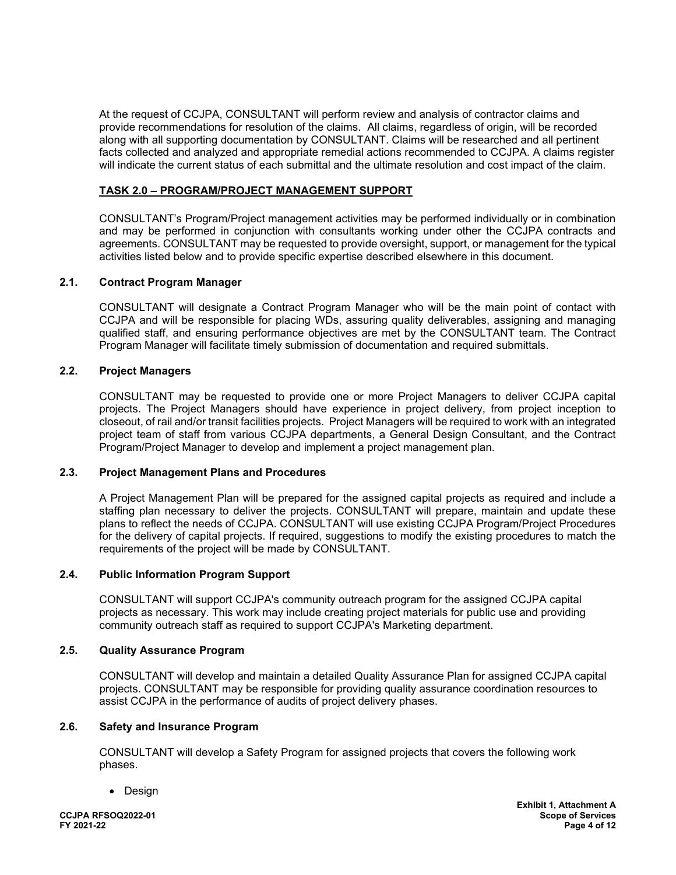At the request of CCJPA, CONSULTANT will perform review and analysis of contractor claims and provide recommendations for resolution of the claims. All claims, regardless of origin, will be recorded along with all supporting documentation by CONSULTANT. Claims will be researched and all pertinent facts collected and analyzed and appropriate remedial actions recommended to CCJPA. A claims register will indicate the current status of each submittal and the ultimate resolution and cost impact of the claim.

## **TASK 2.0 – PROGRAM/PROJECT MANAGEMENT SUPPORT**

CONSULTANT's Program/Project management activities may be performed individually or in combination and may be performed in conjunction with consultants working under other the CCJPA contracts and agreements. CONSULTANT may be requested to provide oversight, support, or management for the typical activities listed below and to provide specific expertise described elsewhere in this document.

#### **2.1. Contract Program Manager**

CONSULTANT will designate a Contract Program Manager who will be the main point of contact with CCJPA and will be responsible for placing WDs, assuring quality deliverables, assigning and managing qualified staff, and ensuring performance objectives are met by the CONSULTANT team. The Contract Program Manager will facilitate timely submission of documentation and required submittals.

#### **2.2. Project Managers**

CONSULTANT may be requested to provide one or more Project Managers to deliver CCJPA capital projects. The Project Managers should have experience in project delivery, from project inception to closeout, of rail and/or transit facilities projects. Project Managers will be required to work with an integrated project team of staff from various CCJPA departments, a General Design Consultant, and the Contract Program/Project Manager to develop and implement a project management plan.

### **2.3. Project Management Plans and Procedures**

A Project Management Plan will be prepared for the assigned capital projects as required and include a staffing plan necessary to deliver the projects. CONSULTANT will prepare, maintain and update these plans to reflect the needs of CCJPA. CONSULTANT will use existing CCJPA Program/Project Procedures for the delivery of capital projects. If required, suggestions to modify the existing procedures to match the requirements of the project will be made by CONSULTANT.

#### **2.4. Public Information Program Support**

CONSULTANT will support CCJPA's community outreach program for the assigned CCJPA capital projects as necessary. This work may include creating project materials for public use and providing community outreach staff as required to support CCJPA's Marketing department.

#### **2.5. Quality Assurance Program**

CONSULTANT will develop and maintain a detailed Quality Assurance Plan for assigned CCJPA capital projects. CONSULTANT may be responsible for providing quality assurance coordination resources to assist CCJPA in the performance of audits of project delivery phases.

#### **2.6. Safety and Insurance Program**

CONSULTANT will develop a Safety Program for assigned projects that covers the following work phases.

• Design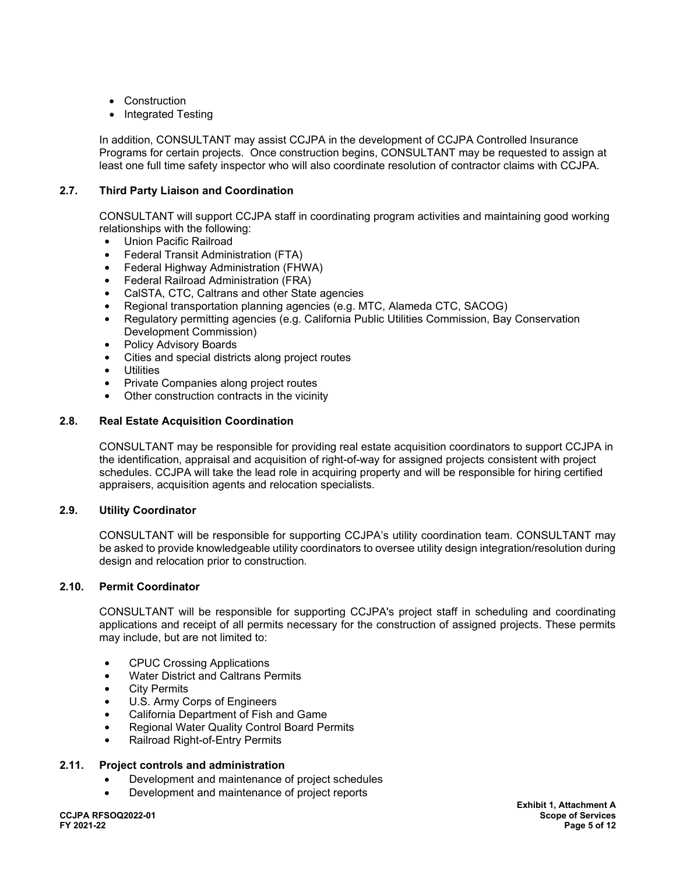- Construction
- Integrated Testing

In addition, CONSULTANT may assist CCJPA in the development of CCJPA Controlled Insurance Programs for certain projects. Once construction begins, CONSULTANT may be requested to assign at least one full time safety inspector who will also coordinate resolution of contractor claims with CCJPA.

## **2.7. Third Party Liaison and Coordination**

CONSULTANT will support CCJPA staff in coordinating program activities and maintaining good working relationships with the following:

- **•** Union Pacific Railroad
- **•** Federal Transit Administration (FTA)
- **•** Federal Highway Administration (FHWA)
- **•** Federal Railroad Administration (FRA)
- **•** CalSTA, CTC, Caltrans and other State agencies
- **•** Regional transportation planning agencies (e.g. MTC, Alameda CTC, SACOG)
- **•** Regulatory permitting agencies (e.g. California Public Utilities Commission, Bay Conservation Development Commission)
- **•** Policy Advisory Boards
- **•** Cities and special districts along project routes
- **•** Utilities
- **•** Private Companies along project routes
- **•** Other construction contracts in the vicinity

## **2.8. Real Estate Acquisition Coordination**

CONSULTANT may be responsible for providing real estate acquisition coordinators to support CCJPA in the identification, appraisal and acquisition of right-of-way for assigned projects consistent with project schedules. CCJPA will take the lead role in acquiring property and will be responsible for hiring certified appraisers, acquisition agents and relocation specialists.

## **2.9. Utility Coordinator**

CONSULTANT will be responsible for supporting CCJPA's utility coordination team. CONSULTANT may be asked to provide knowledgeable utility coordinators to oversee utility design integration/resolution during design and relocation prior to construction.

## **2.10. Permit Coordinator**

CONSULTANT will be responsible for supporting CCJPA's project staff in scheduling and coordinating applications and receipt of all permits necessary for the construction of assigned projects. These permits may include, but are not limited to:

- **•** CPUC Crossing Applications
- **•** Water District and Caltrans Permits
- **•** City Permits
- **•** U.S. Army Corps of Engineers
- **•** California Department of Fish and Game
- **•** Regional Water Quality Control Board Permits
- **•** Railroad Right-of-Entry Permits

#### **2.11. Project controls and administration**

- Development and maintenance of project schedules
- Development and maintenance of project reports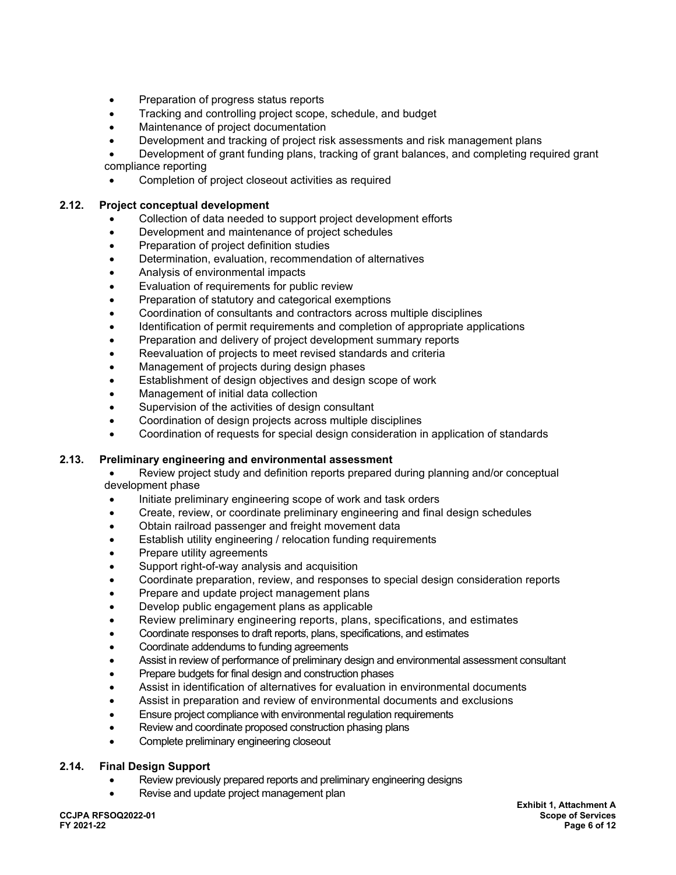- Preparation of progress status reports
- Tracking and controlling project scope, schedule, and budget
- Maintenance of project documentation
- Development and tracking of project risk assessments and risk management plans

• Development of grant funding plans, tracking of grant balances, and completing required grant compliance reporting

• Completion of project closeout activities as required

## **2.12. Project conceptual development**

- Collection of data needed to support project development efforts
- Development and maintenance of project schedules
- Preparation of project definition studies
- Determination, evaluation, recommendation of alternatives
- Analysis of environmental impacts
- Evaluation of requirements for public review
- Preparation of statutory and categorical exemptions
- Coordination of consultants and contractors across multiple disciplines
- Identification of permit requirements and completion of appropriate applications
- Preparation and delivery of project development summary reports
- Reevaluation of projects to meet revised standards and criteria
- Management of projects during design phases
- Establishment of design objectives and design scope of work
- Management of initial data collection
- Supervision of the activities of design consultant
- Coordination of design projects across multiple disciplines
- Coordination of requests for special design consideration in application of standards

#### **2.13. Preliminary engineering and environmental assessment**

• Review project study and definition reports prepared during planning and/or conceptual development phase

- Initiate preliminary engineering scope of work and task orders
- Create, review, or coordinate preliminary engineering and final design schedules
- Obtain railroad passenger and freight movement data
- Establish utility engineering / relocation funding requirements
- Prepare utility agreements
- Support right-of-way analysis and acquisition
- Coordinate preparation, review, and responses to special design consideration reports
- Prepare and update project management plans
- Develop public engagement plans as applicable
- Review preliminary engineering reports, plans, specifications, and estimates
- Coordinate responses to draft reports, plans, specifications, and estimates
- Coordinate addendums to funding agreements
- Assist in review of performance of preliminary design and environmental assessment consultant
- Prepare budgets for final design and construction phases
- Assist in identification of alternatives for evaluation in environmental documents
- Assist in preparation and review of environmental documents and exclusions
- Ensure project compliance with environmental regulation requirements
- Review and coordinate proposed construction phasing plans
- Complete preliminary engineering closeout

#### **2.14. Final Design Support**

- Review previously prepared reports and preliminary engineering designs
- Revise and update project management plan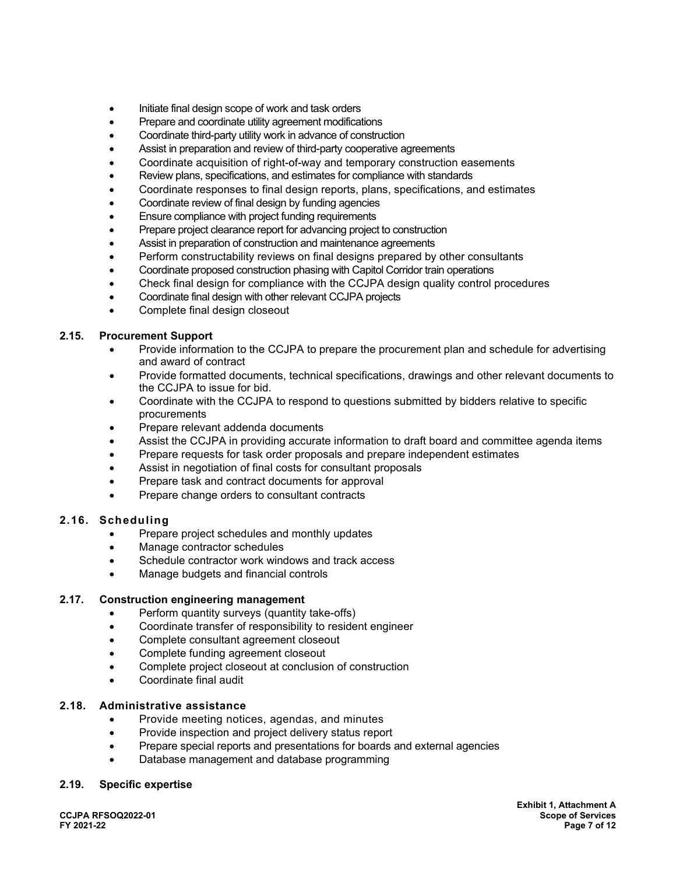- Initiate final design scope of work and task orders
- Prepare and coordinate utility agreement modifications
- Coordinate third-party utility work in advance of construction
- Assist in preparation and review of third-party cooperative agreements
- Coordinate acquisition of right-of-way and temporary construction easements
- Review plans, specifications, and estimates for compliance with standards
- Coordinate responses to final design reports, plans, specifications, and estimates
- Coordinate review of final design by funding agencies
- Ensure compliance with project funding requirements
- Prepare project clearance report for advancing project to construction
- Assist in preparation of construction and maintenance agreements
- Perform constructability reviews on final designs prepared by other consultants
- Coordinate proposed construction phasing with Capitol Corridor train operations
- Check final design for compliance with the CCJPA design quality control procedures
- Coordinate final design with other relevant CCJPA projects
- Complete final design closeout

### **2.15. Procurement Support**

- Provide information to the CCJPA to prepare the procurement plan and schedule for advertising and award of contract
- Provide formatted documents, technical specifications, drawings and other relevant documents to the CCJPA to issue for bid.
- Coordinate with the CCJPA to respond to questions submitted by bidders relative to specific procurements
- Prepare relevant addenda documents
- Assist the CCJPA in providing accurate information to draft board and committee agenda items
- Prepare requests for task order proposals and prepare independent estimates
- Assist in negotiation of final costs for consultant proposals
- Prepare task and contract documents for approval
- Prepare change orders to consultant contracts

## **2.16. Scheduling**

- Prepare project schedules and monthly updates
- Manage contractor schedules
- Schedule contractor work windows and track access
- Manage budgets and financial controls

#### **2.17. Construction engineering management**

- Perform quantity surveys (quantity take-offs)
- Coordinate transfer of responsibility to resident engineer
- Complete consultant agreement closeout
- Complete funding agreement closeout
- Complete project closeout at conclusion of construction
- Coordinate final audit

### **2.18. Administrative assistance**

- Provide meeting notices, agendas, and minutes
- Provide inspection and project delivery status report
- Prepare special reports and presentations for boards and external agencies
- Database management and database programming

#### **2.19. Specific expertise**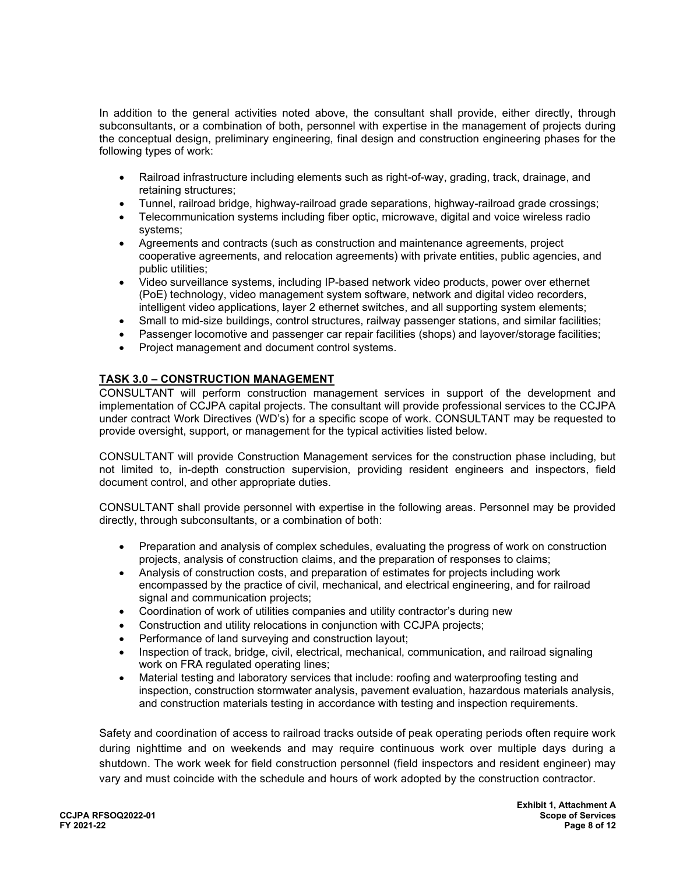In addition to the general activities noted above, the consultant shall provide, either directly, through subconsultants, or a combination of both, personnel with expertise in the management of projects during the conceptual design, preliminary engineering, final design and construction engineering phases for the following types of work:

- Railroad infrastructure including elements such as right-of-way, grading, track, drainage, and retaining structures;
- Tunnel, railroad bridge, highway-railroad grade separations, highway-railroad grade crossings;
- Telecommunication systems including fiber optic, microwave, digital and voice wireless radio systems;
- Agreements and contracts (such as construction and maintenance agreements, project cooperative agreements, and relocation agreements) with private entities, public agencies, and public utilities;
- Video surveillance systems, including IP-based network video products, power over ethernet (PoE) technology, video management system software, network and digital video recorders, intelligent video applications, layer 2 ethernet switches, and all supporting system elements;
- Small to mid-size buildings, control structures, railway passenger stations, and similar facilities;
- Passenger locomotive and passenger car repair facilities (shops) and layover/storage facilities;
- Project management and document control systems.

## **TASK 3.0 – CONSTRUCTION MANAGEMENT**

CONSULTANT will perform construction management services in support of the development and implementation of CCJPA capital projects. The consultant will provide professional services to the CCJPA under contract Work Directives (WD's) for a specific scope of work. CONSULTANT may be requested to provide oversight, support, or management for the typical activities listed below.

CONSULTANT will provide Construction Management services for the construction phase including, but not limited to, in-depth construction supervision, providing resident engineers and inspectors, field document control, and other appropriate duties.

CONSULTANT shall provide personnel with expertise in the following areas. Personnel may be provided directly, through subconsultants, or a combination of both:

- Preparation and analysis of complex schedules, evaluating the progress of work on construction projects, analysis of construction claims, and the preparation of responses to claims;
- Analysis of construction costs, and preparation of estimates for projects including work encompassed by the practice of civil, mechanical, and electrical engineering, and for railroad signal and communication projects;
- Coordination of work of utilities companies and utility contractor's during new
- Construction and utility relocations in conjunction with CCJPA projects;
- Performance of land surveying and construction layout;
- Inspection of track, bridge, civil, electrical, mechanical, communication, and railroad signaling work on FRA regulated operating lines;
- Material testing and laboratory services that include: roofing and waterproofing testing and inspection, construction stormwater analysis, pavement evaluation, hazardous materials analysis, and construction materials testing in accordance with testing and inspection requirements.

Safety and coordination of access to railroad tracks outside of peak operating periods often require work during nighttime and on weekends and may require continuous work over multiple days during a shutdown. The work week for field construction personnel (field inspectors and resident engineer) may vary and must coincide with the schedule and hours of work adopted by the construction contractor.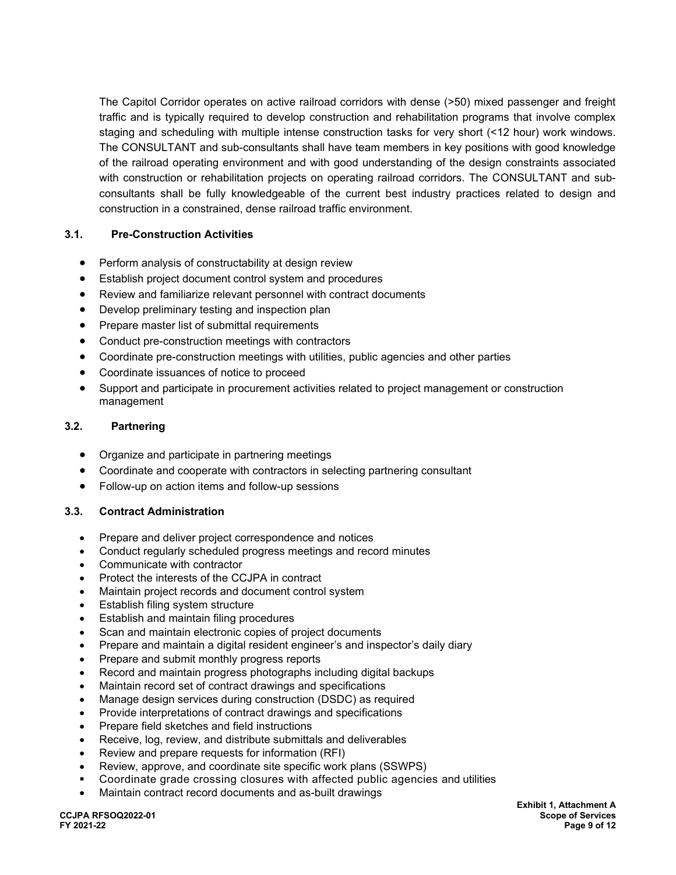The Capitol Corridor operates on active railroad corridors with dense (>50) mixed passenger and freight traffic and is typically required to develop construction and rehabilitation programs that involve complex staging and scheduling with multiple intense construction tasks for very short (<12 hour) work windows. The CONSULTANT and sub-consultants shall have team members in key positions with good knowledge of the railroad operating environment and with good understanding of the design constraints associated with construction or rehabilitation projects on operating railroad corridors. The CONSULTANT and subconsultants shall be fully knowledgeable of the current best industry practices related to design and construction in a constrained, dense railroad traffic environment.

## **3.1. Pre-Construction Activities**

- Perform analysis of constructability at design review
- Establish project document control system and procedures
- Review and familiarize relevant personnel with contract documents
- Develop preliminary testing and inspection plan
- Prepare master list of submittal requirements
- Conduct pre-construction meetings with contractors
- Coordinate pre-construction meetings with utilities, public agencies and other parties
- Coordinate issuances of notice to proceed
- Support and participate in procurement activities related to project management or construction management

## **3.2. Partnering**

- Organize and participate in partnering meetings
- Coordinate and cooperate with contractors in selecting partnering consultant
- Follow-up on action items and follow-up sessions

## **3.3. Contract Administration**

- Prepare and deliver project correspondence and notices
- Conduct regularly scheduled progress meetings and record minutes
- Communicate with contractor
- Protect the interests of the CCJPA in contract
- Maintain project records and document control system
- Establish filing system structure
- Establish and maintain filing procedures
- Scan and maintain electronic copies of project documents
- Prepare and maintain a digital resident engineer's and inspector's daily diary
- Prepare and submit monthly progress reports
- Record and maintain progress photographs including digital backups
- Maintain record set of contract drawings and specifications
- Manage design services during construction (DSDC) as required
- Provide interpretations of contract drawings and specifications
- Prepare field sketches and field instructions
- Receive, log, review, and distribute submittals and deliverables
- Review and prepare requests for information (RFI)
- Review, approve, and coordinate site specific work plans (SSWPS)
- Coordinate grade crossing closures with affected public agencies and utilities
- Maintain contract record documents and as-built drawings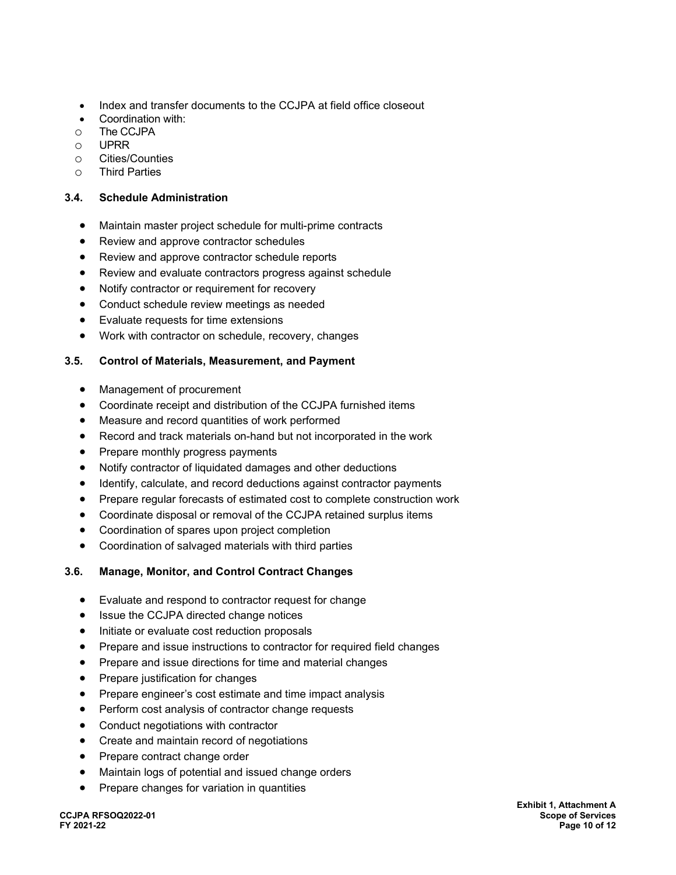- Index and transfer documents to the CCJPA at field office closeout
- Coordination with:
- o The CCJPA<br>o UPRR
- o UPRR<br>O Cities/
- ⊙ Cities/Counties<br>◯ Third Parties
- **Third Parties**

## **3.4. Schedule Administration**

- Maintain master project schedule for multi-prime contracts
- Review and approve contractor schedules
- Review and approve contractor schedule reports
- Review and evaluate contractors progress against schedule
- Notify contractor or requirement for recovery
- Conduct schedule review meetings as needed
- Evaluate requests for time extensions
- Work with contractor on schedule, recovery, changes

## **3.5. Control of Materials, Measurement, and Payment**

- Management of procurement
- Coordinate receipt and distribution of the CCJPA furnished items
- Measure and record quantities of work performed
- Record and track materials on-hand but not incorporated in the work
- Prepare monthly progress payments
- Notify contractor of liquidated damages and other deductions
- Identify, calculate, and record deductions against contractor payments
- Prepare regular forecasts of estimated cost to complete construction work
- Coordinate disposal or removal of the CCJPA retained surplus items
- Coordination of spares upon project completion
- Coordination of salvaged materials with third parties

## **3.6. Manage, Monitor, and Control Contract Changes**

- Evaluate and respond to contractor request for change
- Issue the CCJPA directed change notices
- Initiate or evaluate cost reduction proposals
- Prepare and issue instructions to contractor for required field changes
- Prepare and issue directions for time and material changes
- Prepare justification for changes
- Prepare engineer's cost estimate and time impact analysis
- Perform cost analysis of contractor change requests
- Conduct negotiations with contractor
- Create and maintain record of negotiations
- Prepare contract change order
- Maintain logs of potential and issued change orders
- Prepare changes for variation in quantities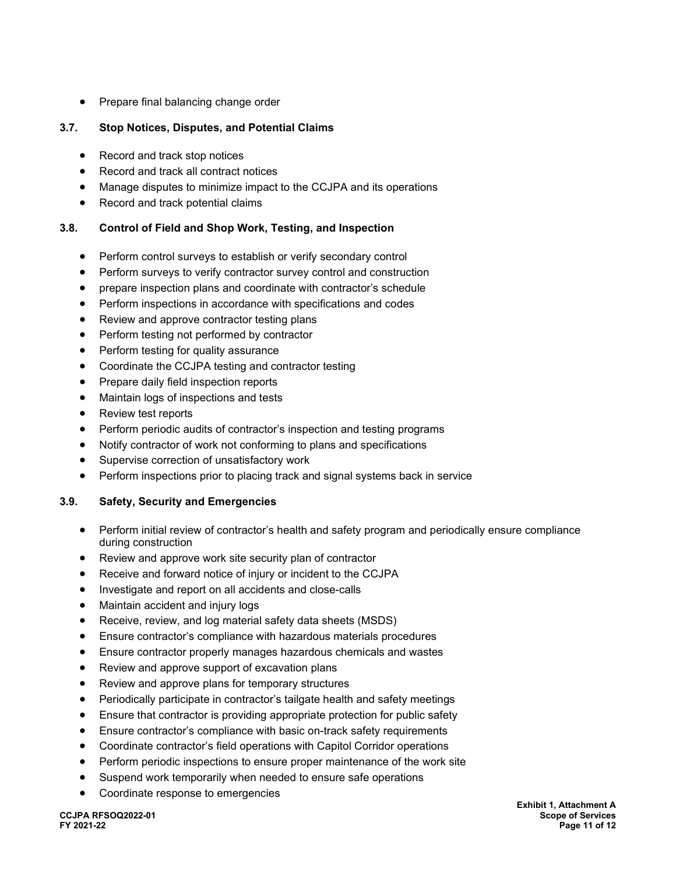• Prepare final balancing change order

## **3.7. Stop Notices, Disputes, and Potential Claims**

- Record and track stop notices
- Record and track all contract notices
- Manage disputes to minimize impact to the CCJPA and its operations
- Record and track potential claims

## **3.8. Control of Field and Shop Work, Testing, and Inspection**

- Perform control surveys to establish or verify secondary control
- Perform surveys to verify contractor survey control and construction
- prepare inspection plans and coordinate with contractor's schedule
- Perform inspections in accordance with specifications and codes
- Review and approve contractor testing plans
- Perform testing not performed by contractor
- Perform testing for quality assurance
- Coordinate the CCJPA testing and contractor testing
- Prepare daily field inspection reports
- Maintain logs of inspections and tests
- Review test reports
- Perform periodic audits of contractor's inspection and testing programs
- Notify contractor of work not conforming to plans and specifications
- Supervise correction of unsatisfactory work
- Perform inspections prior to placing track and signal systems back in service

## **3.9. Safety, Security and Emergencies**

- Perform initial review of contractor's health and safety program and periodically ensure compliance during construction
- Review and approve work site security plan of contractor
- Receive and forward notice of injury or incident to the CCJPA
- Investigate and report on all accidents and close-calls
- Maintain accident and injury logs
- Receive, review, and log material safety data sheets (MSDS)
- Ensure contractor's compliance with hazardous materials procedures
- Ensure contractor properly manages hazardous chemicals and wastes
- Review and approve support of excavation plans
- Review and approve plans for temporary structures
- Periodically participate in contractor's tailgate health and safety meetings
- Ensure that contractor is providing appropriate protection for public safety
- Ensure contractor's compliance with basic on-track safety requirements
- Coordinate contractor's field operations with Capitol Corridor operations
- Perform periodic inspections to ensure proper maintenance of the work site
- Suspend work temporarily when needed to ensure safe operations
- Coordinate response to emergencies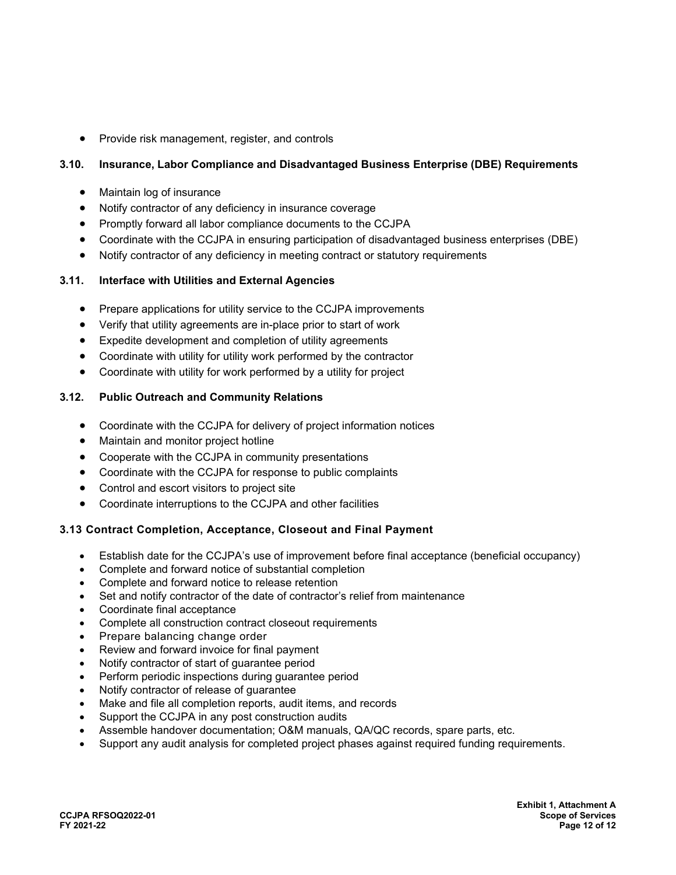• Provide risk management, register, and controls

## **3.10. Insurance, Labor Compliance and Disadvantaged Business Enterprise (DBE) Requirements**

- Maintain log of insurance
- Notify contractor of any deficiency in insurance coverage
- Promptly forward all labor compliance documents to the CCJPA
- Coordinate with the CCJPA in ensuring participation of disadvantaged business enterprises (DBE)
- Notify contractor of any deficiency in meeting contract or statutory requirements

## **3.11. Interface with Utilities and External Agencies**

- Prepare applications for utility service to the CCJPA improvements
- Verify that utility agreements are in-place prior to start of work
- Expedite development and completion of utility agreements
- Coordinate with utility for utility work performed by the contractor
- Coordinate with utility for work performed by a utility for project

## **3.12. Public Outreach and Community Relations**

- Coordinate with the CCJPA for delivery of project information notices
- Maintain and monitor project hotline
- Cooperate with the CCJPA in community presentations
- Coordinate with the CCJPA for response to public complaints
- Control and escort visitors to project site
- Coordinate interruptions to the CCJPA and other facilities

## **3.13 Contract Completion, Acceptance, Closeout and Final Payment**

- Establish date for the CCJPA's use of improvement before final acceptance (beneficial occupancy)
- Complete and forward notice of substantial completion
- Complete and forward notice to release retention
- Set and notify contractor of the date of contractor's relief from maintenance
- Coordinate final acceptance
- Complete all construction contract closeout requirements
- Prepare balancing change order
- Review and forward invoice for final payment
- Notify contractor of start of guarantee period
- Perform periodic inspections during guarantee period
- Notify contractor of release of guarantee
- Make and file all completion reports, audit items, and records
- Support the CCJPA in any post construction audits
- Assemble handover documentation; O&M manuals, QA/QC records, spare parts, etc.
- Support any audit analysis for completed project phases against required funding requirements.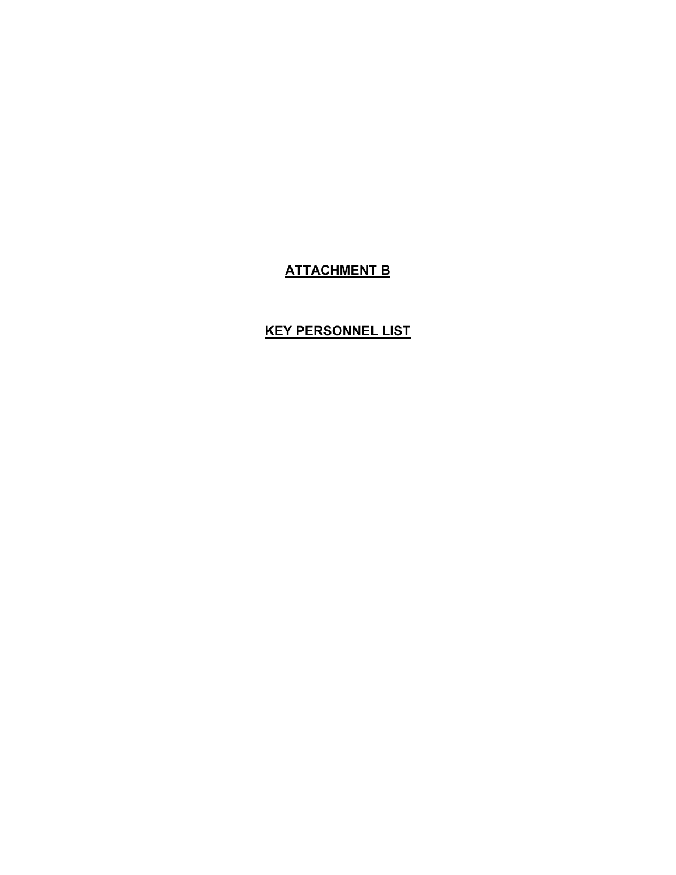## **ATTACHMENT B**

## **KEY PERSONNEL LIST**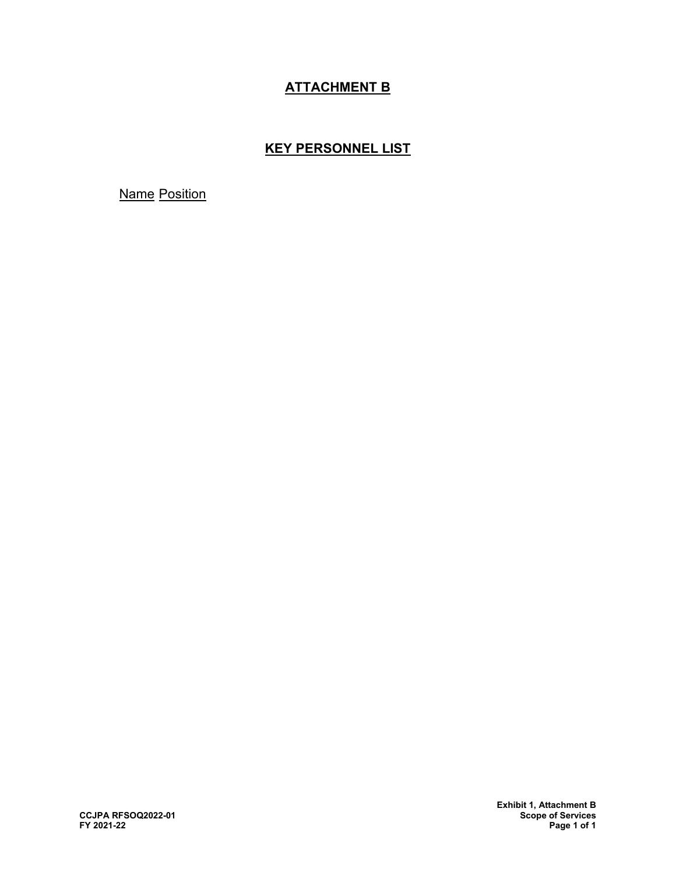## **ATTACHMENT B**

## **KEY PERSONNEL LIST**

Name Position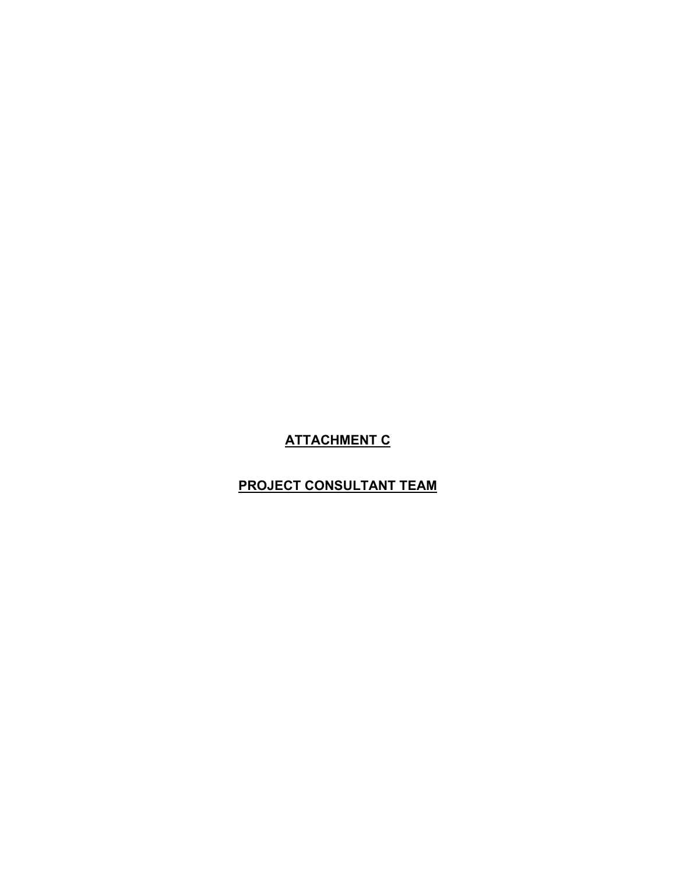## **ATTACHMENT C**

## **PROJECT CONSULTANT TEAM**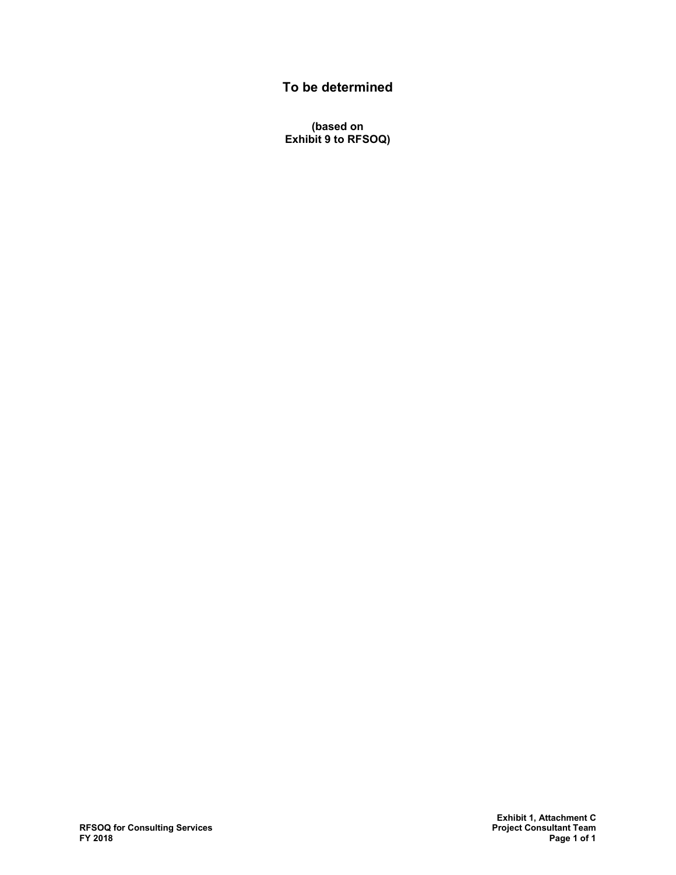## **To be determined**

**(based on Exhibit 9 to RFSOQ)**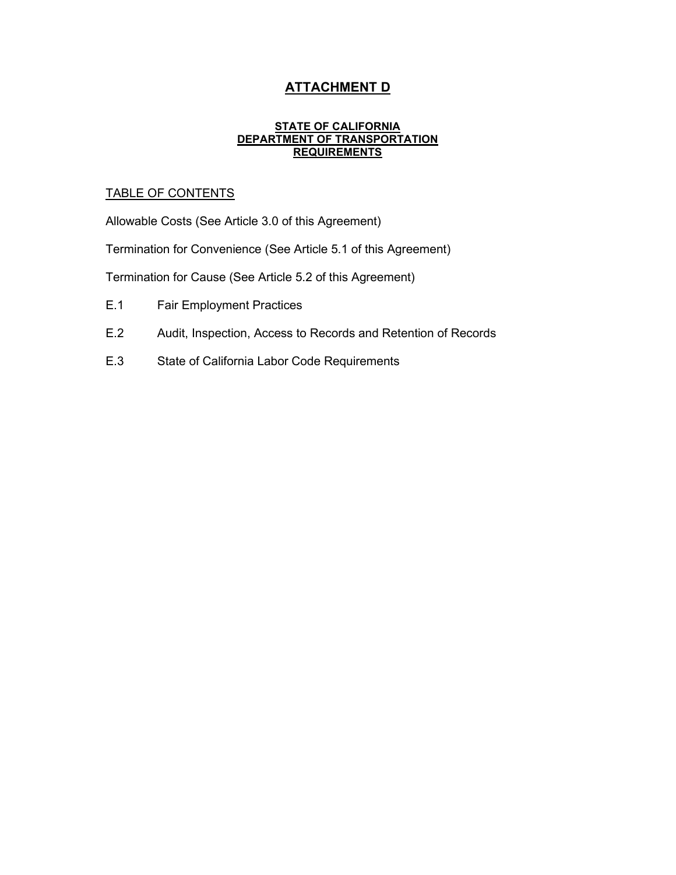## **ATTACHMENT D**

#### **STATE OF CALIFORNIA DEPARTMENT OF TRANSPORTATION REQUIREMENTS**

## TABLE OF CONTENTS

Allowable Costs (See Article 3.0 of this Agreement)

Termination for Convenience (See Article 5.1 of this Agreement)

Termination for Cause (See Article 5.2 of this Agreement)

- E.1 Fair Employment Practices
- E.2 Audit, Inspection, Access to Records and Retention of Records
- E.3 State of California Labor Code Requirements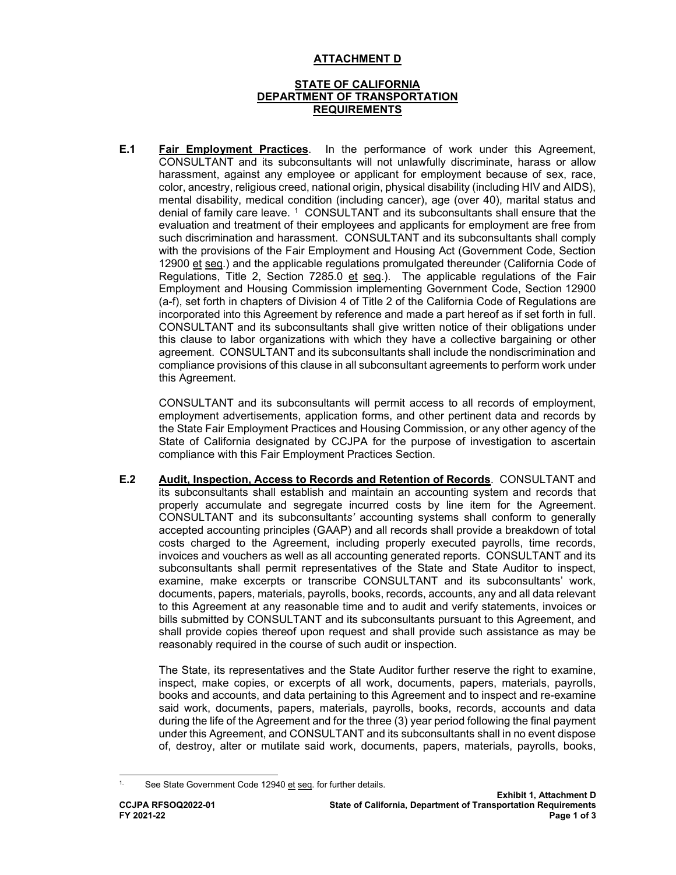## **ATTACHMENT D**

## **STATE OF CALIFORNIA DEPARTMENT OF TRANSPORTATION REQUIREMENTS**

**E.1 Fair Employment Practices**. In the performance of work under this Agreement, CONSULTANT and its subconsultants will not unlawfully discriminate, harass or allow harassment, against any employee or applicant for employment because of sex, race, color, ancestry, religious creed, national origin, physical disability (including HIV and AIDS), mental disability, medical condition (including cancer), age (over 40), marital status and denial of family care leave. [1](#page-71-0) CONSULTANT and its subconsultants shall ensure that the evaluation and treatment of their employees and applicants for employment are free from such discrimination and harassment. CONSULTANT and its subconsultants shall comply with the provisions of the Fair Employment and Housing Act (Government Code, Section 12900 et seq.) and the applicable regulations promulgated thereunder (California Code of Regulations, Title 2, Section 7285.0 et seq.). The applicable regulations of the Fair Employment and Housing Commission implementing Government Code, Section 12900 (a-f), set forth in chapters of Division 4 of Title 2 of the California Code of Regulations are incorporated into this Agreement by reference and made a part hereof as if set forth in full. CONSULTANT and its subconsultants shall give written notice of their obligations under this clause to labor organizations with which they have a collective bargaining or other agreement. CONSULTANT and its subconsultants shall include the nondiscrimination and compliance provisions of this clause in all subconsultant agreements to perform work under this Agreement.

CONSULTANT and its subconsultants will permit access to all records of employment, employment advertisements, application forms, and other pertinent data and records by the State Fair Employment Practices and Housing Commission, or any other agency of the State of California designated by CCJPA for the purpose of investigation to ascertain compliance with this Fair Employment Practices Section.

**E.2 Audit, Inspection, Access to Records and Retention of Records**. CONSULTANT and its subconsultants shall establish and maintain an accounting system and records that properly accumulate and segregate incurred costs by line item for the Agreement. CONSULTANT and its subconsultant*s'* accounting systems shall conform to generally accepted accounting principles (GAAP) and all records shall provide a breakdown of total costs charged to the Agreement, including properly executed payrolls, time records, invoices and vouchers as well as all accounting generated reports. CONSULTANT and its subconsultants shall permit representatives of the State and State Auditor to inspect, examine, make excerpts or transcribe CONSULTANT and its subconsultants' work, documents, papers, materials, payrolls, books, records, accounts, any and all data relevant to this Agreement at any reasonable time and to audit and verify statements, invoices or bills submitted by CONSULTANT and its subconsultants pursuant to this Agreement, and shall provide copies thereof upon request and shall provide such assistance as may be reasonably required in the course of such audit or inspection.

The State, its representatives and the State Auditor further reserve the right to examine, inspect, make copies, or excerpts of all work, documents, papers, materials, payrolls, books and accounts, and data pertaining to this Agreement and to inspect and re-examine said work, documents, papers, materials, payrolls, books, records, accounts and data during the life of the Agreement and for the three (3) year period following the final payment under this Agreement, and CONSULTANT and its subconsultants shall in no event dispose of, destroy, alter or mutilate said work, documents, papers, materials, payrolls, books,

<span id="page-71-0"></span>See State Government Code 12940 et seq. for further details.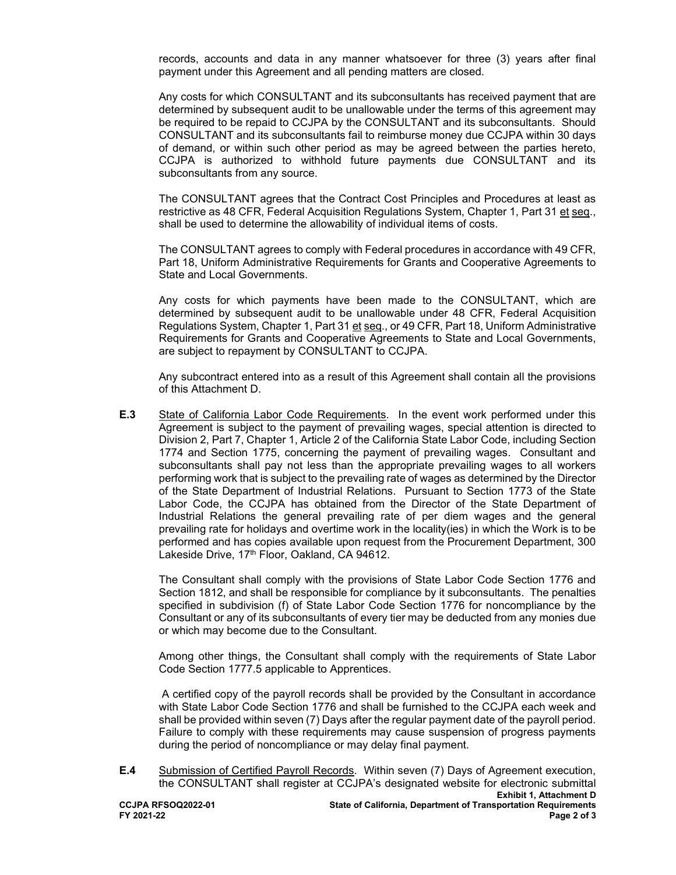records, accounts and data in any manner whatsoever for three (3) years after final payment under this Agreement and all pending matters are closed.

Any costs for which CONSULTANT and its subconsultants has received payment that are determined by subsequent audit to be unallowable under the terms of this agreement may be required to be repaid to CCJPA by the CONSULTANT and its subconsultants. Should CONSULTANT and its subconsultants fail to reimburse money due CCJPA within 30 days of demand, or within such other period as may be agreed between the parties hereto, CCJPA is authorized to withhold future payments due CONSULTANT and its subconsultants from any source.

The CONSULTANT agrees that the Contract Cost Principles and Procedures at least as restrictive as 48 CFR, Federal Acquisition Regulations System, Chapter 1, Part 31 et seq., shall be used to determine the allowability of individual items of costs.

The CONSULTANT agrees to comply with Federal procedures in accordance with 49 CFR, Part 18, Uniform Administrative Requirements for Grants and Cooperative Agreements to State and Local Governments.

Any costs for which payments have been made to the CONSULTANT, which are determined by subsequent audit to be unallowable under 48 CFR, Federal Acquisition Regulations System, Chapter 1, Part 31 et seq., or 49 CFR, Part 18, Uniform Administrative Requirements for Grants and Cooperative Agreements to State and Local Governments, are subject to repayment by CONSULTANT to CCJPA.

Any subcontract entered into as a result of this Agreement shall contain all the provisions of this Attachment D.

**E.3** State of California Labor Code Requirements. In the event work performed under this Agreement is subject to the payment of prevailing wages, special attention is directed to Division 2, Part 7, Chapter 1, Article 2 of the California State Labor Code, including Section 1774 and Section 1775, concerning the payment of prevailing wages. Consultant and subconsultants shall pay not less than the appropriate prevailing wages to all workers performing work that is subject to the prevailing rate of wages as determined by the Director of the State Department of Industrial Relations. Pursuant to Section 1773 of the State Labor Code, the CCJPA has obtained from the Director of the State Department of Industrial Relations the general prevailing rate of per diem wages and the general prevailing rate for holidays and overtime work in the locality(ies) in which the Work is to be performed and has copies available upon request from the Procurement Department, 300 Lakeside Drive, 17<sup>th</sup> Floor, Oakland, CA 94612.

The Consultant shall comply with the provisions of State Labor Code Section 1776 and Section 1812, and shall be responsible for compliance by it subconsultants. The penalties specified in subdivision (f) of State Labor Code Section 1776 for noncompliance by the Consultant or any of its subconsultants of every tier may be deducted from any monies due or which may become due to the Consultant.

Among other things, the Consultant shall comply with the requirements of State Labor Code Section 1777.5 applicable to Apprentices.

A certified copy of the payroll records shall be provided by the Consultant in accordance with State Labor Code Section 1776 and shall be furnished to the CCJPA each week and shall be provided within seven (7) Days after the regular payment date of the payroll period. Failure to comply with these requirements may cause suspension of progress payments during the period of noncompliance or may delay final payment.

**Exhibit 1, Attachment D CCJPA RFSOQ2022-01 State of California, Department of Transportation Requirements FY 2021-22 Page 2 of 3 E.4** Submission of Certified Payroll Records. Within seven (7) Days of Agreement execution, the CONSULTANT shall register at CCJPA's designated website for electronic submittal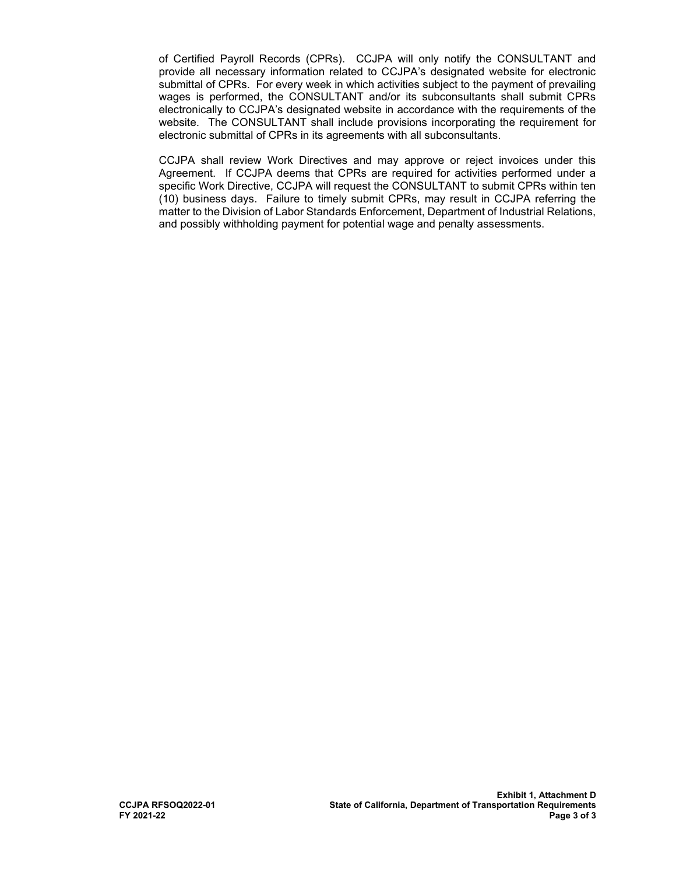of Certified Payroll Records (CPRs). CCJPA will only notify the CONSULTANT and provide all necessary information related to CCJPA's designated website for electronic submittal of CPRs. For every week in which activities subject to the payment of prevailing wages is performed, the CONSULTANT and/or its subconsultants shall submit CPRs electronically to CCJPA's designated website in accordance with the requirements of the website. The CONSULTANT shall include provisions incorporating the requirement for electronic submittal of CPRs in its agreements with all subconsultants.

CCJPA shall review Work Directives and may approve or reject invoices under this Agreement. If CCJPA deems that CPRs are required for activities performed under a specific Work Directive, CCJPA will request the CONSULTANT to submit CPRs within ten (10) business days. Failure to timely submit CPRs, may result in CCJPA referring the matter to the Division of Labor Standards Enforcement, Department of Industrial Relations, and possibly withholding payment for potential wage and penalty assessments.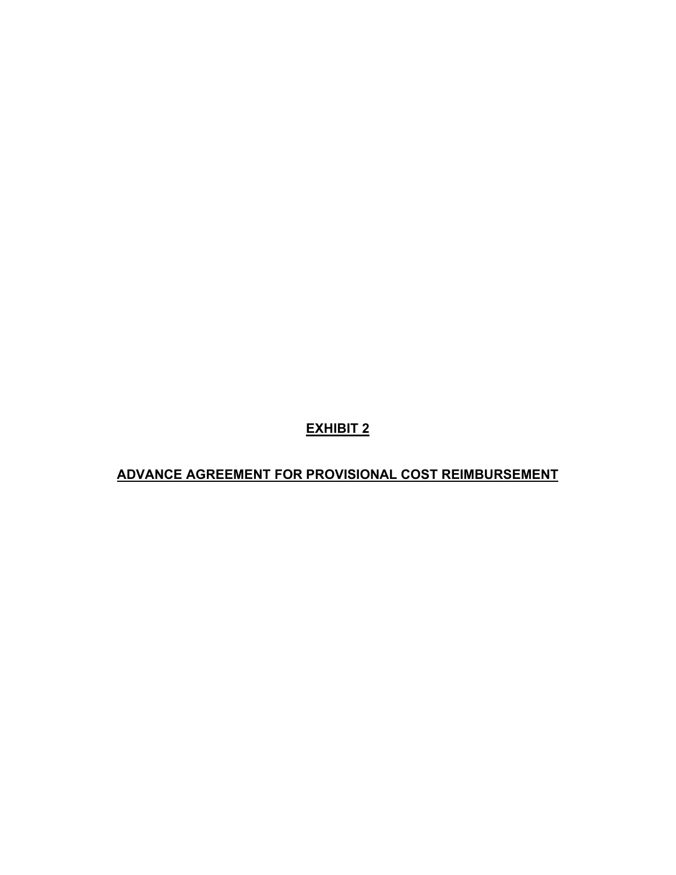**ADVANCE AGREEMENT FOR PROVISIONAL COST REIMBURSEMENT**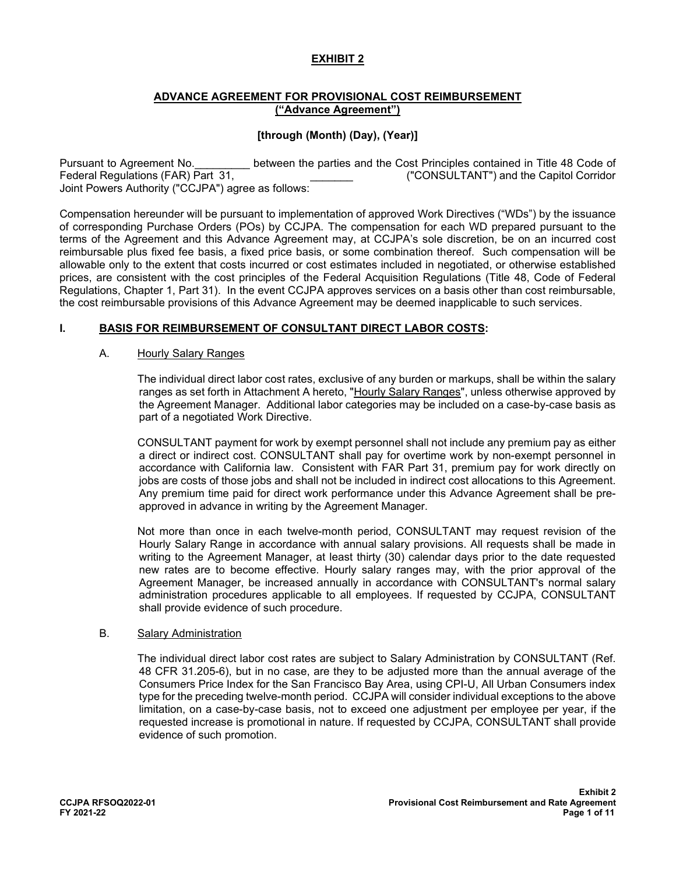### **ADVANCE AGREEMENT FOR PROVISIONAL COST REIMBURSEMENT ("Advance Agreement")**

# **[through (Month) (Day), (Year)]**

Pursuant to Agreement No. \_\_\_\_\_\_\_\_\_\_ between the parties and the Cost Principles contained in Title 48 Code of<br>Federal Regulations (FAR) Part 31, Federal Regulations (FAR) Part 31, ("CONSULTANT") and the Capitol Corridor Joint Powers Authority ("CCJPA") agree as follows:

Compensation hereunder will be pursuant to implementation of approved Work Directives ("WDs") by the issuance of corresponding Purchase Orders (POs) by CCJPA. The compensation for each WD prepared pursuant to the terms of the Agreement and this Advance Agreement may, at CCJPA's sole discretion, be on an incurred cost reimbursable plus fixed fee basis, a fixed price basis, or some combination thereof. Such compensation will be allowable only to the extent that costs incurred or cost estimates included in negotiated, or otherwise established prices, are consistent with the cost principles of the Federal Acquisition Regulations (Title 48, Code of Federal Regulations, Chapter 1, Part 31). In the event CCJPA approves services on a basis other than cost reimbursable, the cost reimbursable provisions of this Advance Agreement may be deemed inapplicable to such services.

# **I. BASIS FOR REIMBURSEMENT OF CONSULTANT DIRECT LABOR COSTS:**

#### A. Hourly Salary Ranges

The individual direct labor cost rates, exclusive of any burden or markups, shall be within the salary ranges as set forth in Attachment A hereto, "Hourly Salary Ranges", unless otherwise approved by the Agreement Manager. Additional labor categories may be included on a case-by-case basis as part of a negotiated Work Directive.

CONSULTANT payment for work by exempt personnel shall not include any premium pay as either a direct or indirect cost. CONSULTANT shall pay for overtime work by non-exempt personnel in accordance with California law. Consistent with FAR Part 31, premium pay for work directly on jobs are costs of those jobs and shall not be included in indirect cost allocations to this Agreement. Any premium time paid for direct work performance under this Advance Agreement shall be preapproved in advance in writing by the Agreement Manager.

Not more than once in each twelve-month period, CONSULTANT may request revision of the Hourly Salary Range in accordance with annual salary provisions. All requests shall be made in writing to the Agreement Manager, at least thirty (30) calendar days prior to the date requested new rates are to become effective. Hourly salary ranges may, with the prior approval of the Agreement Manager, be increased annually in accordance with CONSULTANT's normal salary administration procedures applicable to all employees. If requested by CCJPA, CONSULTANT shall provide evidence of such procedure.

#### B. Salary Administration

The individual direct labor cost rates are subject to Salary Administration by CONSULTANT (Ref. 48 CFR 31.205-6), but in no case, are they to be adjusted more than the annual average of the Consumers Price Index for the San Francisco Bay Area, using CPI-U, All Urban Consumers index type for the preceding twelve-month period. CCJPA will consider individual exceptions to the above limitation, on a case-by-case basis, not to exceed one adjustment per employee per year, if the requested increase is promotional in nature. If requested by CCJPA, CONSULTANT shall provide evidence of such promotion.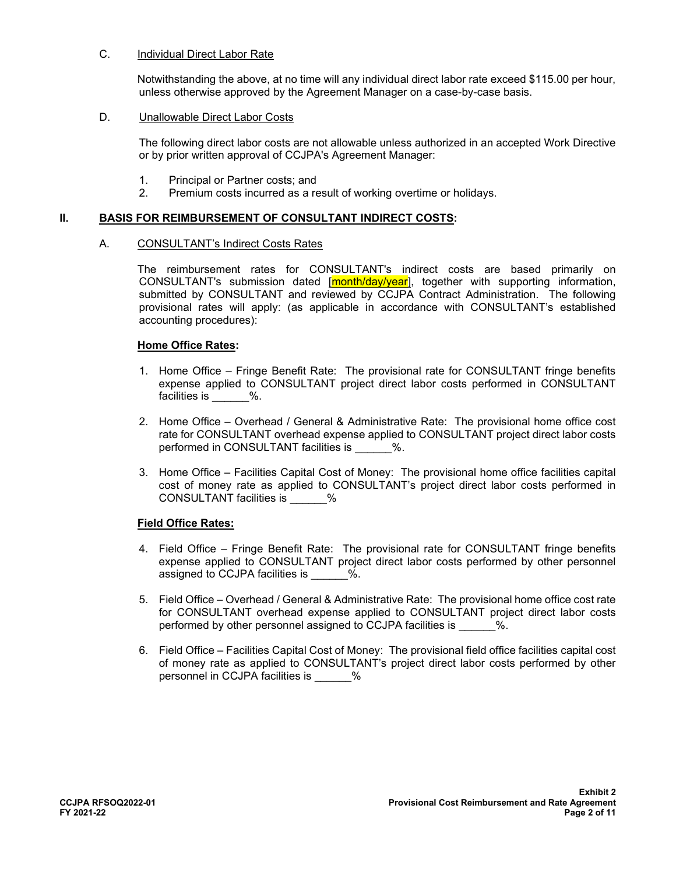#### C. Individual Direct Labor Rate

Notwithstanding the above, at no time will any individual direct labor rate exceed \$115.00 per hour, unless otherwise approved by the Agreement Manager on a case-by-case basis.

#### D. Unallowable Direct Labor Costs

The following direct labor costs are not allowable unless authorized in an accepted Work Directive or by prior written approval of CCJPA's Agreement Manager:

- 1. Principal or Partner costs; and
- 2. Premium costs incurred as a result of working overtime or holidays.

#### **II. BASIS FOR REIMBURSEMENT OF CONSULTANT INDIRECT COSTS:**

#### A. CONSULTANT's Indirect Costs Rates

The reimbursement rates for CONSULTANT's indirect costs are based primarily on CONSULTANT's submission dated [month/day/year], together with supporting information, submitted by CONSULTANT and reviewed by CCJPA Contract Administration. The following provisional rates will apply: (as applicable in accordance with CONSULTANT's established accounting procedures):

#### **Home Office Rates:**

- 1. Home Office Fringe Benefit Rate: The provisional rate for CONSULTANT fringe benefits expense applied to CONSULTANT project direct labor costs performed in CONSULTANT facilities is  $\%$ .
- 2. Home Office Overhead / General & Administrative Rate: The provisional home office cost rate for CONSULTANT overhead expense applied to CONSULTANT project direct labor costs performed in CONSULTANT facilities is \_\_\_\_\_\_ %.
- 3. Home Office Facilities Capital Cost of Money: The provisional home office facilities capital cost of money rate as applied to CONSULTANT's project direct labor costs performed in CONSULTANT facilities is  $\%$

# **Field Office Rates:**

- 4. Field Office Fringe Benefit Rate: The provisional rate for CONSULTANT fringe benefits expense applied to CONSULTANT project direct labor costs performed by other personnel assigned to CCJPA facilities is  $\%$ .
- 5. Field Office Overhead / General & Administrative Rate: The provisional home office cost rate for CONSULTANT overhead expense applied to CONSULTANT project direct labor costs performed by other personnel assigned to CCJPA facilities is \_\_\_\_\_\_%.
- 6. Field Office Facilities Capital Cost of Money: The provisional field office facilities capital cost of money rate as applied to CONSULTANT's project direct labor costs performed by other personnel in CCJPA facilities is  $\%$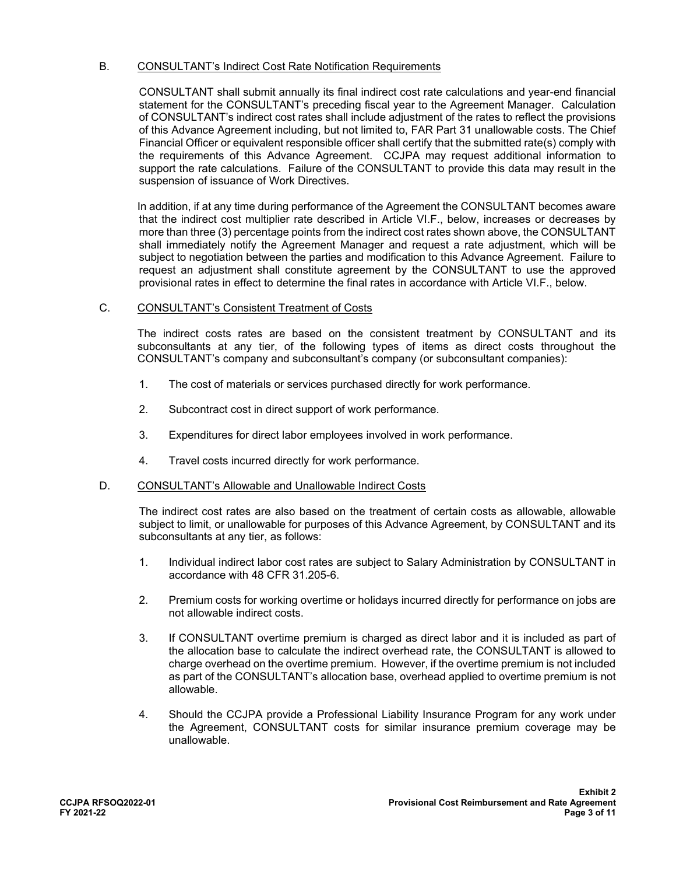# B. CONSULTANT's Indirect Cost Rate Notification Requirements

 CONSULTANT shall submit annually its final indirect cost rate calculations and year-end financial statement for the CONSULTANT's preceding fiscal year to the Agreement Manager. Calculation of CONSULTANT's indirect cost rates shall include adjustment of the rates to reflect the provisions of this Advance Agreement including, but not limited to, FAR Part 31 unallowable costs. The Chief Financial Officer or equivalent responsible officer shall certify that the submitted rate(s) comply with the requirements of this Advance Agreement. CCJPA may request additional information to support the rate calculations. Failure of the CONSULTANT to provide this data may result in the suspension of issuance of Work Directives.

In addition, if at any time during performance of the Agreement the CONSULTANT becomes aware that the indirect cost multiplier rate described in Article VI.F., below, increases or decreases by more than three (3) percentage points from the indirect cost rates shown above, the CONSULTANT shall immediately notify the Agreement Manager and request a rate adjustment, which will be subject to negotiation between the parties and modification to this Advance Agreement. Failure to request an adjustment shall constitute agreement by the CONSULTANT to use the approved provisional rates in effect to determine the final rates in accordance with Article VI.F., below.

#### C. CONSULTANT's Consistent Treatment of Costs

The indirect costs rates are based on the consistent treatment by CONSULTANT and its subconsultants at any tier, of the following types of items as direct costs throughout the CONSULTANT's company and subconsultant's company (or subconsultant companies):

- 1. The cost of materials or services purchased directly for work performance.
- 2. Subcontract cost in direct support of work performance.
- 3. Expenditures for direct labor employees involved in work performance.
- 4. Travel costs incurred directly for work performance.

#### D. CONSULTANT's Allowable and Unallowable Indirect Costs

The indirect cost rates are also based on the treatment of certain costs as allowable, allowable subject to limit, or unallowable for purposes of this Advance Agreement, by CONSULTANT and its subconsultants at any tier, as follows:

- 1. Individual indirect labor cost rates are subject to Salary Administration by CONSULTANT in accordance with 48 CFR 31.205-6.
- 2. Premium costs for working overtime or holidays incurred directly for performance on jobs are not allowable indirect costs.
- 3. If CONSULTANT overtime premium is charged as direct labor and it is included as part of the allocation base to calculate the indirect overhead rate, the CONSULTANT is allowed to charge overhead on the overtime premium. However, if the overtime premium is not included as part of the CONSULTANT's allocation base, overhead applied to overtime premium is not allowable.
- 4. Should the CCJPA provide a Professional Liability Insurance Program for any work under the Agreement, CONSULTANT costs for similar insurance premium coverage may be unallowable.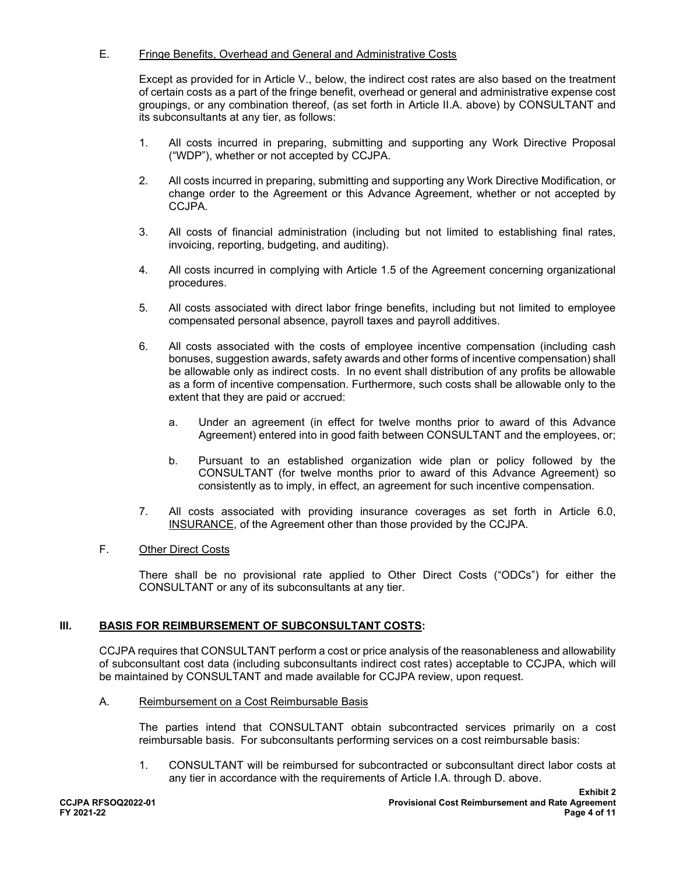# E. Fringe Benefits, Overhead and General and Administrative Costs

Except as provided for in Article V., below, the indirect cost rates are also based on the treatment of certain costs as a part of the fringe benefit, overhead or general and administrative expense cost groupings, or any combination thereof, (as set forth in Article II.A. above) by CONSULTANT and its subconsultants at any tier, as follows:

- 1. All costs incurred in preparing, submitting and supporting any Work Directive Proposal ("WDP"), whether or not accepted by CCJPA.
- 2. All costs incurred in preparing, submitting and supporting any Work Directive Modification, or change order to the Agreement or this Advance Agreement, whether or not accepted by CCJPA.
- 3. All costs of financial administration (including but not limited to establishing final rates, invoicing, reporting, budgeting, and auditing).
- 4. All costs incurred in complying with Article 1.5 of the Agreement concerning organizational procedures.
- 5. All costs associated with direct labor fringe benefits, including but not limited to employee compensated personal absence, payroll taxes and payroll additives.
- 6. All costs associated with the costs of employee incentive compensation (including cash bonuses, suggestion awards, safety awards and other forms of incentive compensation) shall be allowable only as indirect costs. In no event shall distribution of any profits be allowable as a form of incentive compensation. Furthermore, such costs shall be allowable only to the extent that they are paid or accrued:
	- a. Under an agreement (in effect for twelve months prior to award of this Advance Agreement) entered into in good faith between CONSULTANT and the employees, or;
	- b. Pursuant to an established organization wide plan or policy followed by the CONSULTANT (for twelve months prior to award of this Advance Agreement) so consistently as to imply, in effect, an agreement for such incentive compensation.
- 7. All costs associated with providing insurance coverages as set forth in Article 6.0, INSURANCE, of the Agreement other than those provided by the CCJPA.

# F. Other Direct Costs

There shall be no provisional rate applied to Other Direct Costs ("ODCs") for either the CONSULTANT or any of its subconsultants at any tier.

# **III. BASIS FOR REIMBURSEMENT OF SUBCONSULTANT COSTS:**

CCJPA requires that CONSULTANT perform a cost or price analysis of the reasonableness and allowability of subconsultant cost data (including subconsultants indirect cost rates) acceptable to CCJPA, which will be maintained by CONSULTANT and made available for CCJPA review, upon request.

#### A. Reimbursement on a Cost Reimbursable Basis

The parties intend that CONSULTANT obtain subcontracted services primarily on a cost reimbursable basis. For subconsultants performing services on a cost reimbursable basis:

1. CONSULTANT will be reimbursed for subcontracted or subconsultant direct labor costs at any tier in accordance with the requirements of Article I.A. through D. above.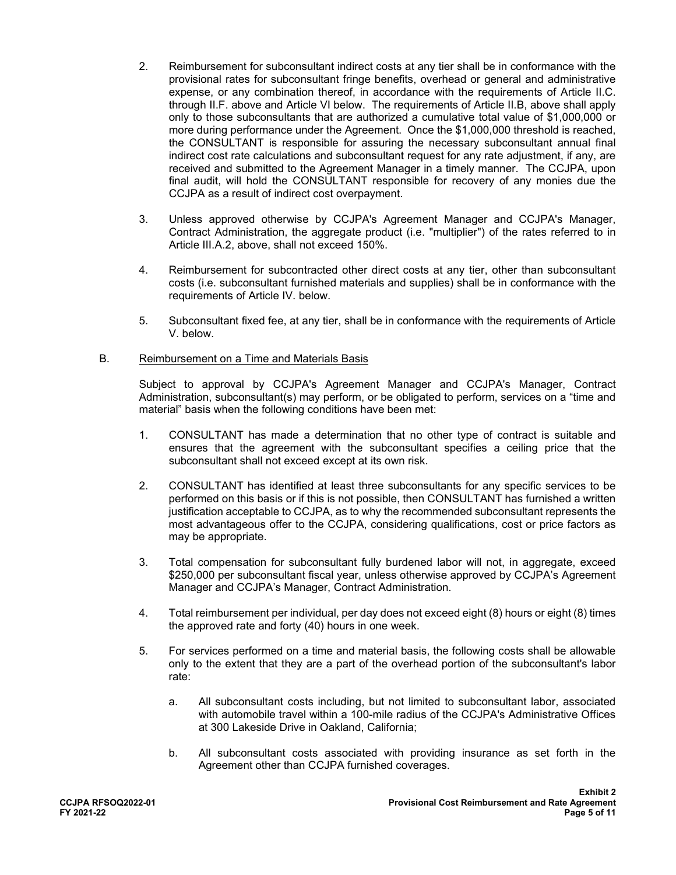- 2. Reimbursement for subconsultant indirect costs at any tier shall be in conformance with the provisional rates for subconsultant fringe benefits, overhead or general and administrative expense, or any combination thereof, in accordance with the requirements of Article II.C. through II.F. above and Article VI below. The requirements of Article II.B, above shall apply only to those subconsultants that are authorized a cumulative total value of \$1,000,000 or more during performance under the Agreement. Once the \$1,000,000 threshold is reached, the CONSULTANT is responsible for assuring the necessary subconsultant annual final indirect cost rate calculations and subconsultant request for any rate adjustment, if any, are received and submitted to the Agreement Manager in a timely manner. The CCJPA, upon final audit, will hold the CONSULTANT responsible for recovery of any monies due the CCJPA as a result of indirect cost overpayment.
- 3. Unless approved otherwise by CCJPA's Agreement Manager and CCJPA's Manager, Contract Administration, the aggregate product (i.e. "multiplier") of the rates referred to in Article III.A.2, above, shall not exceed 150%.
- 4. Reimbursement for subcontracted other direct costs at any tier, other than subconsultant costs (i.e. subconsultant furnished materials and supplies) shall be in conformance with the requirements of Article IV. below.
- 5. Subconsultant fixed fee, at any tier, shall be in conformance with the requirements of Article V. below.

#### B. Reimbursement on a Time and Materials Basis

Subject to approval by CCJPA's Agreement Manager and CCJPA's Manager, Contract Administration, subconsultant(s) may perform, or be obligated to perform, services on a "time and material" basis when the following conditions have been met:

- 1. CONSULTANT has made a determination that no other type of contract is suitable and ensures that the agreement with the subconsultant specifies a ceiling price that the subconsultant shall not exceed except at its own risk.
- 2. CONSULTANT has identified at least three subconsultants for any specific services to be performed on this basis or if this is not possible, then CONSULTANT has furnished a written justification acceptable to CCJPA, as to why the recommended subconsultant represents the most advantageous offer to the CCJPA, considering qualifications, cost or price factors as may be appropriate.
- 3. Total compensation for subconsultant fully burdened labor will not, in aggregate, exceed \$250,000 per subconsultant fiscal year, unless otherwise approved by CCJPA's Agreement Manager and CCJPA's Manager, Contract Administration.
- 4. Total reimbursement per individual, per day does not exceed eight (8) hours or eight (8) times the approved rate and forty (40) hours in one week.
- 5. For services performed on a time and material basis, the following costs shall be allowable only to the extent that they are a part of the overhead portion of the subconsultant's labor rate:
	- a. All subconsultant costs including, but not limited to subconsultant labor, associated with automobile travel within a 100-mile radius of the CCJPA's Administrative Offices at 300 Lakeside Drive in Oakland, California;
	- b. All subconsultant costs associated with providing insurance as set forth in the Agreement other than CCJPA furnished coverages.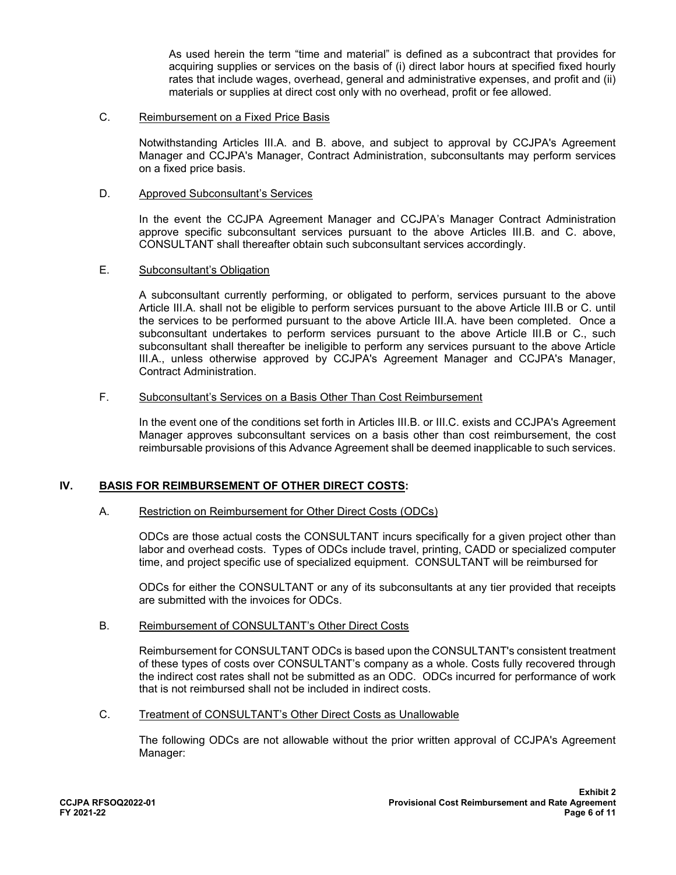As used herein the term "time and material" is defined as a subcontract that provides for acquiring supplies or services on the basis of (i) direct labor hours at specified fixed hourly rates that include wages, overhead, general and administrative expenses, and profit and (ii) materials or supplies at direct cost only with no overhead, profit or fee allowed.

#### C. Reimbursement on a Fixed Price Basis

Notwithstanding Articles III.A. and B. above, and subject to approval by CCJPA's Agreement Manager and CCJPA's Manager, Contract Administration, subconsultants may perform services on a fixed price basis.

#### D. Approved Subconsultant's Services

In the event the CCJPA Agreement Manager and CCJPA's Manager Contract Administration approve specific subconsultant services pursuant to the above Articles III.B. and C. above, CONSULTANT shall thereafter obtain such subconsultant services accordingly.

#### E. Subconsultant's Obligation

A subconsultant currently performing, or obligated to perform, services pursuant to the above Article III.A. shall not be eligible to perform services pursuant to the above Article III.B or C. until the services to be performed pursuant to the above Article III.A. have been completed. Once a subconsultant undertakes to perform services pursuant to the above Article III.B or C., such subconsultant shall thereafter be ineligible to perform any services pursuant to the above Article III.A., unless otherwise approved by CCJPA's Agreement Manager and CCJPA's Manager, Contract Administration.

#### F. Subconsultant's Services on a Basis Other Than Cost Reimbursement

In the event one of the conditions set forth in Articles III.B. or III.C. exists and CCJPA's Agreement Manager approves subconsultant services on a basis other than cost reimbursement, the cost reimbursable provisions of this Advance Agreement shall be deemed inapplicable to such services.

# **IV. BASIS FOR REIMBURSEMENT OF OTHER DIRECT COSTS:**

#### A. Restriction on Reimbursement for Other Direct Costs (ODCs)

ODCs are those actual costs the CONSULTANT incurs specifically for a given project other than labor and overhead costs. Types of ODCs include travel, printing, CADD or specialized computer time, and project specific use of specialized equipment. CONSULTANT will be reimbursed for

ODCs for either the CONSULTANT or any of its subconsultants at any tier provided that receipts are submitted with the invoices for ODCs.

### B. Reimbursement of CONSULTANT's Other Direct Costs

Reimbursement for CONSULTANT ODCs is based upon the CONSULTANT's consistent treatment of these types of costs over CONSULTANT's company as a whole. Costs fully recovered through the indirect cost rates shall not be submitted as an ODC. ODCs incurred for performance of work that is not reimbursed shall not be included in indirect costs.

C. Treatment of CONSULTANT's Other Direct Costs as Unallowable

The following ODCs are not allowable without the prior written approval of CCJPA's Agreement Manager: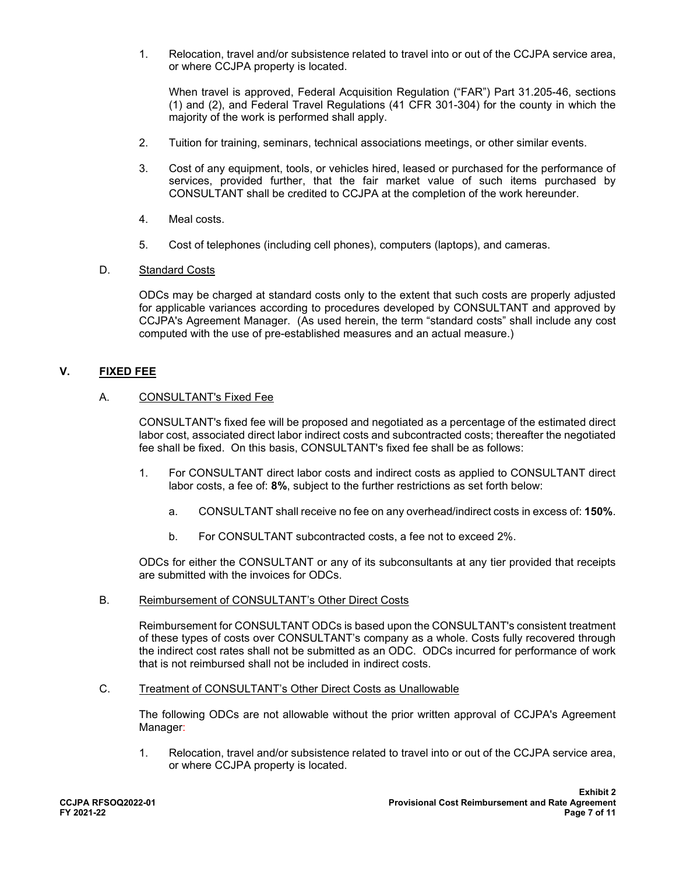1. Relocation, travel and/or subsistence related to travel into or out of the CCJPA service area, or where CCJPA property is located.

When travel is approved, Federal Acquisition Regulation ("FAR") Part 31.205-46, sections (1) and (2), and Federal Travel Regulations (41 CFR 301-304) for the county in which the majority of the work is performed shall apply.

- 2. Tuition for training, seminars, technical associations meetings, or other similar events.
- 3. Cost of any equipment, tools, or vehicles hired, leased or purchased for the performance of services, provided further, that the fair market value of such items purchased by CONSULTANT shall be credited to CCJPA at the completion of the work hereunder.
- 4. Meal costs.
- 5. Cost of telephones (including cell phones), computers (laptops), and cameras.

#### D. Standard Costs

ODCs may be charged at standard costs only to the extent that such costs are properly adjusted for applicable variances according to procedures developed by CONSULTANT and approved by CCJPA's Agreement Manager. (As used herein, the term "standard costs" shall include any cost computed with the use of pre-established measures and an actual measure.)

# **V. FIXED FEE**

### A. CONSULTANT's Fixed Fee

CONSULTANT's fixed fee will be proposed and negotiated as a percentage of the estimated direct labor cost, associated direct labor indirect costs and subcontracted costs; thereafter the negotiated fee shall be fixed. On this basis, CONSULTANT's fixed fee shall be as follows:

- 1. For CONSULTANT direct labor costs and indirect costs as applied to CONSULTANT direct labor costs, a fee of: **8%**, subject to the further restrictions as set forth below:
	- a. CONSULTANT shall receive no fee on any overhead/indirect costs in excess of: **150%**.
	- b. For CONSULTANT subcontracted costs, a fee not to exceed 2%.

ODCs for either the CONSULTANT or any of its subconsultants at any tier provided that receipts are submitted with the invoices for ODCs.

B. Reimbursement of CONSULTANT's Other Direct Costs

Reimbursement for CONSULTANT ODCs is based upon the CONSULTANT's consistent treatment of these types of costs over CONSULTANT's company as a whole. Costs fully recovered through the indirect cost rates shall not be submitted as an ODC. ODCs incurred for performance of work that is not reimbursed shall not be included in indirect costs.

C. Treatment of CONSULTANT's Other Direct Costs as Unallowable

The following ODCs are not allowable without the prior written approval of CCJPA's Agreement Manager:

1. Relocation, travel and/or subsistence related to travel into or out of the CCJPA service area, or where CCJPA property is located.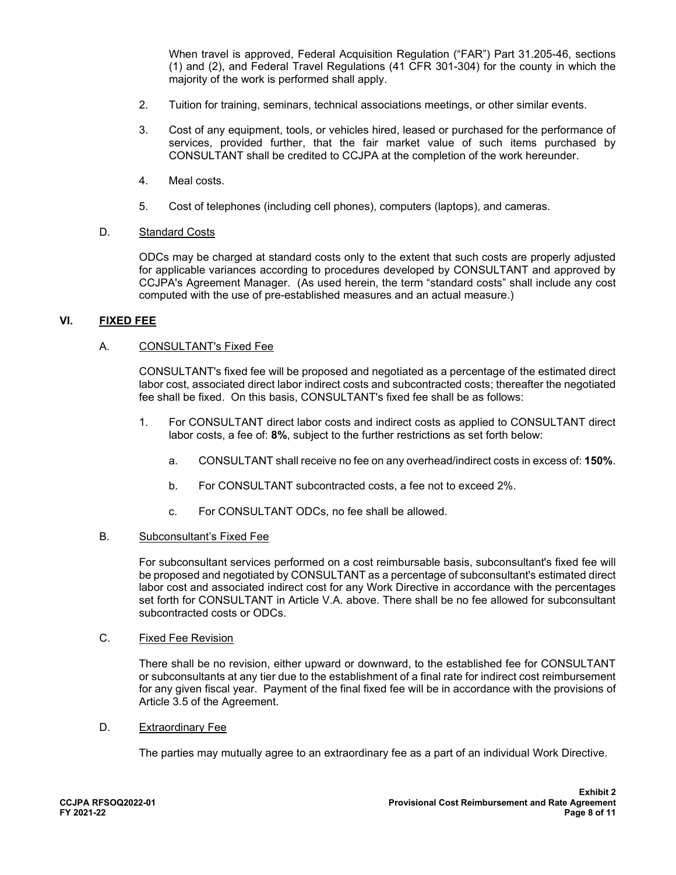When travel is approved, Federal Acquisition Regulation ("FAR") Part 31.205-46, sections (1) and (2), and Federal Travel Regulations (41 CFR 301-304) for the county in which the majority of the work is performed shall apply.

- 2. Tuition for training, seminars, technical associations meetings, or other similar events.
- 3. Cost of any equipment, tools, or vehicles hired, leased or purchased for the performance of services, provided further, that the fair market value of such items purchased by CONSULTANT shall be credited to CCJPA at the completion of the work hereunder.
- 4. Meal costs.
- 5. Cost of telephones (including cell phones), computers (laptops), and cameras.

#### D. Standard Costs

ODCs may be charged at standard costs only to the extent that such costs are properly adjusted for applicable variances according to procedures developed by CONSULTANT and approved by CCJPA's Agreement Manager. (As used herein, the term "standard costs" shall include any cost computed with the use of pre-established measures and an actual measure.)

#### **VI. FIXED FEE**

# A. CONSULTANT's Fixed Fee

CONSULTANT's fixed fee will be proposed and negotiated as a percentage of the estimated direct labor cost, associated direct labor indirect costs and subcontracted costs; thereafter the negotiated fee shall be fixed. On this basis, CONSULTANT's fixed fee shall be as follows:

- 1. For CONSULTANT direct labor costs and indirect costs as applied to CONSULTANT direct labor costs, a fee of: **8%**, subject to the further restrictions as set forth below:
	- a. CONSULTANT shall receive no fee on any overhead/indirect costs in excess of: **150%**.
	- b. For CONSULTANT subcontracted costs, a fee not to exceed 2%.
	- c. For CONSULTANT ODCs, no fee shall be allowed.

#### B. Subconsultant's Fixed Fee

For subconsultant services performed on a cost reimbursable basis, subconsultant's fixed fee will be proposed and negotiated by CONSULTANT as a percentage of subconsultant's estimated direct labor cost and associated indirect cost for any Work Directive in accordance with the percentages set forth for CONSULTANT in Article V.A. above. There shall be no fee allowed for subconsultant subcontracted costs or ODCs.

### C. Fixed Fee Revision

There shall be no revision, either upward or downward, to the established fee for CONSULTANT or subconsultants at any tier due to the establishment of a final rate for indirect cost reimbursement for any given fiscal year. Payment of the final fixed fee will be in accordance with the provisions of Article 3.5 of the Agreement.

#### D. Extraordinary Fee

The parties may mutually agree to an extraordinary fee as a part of an individual Work Directive.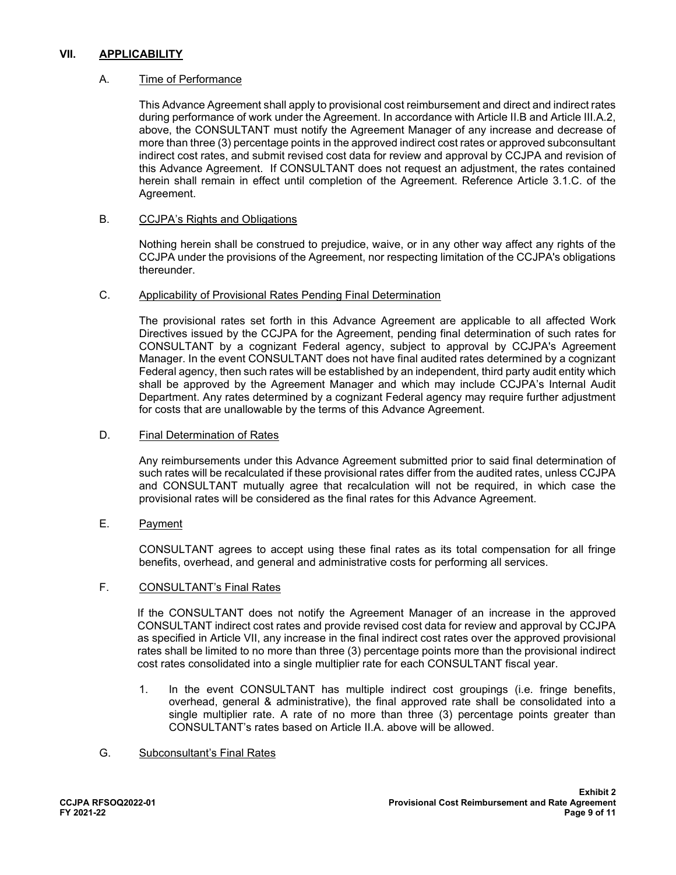### **VII. APPLICABILITY**

#### A. Time of Performance

This Advance Agreement shall apply to provisional cost reimbursement and direct and indirect rates during performance of work under the Agreement. In accordance with Article II.B and Article III.A.2, above, the CONSULTANT must notify the Agreement Manager of any increase and decrease of more than three (3) percentage points in the approved indirect cost rates or approved subconsultant indirect cost rates, and submit revised cost data for review and approval by CCJPA and revision of this Advance Agreement. If CONSULTANT does not request an adjustment, the rates contained herein shall remain in effect until completion of the Agreement. Reference Article 3.1.C. of the Agreement.

#### B. CCJPA's Rights and Obligations

Nothing herein shall be construed to prejudice, waive, or in any other way affect any rights of the CCJPA under the provisions of the Agreement, nor respecting limitation of the CCJPA's obligations thereunder.

#### C. Applicability of Provisional Rates Pending Final Determination

The provisional rates set forth in this Advance Agreement are applicable to all affected Work Directives issued by the CCJPA for the Agreement, pending final determination of such rates for CONSULTANT by a cognizant Federal agency, subject to approval by CCJPA's Agreement Manager. In the event CONSULTANT does not have final audited rates determined by a cognizant Federal agency, then such rates will be established by an independent, third party audit entity which shall be approved by the Agreement Manager and which may include CCJPA's Internal Audit Department. Any rates determined by a cognizant Federal agency may require further adjustment for costs that are unallowable by the terms of this Advance Agreement.

#### D. Final Determination of Rates

Any reimbursements under this Advance Agreement submitted prior to said final determination of such rates will be recalculated if these provisional rates differ from the audited rates, unless CCJPA and CONSULTANT mutually agree that recalculation will not be required, in which case the provisional rates will be considered as the final rates for this Advance Agreement.

# E. Payment

CONSULTANT agrees to accept using these final rates as its total compensation for all fringe benefits, overhead, and general and administrative costs for performing all services.

#### F. CONSULTANT's Final Rates

If the CONSULTANT does not notify the Agreement Manager of an increase in the approved CONSULTANT indirect cost rates and provide revised cost data for review and approval by CCJPA as specified in Article VII, any increase in the final indirect cost rates over the approved provisional rates shall be limited to no more than three (3) percentage points more than the provisional indirect cost rates consolidated into a single multiplier rate for each CONSULTANT fiscal year.

1. In the event CONSULTANT has multiple indirect cost groupings (i.e. fringe benefits, overhead, general & administrative), the final approved rate shall be consolidated into a single multiplier rate. A rate of no more than three (3) percentage points greater than CONSULTANT's rates based on Article II.A. above will be allowed.

#### G. Subconsultant's Final Rates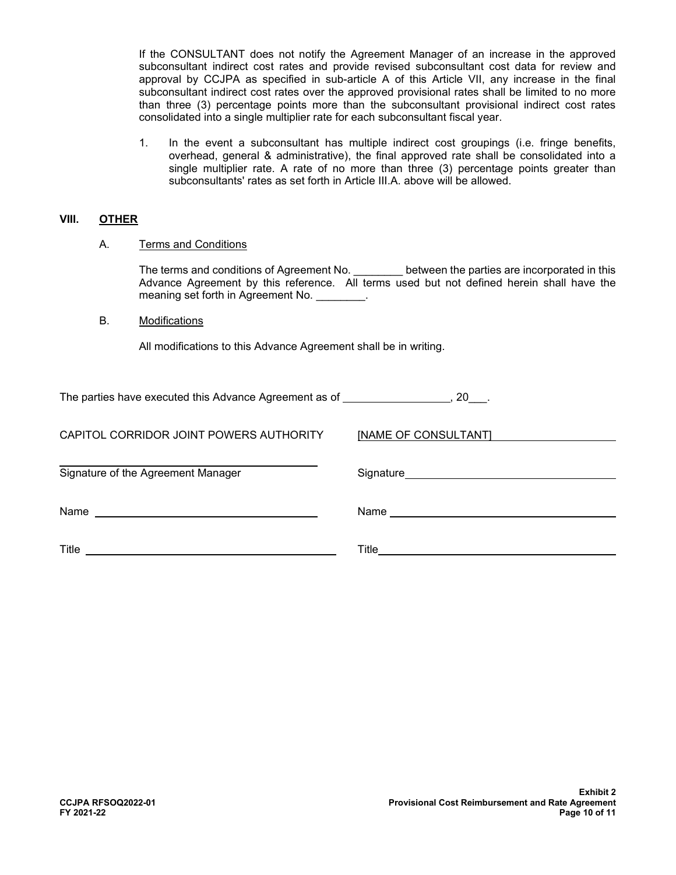If the CONSULTANT does not notify the Agreement Manager of an increase in the approved subconsultant indirect cost rates and provide revised subconsultant cost data for review and approval by CCJPA as specified in sub-article A of this Article VII, any increase in the final subconsultant indirect cost rates over the approved provisional rates shall be limited to no more than three (3) percentage points more than the subconsultant provisional indirect cost rates consolidated into a single multiplier rate for each subconsultant fiscal year.

1. In the event a subconsultant has multiple indirect cost groupings (i.e. fringe benefits, overhead, general & administrative), the final approved rate shall be consolidated into a single multiplier rate. A rate of no more than three (3) percentage points greater than subconsultants' rates as set forth in Article III.A. above will be allowed.

#### **VIII. OTHER**

A. Terms and Conditions

The terms and conditions of Agreement No. **Example 1** between the parties are incorporated in this Advance Agreement by this reference. All terms used but not defined herein shall have the meaning set forth in Agreement No.

#### B. Modifications

All modifications to this Advance Agreement shall be in writing.

| The parties have executed this Advance Agreement as of |  |
|--------------------------------------------------------|--|
|                                                        |  |

| CAPITOL CORRIDOR JOINT POWERS AUTHORITY | [NAME OF CONSULTANT] |
|-----------------------------------------|----------------------|
| Signature of the Agreement Manager      |                      |
| Name                                    |                      |
| Title                                   | Title                |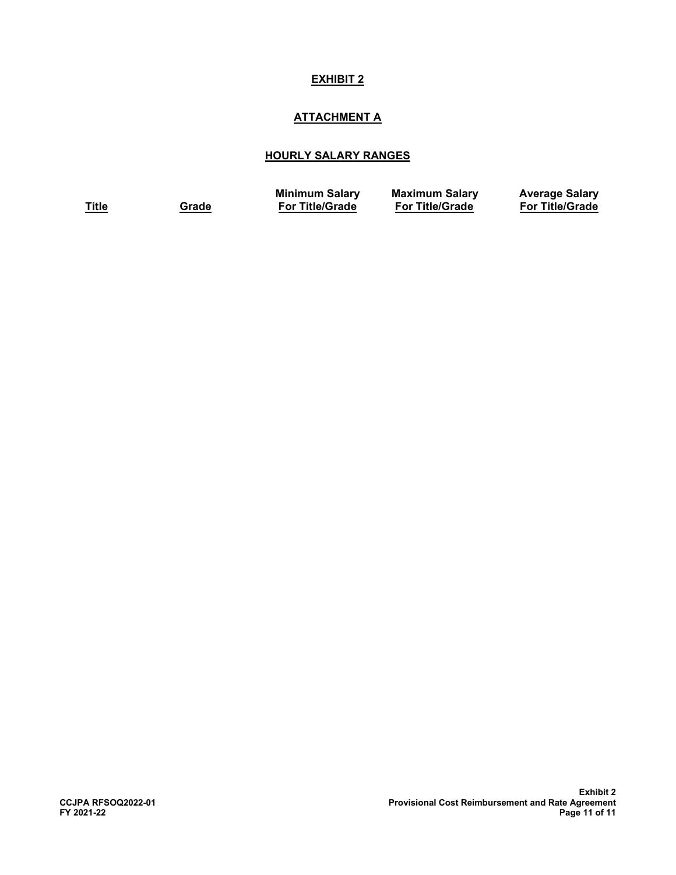# **ATTACHMENT A**

# **HOURLY SALARY RANGES**

**Title Grade**

**Minimum Salary For Title/Grade**

**Maximum Salary For Title/Grade**

**Average Salary For Title/Grade**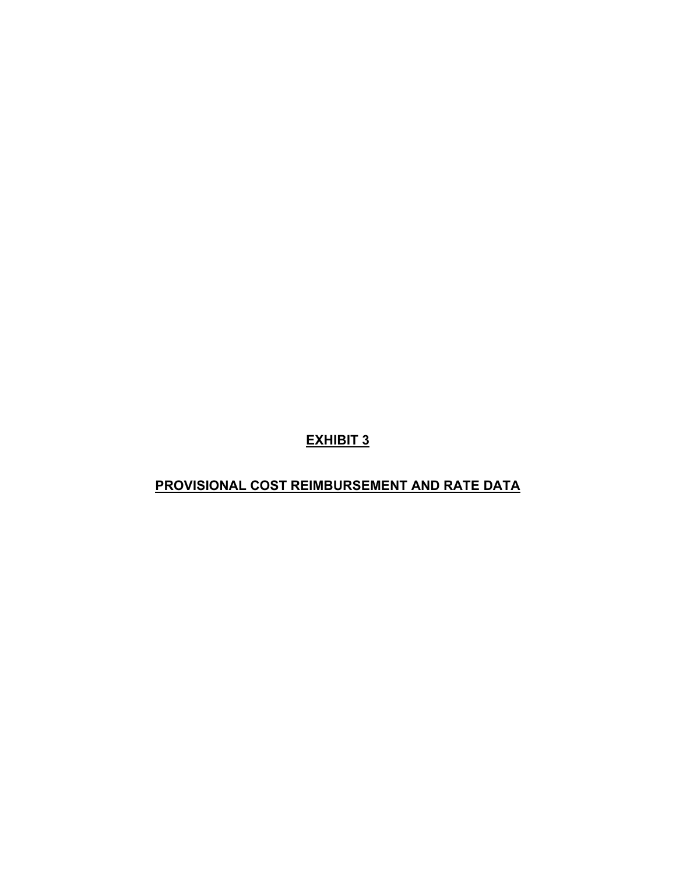# **PROVISIONAL COST REIMBURSEMENT AND RATE DATA**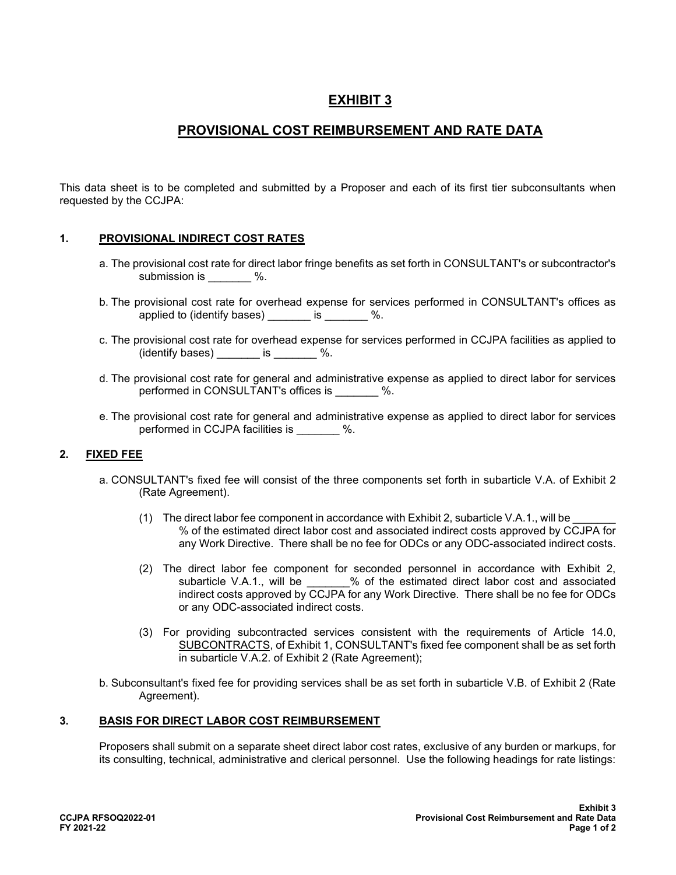# **PROVISIONAL COST REIMBURSEMENT AND RATE DATA**

This data sheet is to be completed and submitted by a Proposer and each of its first tier subconsultants when requested by the CCJPA:

# **1. PROVISIONAL INDIRECT COST RATES**

- a. The provisional cost rate for direct labor fringe benefits as set forth in CONSULTANT's or subcontractor's submission is  $\%$ .
- b. The provisional cost rate for overhead expense for services performed in CONSULTANT's offices as applied to (identify bases) \_\_\_\_\_\_\_ is \_\_\_\_\_\_\_ %.
- c. The provisional cost rate for overhead expense for services performed in CCJPA facilities as applied to  $(id$ entify bases) is  $\%$ .
- d. The provisional cost rate for general and administrative expense as applied to direct labor for services performed in CONSULTANT's offices is \_\_\_\_\_\_\_ %.
- e. The provisional cost rate for general and administrative expense as applied to direct labor for services performed in CCJPA facilities is  $\%$ .

#### **2. FIXED FEE**

- a. CONSULTANT's fixed fee will consist of the three components set forth in subarticle V.A. of Exhibit 2 (Rate Agreement).
	- (1) The direct labor fee component in accordance with Exhibit 2, subarticle V.A.1., will be % of the estimated direct labor cost and associated indirect costs approved by CCJPA for any Work Directive. There shall be no fee for ODCs or any ODC-associated indirect costs.
	- (2) The direct labor fee component for seconded personnel in accordance with Exhibit 2, subarticle V.A.1., will be  $\%$  of the estimated direct labor cost and associated indirect costs approved by CCJPA for any Work Directive. There shall be no fee for ODCs or any ODC-associated indirect costs.
	- (3) For providing subcontracted services consistent with the requirements of Article 14.0, SUBCONTRACTS, of Exhibit 1, CONSULTANT's fixed fee component shall be as set forth in subarticle V.A.2. of Exhibit 2 (Rate Agreement);
- b. Subconsultant's fixed fee for providing services shall be as set forth in subarticle V.B. of Exhibit 2 (Rate Agreement).

#### **3. BASIS FOR DIRECT LABOR COST REIMBURSEMENT**

Proposers shall submit on a separate sheet direct labor cost rates, exclusive of any burden or markups, for its consulting, technical, administrative and clerical personnel. Use the following headings for rate listings: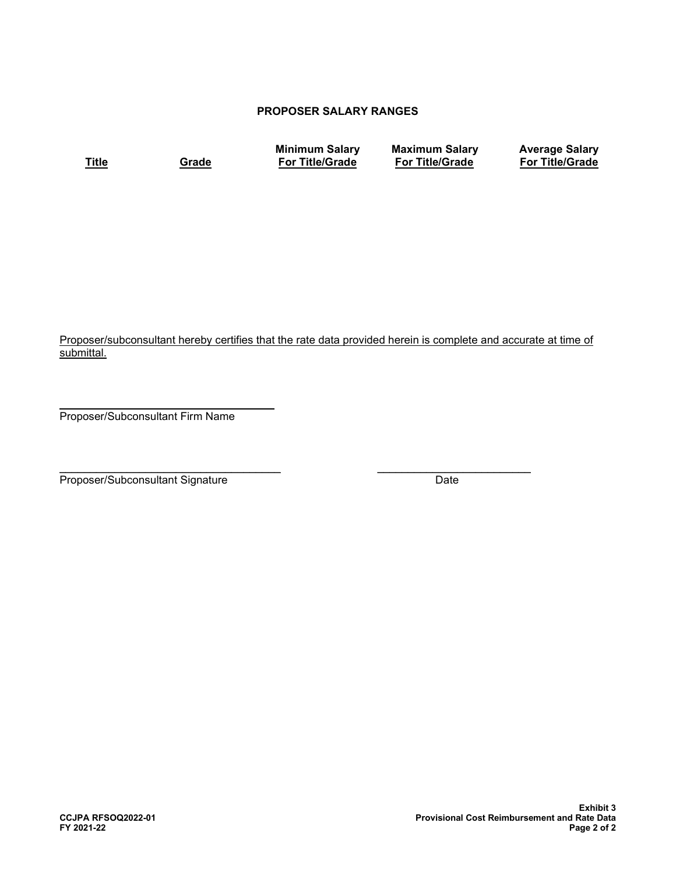# **PROPOSER SALARY RANGES**

**Title Grade**

**Minimum Salary For Title/Grade**

**Maximum Salary For Title/Grade**

**Average Salary For Title/Grade**

Proposer/subconsultant hereby certifies that the rate data provided herein is complete and accurate at time of submittal.

 $\overline{\phantom{a}}$  , and the contract of the contract of the contract of the contract of the contract of the contract of the contract of the contract of the contract of the contract of the contract of the contract of the contrac Proposer/Subconsultant Firm Name

 $\frac{1}{2}$  , the contribution of the contribution of the contribution of the contribution of the contribution of the contribution of the contribution of the contribution of the contribution of the contribution of the contr Proposer/Subconsultant Signature Date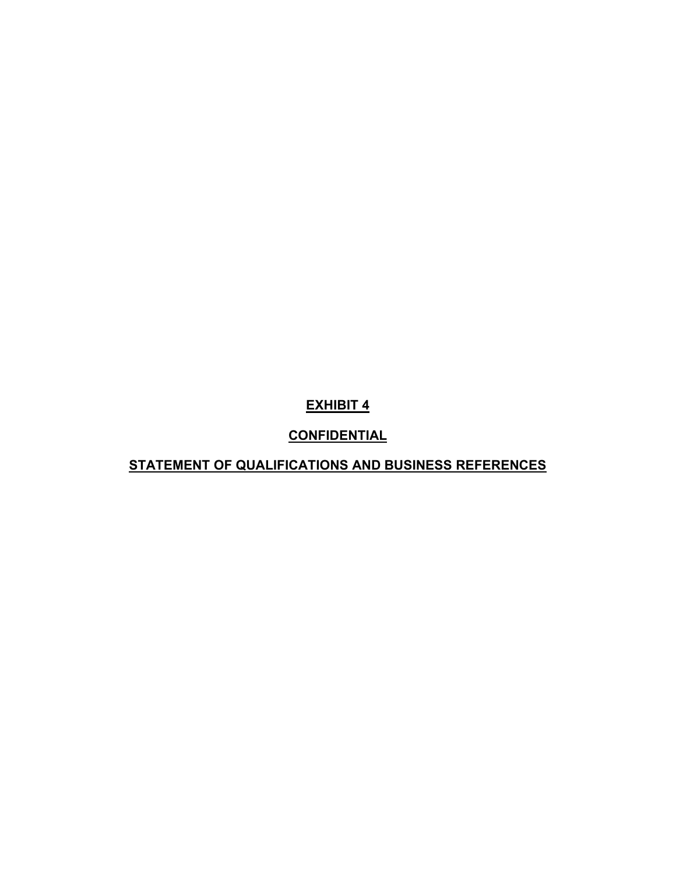# **CONFIDENTIAL**

# **STATEMENT OF QUALIFICATIONS AND BUSINESS REFERENCES**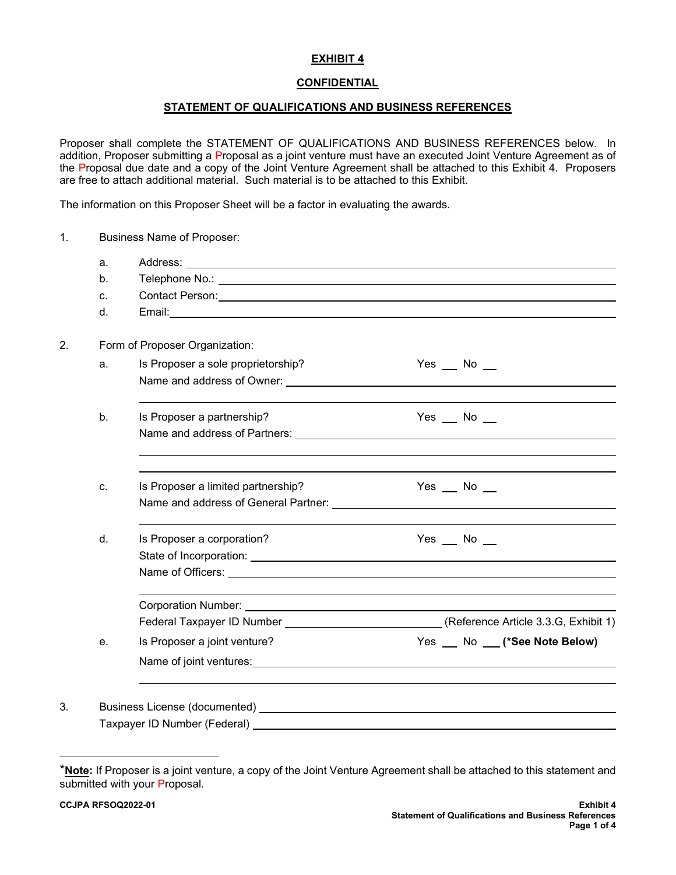# **CONFIDENTIAL**

### **STATEMENT OF QUALIFICATIONS AND BUSINESS REFERENCES**

Proposer shall complete the STATEMENT OF QUALIFICATIONS AND BUSINESS REFERENCES below. In addition, Proposer submitting a Proposal as a joint venture must have an executed Joint Venture Agreement as of the Proposal due date and a copy of the Joint Venture Agreement shall be attached to this Exhibit 4. Proposers are free to attach additional material. Such material is to be attached to this Exhibit.

The information on this Proposer Sheet will be a factor in evaluating the awards.

| 1. |         | Business Name of Proposer:                                                                                                                                                                                                                                     |                                                                                                |
|----|---------|----------------------------------------------------------------------------------------------------------------------------------------------------------------------------------------------------------------------------------------------------------------|------------------------------------------------------------------------------------------------|
|    | a.      |                                                                                                                                                                                                                                                                |                                                                                                |
|    | b.      |                                                                                                                                                                                                                                                                |                                                                                                |
|    | C.      | Contact Person: Contact Person: Contact Person: Contact Person: Contact Person: Contact Person: Contact Person:                                                                                                                                                |                                                                                                |
|    | $d_{-}$ |                                                                                                                                                                                                                                                                |                                                                                                |
| 2. |         | Form of Proposer Organization:                                                                                                                                                                                                                                 |                                                                                                |
|    | a.      | Is Proposer a sole proprietorship?                                                                                                                                                                                                                             | Yes $\_\_\$ No $\_\_\$                                                                         |
|    |         | Name and address of Owner: University of Contract of Countries and Security of Countries and Security of Countries                                                                                                                                             |                                                                                                |
|    | b.      | Is Proposer a partnership?                                                                                                                                                                                                                                     | Yes $\_\_\$ No $\_\_\$                                                                         |
|    |         |                                                                                                                                                                                                                                                                |                                                                                                |
|    |         |                                                                                                                                                                                                                                                                |                                                                                                |
|    | c.      | Is Proposer a limited partnership?                                                                                                                                                                                                                             | Yes $\_\$ No $\_\_$                                                                            |
|    |         |                                                                                                                                                                                                                                                                |                                                                                                |
|    | d.      | Is Proposer a corporation?                                                                                                                                                                                                                                     | Yes $\_\_\$ No $\_\_\$                                                                         |
|    |         |                                                                                                                                                                                                                                                                |                                                                                                |
|    |         |                                                                                                                                                                                                                                                                |                                                                                                |
|    |         |                                                                                                                                                                                                                                                                |                                                                                                |
|    |         |                                                                                                                                                                                                                                                                | Federal Taxpayer ID Number _______________________________(Reference Article 3.3.G, Exhibit 1) |
|    | e.      | Is Proposer a joint venture?                                                                                                                                                                                                                                   | Yes No (*See Note Below)                                                                       |
|    |         | Name of joint ventures: Name of $\sim$ 100 mm $\sim$ 100 mm $\sim$ 100 mm $\sim$ 100 mm $\sim$ 100 mm $\sim$ 100 mm $\sim$ 100 mm $\sim$ 100 mm $\sim$ 100 mm $\sim$ 100 mm $\sim$ 100 mm $\sim$ 100 mm $\sim$ 100 mm $\sim$ 100 mm $\sim$ 100 mm $\sim$ 100 m |                                                                                                |
|    |         |                                                                                                                                                                                                                                                                |                                                                                                |
| 3. |         | Business License (documented) and the state of the state of the state of the state of the state of the state o                                                                                                                                                 |                                                                                                |
|    |         | Taxpayer ID Number (Federal)                                                                                                                                                                                                                                   |                                                                                                |

<span id="page-90-0"></span><sup>\*</sup>**Note:** If Proposer is a joint venture, a copy of the Joint Venture Agreement shall be attached to this statement and submitted with your Proposal.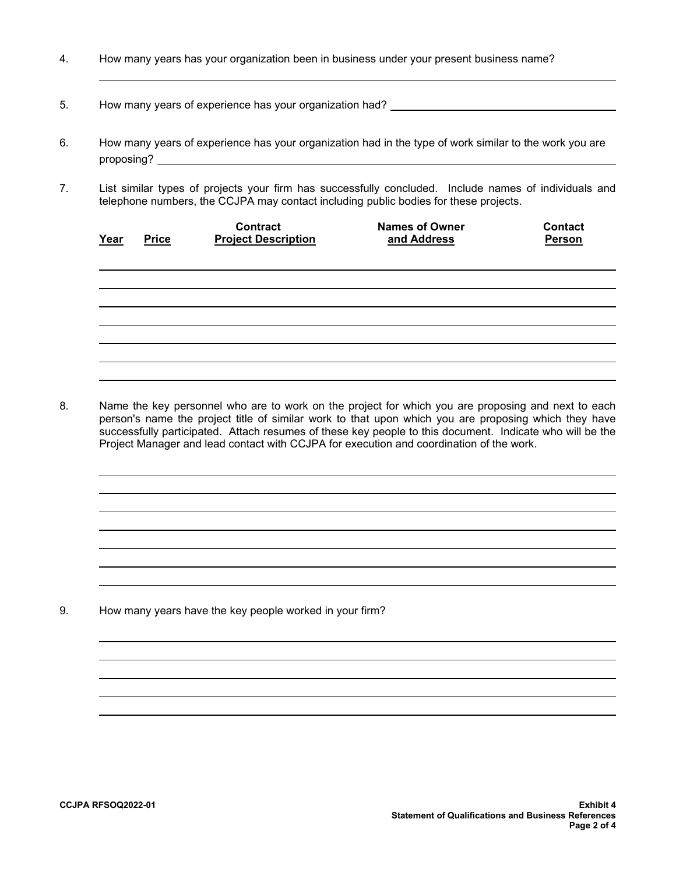- 4. How many years has your organization been in business under your present business name?
- 5. How many years of experience has your organization had? \_\_\_\_\_\_\_\_\_\_\_\_\_\_\_\_\_\_\_\_\_

l

- 6. How many years of experience has your organization had in the type of work similar to the work you are proposing?
- 7. List similar types of projects your firm has successfully concluded. Include names of individuals and telephone numbers, the CCJPA may contact including public bodies for these projects.

| Year | <b>Price</b> | <b>Contract</b><br><b>Project Description</b> | <b>Names of Owner</b><br>and Address | <b>Contact</b><br>Person |
|------|--------------|-----------------------------------------------|--------------------------------------|--------------------------|
|      |              |                                               |                                      |                          |
|      |              |                                               |                                      |                          |
|      |              |                                               |                                      |                          |
|      |              |                                               |                                      |                          |

8. Name the key personnel who are to work on the project for which you are proposing and next to each person's name the project title of similar work to that upon which you are proposing which they have successfully participated. Attach resumes of these key people to this document. Indicate who will be the Project Manager and lead contact with CCJPA for execution and coordination of the work.

9. How many years have the key people worked in your firm?

l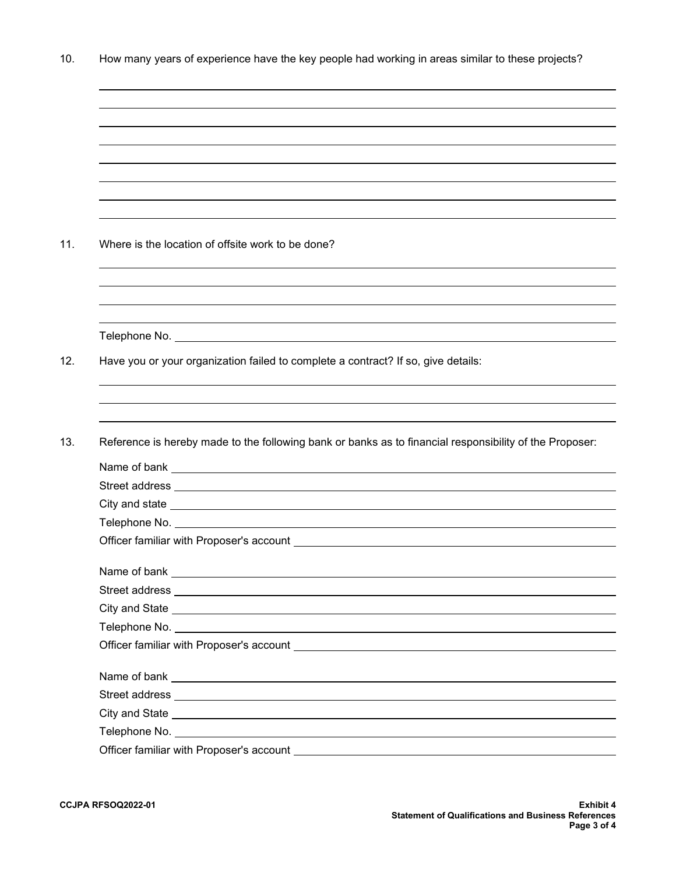10. How many years of experience have the key people had working in areas similar to these projects?

| Where is the location of offsite work to be done?                                                                      |
|------------------------------------------------------------------------------------------------------------------------|
|                                                                                                                        |
|                                                                                                                        |
|                                                                                                                        |
|                                                                                                                        |
|                                                                                                                        |
| Have you or your organization failed to complete a contract? If so, give details:                                      |
|                                                                                                                        |
|                                                                                                                        |
|                                                                                                                        |
|                                                                                                                        |
|                                                                                                                        |
|                                                                                                                        |
|                                                                                                                        |
|                                                                                                                        |
|                                                                                                                        |
|                                                                                                                        |
|                                                                                                                        |
|                                                                                                                        |
| City and State <u>experience</u> and the state of the state of the state of the state of the state of the state of the |
|                                                                                                                        |
|                                                                                                                        |
|                                                                                                                        |
| Reference is hereby made to the following bank or banks as to financial responsibility of the Proposer:                |
|                                                                                                                        |

l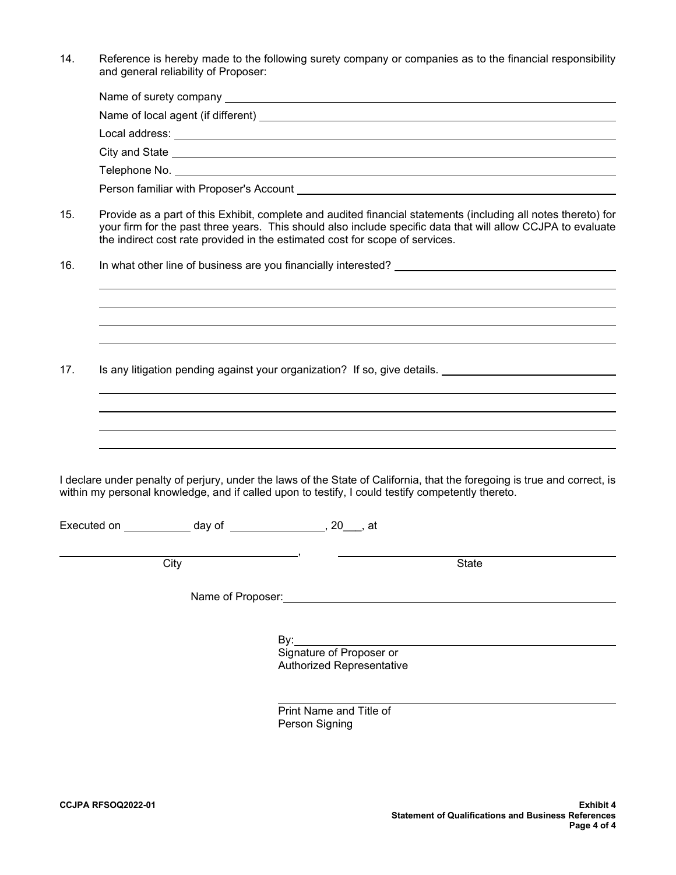14. Reference is hereby made to the following surety company or companies as to the financial responsibility and general reliability of Proposer:

| City and State <u>experience</u> and the state of the state of the state of the state of the state of the state of the |  |  |
|------------------------------------------------------------------------------------------------------------------------|--|--|
|                                                                                                                        |  |  |
| Person familiar with Proposer's Account                                                                                |  |  |

- 15. Provide as a part of this Exhibit, complete and audited financial statements (including all notes thereto) for your firm for the past three years. This should also include specific data that will allow CCJPA to evaluate the indirect cost rate provided in the estimated cost for scope of services.
- 16. In what other line of business are you financially interested?

17. Is any litigation pending against your organization? If so, give details.

I declare under penalty of perjury, under the laws of the State of California, that the foregoing is true and correct, is within my personal knowledge, and if called upon to testify, I could testify competently thereto.

 $\sim$ 

Executed on \_\_\_\_\_\_\_\_\_\_\_\_\_ day of \_\_\_\_\_\_\_\_\_\_\_\_\_\_, 20\_\_\_, at

city in the contract of the contract of the contract of the contract of the contract of the contract of the co

Name of Proposer: <u>Community of Australian and Theorem and</u>

 $\overline{\phantom{a}}$ ,

en and the state of the By: the By: Signature of Proposer or Authorized Representative

> Print Name and Title of Person Signing

 $\ddot{\phantom{a}}$ 

 $\ddot{\phantom{a}}$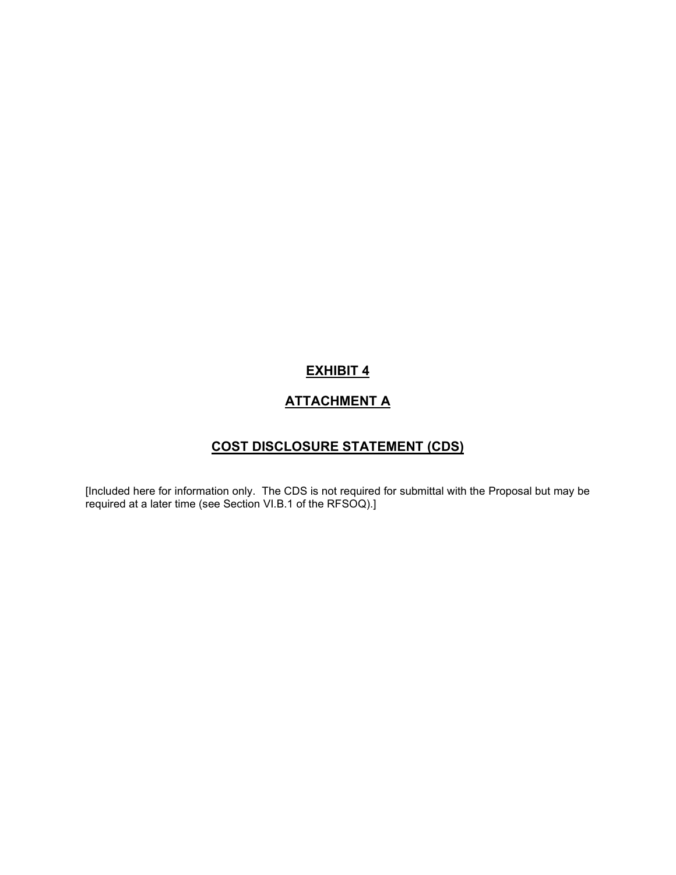# **ATTACHMENT A**

# **COST DISCLOSURE STATEMENT (CDS)**

[Included here for information only. The CDS is not required for submittal with the Proposal but may be required at a later time (see Section VI.B.1 of the RFSOQ).]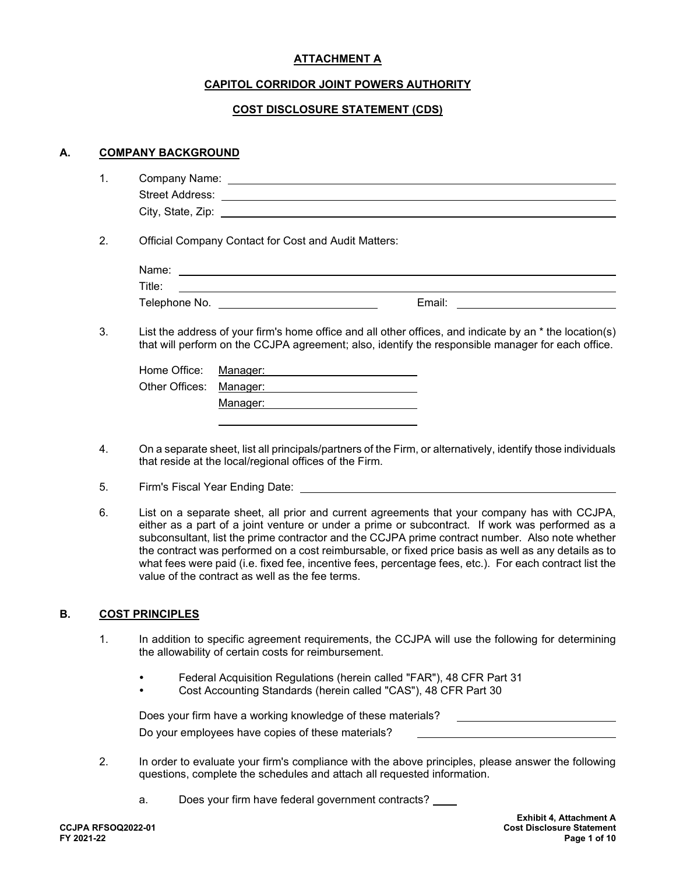# **ATTACHMENT A**

# **CAPITOL CORRIDOR JOINT POWERS AUTHORITY**

### **COST DISCLOSURE STATEMENT (CDS)**

#### **A. COMPANY BACKGROUND**

| Company Name:<br>. .   |  |
|------------------------|--|
| <b>Street Address:</b> |  |
| City, State, Zip:      |  |

2. Official Company Contact for Cost and Audit Matters:

| Name:         |        |  |
|---------------|--------|--|
| Title:        |        |  |
| Telephone No. | Email: |  |

3. List the address of your firm's home office and all other offices, and indicate by an \* the location(s) that will perform on the CCJPA agreement; also, identify the responsible manager for each office.

| Home Office: Manager:   |          |
|-------------------------|----------|
| Other Offices: Manager: |          |
|                         | Manager: |

- 4. On a separate sheet, list all principals/partners of the Firm, or alternatively, identify those individuals that reside at the local/regional offices of the Firm.
- 5. Firm's Fiscal Year Ending Date:
- 6. List on a separate sheet, all prior and current agreements that your company has with CCJPA, either as a part of a joint venture or under a prime or subcontract. If work was performed as a subconsultant, list the prime contractor and the CCJPA prime contract number. Also note whether the contract was performed on a cost reimbursable, or fixed price basis as well as any details as to what fees were paid (i.e. fixed fee, incentive fees, percentage fees, etc.). For each contract list the value of the contract as well as the fee terms.

#### **B. COST PRINCIPLES**

- 1. In addition to specific agreement requirements, the CCJPA will use the following for determining the allowability of certain costs for reimbursement.
	- Federal Acquisition Regulations (herein called "FAR"), 48 CFR Part 31
	- Cost Accounting Standards (herein called "CAS"), 48 CFR Part 30

| Does your firm have a working knowledge of these materials? |  |
|-------------------------------------------------------------|--|
| Do your employees have copies of these materials?           |  |

- 2. In order to evaluate your firm's compliance with the above principles, please answer the following questions, complete the schedules and attach all requested information.
	- a. Does your firm have federal government contracts?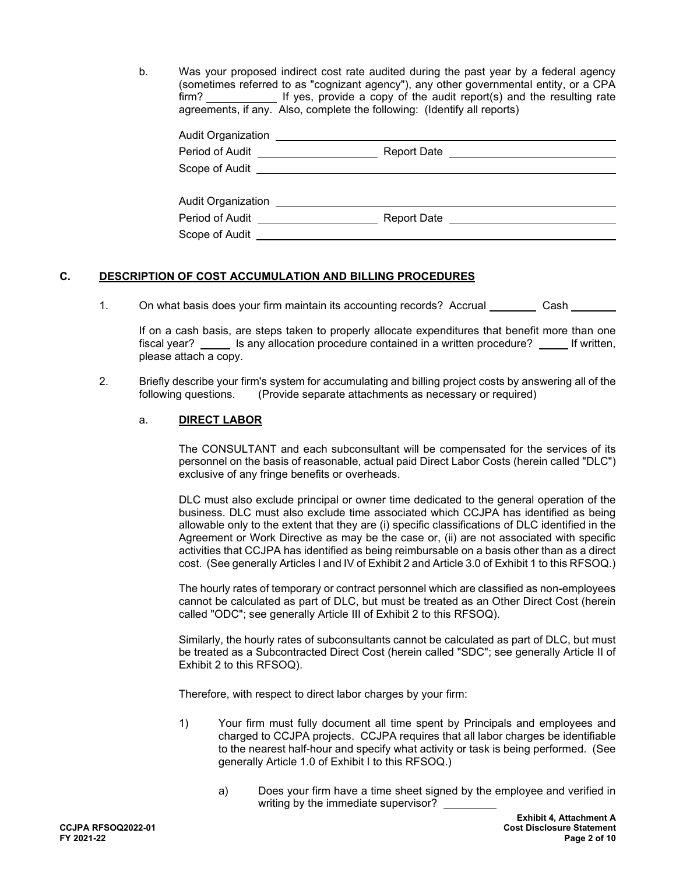b. Was your proposed indirect cost rate audited during the past year by a federal agency (sometimes referred to as "cognizant agency"), any other governmental entity, or a CPA firm? If yes, provide a copy of the audit report(s) and the resulting rate agreements, if any. Also, complete the following: (Identify all reports)

| Audit Organization |                               |  |
|--------------------|-------------------------------|--|
| Period of Audit    | Report Date <u>expression</u> |  |
|                    |                               |  |
| Audit Organization |                               |  |
| Period of Audit    | Report Date                   |  |
| Scope of Audit __  |                               |  |

# **C. DESCRIPTION OF COST ACCUMULATION AND BILLING PROCEDURES**

1. On what basis does your firm maintain its accounting records? Accrual Cash

If on a cash basis, are steps taken to properly allocate expenditures that benefit more than one fiscal year? \_\_\_\_\_ Is any allocation procedure contained in a written procedure? \_\_\_\_\_ If written, please attach a copy.

2. Briefly describe your firm's system for accumulating and billing project costs by answering all of the following questions. (Provide separate attachments as necessary or required) (Provide separate attachments as necessary or required)

#### a. **DIRECT LABOR**

The CONSULTANT and each subconsultant will be compensated for the services of its personnel on the basis of reasonable, actual paid Direct Labor Costs (herein called "DLC") exclusive of any fringe benefits or overheads.

DLC must also exclude principal or owner time dedicated to the general operation of the business. DLC must also exclude time associated which CCJPA has identified as being allowable only to the extent that they are (i) specific classifications of DLC identified in the Agreement or Work Directive as may be the case or, (ii) are not associated with specific activities that CCJPA has identified as being reimbursable on a basis other than as a direct cost. (See generally Articles I and IV of Exhibit 2 and Article 3.0 of Exhibit 1 to this RFSOQ.)

The hourly rates of temporary or contract personnel which are classified as non-employees cannot be calculated as part of DLC, but must be treated as an Other Direct Cost (herein called "ODC"; see generally Article III of Exhibit 2 to this RFSOQ).

Similarly, the hourly rates of subconsultants cannot be calculated as part of DLC, but must be treated as a Subcontracted Direct Cost (herein called "SDC"; see generally Article II of Exhibit 2 to this RFSOQ).

Therefore, with respect to direct labor charges by your firm:

- 1) Your firm must fully document all time spent by Principals and employees and charged to CCJPA projects. CCJPA requires that all labor charges be identifiable to the nearest half-hour and specify what activity or task is being performed. (See generally Article 1.0 of Exhibit I to this RFSOQ.)
	- a) Does your firm have a time sheet signed by the employee and verified in writing by the immediate supervisor?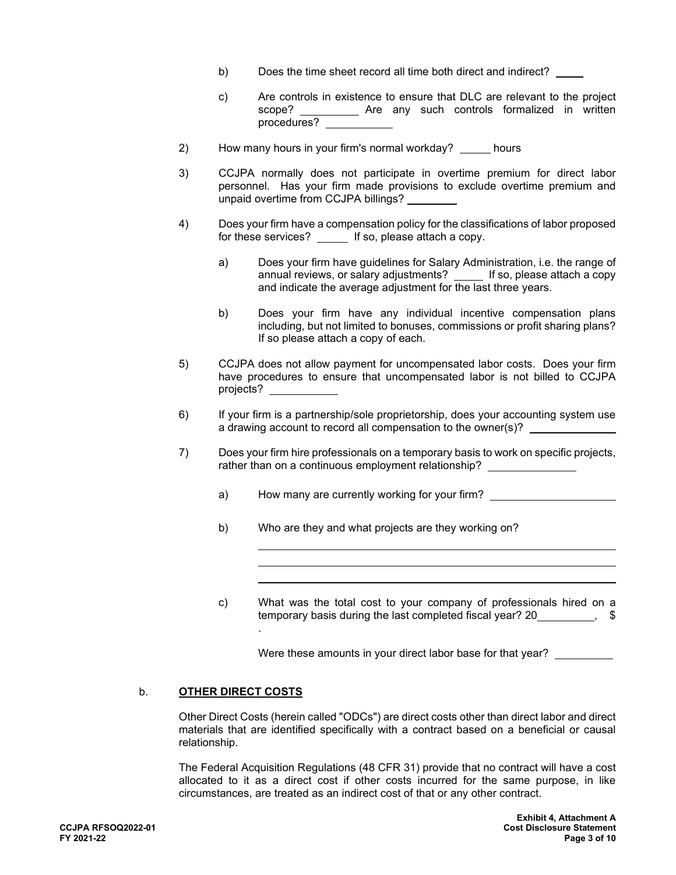- b) Does the time sheet record all time both direct and indirect?
- c) Are controls in existence to ensure that DLC are relevant to the project scope? \_\_\_\_\_\_\_\_\_\_\_ Are any such controls formalized in written procedures?
- 2) How many hours in your firm's normal workday? \_\_\_\_ hours
- 3) CCJPA normally does not participate in overtime premium for direct labor personnel. Has your firm made provisions to exclude overtime premium and unpaid overtime from CCJPA billings?
- 4) Does your firm have a compensation policy for the classifications of labor proposed for these services? \_\_\_\_\_ If so, please attach a copy.
	- a) Does your firm have guidelines for Salary Administration, i.e. the range of annual reviews, or salary adjustments? \_\_\_\_\_ If so, please attach a copy and indicate the average adjustment for the last three years.
	- b) Does your firm have any individual incentive compensation plans including, but not limited to bonuses, commissions or profit sharing plans? If so please attach a copy of each.
- 5) CCJPA does not allow payment for uncompensated labor costs. Does your firm have procedures to ensure that uncompensated labor is not billed to CCJPA projects?
- 6) If your firm is a partnership/sole proprietorship, does your accounting system use a drawing account to record all compensation to the owner(s)?
- 7) Does your firm hire professionals on a temporary basis to work on specific projects, rather than on a continuous employment relationship?
	- a) How many are currently working for your firm?
	- b) Who are they and what projects are they working on?
	- c) What was the total cost to your company of professionals hired on a temporary basis during the last completed fiscal year? 20 .

Were these amounts in your direct labor base for that year?

#### b. **OTHER DIRECT COSTS**

Other Direct Costs (herein called "ODCs") are direct costs other than direct labor and direct materials that are identified specifically with a contract based on a beneficial or causal relationship.

The Federal Acquisition Regulations (48 CFR 31) provide that no contract will have a cost allocated to it as a direct cost if other costs incurred for the same purpose, in like circumstances, are treated as an indirect cost of that or any other contract.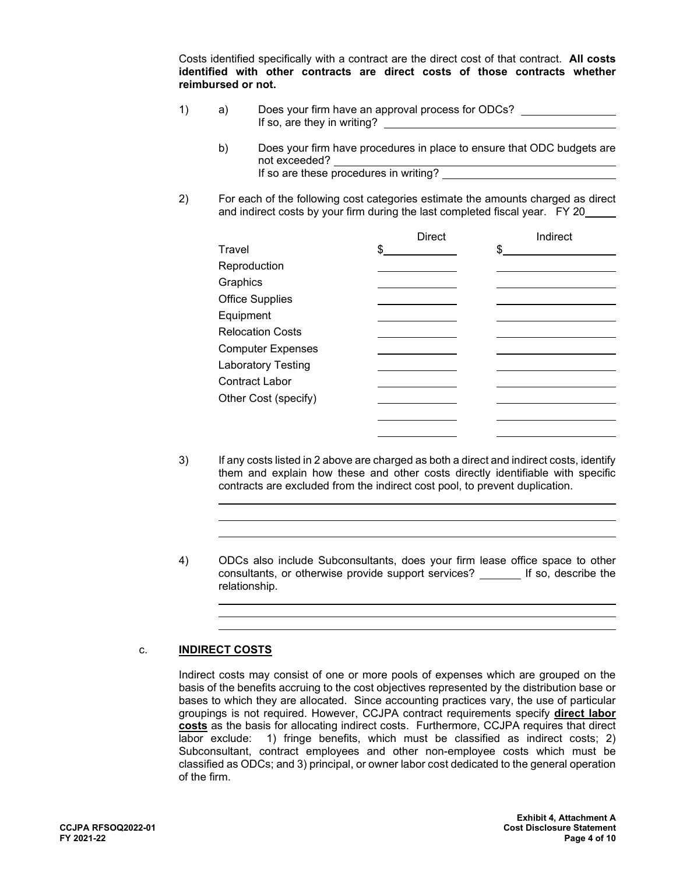Costs identified specifically with a contract are the direct cost of that contract. **All costs identified with other contracts are direct costs of those contracts whether reimbursed or not.**

- 1) a) Does your firm have an approval process for ODCs?  $\qquad \qquad$  If so, are they in writing?
	- b) Does your firm have procedures in place to ensure that ODC budgets are not exceeded? If so are these procedures in writing?
- 2) For each of the following cost categories estimate the amounts charged as direct and indirect costs by your firm during the last completed fiscal year. FY 20

|                           | <b>Direct</b> | Indirect |
|---------------------------|---------------|----------|
| Travel                    | \$            | \$       |
| Reproduction              |               |          |
| Graphics                  |               |          |
| <b>Office Supplies</b>    |               |          |
| Equipment                 |               |          |
| <b>Relocation Costs</b>   |               |          |
| <b>Computer Expenses</b>  |               |          |
| <b>Laboratory Testing</b> |               |          |
| Contract Labor            |               |          |
| Other Cost (specify)      |               |          |
|                           |               |          |
|                           |               |          |

- 3) If any costs listed in 2 above are charged as both a direct and indirect costs, identify them and explain how these and other costs directly identifiable with specific contracts are excluded from the indirect cost pool, to prevent duplication.
- 4) ODCs also include Subconsultants, does your firm lease office space to other consultants, or otherwise provide support services? If so, describe the relationship.

#### c. **INDIRECT COSTS**

l

 $\ddot{\phantom{a}}$ 

 $\ddot{\phantom{a}}$ 

Indirect costs may consist of one or more pools of expenses which are grouped on the basis of the benefits accruing to the cost objectives represented by the distribution base or bases to which they are allocated. Since accounting practices vary, the use of particular groupings is not required. However, CCJPA contract requirements specify **direct labor costs** as the basis for allocating indirect costs. Furthermore, CCJPA requires that direct labor exclude: 1) fringe benefits, which must be classified as indirect costs; 2) Subconsultant, contract employees and other non-employee costs which must be classified as ODCs; and 3) principal, or owner labor cost dedicated to the general operation of the firm.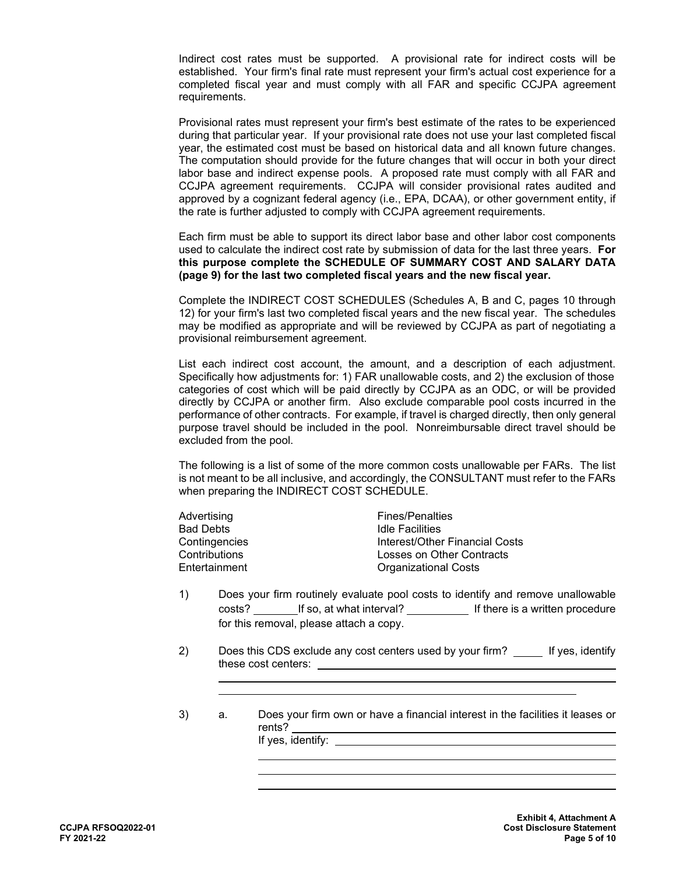Indirect cost rates must be supported. A provisional rate for indirect costs will be established. Your firm's final rate must represent your firm's actual cost experience for a completed fiscal year and must comply with all FAR and specific CCJPA agreement requirements.

Provisional rates must represent your firm's best estimate of the rates to be experienced during that particular year. If your provisional rate does not use your last completed fiscal year, the estimated cost must be based on historical data and all known future changes. The computation should provide for the future changes that will occur in both your direct labor base and indirect expense pools. A proposed rate must comply with all FAR and CCJPA agreement requirements. CCJPA will consider provisional rates audited and approved by a cognizant federal agency (i.e., EPA, DCAA), or other government entity, if the rate is further adjusted to comply with CCJPA agreement requirements.

Each firm must be able to support its direct labor base and other labor cost components used to calculate the indirect cost rate by submission of data for the last three years. **For this purpose complete the SCHEDULE OF SUMMARY COST AND SALARY DATA (page 9) for the last two completed fiscal years and the new fiscal year.**

Complete the INDIRECT COST SCHEDULES (Schedules A, B and C, pages 10 through 12) for your firm's last two completed fiscal years and the new fiscal year. The schedules may be modified as appropriate and will be reviewed by CCJPA as part of negotiating a provisional reimbursement agreement.

List each indirect cost account, the amount, and a description of each adjustment. Specifically how adjustments for: 1) FAR unallowable costs, and 2) the exclusion of those categories of cost which will be paid directly by CCJPA as an ODC, or will be provided directly by CCJPA or another firm. Also exclude comparable pool costs incurred in the performance of other contracts. For example, if travel is charged directly, then only general purpose travel should be included in the pool. Nonreimbursable direct travel should be excluded from the pool.

The following is a list of some of the more common costs unallowable per FARs. The list is not meant to be all inclusive, and accordingly, the CONSULTANT must refer to the FARs when preparing the INDIRECT COST SCHEDULE.

| <b>Fines/Penalties</b>         |
|--------------------------------|
| <b>Idle Facilities</b>         |
| Interest/Other Financial Costs |
| Losses on Other Contracts      |
| <b>Organizational Costs</b>    |
|                                |

- 1) Does your firm routinely evaluate pool costs to identify and remove unallowable costs? If so, at what interval? If there is a written procedure for this removal, please attach a copy.
- 2) Does this CDS exclude any cost centers used by your firm? \_\_\_\_\_ If yes, identify these cost centers:
- 3) a. Does your firm own or have a financial interest in the facilities it leases or rents? If yes, identify:

 $\ddot{\phantom{a}}$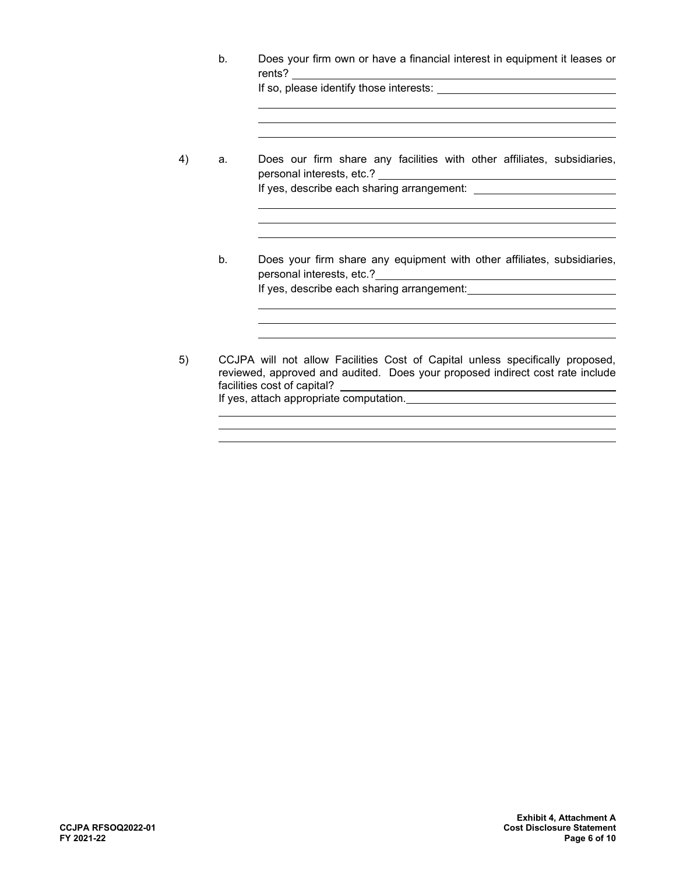|    | Does your firm own or have a financial interest in equipment it leases or<br>$b_{\cdot}$ |                                                                                                                                                                                                                                                          |  |  |  |
|----|------------------------------------------------------------------------------------------|----------------------------------------------------------------------------------------------------------------------------------------------------------------------------------------------------------------------------------------------------------|--|--|--|
|    |                                                                                          | If so, please identify those interests: <b>with the set of the set of the set of the set of the set of the set of the set of the set of the set of the set of the set of the set of the set of the set of the set of the set of </b>                     |  |  |  |
|    |                                                                                          |                                                                                                                                                                                                                                                          |  |  |  |
| 4) | a.                                                                                       | Does our firm share any facilities with other affiliates, subsidiaries,                                                                                                                                                                                  |  |  |  |
|    |                                                                                          | If yes, describe each sharing arrangement: [1989] [1989] [1989] [1989] [1989] [1989] [1989] [1989] [1989] [198                                                                                                                                           |  |  |  |
|    |                                                                                          |                                                                                                                                                                                                                                                          |  |  |  |
|    | b <sub>1</sub>                                                                           | Does your firm share any equipment with other affiliates, subsidiaries,                                                                                                                                                                                  |  |  |  |
|    |                                                                                          |                                                                                                                                                                                                                                                          |  |  |  |
|    |                                                                                          |                                                                                                                                                                                                                                                          |  |  |  |
|    |                                                                                          |                                                                                                                                                                                                                                                          |  |  |  |
| 5) |                                                                                          | CCJPA will not allow Facilities Cost of Capital unless specifically proposed,<br>reviewed, approved and audited. Does your proposed indirect cost rate include<br>facilities cost of capital?<br><u> 1989 - Andrea Stadt, fransk politiker (d. 1989)</u> |  |  |  |
|    |                                                                                          |                                                                                                                                                                                                                                                          |  |  |  |

l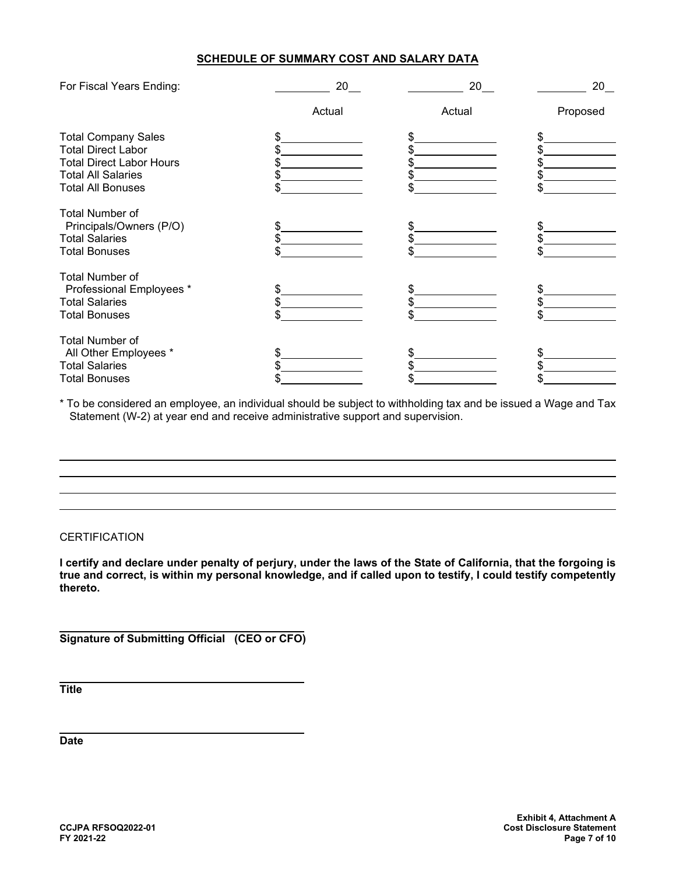#### **SCHEDULE OF SUMMARY COST AND SALARY DATA**

| For Fiscal Years Ending:        | 20     | 20     | 20       |
|---------------------------------|--------|--------|----------|
|                                 | Actual | Actual | Proposed |
| <b>Total Company Sales</b>      |        |        |          |
| <b>Total Direct Labor</b>       |        |        |          |
| <b>Total Direct Labor Hours</b> |        |        |          |
| <b>Total All Salaries</b>       |        |        |          |
| <b>Total All Bonuses</b>        |        |        |          |
| <b>Total Number of</b>          |        |        |          |
| Principals/Owners (P/O)         |        |        | \$       |
| <b>Total Salaries</b>           |        |        |          |
| <b>Total Bonuses</b>            |        |        |          |
| <b>Total Number of</b>          |        |        |          |
| Professional Employees *        |        |        |          |
| <b>Total Salaries</b>           |        |        |          |
| <b>Total Bonuses</b>            |        |        |          |
| <b>Total Number of</b>          |        |        |          |
| All Other Employees *           |        |        |          |
| <b>Total Salaries</b>           |        |        |          |
| <b>Total Bonuses</b>            |        |        |          |

\* To be considered an employee, an individual should be subject to withholding tax and be issued a Wage and Tax Statement (W-2) at year end and receive administrative support and supervision.

# **CERTIFICATION**

**I certify and declare under penalty of perjury, under the laws of the State of California, that the forgoing is true and correct, is within my personal knowledge, and if called upon to testify, I could testify competently thereto.**

 **Signature of Submitting Official (CEO or CFO)**

 **Title**

 $\ddot{\phantom{a}}$ 

 **Date**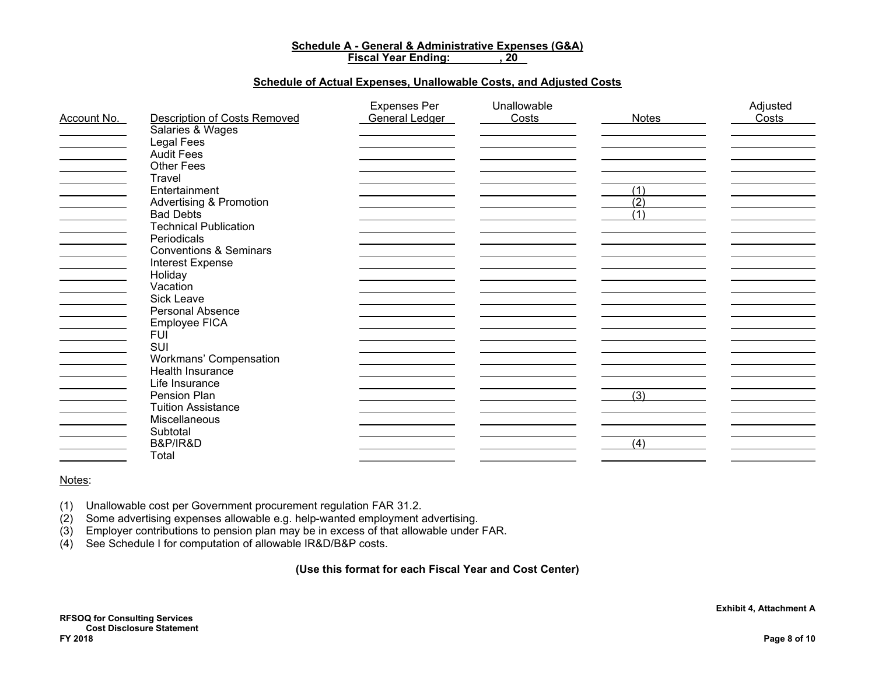#### **Schedule A - General & Administrative Expenses (G&A) Fiscal Year Ending:**

#### **Schedule of Actual Expenses, Unallowable Costs, and Adjusted Costs**

|             |                                     | <b>Expenses Per</b>   | Unallowable |                  | Adjusted |
|-------------|-------------------------------------|-----------------------|-------------|------------------|----------|
| Account No. | <b>Description of Costs Removed</b> | <b>General Ledger</b> | Costs       | Notes            | Costs    |
|             | Salaries & Wages                    |                       |             |                  |          |
|             | Legal Fees                          |                       |             |                  |          |
|             | <b>Audit Fees</b>                   |                       |             |                  |          |
|             | <b>Other Fees</b>                   |                       |             |                  |          |
|             | Travel                              |                       |             |                  |          |
|             | Entertainment                       |                       |             | (1)              |          |
|             | <b>Advertising &amp; Promotion</b>  |                       |             | $\overline{(2)}$ |          |
|             | <b>Bad Debts</b>                    |                       |             | (1)              |          |
|             | <b>Technical Publication</b>        |                       |             |                  |          |
|             | Periodicals                         |                       |             |                  |          |
|             | <b>Conventions &amp; Seminars</b>   |                       |             |                  |          |
|             | Interest Expense                    |                       |             |                  |          |
|             | Holiday                             |                       |             |                  |          |
|             | Vacation                            |                       |             |                  |          |
|             | Sick Leave                          |                       |             |                  |          |
|             | Personal Absence                    |                       |             |                  |          |
|             | Employee FICA                       |                       |             |                  |          |
|             | <b>FUI</b>                          |                       |             |                  |          |
|             | SUI                                 |                       |             |                  |          |
|             | Workmans' Compensation              |                       |             |                  |          |
|             | Health Insurance                    |                       |             |                  |          |
|             | Life Insurance                      |                       |             |                  |          |
|             | Pension Plan                        |                       |             | (3)              |          |
|             | <b>Tuition Assistance</b>           |                       |             |                  |          |
|             | Miscellaneous                       |                       |             |                  |          |
|             | Subtotal                            |                       |             |                  |          |
|             | <b>B&amp;P/IR&amp;D</b>             |                       |             | (4)              |          |
|             | Total                               |                       |             |                  |          |

#### Notes:

- (1) Unallowable cost per Government procurement regulation FAR 31.2.
- (2) Some advertising expenses allowable e.g. help-wanted employment advertising.
- (3) Employer contributions to pension plan may be in excess of that allowable under FAR.
- (4) See Schedule I for computation of allowable IR&D/B&P costs.

#### **(Use this format for each Fiscal Year and Cost Center)**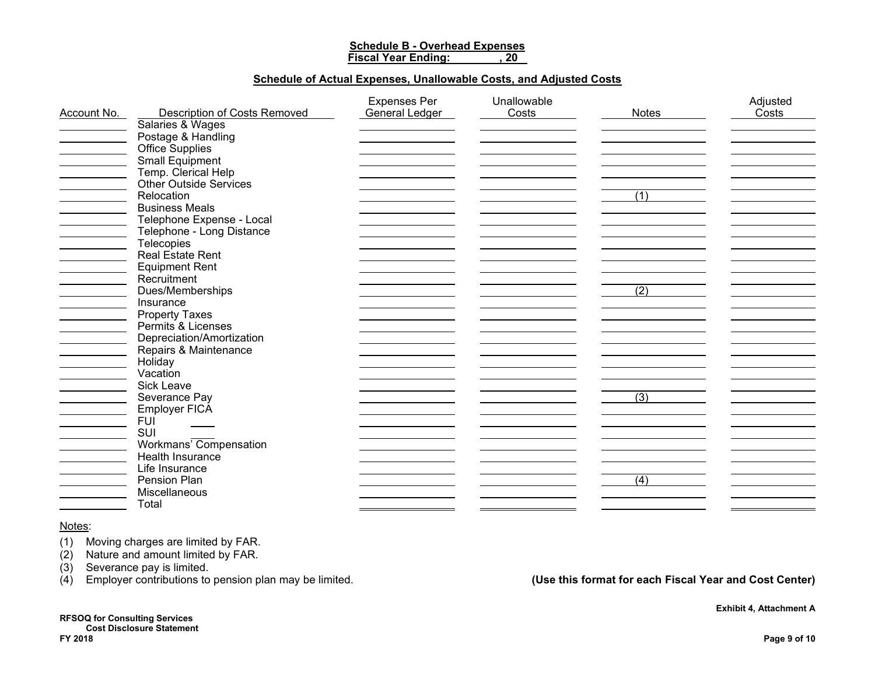# **Schedule B - Overhead Expenses**

**Fiscal Year Ending: , 20** 

#### **Schedule of Actual Expenses, Unallowable Costs, and Adjusted Costs**

|             |                                     | <b>Expenses Per</b> | Unallowable |                  | Adjusted |
|-------------|-------------------------------------|---------------------|-------------|------------------|----------|
| Account No. | <b>Description of Costs Removed</b> | General Ledger      | Costs       | <b>Notes</b>     | Costs    |
|             | Salaries & Wages                    |                     |             |                  |          |
|             | Postage & Handling                  |                     |             |                  |          |
|             | Office Supplies                     |                     |             |                  |          |
|             | Small Equipment                     |                     |             |                  |          |
|             | Temp. Clerical Help                 |                     |             |                  |          |
|             | <b>Other Outside Services</b>       |                     |             |                  |          |
|             | Relocation                          |                     |             | (1)              |          |
|             | <b>Business Meals</b>               |                     |             |                  |          |
|             | Telephone Expense - Local           |                     |             |                  |          |
|             | Telephone - Long Distance           |                     |             |                  |          |
|             | <b>Telecopies</b>                   |                     |             |                  |          |
|             | <b>Real Estate Rent</b>             |                     |             |                  |          |
|             | <b>Equipment Rent</b>               |                     |             |                  |          |
|             | Recruitment                         |                     |             |                  |          |
|             | Dues/Memberships                    |                     |             | (2)              |          |
|             | Insurance                           |                     |             |                  |          |
|             | <b>Property Taxes</b>               |                     |             |                  |          |
|             | Permits & Licenses                  |                     |             |                  |          |
|             | Depreciation/Amortization           |                     |             |                  |          |
|             | Repairs & Maintenance               |                     |             |                  |          |
|             | Holiday                             |                     |             |                  |          |
|             | Vacation                            |                     |             |                  |          |
|             | <b>Sick Leave</b>                   |                     |             |                  |          |
|             | Severance Pay                       |                     |             | $\overline{(3)}$ |          |
|             | Employer FICA                       |                     |             |                  |          |
|             | <b>FUI</b>                          |                     |             |                  |          |
|             | SUI                                 |                     |             |                  |          |
|             | Workmans' Compensation              |                     |             |                  |          |
|             | Health Insurance                    |                     |             |                  |          |
|             | Life Insurance                      |                     |             |                  |          |
|             |                                     |                     |             |                  |          |
|             | Pension Plan                        |                     |             | (4)              |          |
|             | Miscellaneous                       |                     |             |                  |          |
|             | Total                               |                     |             |                  |          |

#### Notes:

(1) Moving charges are limited by FAR.

(2) Nature and amount limited by FAR.

(3) Severance pay is limited.

(4) Employer contributions to pension plan may be limited. **(Use this format for each Fiscal Year and Cost Center)**

**RFSOQ for Consulting Services Cost Disclosure Statement**<br>FY 2018 **FY 2018 Page 9 of 10** 

 **Exhibit 4, Attachment A**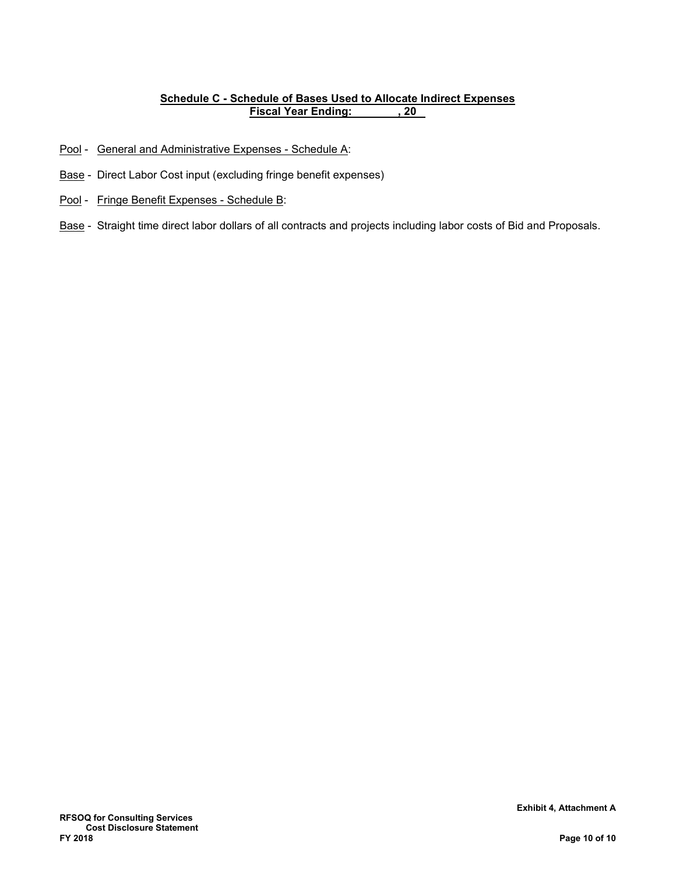# **Schedule C - Schedule of Bases Used to Allocate Indirect Expenses Fiscal Year Ending:**

- Pool General and Administrative Expenses Schedule A:
- Base Direct Labor Cost input (excluding fringe benefit expenses)
- Pool Fringe Benefit Expenses Schedule B:
- Base Straight time direct labor dollars of all contracts and projects including labor costs of Bid and Proposals.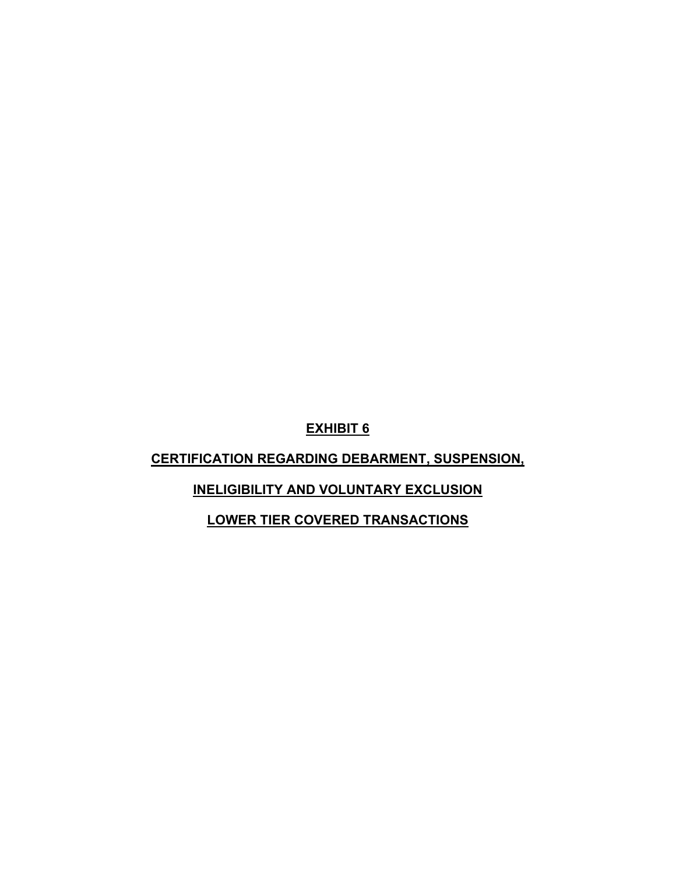# **CERTIFICATION REGARDING DEBARMENT, SUSPENSION,**

# **INELIGIBILITY AND VOLUNTARY EXCLUSION**

**LOWER TIER COVERED TRANSACTIONS**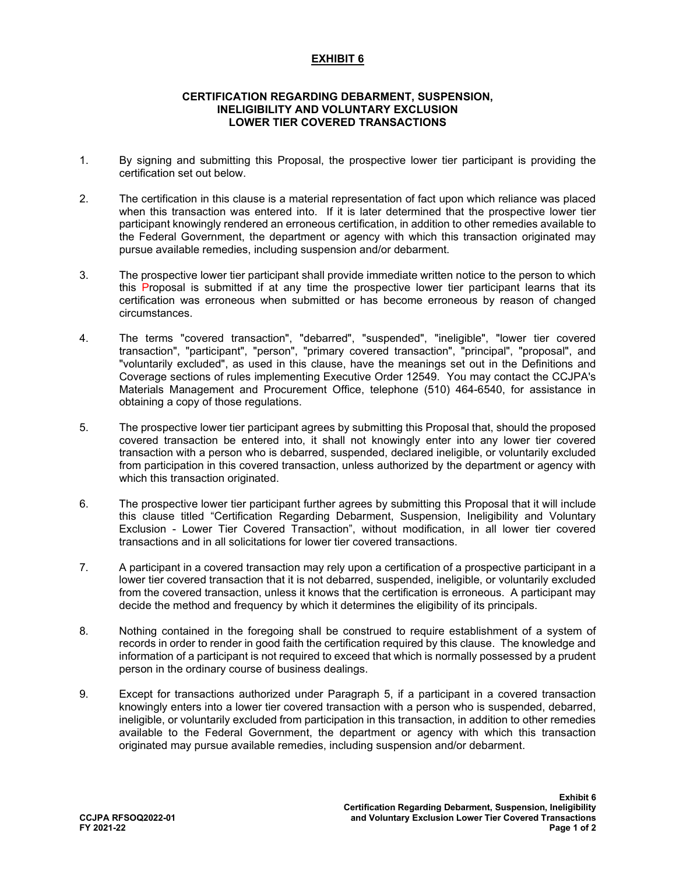#### **CERTIFICATION REGARDING DEBARMENT, SUSPENSION, INELIGIBILITY AND VOLUNTARY EXCLUSION LOWER TIER COVERED TRANSACTIONS**

- 1. By signing and submitting this Proposal, the prospective lower tier participant is providing the certification set out below.
- 2. The certification in this clause is a material representation of fact upon which reliance was placed when this transaction was entered into. If it is later determined that the prospective lower tier participant knowingly rendered an erroneous certification, in addition to other remedies available to the Federal Government, the department or agency with which this transaction originated may pursue available remedies, including suspension and/or debarment.
- 3. The prospective lower tier participant shall provide immediate written notice to the person to which this Proposal is submitted if at any time the prospective lower tier participant learns that its certification was erroneous when submitted or has become erroneous by reason of changed circumstances.
- 4. The terms "covered transaction", "debarred", "suspended", "ineligible", "lower tier covered transaction", "participant", "person", "primary covered transaction", "principal", "proposal", and "voluntarily excluded", as used in this clause, have the meanings set out in the Definitions and Coverage sections of rules implementing Executive Order 12549. You may contact the CCJPA's Materials Management and Procurement Office, telephone (510) 464-6540, for assistance in obtaining a copy of those regulations.
- 5. The prospective lower tier participant agrees by submitting this Proposal that, should the proposed covered transaction be entered into, it shall not knowingly enter into any lower tier covered transaction with a person who is debarred, suspended, declared ineligible, or voluntarily excluded from participation in this covered transaction, unless authorized by the department or agency with which this transaction originated.
- 6. The prospective lower tier participant further agrees by submitting this Proposal that it will include this clause titled "Certification Regarding Debarment, Suspension, Ineligibility and Voluntary Exclusion - Lower Tier Covered Transaction", without modification, in all lower tier covered transactions and in all solicitations for lower tier covered transactions.
- 7. A participant in a covered transaction may rely upon a certification of a prospective participant in a lower tier covered transaction that it is not debarred, suspended, ineligible, or voluntarily excluded from the covered transaction, unless it knows that the certification is erroneous. A participant may decide the method and frequency by which it determines the eligibility of its principals.
- 8. Nothing contained in the foregoing shall be construed to require establishment of a system of records in order to render in good faith the certification required by this clause. The knowledge and information of a participant is not required to exceed that which is normally possessed by a prudent person in the ordinary course of business dealings.
- 9. Except for transactions authorized under Paragraph 5, if a participant in a covered transaction knowingly enters into a lower tier covered transaction with a person who is suspended, debarred, ineligible, or voluntarily excluded from participation in this transaction, in addition to other remedies available to the Federal Government, the department or agency with which this transaction originated may pursue available remedies, including suspension and/or debarment.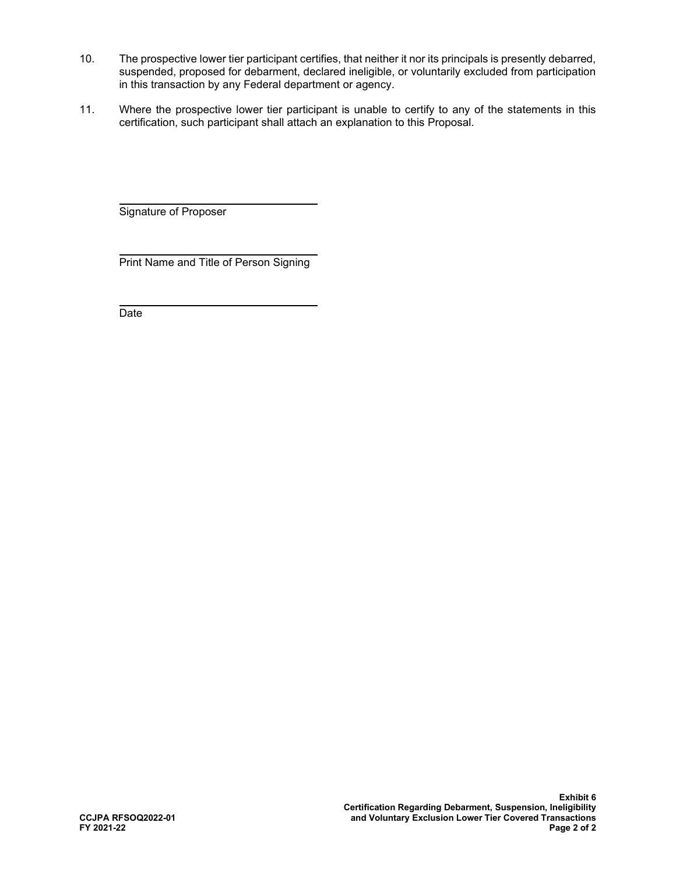- 10. The prospective lower tier participant certifies, that neither it nor its principals is presently debarred, suspended, proposed for debarment, declared ineligible, or voluntarily excluded from participation in this transaction by any Federal department or agency.
- 11. Where the prospective lower tier participant is unable to certify to any of the statements in this certification, such participant shall attach an explanation to this Proposal.

Signature of Proposer

l Print Name and Title of Person Signing

 $\ddot{\phantom{a}}$ **Date**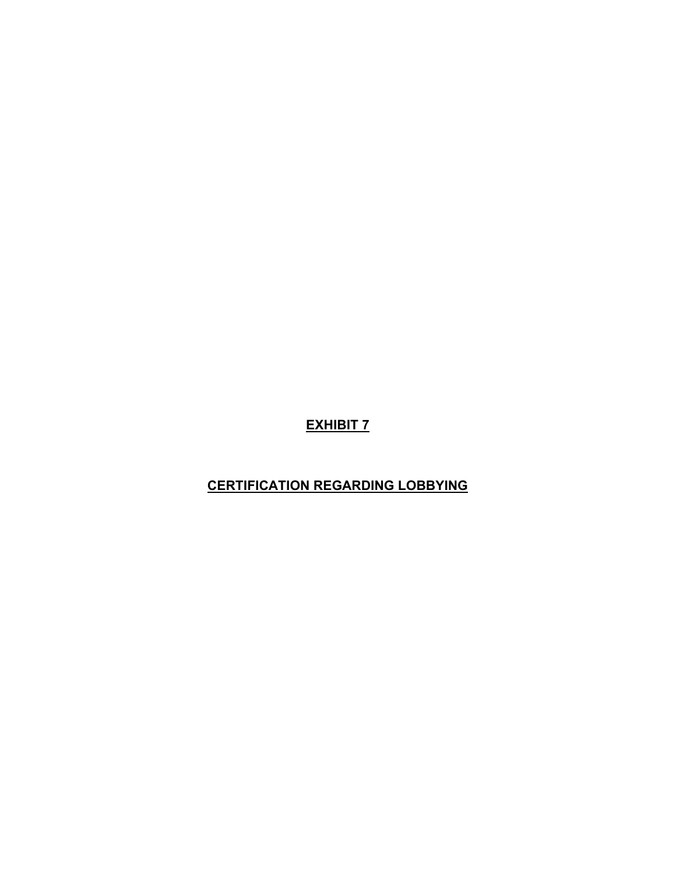## **CERTIFICATION REGARDING LOBBYING**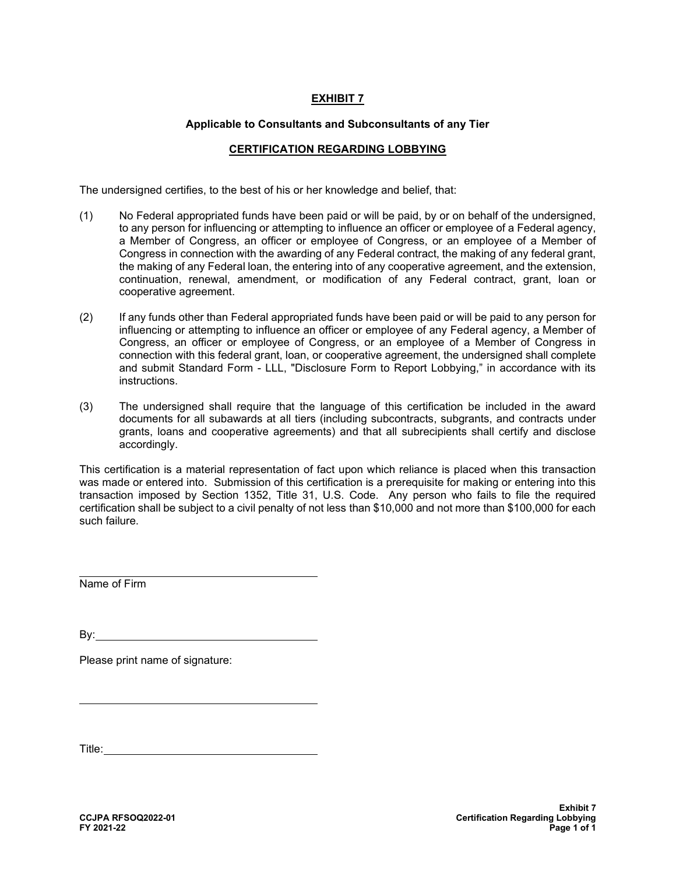#### **Applicable to Consultants and Subconsultants of any Tier**

#### **CERTIFICATION REGARDING LOBBYING**

The undersigned certifies, to the best of his or her knowledge and belief, that:

- (1) No Federal appropriated funds have been paid or will be paid, by or on behalf of the undersigned, to any person for influencing or attempting to influence an officer or employee of a Federal agency, a Member of Congress, an officer or employee of Congress, or an employee of a Member of Congress in connection with the awarding of any Federal contract, the making of any federal grant, the making of any Federal loan, the entering into of any cooperative agreement, and the extension, continuation, renewal, amendment, or modification of any Federal contract, grant, loan or cooperative agreement.
- (2) If any funds other than Federal appropriated funds have been paid or will be paid to any person for influencing or attempting to influence an officer or employee of any Federal agency, a Member of Congress, an officer or employee of Congress, or an employee of a Member of Congress in connection with this federal grant, loan, or cooperative agreement, the undersigned shall complete and submit Standard Form - LLL, "Disclosure Form to Report Lobbying," in accordance with its instructions.
- (3) The undersigned shall require that the language of this certification be included in the award documents for all subawards at all tiers (including subcontracts, subgrants, and contracts under grants, loans and cooperative agreements) and that all subrecipients shall certify and disclose accordingly.

This certification is a material representation of fact upon which reliance is placed when this transaction was made or entered into. Submission of this certification is a prerequisite for making or entering into this transaction imposed by Section 1352, Title 31, U.S. Code. Any person who fails to file the required certification shall be subject to a civil penalty of not less than \$10,000 and not more than \$100,000 for each such failure.

 $\overline{\phantom{a}}$ Name of Firm

By:

 $\overline{\phantom{a}}$ 

Please print name of signature:

Title: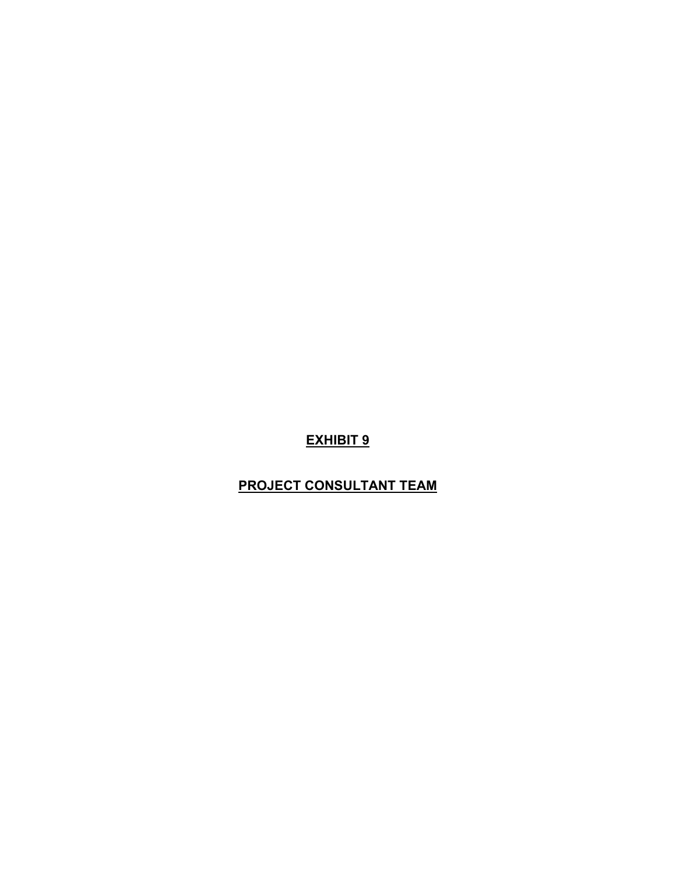### **PROJECT CONSULTANT TEAM**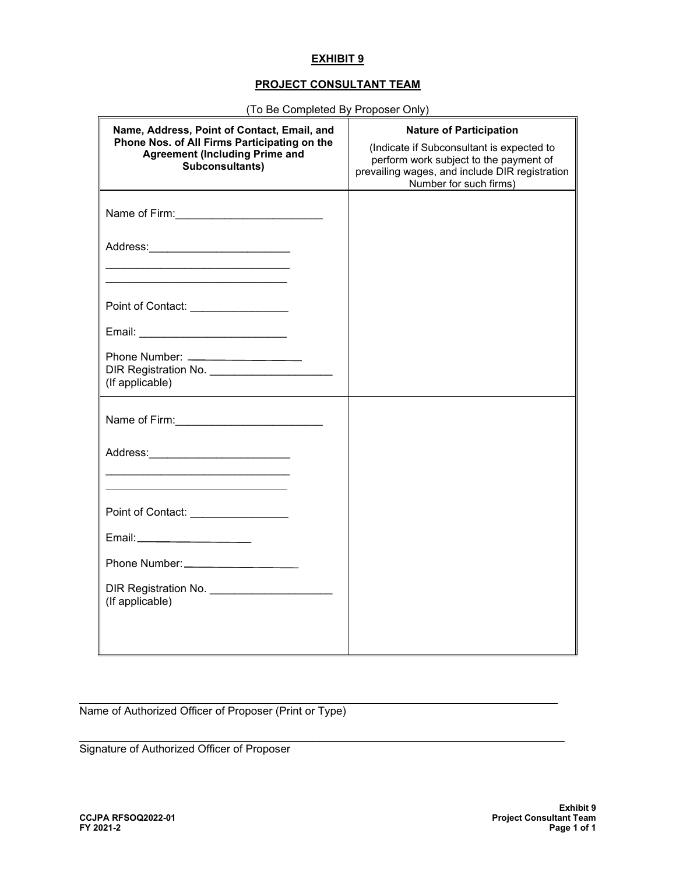### **PROJECT CONSULTANT TEAM**

| (TO DE COMPIEIEU DY FTOPOSEL OMY)                                                                                                                       |                                                                                                                                                                                                   |
|---------------------------------------------------------------------------------------------------------------------------------------------------------|---------------------------------------------------------------------------------------------------------------------------------------------------------------------------------------------------|
| Name, Address, Point of Contact, Email, and<br>Phone Nos. of All Firms Participating on the<br><b>Agreement (Including Prime and</b><br>Subconsultants) | <b>Nature of Participation</b><br>(Indicate if Subconsultant is expected to<br>perform work subject to the payment of<br>prevailing wages, and include DIR registration<br>Number for such firms) |
|                                                                                                                                                         |                                                                                                                                                                                                   |
|                                                                                                                                                         |                                                                                                                                                                                                   |
|                                                                                                                                                         |                                                                                                                                                                                                   |
| Point of Contact: _________________                                                                                                                     |                                                                                                                                                                                                   |
|                                                                                                                                                         |                                                                                                                                                                                                   |
| DIR Registration No. ________________________<br>(If applicable)                                                                                        |                                                                                                                                                                                                   |
|                                                                                                                                                         |                                                                                                                                                                                                   |
|                                                                                                                                                         |                                                                                                                                                                                                   |
| <u> 1989 - Johann John Stone, mars eta inperiodo eta inperiodo eta inperiodo eta inperiodo eta inperiodo eta inpe</u>                                   |                                                                                                                                                                                                   |
| Point of Contact: _________________                                                                                                                     |                                                                                                                                                                                                   |
| Email:_______________________                                                                                                                           |                                                                                                                                                                                                   |
|                                                                                                                                                         |                                                                                                                                                                                                   |
| DIR Registration No. ________________________<br>(If applicable)                                                                                        |                                                                                                                                                                                                   |
|                                                                                                                                                         |                                                                                                                                                                                                   |

 $\mathcal{L}_\mathcal{L} = \mathcal{L}_\mathcal{L} = \mathcal{L}_\mathcal{L} = \mathcal{L}_\mathcal{L} = \mathcal{L}_\mathcal{L} = \mathcal{L}_\mathcal{L} = \mathcal{L}_\mathcal{L} = \mathcal{L}_\mathcal{L} = \mathcal{L}_\mathcal{L} = \mathcal{L}_\mathcal{L} = \mathcal{L}_\mathcal{L} = \mathcal{L}_\mathcal{L} = \mathcal{L}_\mathcal{L} = \mathcal{L}_\mathcal{L} = \mathcal{L}_\mathcal{L} = \mathcal{L}_\mathcal{L} = \mathcal{L}_\mathcal{L}$ 

 $\_$  ,  $\_$  ,  $\_$  ,  $\_$  ,  $\_$  ,  $\_$  ,  $\_$  ,  $\_$  ,  $\_$  ,  $\_$  ,  $\_$  ,  $\_$  ,  $\_$  ,  $\_$  ,  $\_$  ,  $\_$  ,  $\_$  ,  $\_$  ,  $\_$  ,  $\_$  ,  $\_$  ,  $\_$  ,  $\_$  ,  $\_$  ,  $\_$  ,  $\_$  ,  $\_$  ,  $\_$  ,  $\_$  ,  $\_$  ,  $\_$  ,  $\_$  ,  $\_$  ,  $\_$  ,  $\_$  ,  $\_$  ,  $\_$  ,

(To Be Completed By Proposer Only)

Name of Authorized Officer of Proposer (Print or Type)

Signature of Authorized Officer of Proposer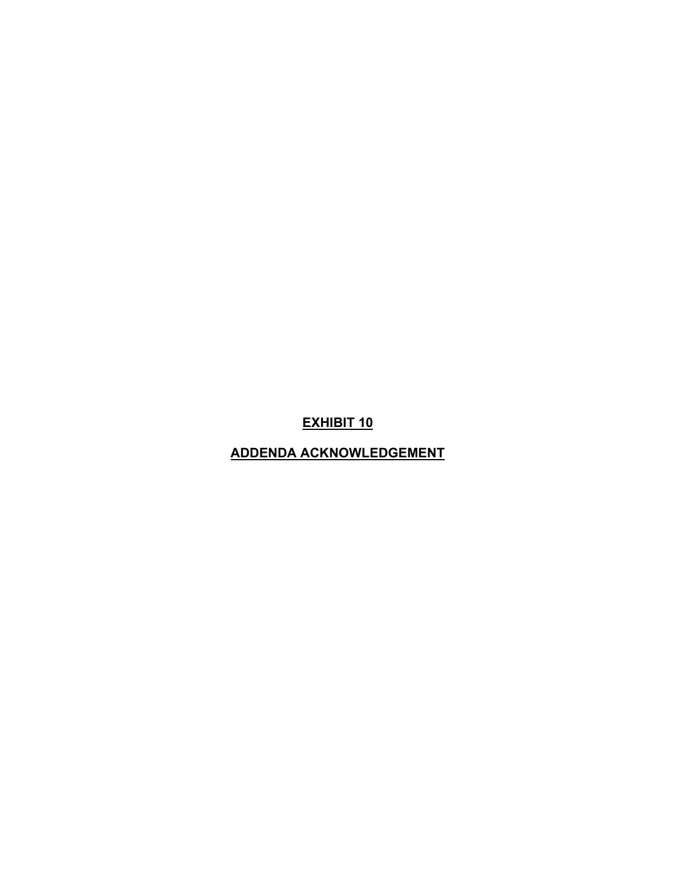**ADDENDA ACKNOWLEDGEMENT**